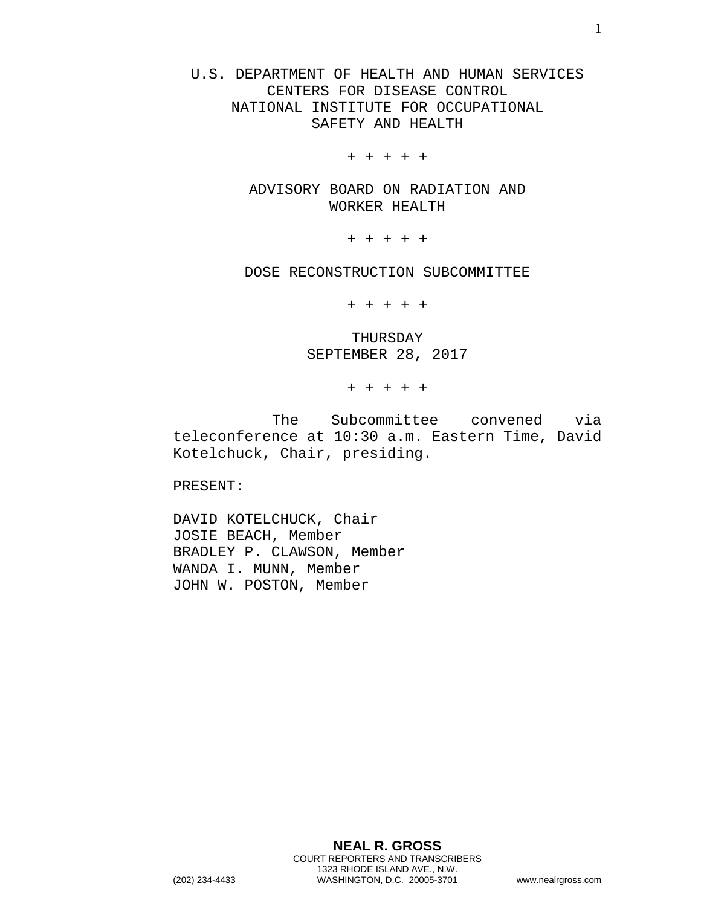U.S. DEPARTMENT OF HEALTH AND HUMAN SERVICES CENTERS FOR DISEASE CONTROL NATIONAL INSTITUTE FOR OCCUPATIONAL SAFETY AND HEALTH

+ + + + +

ADVISORY BOARD ON RADIATION AND WORKER HEALTH

+ + + + +

DOSE RECONSTRUCTION SUBCOMMITTEE

+ + + + +

THURSDAY SEPTEMBER 28, 2017

+ + + + +

The Subcommittee convened via teleconference at 10:30 a.m. Eastern Time, David Kotelchuck, Chair, presiding.

PRESENT:

DAVID KOTELCHUCK, Chair JOSIE BEACH, Member BRADLEY P. CLAWSON, Member WANDA I. MUNN, Member JOHN W. POSTON, Member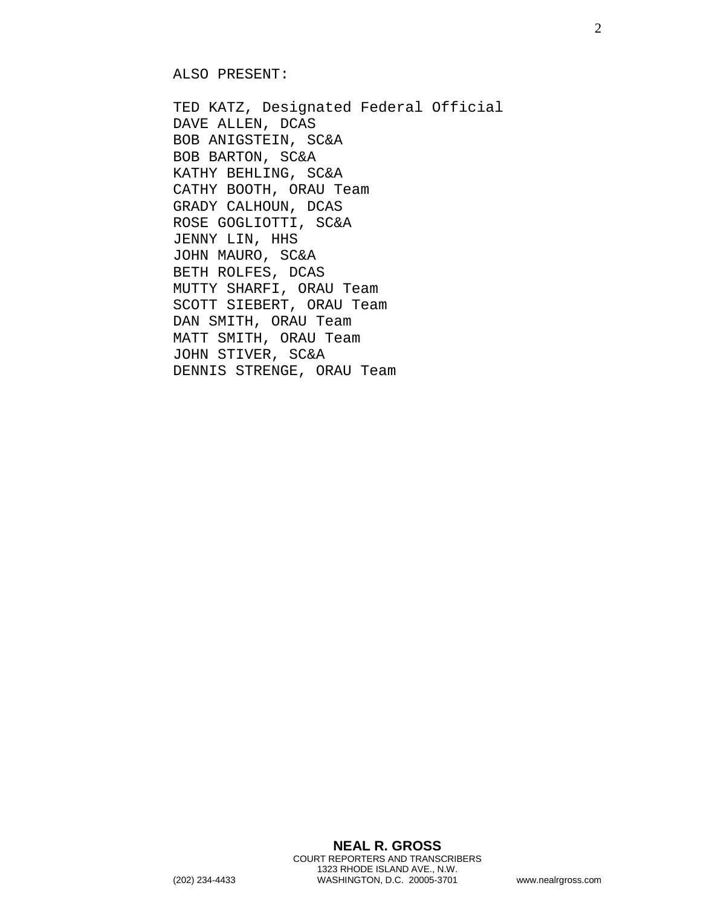ALSO PRESENT:

TED KATZ, Designated Federal Official DAVE ALLEN, DCAS BOB ANIGSTEIN, SC&A BOB BARTON, SC&A KATHY BEHLING, SC&A CATHY BOOTH, ORAU Team GRADY CALHOUN, DCAS ROSE GOGLIOTTI, SC&A JENNY LIN, HHS JOHN MAURO, SC&A BETH ROLFES, DCAS MUTTY SHARFI, ORAU Team SCOTT SIEBERT, ORAU Team DAN SMITH, ORAU Team MATT SMITH, ORAU Team JOHN STIVER, SC&A DENNIS STRENGE, ORAU Team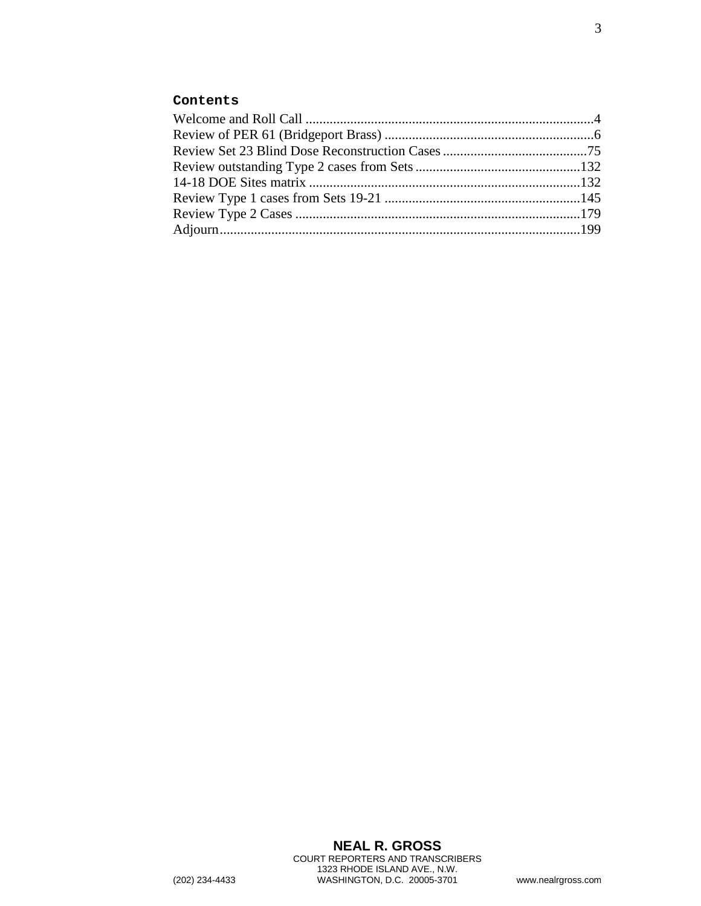## **Contents**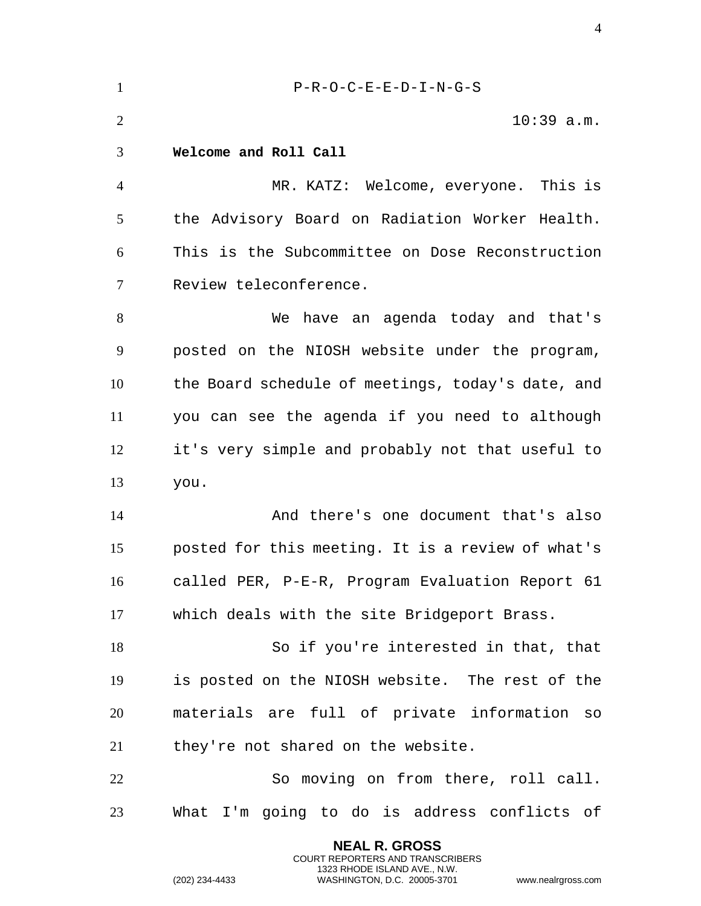<span id="page-3-0"></span> P-R-O-C-E-E-D-I-N-G-S 2 10:39 a.m. **Welcome and Roll Call** MR. KATZ: Welcome, everyone. This is the Advisory Board on Radiation Worker Health. This is the Subcommittee on Dose Reconstruction Review teleconference. We have an agenda today and that's posted on the NIOSH website under the program, the Board schedule of meetings, today's date, and you can see the agenda if you need to although it's very simple and probably not that useful to you. And there's one document that's also posted for this meeting. It is a review of what's called PER, P-E-R, Program Evaluation Report 61 which deals with the site Bridgeport Brass. So if you're interested in that, that is posted on the NIOSH website. The rest of the materials are full of private information so they're not shared on the website. So moving on from there, roll call. What I'm going to do is address conflicts of

> **NEAL R. GROSS** COURT REPORTERS AND TRANSCRIBERS 1323 RHODE ISLAND AVE., N.W.

(202) 234-4433 WASHINGTON, D.C. 20005-3701 www.nealrgross.com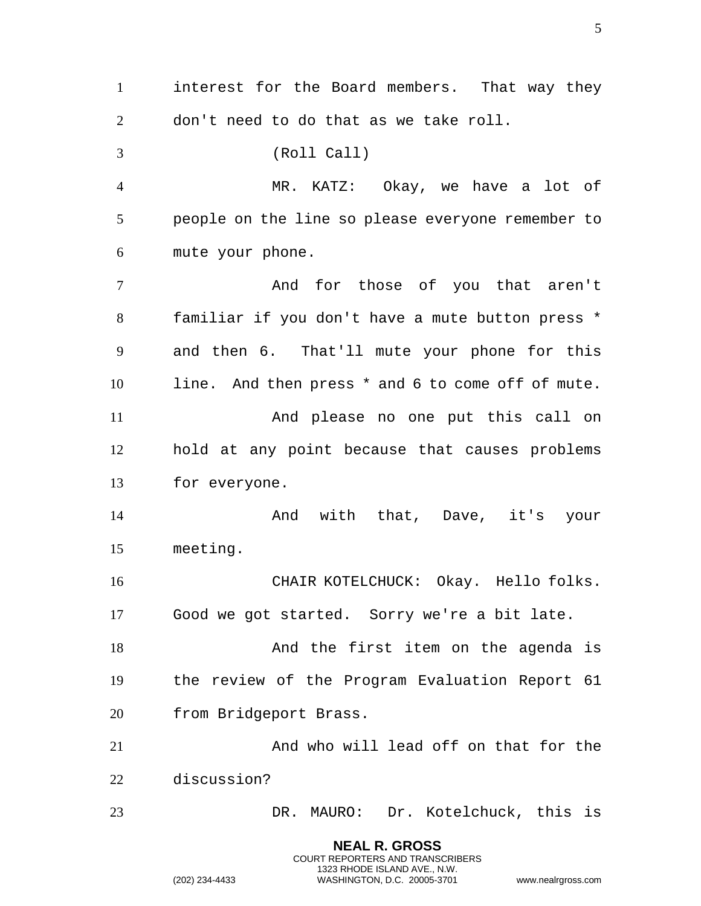**NEAL R. GROSS** interest for the Board members. That way they don't need to do that as we take roll. (Roll Call) MR. KATZ: Okay, we have a lot of people on the line so please everyone remember to mute your phone. And for those of you that aren't familiar if you don't have a mute button press \* and then 6. That'll mute your phone for this line. And then press \* and 6 to come off of mute. And please no one put this call on hold at any point because that causes problems for everyone. And with that, Dave, it's your meeting. CHAIR KOTELCHUCK: Okay. Hello folks. Good we got started. Sorry we're a bit late. 18 And the first item on the agenda is the review of the Program Evaluation Report 61 from Bridgeport Brass. And who will lead off on that for the discussion? DR. MAURO: Dr. Kotelchuck, this is

> COURT REPORTERS AND TRANSCRIBERS 1323 RHODE ISLAND AVE., N.W.

(202) 234-4433 WASHINGTON, D.C. 20005-3701 www.nealrgross.com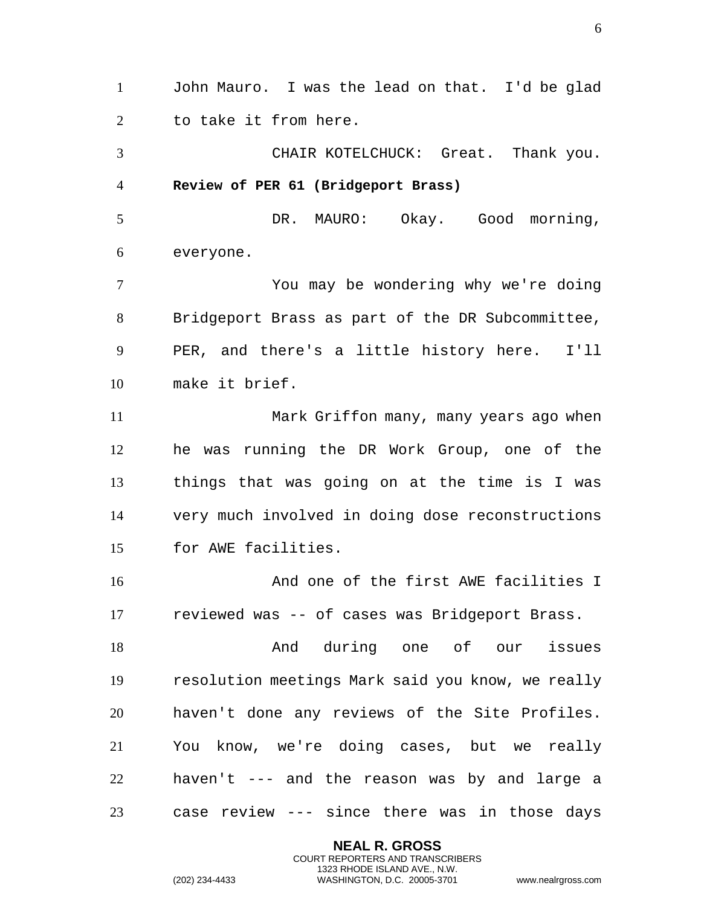<span id="page-5-0"></span> John Mauro. I was the lead on that. I'd be glad to take it from here. CHAIR KOTELCHUCK: Great. Thank you. **Review of PER 61 (Bridgeport Brass)** DR. MAURO: Okay. Good morning, everyone. You may be wondering why we're doing Bridgeport Brass as part of the DR Subcommittee, PER, and there's a little history here. I'll make it brief. Mark Griffon many, many years ago when he was running the DR Work Group, one of the things that was going on at the time is I was very much involved in doing dose reconstructions for AWE facilities. And one of the first AWE facilities I reviewed was -- of cases was Bridgeport Brass. 18 and during one of our issues resolution meetings Mark said you know, we really haven't done any reviews of the Site Profiles. You know, we're doing cases, but we really haven't --- and the reason was by and large a case review --- since there was in those days

> **NEAL R. GROSS** COURT REPORTERS AND TRANSCRIBERS 1323 RHODE ISLAND AVE., N.W.

(202) 234-4433 WASHINGTON, D.C. 20005-3701 www.nealrgross.com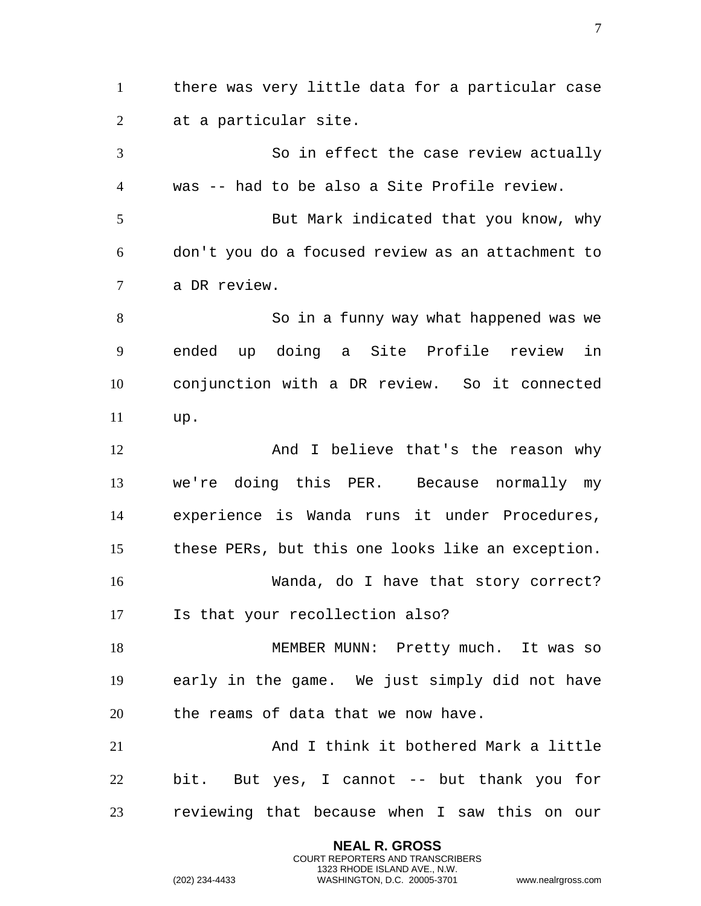there was very little data for a particular case at a particular site. So in effect the case review actually was -- had to be also a Site Profile review. But Mark indicated that you know, why don't you do a focused review as an attachment to a DR review. So in a funny way what happened was we ended up doing a Site Profile review in conjunction with a DR review. So it connected up. And I believe that's the reason why we're doing this PER. Because normally my experience is Wanda runs it under Procedures, these PERs, but this one looks like an exception. Wanda, do I have that story correct? Is that your recollection also? 18 MEMBER MUNN: Pretty much. It was so early in the game. We just simply did not have the reams of data that we now have. And I think it bothered Mark a little bit. But yes, I cannot -- but thank you for reviewing that because when I saw this on our

> **NEAL R. GROSS** COURT REPORTERS AND TRANSCRIBERS 1323 RHODE ISLAND AVE., N.W.

(202) 234-4433 WASHINGTON, D.C. 20005-3701 www.nealrgross.com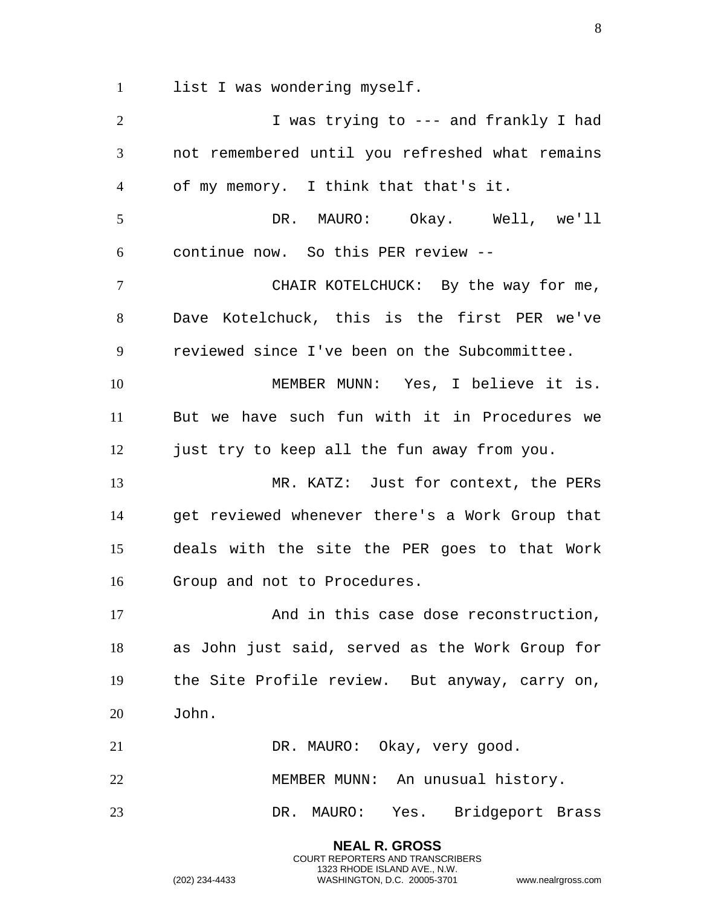1 list I was wondering myself.

| $\overline{2}$ | I was trying to --- and frankly I had           |
|----------------|-------------------------------------------------|
| 3              | not remembered until you refreshed what remains |
| $\overline{4}$ | of my memory. I think that that's it.           |
| 5              | DR. MAURO: Okay. Well, we'll                    |
| 6              | continue now. So this PER review --             |
| 7              | CHAIR KOTELCHUCK: By the way for me,            |
| 8              | Dave Kotelchuck, this is the first PER we've    |
| 9              | reviewed since I've been on the Subcommittee.   |
| 10             | MEMBER MUNN: Yes, I believe it is.              |
| 11             | But we have such fun with it in Procedures we   |
| 12             | just try to keep all the fun away from you.     |
| 13             | MR. KATZ: Just for context, the PERs            |
| 14             | get reviewed whenever there's a Work Group that |
| 15             | deals with the site the PER goes to that Work   |
| 16             | Group and not to Procedures.                    |
| 17             | And in this case dose reconstruction,           |
| 18             | as John just said, served as the Work Group for |
| 19             | the Site Profile review. But anyway, carry on,  |
| 20             | John.                                           |
| 21             | DR. MAURO: Okay, very good.                     |
| 22             | MEMBER MUNN: An unusual history.                |
| 23             | DR. MAURO: Yes. Bridgeport Brass                |
|                | <b>NEAL R. GROSS</b>                            |

COURT REPORTERS AND TRANSCRIBERS 1323 RHODE ISLAND AVE., N.W.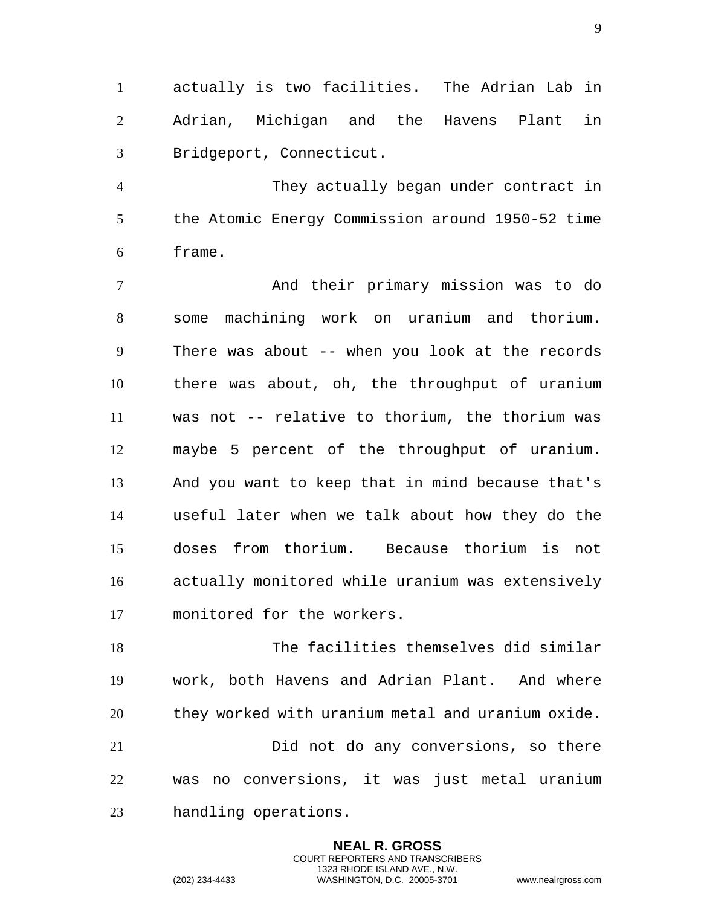actually is two facilities. The Adrian Lab in Adrian, Michigan and the Havens Plant in Bridgeport, Connecticut.

 They actually began under contract in the Atomic Energy Commission around 1950-52 time frame.

 And their primary mission was to do some machining work on uranium and thorium. There was about -- when you look at the records there was about, oh, the throughput of uranium was not -- relative to thorium, the thorium was maybe 5 percent of the throughput of uranium. And you want to keep that in mind because that's useful later when we talk about how they do the doses from thorium. Because thorium is not actually monitored while uranium was extensively monitored for the workers.

 The facilities themselves did similar work, both Havens and Adrian Plant. And where they worked with uranium metal and uranium oxide. Did not do any conversions, so there was no conversions, it was just metal uranium handling operations.

> **NEAL R. GROSS** COURT REPORTERS AND TRANSCRIBERS 1323 RHODE ISLAND AVE., N.W.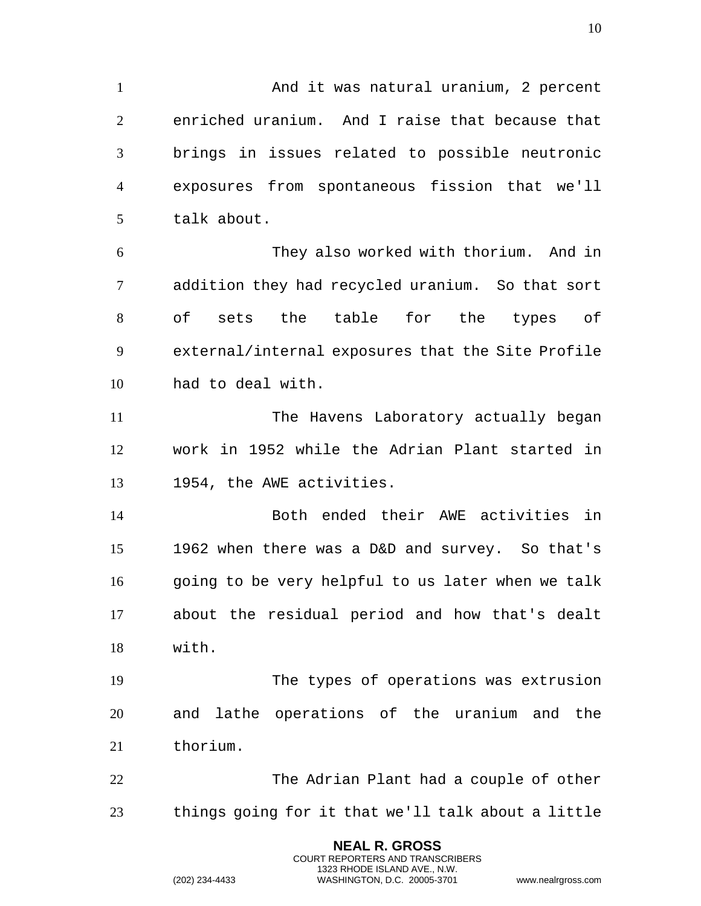1 And it was natural uranium, 2 percent enriched uranium. And I raise that because that brings in issues related to possible neutronic exposures from spontaneous fission that we'll talk about. They also worked with thorium. And in addition they had recycled uranium. So that sort of sets the table for the types of external/internal exposures that the Site Profile had to deal with. The Havens Laboratory actually began work in 1952 while the Adrian Plant started in 1954, the AWE activities. Both ended their AWE activities in 1962 when there was a D&D and survey. So that's 16 going to be very helpful to us later when we talk

 about the residual period and how that's dealt with.

 The types of operations was extrusion and lathe operations of the uranium and the thorium.

 The Adrian Plant had a couple of other things going for it that we'll talk about a little

> **NEAL R. GROSS** COURT REPORTERS AND TRANSCRIBERS 1323 RHODE ISLAND AVE., N.W.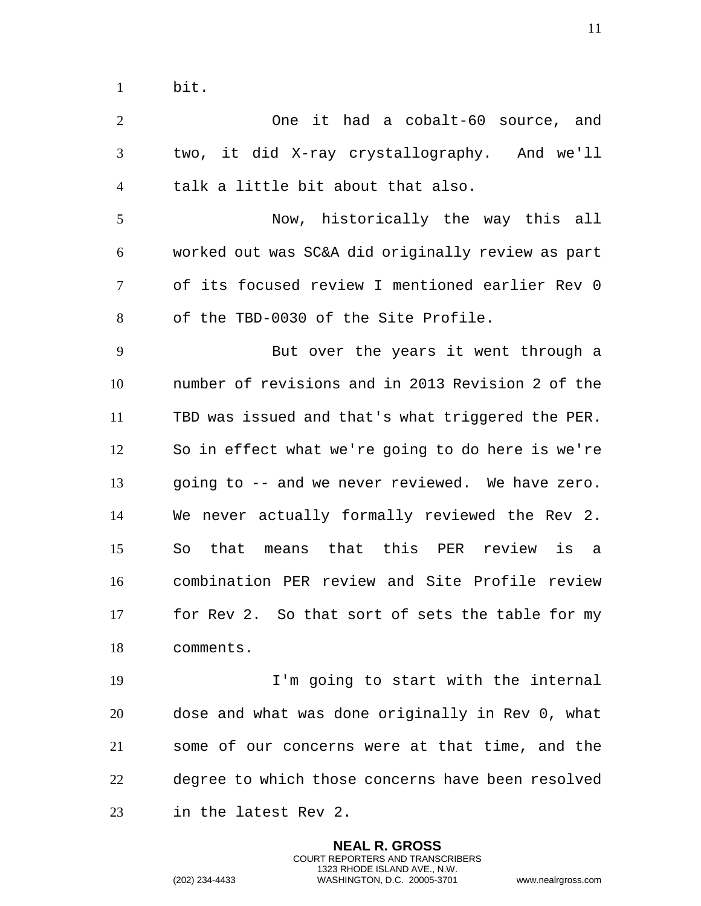| $\overline{2}$ | One it had a cobalt-60 source, and                |
|----------------|---------------------------------------------------|
| 3              | two, it did X-ray crystallography. And we'll      |
| $\overline{4}$ | talk a little bit about that also.                |
| 5              | Now, historically the way this all                |
| 6              | worked out was SC&A did originally review as part |
| 7              | of its focused review I mentioned earlier Rev 0   |
| 8              | of the TBD-0030 of the Site Profile.              |
| 9              | But over the years it went through a              |
| 10             | number of revisions and in 2013 Revision 2 of the |
| 11             | TBD was issued and that's what triggered the PER. |
| 12             | So in effect what we're going to do here is we're |
| 13             | going to -- and we never reviewed. We have zero.  |
| 14             | We never actually formally reviewed the Rev 2.    |
| 15             | means that this PER review is a<br>So<br>that     |
| 16             | combination PER review and Site Profile review    |
| 17             | for Rev 2. So that sort of sets the table for my  |
| 18             | comments.                                         |
| 19             | I'm going to start with the internal              |
| 20             | dose and what was done originally in Rev 0, what  |
| 21             | some of our concerns were at that time, and the   |

degree to which those concerns have been resolved

**NEAL R. GROSS** COURT REPORTERS AND TRANSCRIBERS 1323 RHODE ISLAND AVE., N.W.

in the latest Rev 2.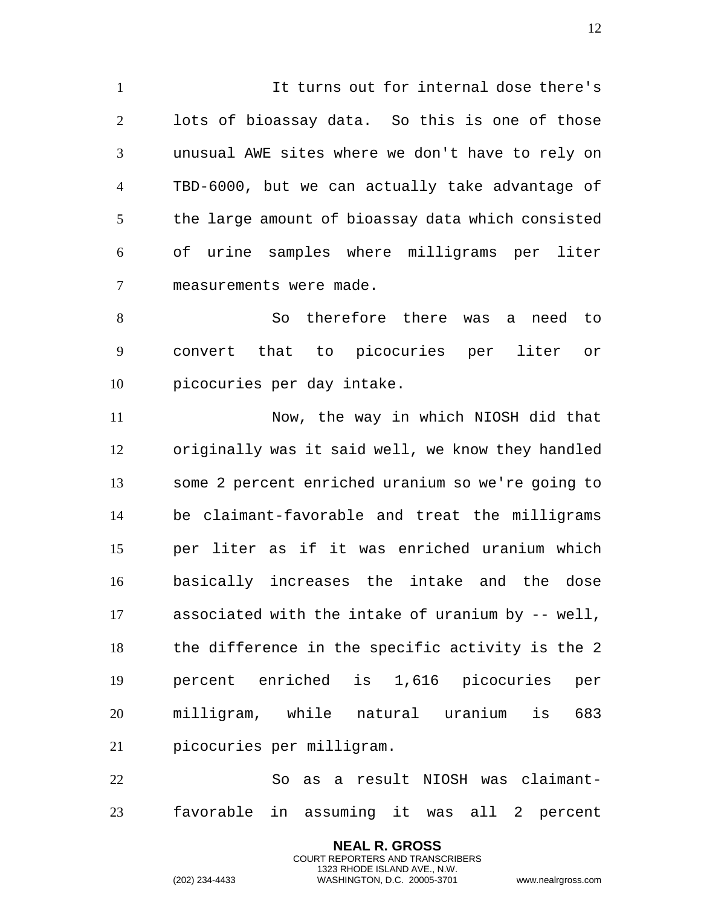It turns out for internal dose there's lots of bioassay data. So this is one of those unusual AWE sites where we don't have to rely on TBD-6000, but we can actually take advantage of the large amount of bioassay data which consisted of urine samples where milligrams per liter measurements were made.

 So therefore there was a need to convert that to picocuries per liter or picocuries per day intake.

 Now, the way in which NIOSH did that originally was it said well, we know they handled some 2 percent enriched uranium so we're going to be claimant-favorable and treat the milligrams per liter as if it was enriched uranium which basically increases the intake and the dose associated with the intake of uranium by -- well, the difference in the specific activity is the 2 percent enriched is 1,616 picocuries per milligram, while natural uranium is 683 picocuries per milligram.

 So as a result NIOSH was claimant-favorable in assuming it was all 2 percent

> **NEAL R. GROSS** COURT REPORTERS AND TRANSCRIBERS 1323 RHODE ISLAND AVE., N.W.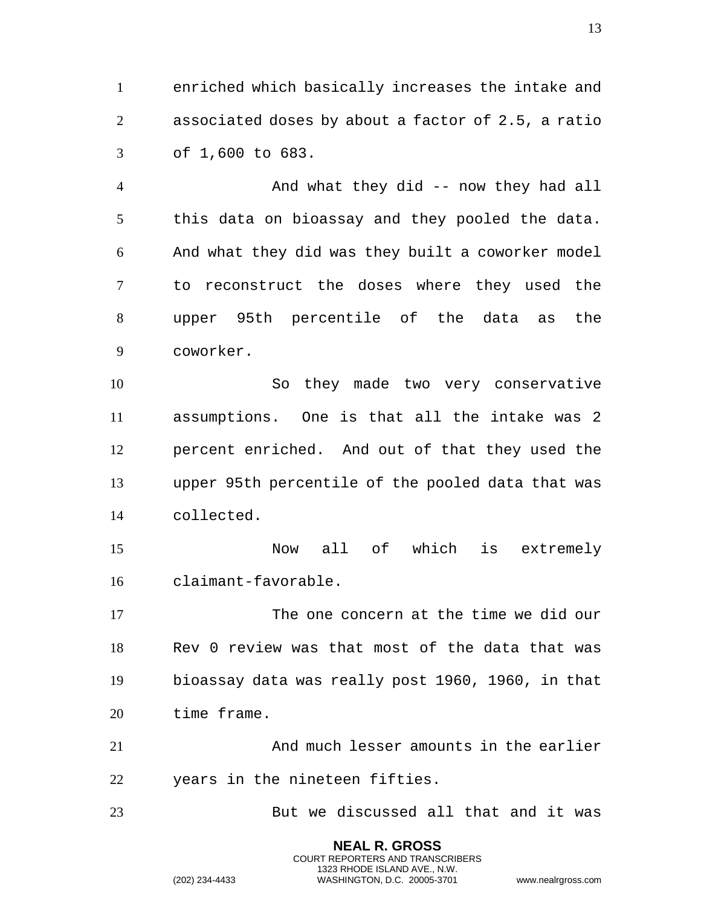enriched which basically increases the intake and associated doses by about a factor of 2.5, a ratio of 1,600 to 683.

4 And what they did -- now they had all this data on bioassay and they pooled the data. And what they did was they built a coworker model to reconstruct the doses where they used the upper 95th percentile of the data as the coworker.

 So they made two very conservative assumptions. One is that all the intake was 2 percent enriched. And out of that they used the upper 95th percentile of the pooled data that was collected.

 Now all of which is extremely claimant-favorable.

 The one concern at the time we did our Rev 0 review was that most of the data that was bioassay data was really post 1960, 1960, in that time frame.

 And much lesser amounts in the earlier years in the nineteen fifties.

But we discussed all that and it was

**NEAL R. GROSS** COURT REPORTERS AND TRANSCRIBERS 1323 RHODE ISLAND AVE., N.W.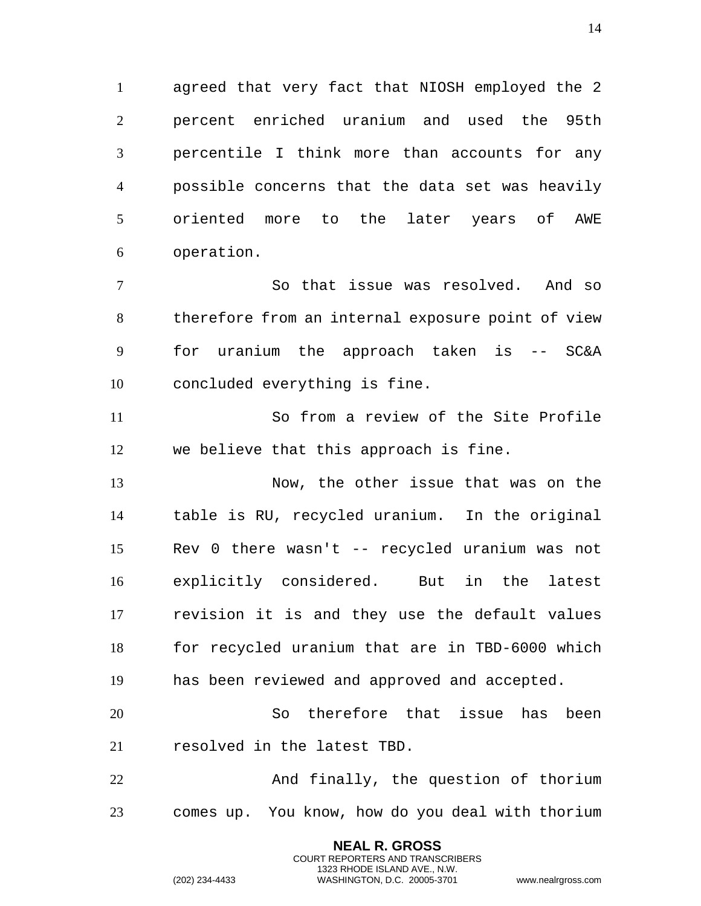agreed that very fact that NIOSH employed the 2 percent enriched uranium and used the 95th percentile I think more than accounts for any possible concerns that the data set was heavily oriented more to the later years of AWE operation.

 So that issue was resolved. And so therefore from an internal exposure point of view for uranium the approach taken is -- SC&A concluded everything is fine.

 So from a review of the Site Profile we believe that this approach is fine.

 Now, the other issue that was on the table is RU, recycled uranium. In the original Rev 0 there wasn't -- recycled uranium was not explicitly considered. But in the latest revision it is and they use the default values for recycled uranium that are in TBD-6000 which has been reviewed and approved and accepted.

 So therefore that issue has been resolved in the latest TBD.

 And finally, the question of thorium comes up. You know, how do you deal with thorium

> **NEAL R. GROSS** COURT REPORTERS AND TRANSCRIBERS 1323 RHODE ISLAND AVE., N.W.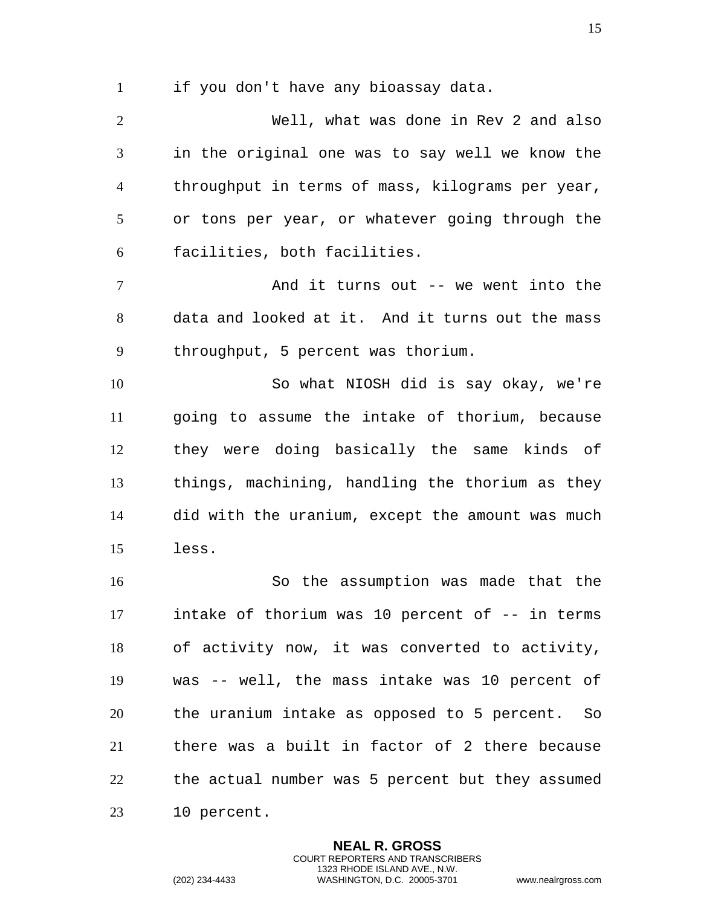if you don't have any bioassay data.

 Well, what was done in Rev 2 and also in the original one was to say well we know the throughput in terms of mass, kilograms per year, or tons per year, or whatever going through the facilities, both facilities.

 And it turns out -- we went into the data and looked at it. And it turns out the mass throughput, 5 percent was thorium.

 So what NIOSH did is say okay, we're going to assume the intake of thorium, because they were doing basically the same kinds of things, machining, handling the thorium as they did with the uranium, except the amount was much less.

 So the assumption was made that the intake of thorium was 10 percent of -- in terms of activity now, it was converted to activity, was -- well, the mass intake was 10 percent of the uranium intake as opposed to 5 percent. So there was a built in factor of 2 there because the actual number was 5 percent but they assumed 10 percent.

> **NEAL R. GROSS** COURT REPORTERS AND TRANSCRIBERS 1323 RHODE ISLAND AVE., N.W.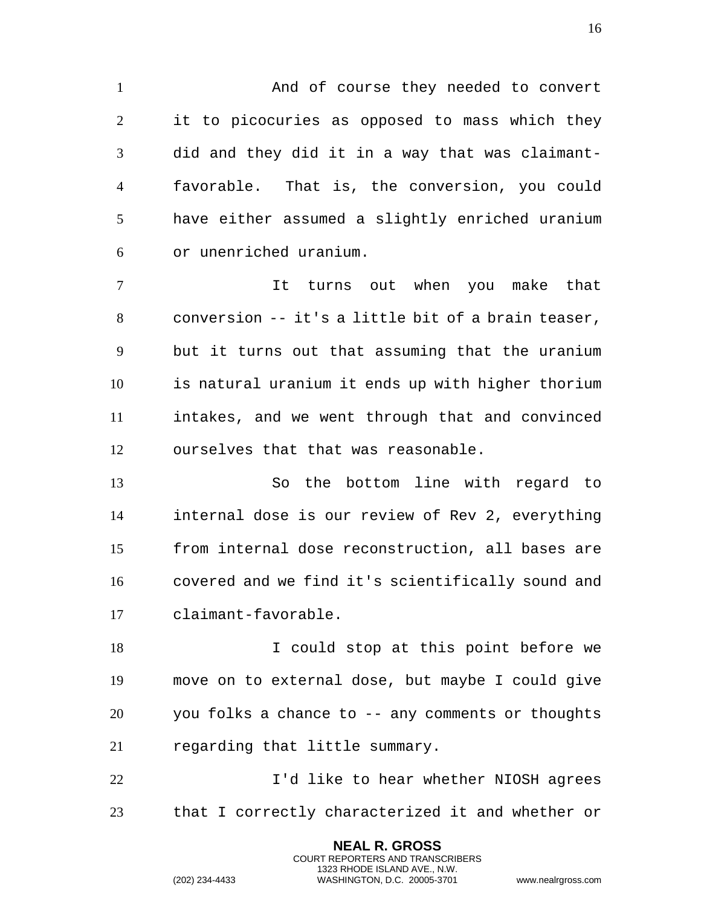1 And of course they needed to convert it to picocuries as opposed to mass which they did and they did it in a way that was claimant- favorable. That is, the conversion, you could have either assumed a slightly enriched uranium or unenriched uranium.

 It turns out when you make that conversion -- it's a little bit of a brain teaser, but it turns out that assuming that the uranium is natural uranium it ends up with higher thorium intakes, and we went through that and convinced ourselves that that was reasonable.

 So the bottom line with regard to internal dose is our review of Rev 2, everything from internal dose reconstruction, all bases are covered and we find it's scientifically sound and claimant-favorable.

18 I could stop at this point before we move on to external dose, but maybe I could give you folks a chance to -- any comments or thoughts regarding that little summary.

**I'd like to hear whether NIOSH agrees** that I correctly characterized it and whether or

> **NEAL R. GROSS** COURT REPORTERS AND TRANSCRIBERS 1323 RHODE ISLAND AVE., N.W.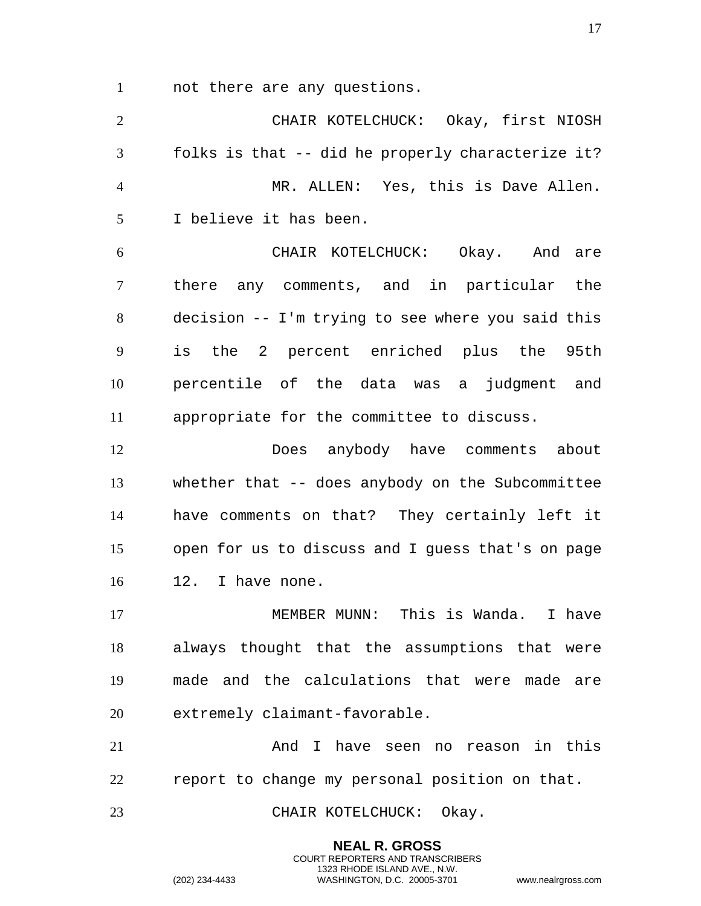not there are any questions.

 CHAIR KOTELCHUCK: Okay, first NIOSH folks is that -- did he properly characterize it? MR. ALLEN: Yes, this is Dave Allen. I believe it has been. CHAIR KOTELCHUCK: Okay. And are there any comments, and in particular the decision -- I'm trying to see where you said this is the 2 percent enriched plus the 95th percentile of the data was a judgment and appropriate for the committee to discuss. Does anybody have comments about whether that -- does anybody on the Subcommittee have comments on that? They certainly left it open for us to discuss and I guess that's on page 12. I have none. 17 MEMBER MUNN: This is Wanda. I have always thought that the assumptions that were made and the calculations that were made are extremely claimant-favorable. And I have seen no reason in this report to change my personal position on that. 23 CHAIR KOTELCHUCK: Okay.

> **NEAL R. GROSS** COURT REPORTERS AND TRANSCRIBERS 1323 RHODE ISLAND AVE., N.W.

(202) 234-4433 WASHINGTON, D.C. 20005-3701 www.nealrgross.com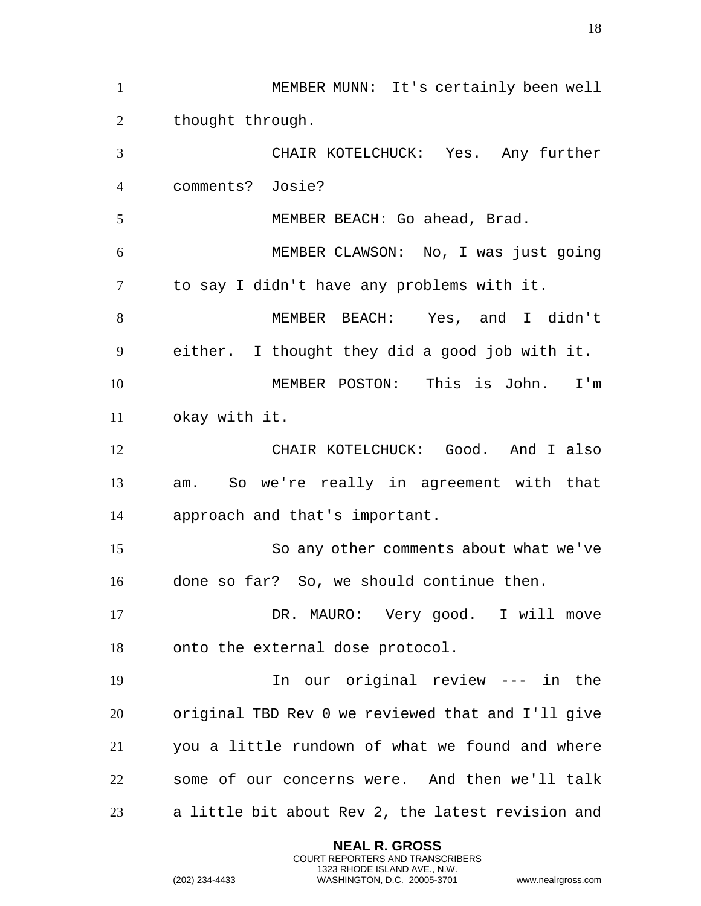MEMBER MUNN: It's certainly been well 2 thought through. CHAIR KOTELCHUCK: Yes. Any further comments? Josie? MEMBER BEACH: Go ahead, Brad. MEMBER CLAWSON: No, I was just going to say I didn't have any problems with it. MEMBER BEACH: Yes, and I didn't either. I thought they did a good job with it. MEMBER POSTON: This is John. I'm okay with it. CHAIR KOTELCHUCK: Good. And I also am. So we're really in agreement with that approach and that's important. So any other comments about what we've done so far? So, we should continue then. DR. MAURO: Very good. I will move onto the external dose protocol. In our original review --- in the original TBD Rev 0 we reviewed that and I'll give you a little rundown of what we found and where some of our concerns were. And then we'll talk a little bit about Rev 2, the latest revision and

> **NEAL R. GROSS** COURT REPORTERS AND TRANSCRIBERS 1323 RHODE ISLAND AVE., N.W.

(202) 234-4433 WASHINGTON, D.C. 20005-3701 www.nealrgross.com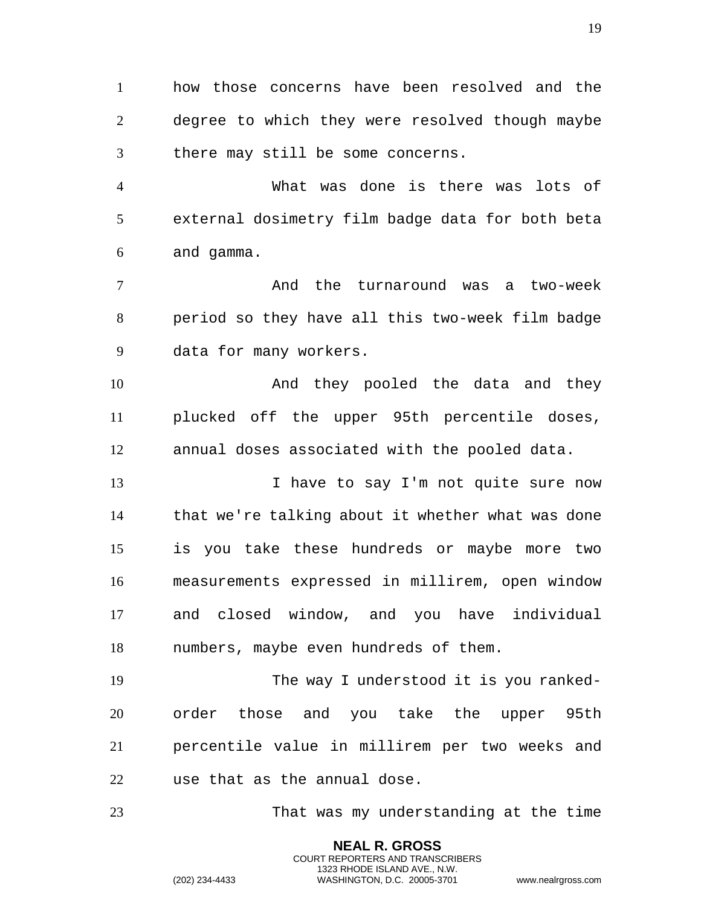how those concerns have been resolved and the degree to which they were resolved though maybe there may still be some concerns.

 What was done is there was lots of external dosimetry film badge data for both beta and gamma.

 And the turnaround was a two-week period so they have all this two-week film badge data for many workers.

 And they pooled the data and they plucked off the upper 95th percentile doses, annual doses associated with the pooled data.

13 13 I have to say I'm not quite sure now that we're talking about it whether what was done is you take these hundreds or maybe more two measurements expressed in millirem, open window and closed window, and you have individual numbers, maybe even hundreds of them.

 The way I understood it is you ranked- order those and you take the upper 95th percentile value in millirem per two weeks and use that as the annual dose.

That was my understanding at the time

**NEAL R. GROSS** COURT REPORTERS AND TRANSCRIBERS 1323 RHODE ISLAND AVE., N.W.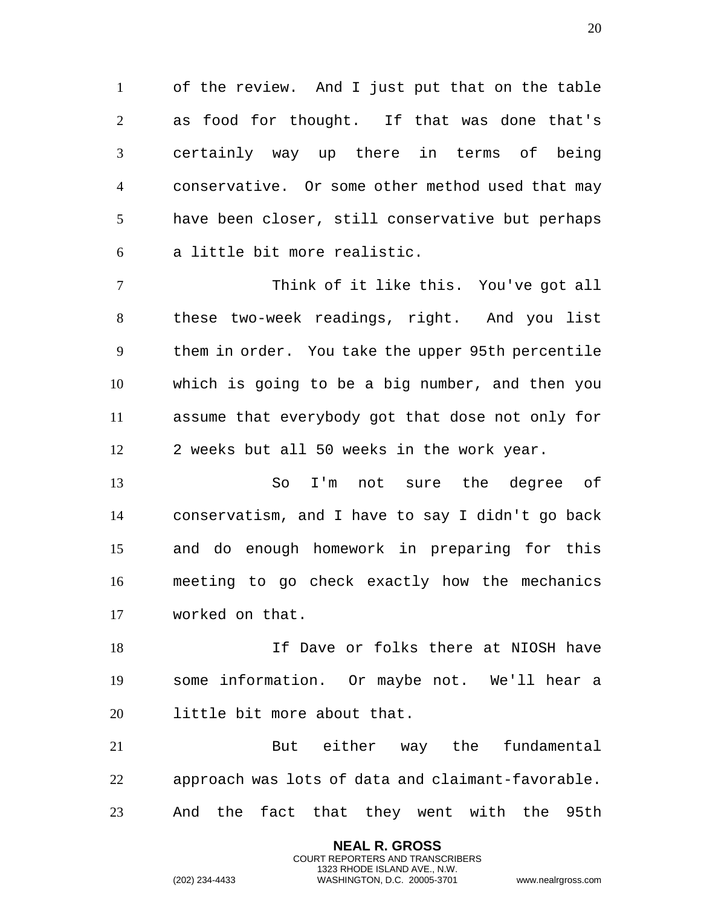of the review. And I just put that on the table as food for thought. If that was done that's certainly way up there in terms of being conservative. Or some other method used that may have been closer, still conservative but perhaps a little bit more realistic.

 Think of it like this. You've got all these two-week readings, right. And you list them in order. You take the upper 95th percentile which is going to be a big number, and then you assume that everybody got that dose not only for 2 weeks but all 50 weeks in the work year.

 So I'm not sure the degree of conservatism, and I have to say I didn't go back and do enough homework in preparing for this meeting to go check exactly how the mechanics worked on that.

 If Dave or folks there at NIOSH have some information. Or maybe not. We'll hear a little bit more about that.

 But either way the fundamental approach was lots of data and claimant-favorable. And the fact that they went with the 95th

> **NEAL R. GROSS** COURT REPORTERS AND TRANSCRIBERS 1323 RHODE ISLAND AVE., N.W.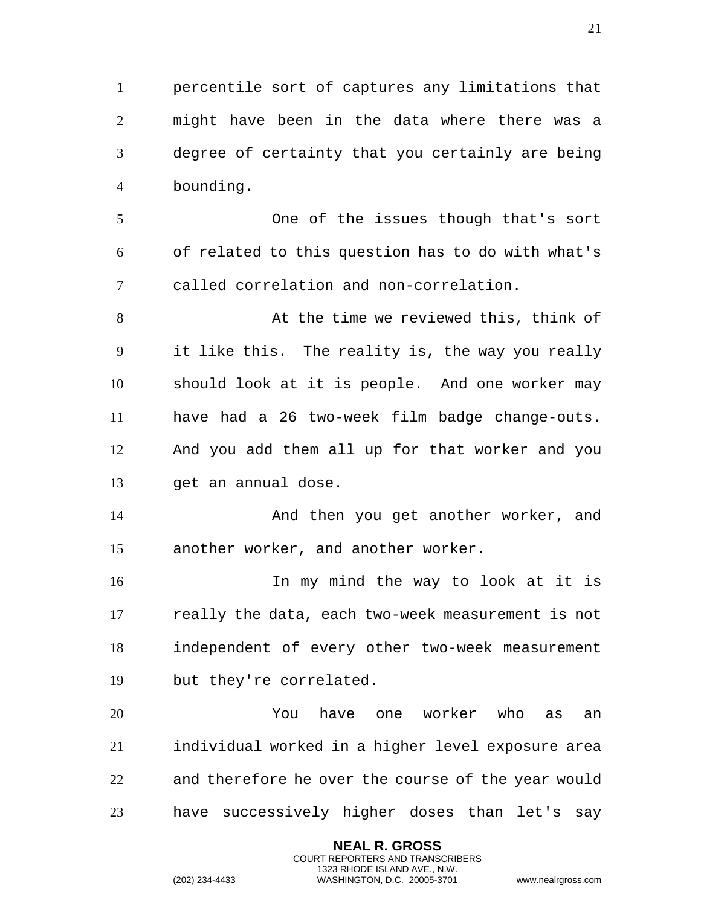percentile sort of captures any limitations that might have been in the data where there was a degree of certainty that you certainly are being bounding.

 One of the issues though that's sort of related to this question has to do with what's called correlation and non-correlation.

8 at the time we reviewed this, think of it like this. The reality is, the way you really should look at it is people. And one worker may have had a 26 two-week film badge change-outs. And you add them all up for that worker and you get an annual dose.

 And then you get another worker, and another worker, and another worker.

 In my mind the way to look at it is really the data, each two-week measurement is not independent of every other two-week measurement but they're correlated.

 You have one worker who as an individual worked in a higher level exposure area and therefore he over the course of the year would have successively higher doses than let's say

> **NEAL R. GROSS** COURT REPORTERS AND TRANSCRIBERS 1323 RHODE ISLAND AVE., N.W.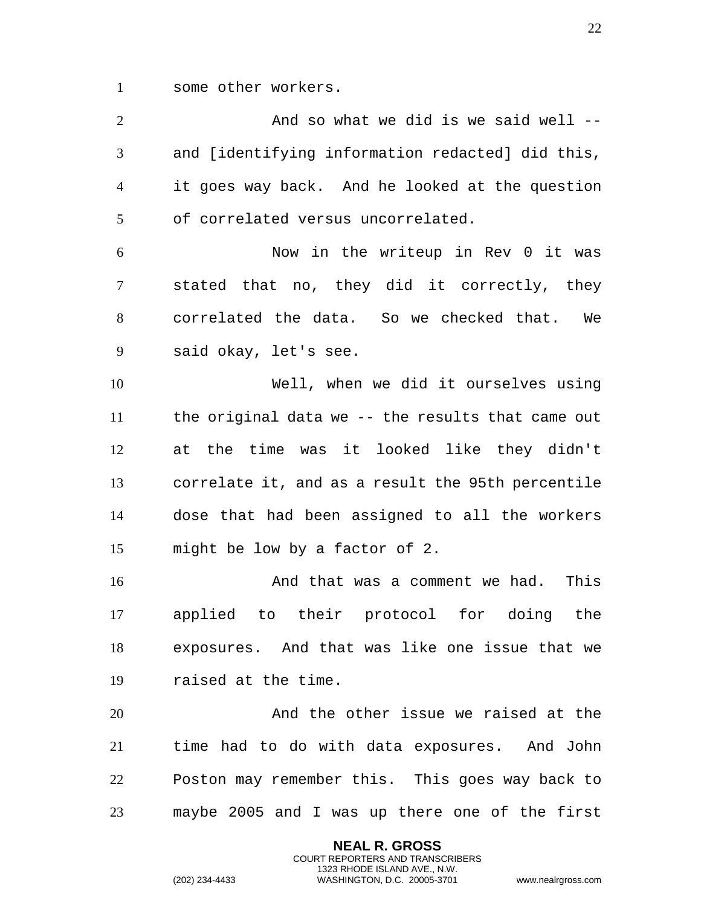some other workers.

2 And so what we did is we said well -- and [identifying information redacted] did this, it goes way back. And he looked at the question of correlated versus uncorrelated. Now in the writeup in Rev 0 it was stated that no, they did it correctly, they correlated the data. So we checked that. We said okay, let's see. Well, when we did it ourselves using the original data we -- the results that came out at the time was it looked like they didn't correlate it, and as a result the 95th percentile dose that had been assigned to all the workers might be low by a factor of 2. 16 And that was a comment we had. This applied to their protocol for doing the exposures. And that was like one issue that we raised at the time. And the other issue we raised at the time had to do with data exposures. And John Poston may remember this. This goes way back to maybe 2005 and I was up there one of the first

> **NEAL R. GROSS** COURT REPORTERS AND TRANSCRIBERS 1323 RHODE ISLAND AVE., N.W.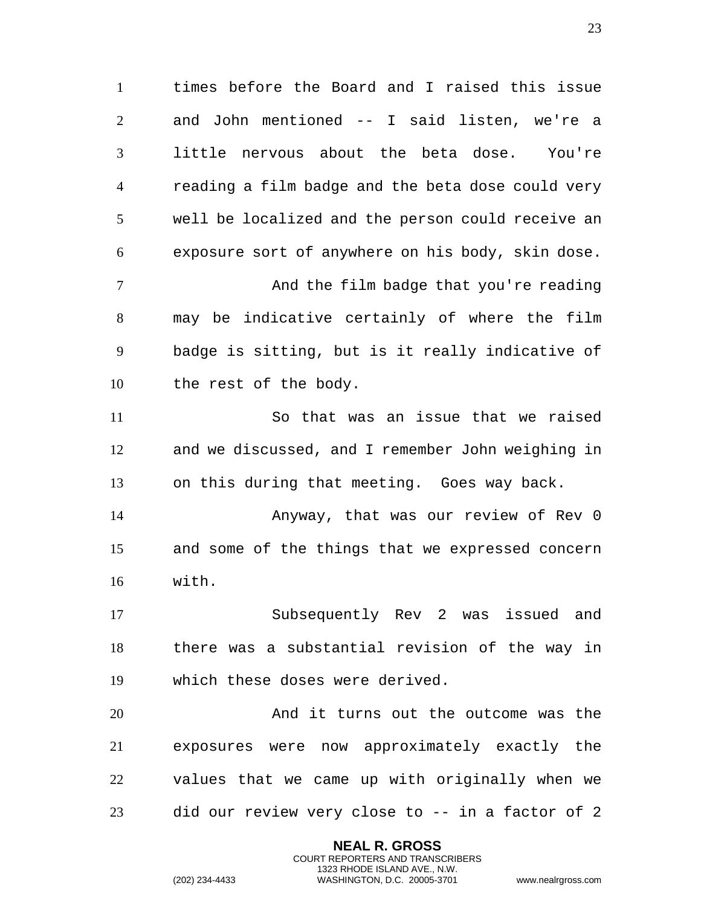times before the Board and I raised this issue and John mentioned -- I said listen, we're a little nervous about the beta dose. You're reading a film badge and the beta dose could very well be localized and the person could receive an exposure sort of anywhere on his body, skin dose. And the film badge that you're reading may be indicative certainly of where the film badge is sitting, but is it really indicative of the rest of the body. So that was an issue that we raised and we discussed, and I remember John weighing in on this during that meeting. Goes way back. Anyway, that was our review of Rev 0 and some of the things that we expressed concern with. Subsequently Rev 2 was issued and

 there was a substantial revision of the way in which these doses were derived.

 And it turns out the outcome was the exposures were now approximately exactly the values that we came up with originally when we did our review very close to -- in a factor of 2

> **NEAL R. GROSS** COURT REPORTERS AND TRANSCRIBERS 1323 RHODE ISLAND AVE., N.W.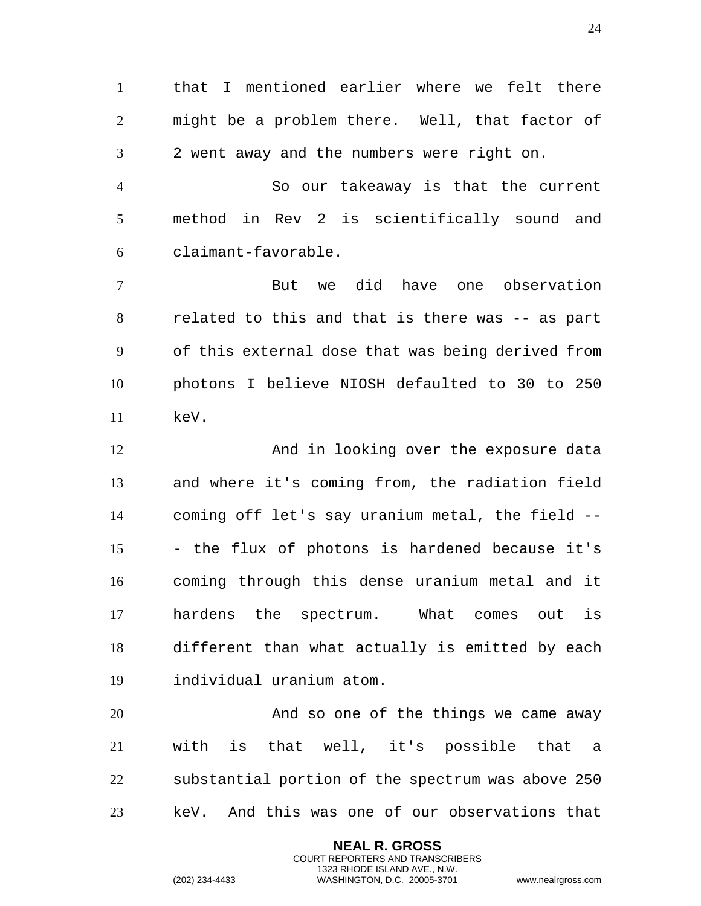that I mentioned earlier where we felt there might be a problem there. Well, that factor of 2 went away and the numbers were right on.

 So our takeaway is that the current method in Rev 2 is scientifically sound and claimant-favorable.

 But we did have one observation related to this and that is there was -- as part of this external dose that was being derived from photons I believe NIOSH defaulted to 30 to 250 keV.

 And in looking over the exposure data and where it's coming from, the radiation field coming off let's say uranium metal, the field -- - the flux of photons is hardened because it's coming through this dense uranium metal and it hardens the spectrum. What comes out is different than what actually is emitted by each individual uranium atom.

 And so one of the things we came away with is that well, it's possible that a substantial portion of the spectrum was above 250 keV. And this was one of our observations that

> **NEAL R. GROSS** COURT REPORTERS AND TRANSCRIBERS 1323 RHODE ISLAND AVE., N.W.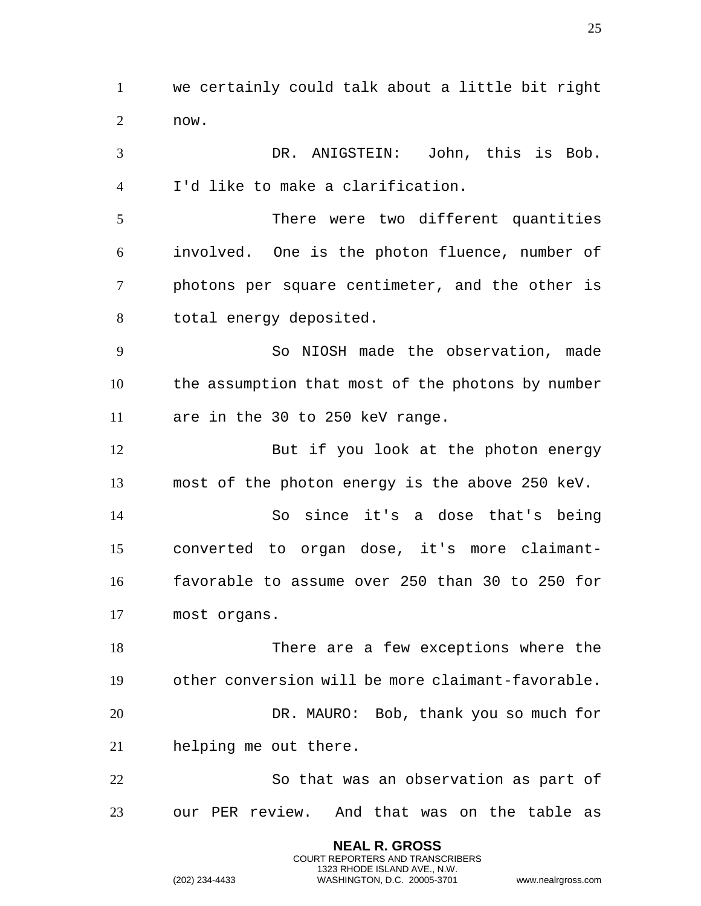we certainly could talk about a little bit right now.

 DR. ANIGSTEIN: John, this is Bob. I'd like to make a clarification.

 There were two different quantities involved. One is the photon fluence, number of photons per square centimeter, and the other is total energy deposited.

 So NIOSH made the observation, made the assumption that most of the photons by number are in the 30 to 250 keV range.

12 But if you look at the photon energy most of the photon energy is the above 250 keV.

 So since it's a dose that's being converted to organ dose, it's more claimant- favorable to assume over 250 than 30 to 250 for most organs.

 There are a few exceptions where the other conversion will be more claimant-favorable. DR. MAURO: Bob, thank you so much for helping me out there.

 So that was an observation as part of our PER review. And that was on the table as

> **NEAL R. GROSS** COURT REPORTERS AND TRANSCRIBERS 1323 RHODE ISLAND AVE., N.W.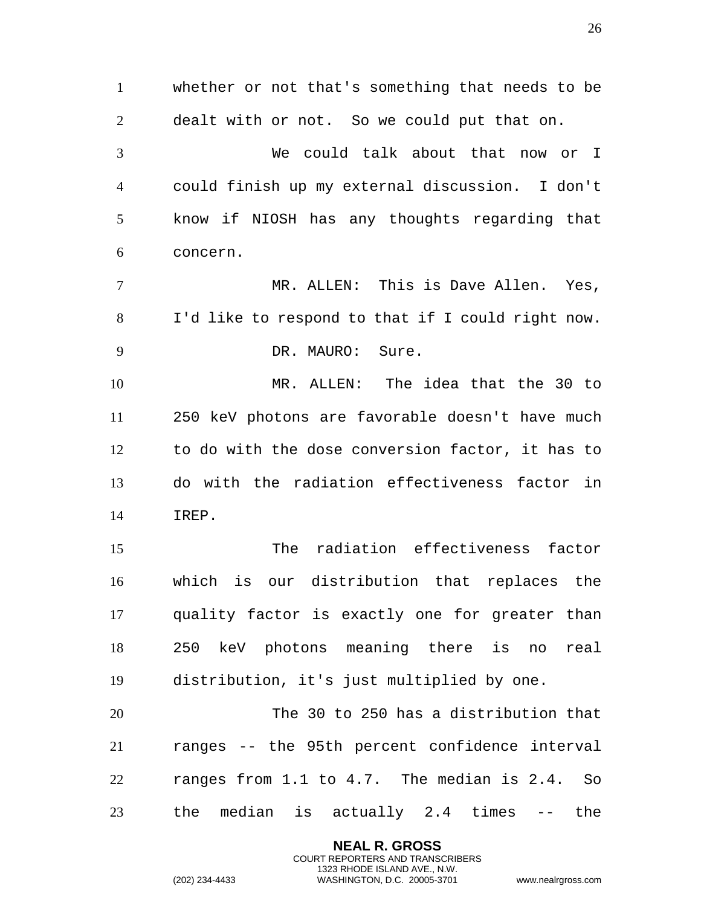whether or not that's something that needs to be dealt with or not. So we could put that on. We could talk about that now or I could finish up my external discussion. I don't know if NIOSH has any thoughts regarding that concern. MR. ALLEN: This is Dave Allen. Yes, I'd like to respond to that if I could right now. 9 DR. MAURO: Sure. MR. ALLEN: The idea that the 30 to 250 keV photons are favorable doesn't have much to do with the dose conversion factor, it has to do with the radiation effectiveness factor in IREP. The radiation effectiveness factor which is our distribution that replaces the quality factor is exactly one for greater than 250 keV photons meaning there is no real distribution, it's just multiplied by one. The 30 to 250 has a distribution that ranges -- the 95th percent confidence interval ranges from 1.1 to 4.7. The median is 2.4. So the median is actually 2.4 times -- the

> **NEAL R. GROSS** COURT REPORTERS AND TRANSCRIBERS 1323 RHODE ISLAND AVE., N.W.

(202) 234-4433 WASHINGTON, D.C. 20005-3701 www.nealrgross.com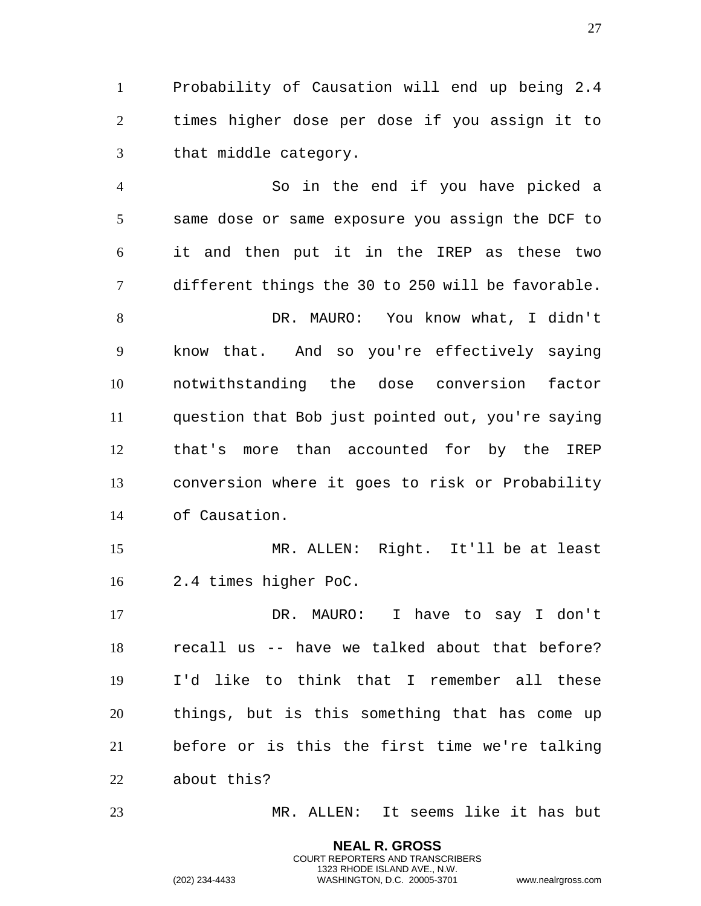Probability of Causation will end up being 2.4 times higher dose per dose if you assign it to that middle category.

 So in the end if you have picked a same dose or same exposure you assign the DCF to it and then put it in the IREP as these two different things the 30 to 250 will be favorable. DR. MAURO: You know what, I didn't know that. And so you're effectively saying notwithstanding the dose conversion factor question that Bob just pointed out, you're saying that's more than accounted for by the IREP conversion where it goes to risk or Probability of Causation. MR. ALLEN: Right. It'll be at least 2.4 times higher PoC. DR. MAURO: I have to say I don't

 recall us -- have we talked about that before? I'd like to think that I remember all these things, but is this something that has come up before or is this the first time we're talking about this?

MR. ALLEN: It seems like it has but

**NEAL R. GROSS** COURT REPORTERS AND TRANSCRIBERS 1323 RHODE ISLAND AVE., N.W.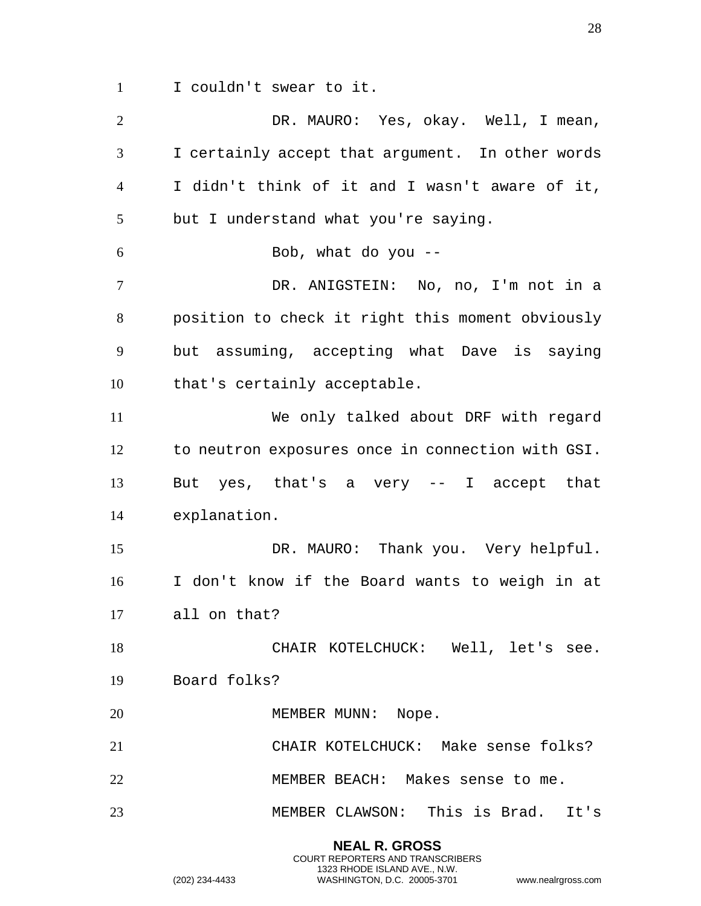I couldn't swear to it.

 DR. MAURO: Yes, okay. Well, I mean, I certainly accept that argument. In other words I didn't think of it and I wasn't aware of it, but I understand what you're saying. Bob, what do you -- DR. ANIGSTEIN: No, no, I'm not in a position to check it right this moment obviously but assuming, accepting what Dave is saying that's certainly acceptable. We only talked about DRF with regard to neutron exposures once in connection with GSI. But yes, that's a very -- I accept that explanation. DR. MAURO: Thank you. Very helpful. I don't know if the Board wants to weigh in at all on that? CHAIR KOTELCHUCK: Well, let's see. Board folks? 20 MEMBER MUNN: Nope. CHAIR KOTELCHUCK: Make sense folks? MEMBER BEACH: Makes sense to me. MEMBER CLAWSON: This is Brad. It's

> **NEAL R. GROSS** COURT REPORTERS AND TRANSCRIBERS 1323 RHODE ISLAND AVE., N.W.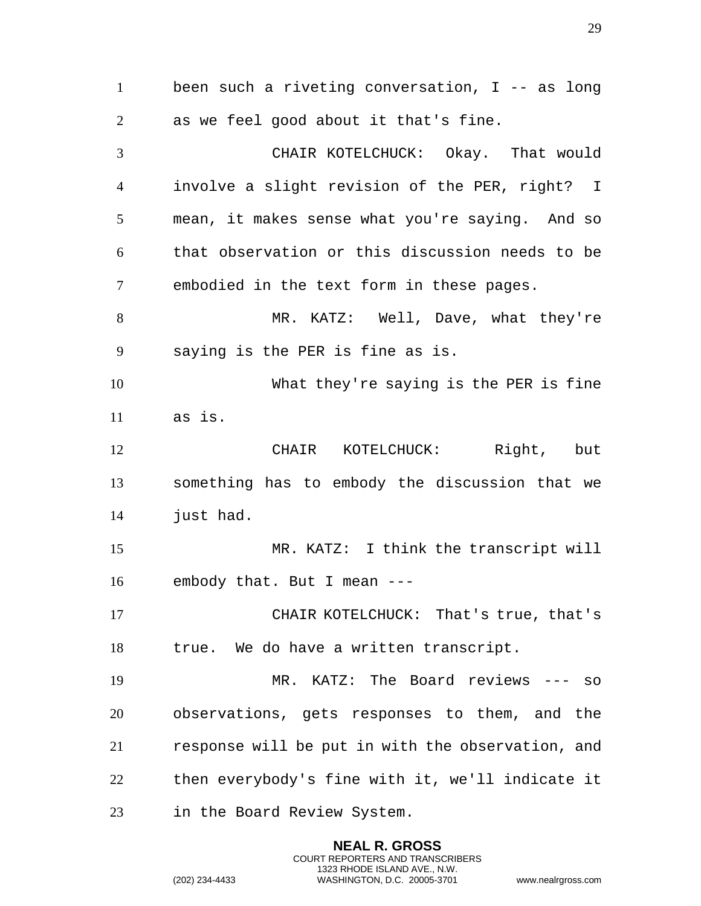been such a riveting conversation, I -- as long as we feel good about it that's fine. CHAIR KOTELCHUCK: Okay. That would involve a slight revision of the PER, right? I mean, it makes sense what you're saying. And so that observation or this discussion needs to be embodied in the text form in these pages. 8 MR. KATZ: Well, Dave, what they're saying is the PER is fine as is. What they're saying is the PER is fine as is. CHAIR KOTELCHUCK: Right, but something has to embody the discussion that we just had. MR. KATZ: I think the transcript will embody that. But I mean --- CHAIR KOTELCHUCK: That's true, that's true. We do have a written transcript. MR. KATZ: The Board reviews --- so observations, gets responses to them, and the response will be put in with the observation, and then everybody's fine with it, we'll indicate it in the Board Review System.

> **NEAL R. GROSS** COURT REPORTERS AND TRANSCRIBERS 1323 RHODE ISLAND AVE., N.W.

(202) 234-4433 WASHINGTON, D.C. 20005-3701 www.nealrgross.com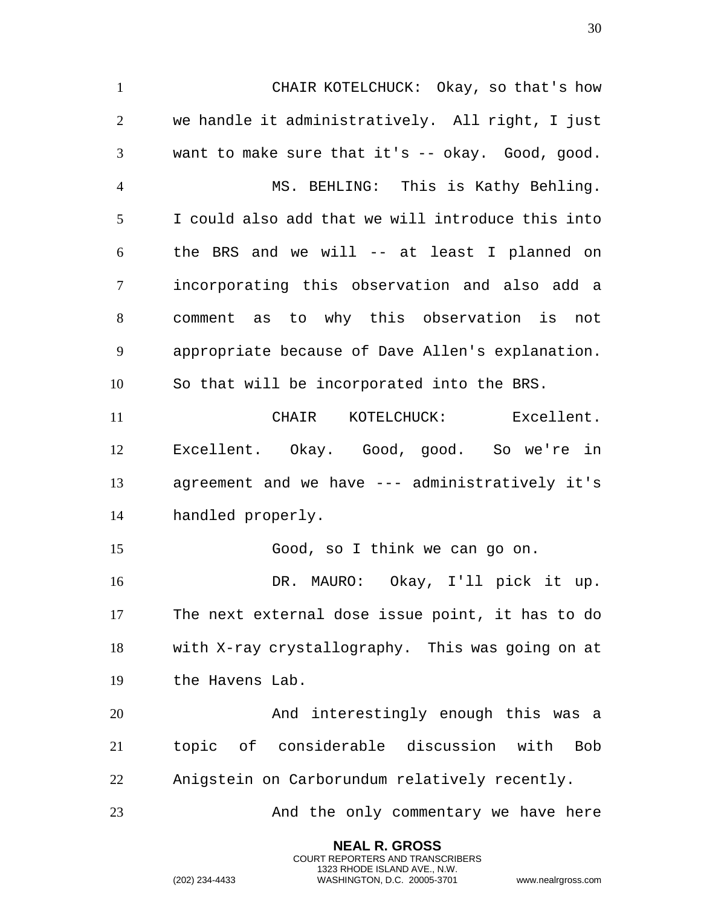CHAIR KOTELCHUCK: Okay, so that's how we handle it administratively. All right, I just want to make sure that it's -- okay. Good, good. MS. BEHLING: This is Kathy Behling. I could also add that we will introduce this into the BRS and we will -- at least I planned on incorporating this observation and also add a comment as to why this observation is not appropriate because of Dave Allen's explanation. So that will be incorporated into the BRS. CHAIR KOTELCHUCK: Excellent. Excellent. Okay. Good, good. So we're in agreement and we have --- administratively it's handled properly. Good, so I think we can go on. DR. MAURO: Okay, I'll pick it up. The next external dose issue point, it has to do with X-ray crystallography. This was going on at the Havens Lab. And interestingly enough this was a topic of considerable discussion with Bob Anigstein on Carborundum relatively recently. 23 And the only commentary we have here

> **NEAL R. GROSS** COURT REPORTERS AND TRANSCRIBERS 1323 RHODE ISLAND AVE., N.W.

(202) 234-4433 WASHINGTON, D.C. 20005-3701 www.nealrgross.com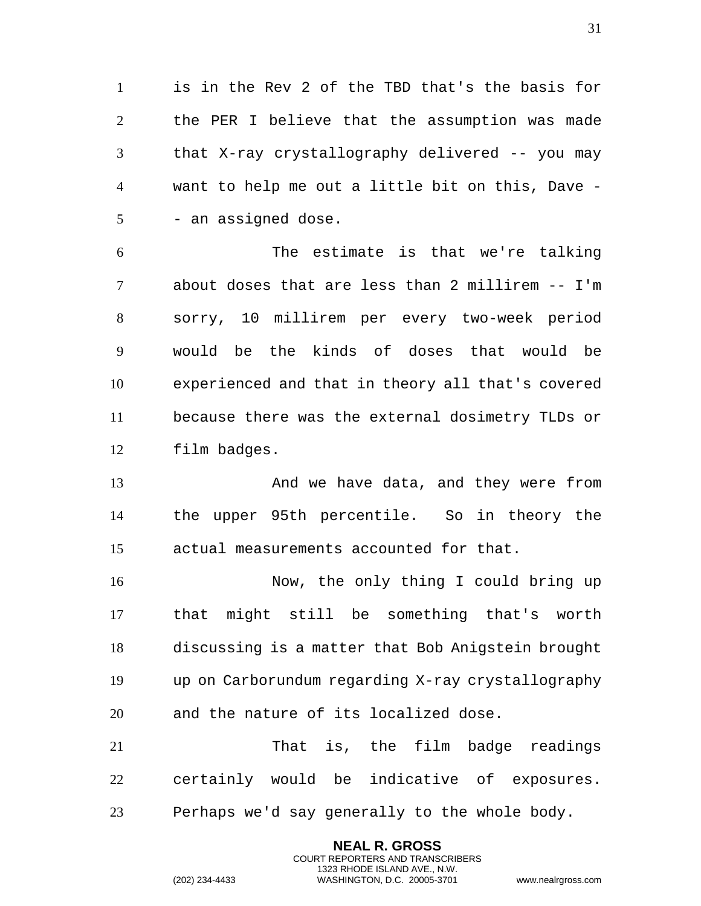is in the Rev 2 of the TBD that's the basis for the PER I believe that the assumption was made that X-ray crystallography delivered -- you may want to help me out a little bit on this, Dave - 5 - an assigned dose.

 The estimate is that we're talking about doses that are less than 2 millirem -- I'm sorry, 10 millirem per every two-week period would be the kinds of doses that would be experienced and that in theory all that's covered because there was the external dosimetry TLDs or film badges.

13 And we have data, and they were from the upper 95th percentile. So in theory the actual measurements accounted for that.

 Now, the only thing I could bring up that might still be something that's worth discussing is a matter that Bob Anigstein brought up on Carborundum regarding X-ray crystallography and the nature of its localized dose.

 That is, the film badge readings certainly would be indicative of exposures. Perhaps we'd say generally to the whole body.

> **NEAL R. GROSS** COURT REPORTERS AND TRANSCRIBERS 1323 RHODE ISLAND AVE., N.W.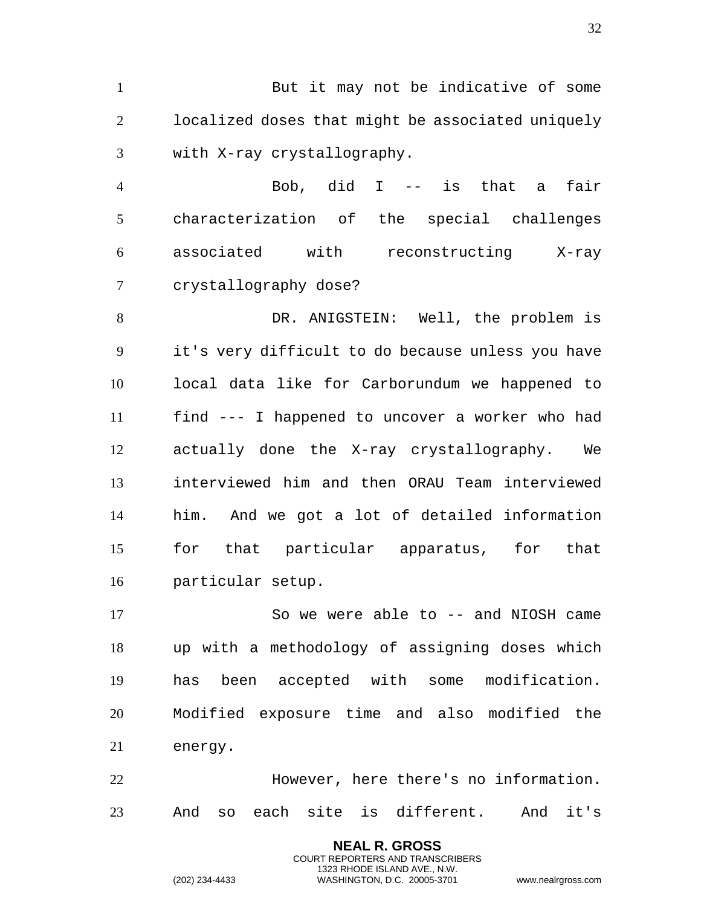1 But it may not be indicative of some localized doses that might be associated uniquely with X-ray crystallography.

 Bob, did I -- is that a fair characterization of the special challenges associated with reconstructing X-ray crystallography dose?

 DR. ANIGSTEIN: Well, the problem is it's very difficult to do because unless you have local data like for Carborundum we happened to find --- I happened to uncover a worker who had actually done the X-ray crystallography. We interviewed him and then ORAU Team interviewed him. And we got a lot of detailed information for that particular apparatus, for that particular setup.

 So we were able to -- and NIOSH came up with a methodology of assigning doses which has been accepted with some modification. Modified exposure time and also modified the energy.

 However, here there's no information. And so each site is different. And it's

> **NEAL R. GROSS** COURT REPORTERS AND TRANSCRIBERS 1323 RHODE ISLAND AVE., N.W.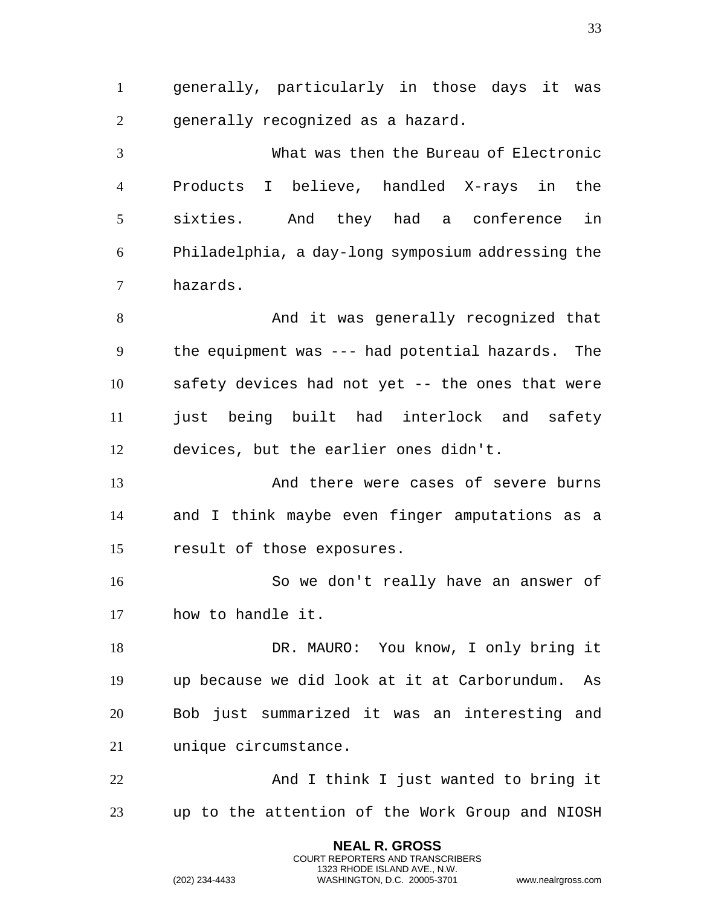generally, particularly in those days it was generally recognized as a hazard.

 What was then the Bureau of Electronic Products I believe, handled X-rays in the sixties. And they had a conference in Philadelphia, a day-long symposium addressing the hazards.

 And it was generally recognized that the equipment was --- had potential hazards. The safety devices had not yet -- the ones that were just being built had interlock and safety devices, but the earlier ones didn't.

 And there were cases of severe burns and I think maybe even finger amputations as a result of those exposures.

 So we don't really have an answer of how to handle it.

18 DR. MAURO: You know, I only bring it up because we did look at it at Carborundum. As Bob just summarized it was an interesting and unique circumstance.

 And I think I just wanted to bring it up to the attention of the Work Group and NIOSH

> **NEAL R. GROSS** COURT REPORTERS AND TRANSCRIBERS 1323 RHODE ISLAND AVE., N.W.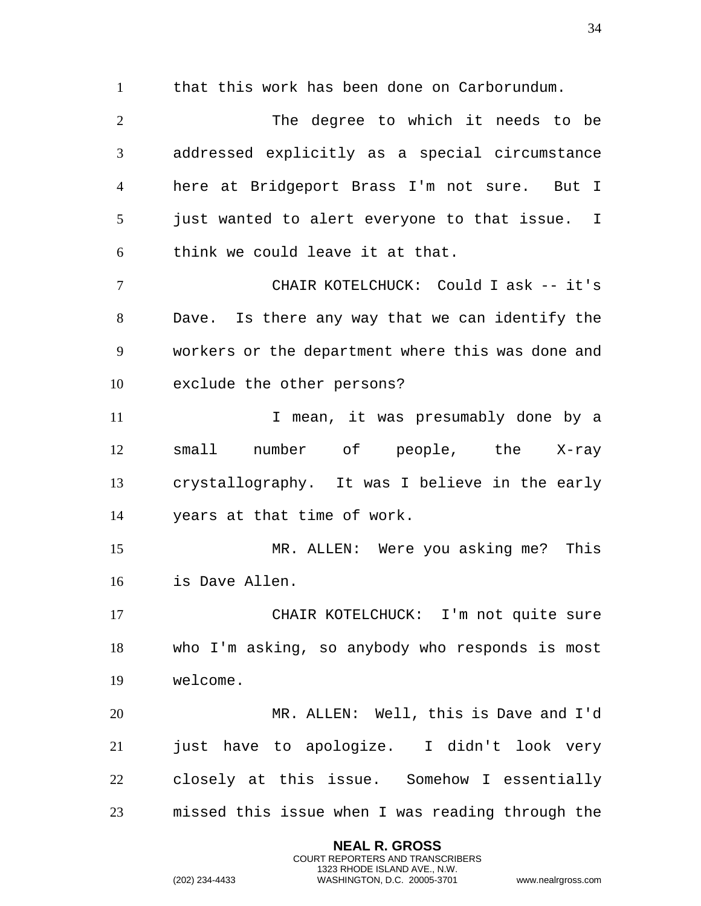that this work has been done on Carborundum.

 The degree to which it needs to be addressed explicitly as a special circumstance here at Bridgeport Brass I'm not sure. But I just wanted to alert everyone to that issue. I think we could leave it at that.

 CHAIR KOTELCHUCK: Could I ask -- it's Dave. Is there any way that we can identify the workers or the department where this was done and exclude the other persons?

11 11 I mean, it was presumably done by a small number of people, the X-ray crystallography. It was I believe in the early years at that time of work.

 MR. ALLEN: Were you asking me? This is Dave Allen.

 CHAIR KOTELCHUCK: I'm not quite sure who I'm asking, so anybody who responds is most welcome.

 MR. ALLEN: Well, this is Dave and I'd just have to apologize. I didn't look very closely at this issue. Somehow I essentially missed this issue when I was reading through the

> **NEAL R. GROSS** COURT REPORTERS AND TRANSCRIBERS 1323 RHODE ISLAND AVE., N.W.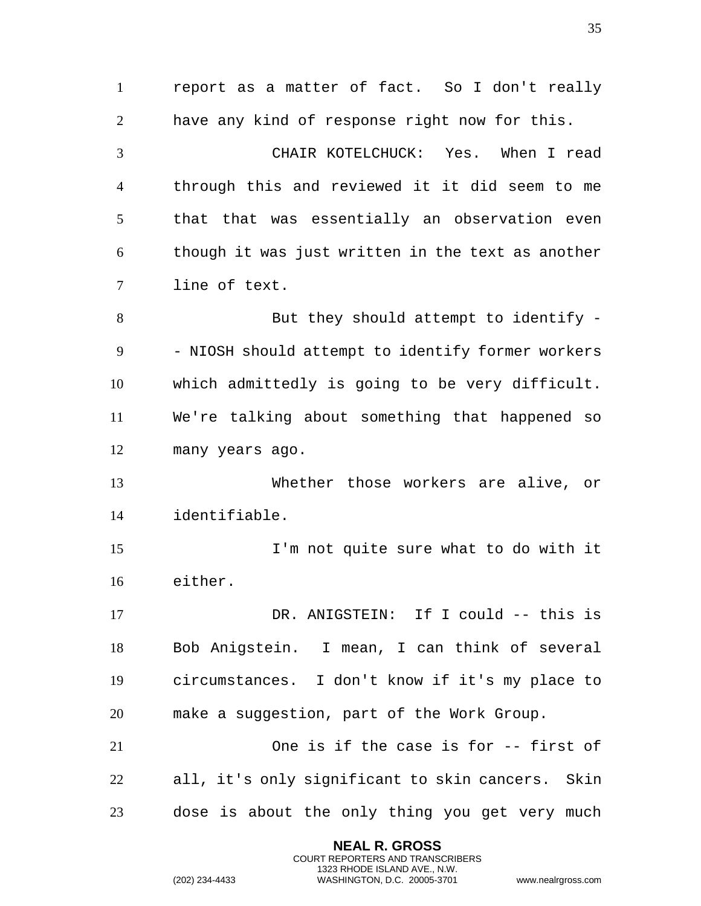report as a matter of fact. So I don't really have any kind of response right now for this. CHAIR KOTELCHUCK: Yes. When I read through this and reviewed it it did seem to me that that was essentially an observation even though it was just written in the text as another line of text. But they should attempt to identify - 9 - NIOSH should attempt to identify former workers which admittedly is going to be very difficult. We're talking about something that happened so many years ago. Whether those workers are alive, or identifiable. I'm not quite sure what to do with it either. DR. ANIGSTEIN: If I could -- this is Bob Anigstein. I mean, I can think of several circumstances. I don't know if it's my place to make a suggestion, part of the Work Group. One is if the case is for -- first of all, it's only significant to skin cancers. Skin dose is about the only thing you get very much

> **NEAL R. GROSS** COURT REPORTERS AND TRANSCRIBERS 1323 RHODE ISLAND AVE., N.W.

```
(202) 234-4433 WASHINGTON, D.C. 20005-3701 www.nealrgross.com
```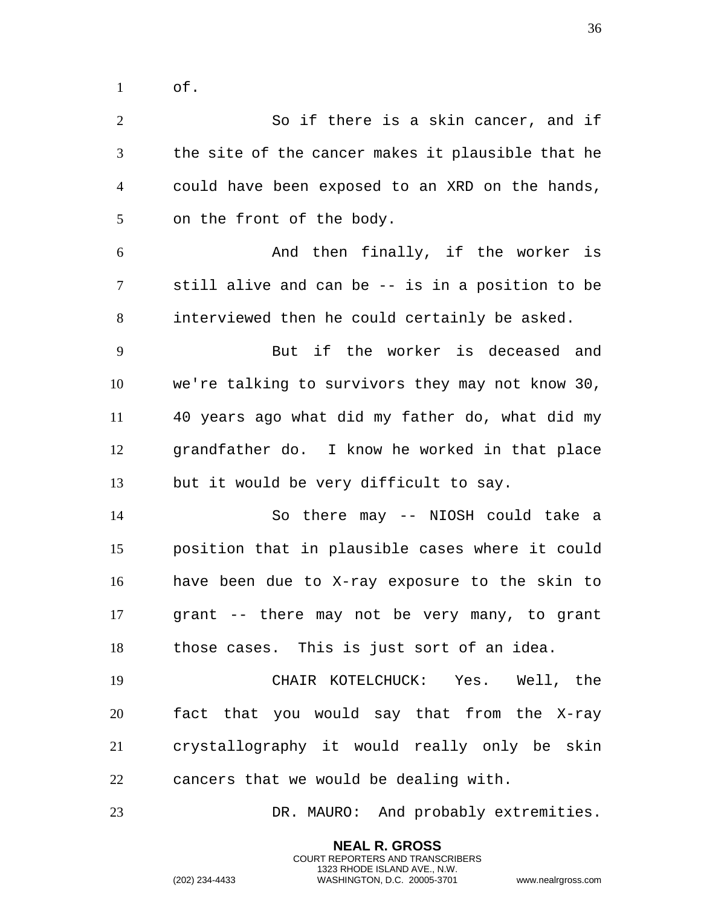of.

 So if there is a skin cancer, and if the site of the cancer makes it plausible that he could have been exposed to an XRD on the hands, on the front of the body. And then finally, if the worker is still alive and can be -- is in a position to be interviewed then he could certainly be asked. But if the worker is deceased and we're talking to survivors they may not know 30, 40 years ago what did my father do, what did my grandfather do. I know he worked in that place but it would be very difficult to say. So there may -- NIOSH could take a position that in plausible cases where it could have been due to X-ray exposure to the skin to grant -- there may not be very many, to grant those cases. This is just sort of an idea. CHAIR KOTELCHUCK: Yes. Well, the fact that you would say that from the X-ray crystallography it would really only be skin cancers that we would be dealing with. DR. MAURO: And probably extremities.

> **NEAL R. GROSS** COURT REPORTERS AND TRANSCRIBERS 1323 RHODE ISLAND AVE., N.W.

(202) 234-4433 WASHINGTON, D.C. 20005-3701 www.nealrgross.com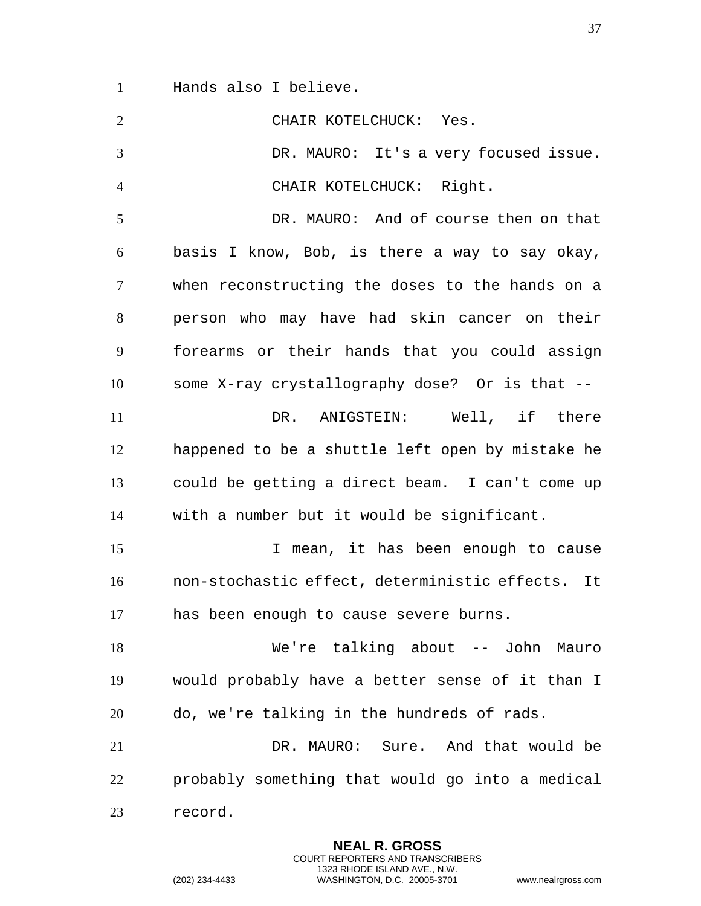Hands also I believe.

| $\overline{2}$ | CHAIR KOTELCHUCK: Yes.                           |
|----------------|--------------------------------------------------|
| 3              | DR. MAURO: It's a very focused issue.            |
| $\overline{4}$ | CHAIR KOTELCHUCK: Right.                         |
| 5              | DR. MAURO: And of course then on that            |
| 6              | basis I know, Bob, is there a way to say okay,   |
| 7              | when reconstructing the doses to the hands on a  |
| 8              | person who may have had skin cancer on their     |
| 9              | forearms or their hands that you could assign    |
| 10             | some X-ray crystallography dose? Or is that --   |
| 11             | DR. ANIGSTEIN: Well, if there                    |
| 12             | happened to be a shuttle left open by mistake he |
| 13             | could be getting a direct beam. I can't come up  |
| 14             | with a number but it would be significant.       |
| 15             | I mean, it has been enough to cause              |
| 16             | non-stochastic effect, deterministic effects. It |
| 17             | has been enough to cause severe burns.           |
| 18             | We're talking about -- John Mauro                |
| 19             | would probably have a better sense of it than I  |
| 20             | do, we're talking in the hundreds of rads.       |
| 21             | DR. MAURO: Sure. And that would be               |
| 22             | probably something that would go into a medical  |
| 23             | record.                                          |
|                |                                                  |

**NEAL R. GROSS** COURT REPORTERS AND TRANSCRIBERS 1323 RHODE ISLAND AVE., N.W.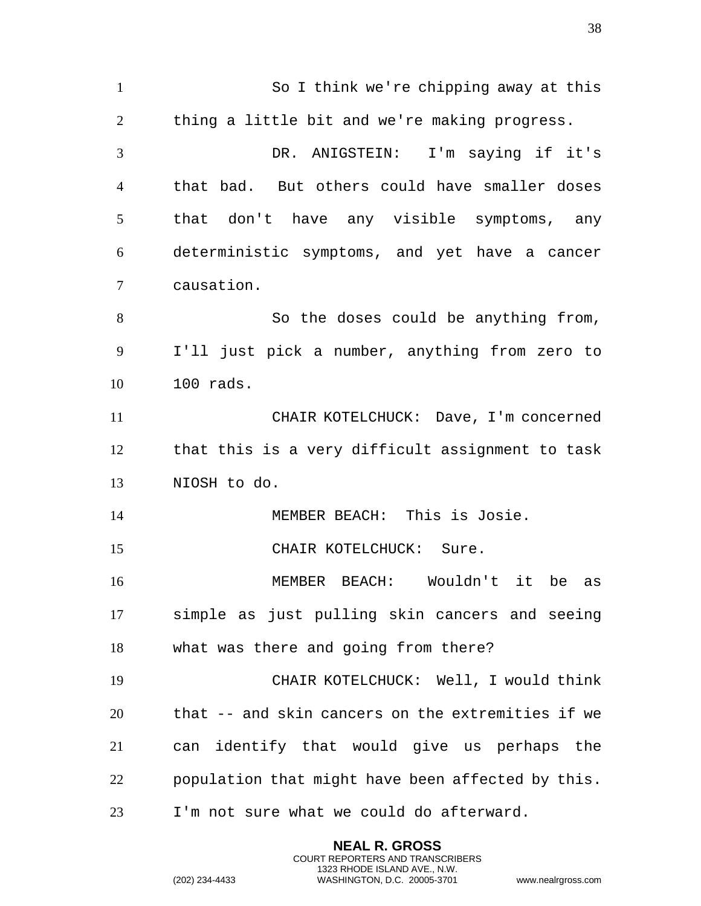So I think we're chipping away at this thing a little bit and we're making progress. DR. ANIGSTEIN: I'm saying if it's that bad. But others could have smaller doses that don't have any visible symptoms, any deterministic symptoms, and yet have a cancer causation. So the doses could be anything from, I'll just pick a number, anything from zero to 100 rads. CHAIR KOTELCHUCK: Dave, I'm concerned that this is a very difficult assignment to task NIOSH to do. MEMBER BEACH: This is Josie. 15 CHAIR KOTELCHUCK: Sure. MEMBER BEACH: Wouldn't it be as simple as just pulling skin cancers and seeing what was there and going from there? CHAIR KOTELCHUCK: Well, I would think that -- and skin cancers on the extremities if we can identify that would give us perhaps the population that might have been affected by this. I'm not sure what we could do afterward.

> **NEAL R. GROSS** COURT REPORTERS AND TRANSCRIBERS 1323 RHODE ISLAND AVE., N.W.

(202) 234-4433 WASHINGTON, D.C. 20005-3701 www.nealrgross.com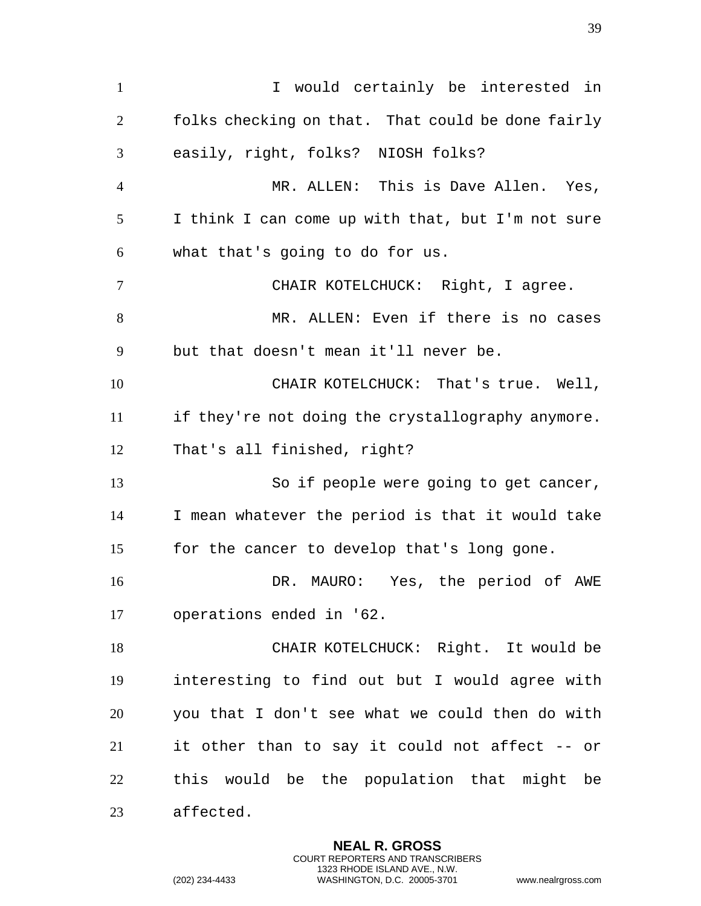1 I would certainly be interested in folks checking on that. That could be done fairly easily, right, folks? NIOSH folks? MR. ALLEN: This is Dave Allen. Yes, I think I can come up with that, but I'm not sure what that's going to do for us. CHAIR KOTELCHUCK: Right, I agree. MR. ALLEN: Even if there is no cases but that doesn't mean it'll never be. CHAIR KOTELCHUCK: That's true. Well, if they're not doing the crystallography anymore. That's all finished, right? 13 So if people were going to get cancer, I mean whatever the period is that it would take for the cancer to develop that's long gone. DR. MAURO: Yes, the period of AWE operations ended in '62. CHAIR KOTELCHUCK: Right. It would be interesting to find out but I would agree with you that I don't see what we could then do with it other than to say it could not affect -- or this would be the population that might be affected.

> **NEAL R. GROSS** COURT REPORTERS AND TRANSCRIBERS 1323 RHODE ISLAND AVE., N.W.

(202) 234-4433 WASHINGTON, D.C. 20005-3701 www.nealrgross.com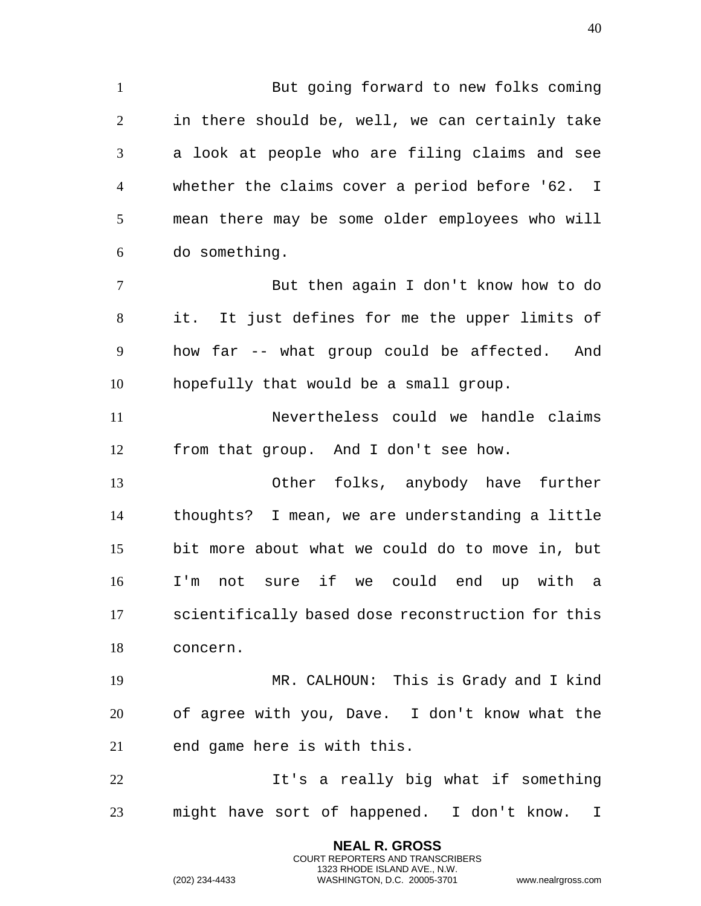But going forward to new folks coming in there should be, well, we can certainly take a look at people who are filing claims and see whether the claims cover a period before '62. I mean there may be some older employees who will do something. But then again I don't know how to do it. It just defines for me the upper limits of

 how far -- what group could be affected. And hopefully that would be a small group.

 Nevertheless could we handle claims from that group. And I don't see how.

 Other folks, anybody have further thoughts? I mean, we are understanding a little bit more about what we could do to move in, but I'm not sure if we could end up with a scientifically based dose reconstruction for this concern.

 MR. CALHOUN: This is Grady and I kind of agree with you, Dave. I don't know what the end game here is with this.

 It's a really big what if something might have sort of happened. I don't know. I

> **NEAL R. GROSS** COURT REPORTERS AND TRANSCRIBERS 1323 RHODE ISLAND AVE., N.W.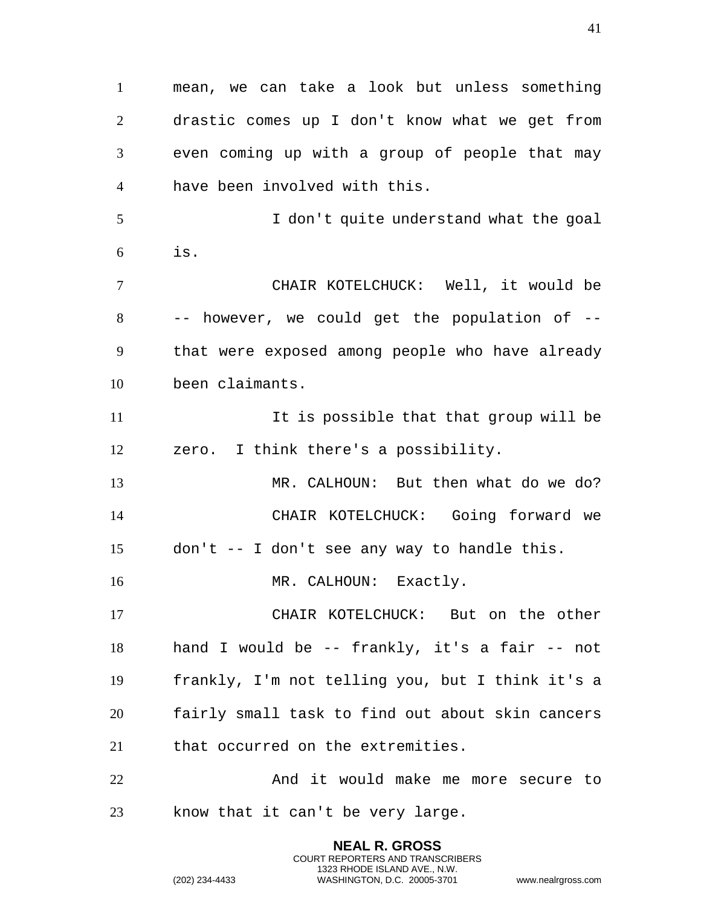mean, we can take a look but unless something drastic comes up I don't know what we get from even coming up with a group of people that may have been involved with this. I don't quite understand what the goal is. CHAIR KOTELCHUCK: Well, it would be -- however, we could get the population of -- that were exposed among people who have already been claimants. 11 11 It is possible that that group will be zero. I think there's a possibility. MR. CALHOUN: But then what do we do? CHAIR KOTELCHUCK: Going forward we don't -- I don't see any way to handle this. 16 MR. CALHOUN: Exactly. CHAIR KOTELCHUCK: But on the other hand I would be -- frankly, it's a fair -- not frankly, I'm not telling you, but I think it's a fairly small task to find out about skin cancers that occurred on the extremities. And it would make me more secure to know that it can't be very large.

> **NEAL R. GROSS** COURT REPORTERS AND TRANSCRIBERS 1323 RHODE ISLAND AVE., N.W.

(202) 234-4433 WASHINGTON, D.C. 20005-3701 www.nealrgross.com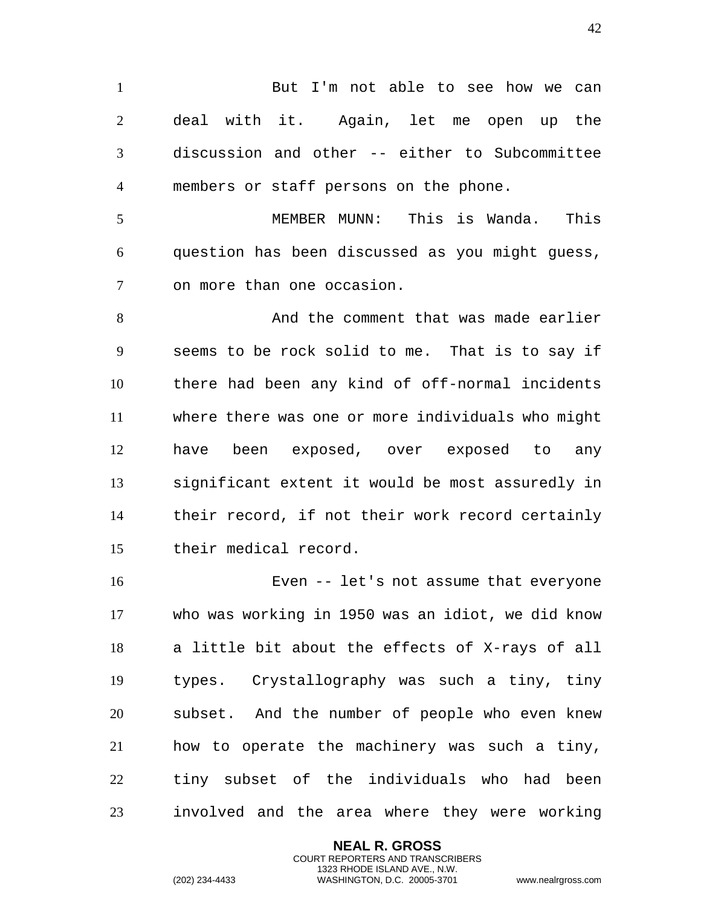1 But I'm not able to see how we can deal with it. Again, let me open up the discussion and other -- either to Subcommittee members or staff persons on the phone.

 MEMBER MUNN: This is Wanda. This question has been discussed as you might guess, on more than one occasion.

 And the comment that was made earlier seems to be rock solid to me. That is to say if there had been any kind of off-normal incidents where there was one or more individuals who might have been exposed, over exposed to any significant extent it would be most assuredly in their record, if not their work record certainly their medical record.

 Even -- let's not assume that everyone who was working in 1950 was an idiot, we did know a little bit about the effects of X-rays of all types. Crystallography was such a tiny, tiny subset. And the number of people who even knew how to operate the machinery was such a tiny, tiny subset of the individuals who had been involved and the area where they were working

> **NEAL R. GROSS** COURT REPORTERS AND TRANSCRIBERS 1323 RHODE ISLAND AVE., N.W.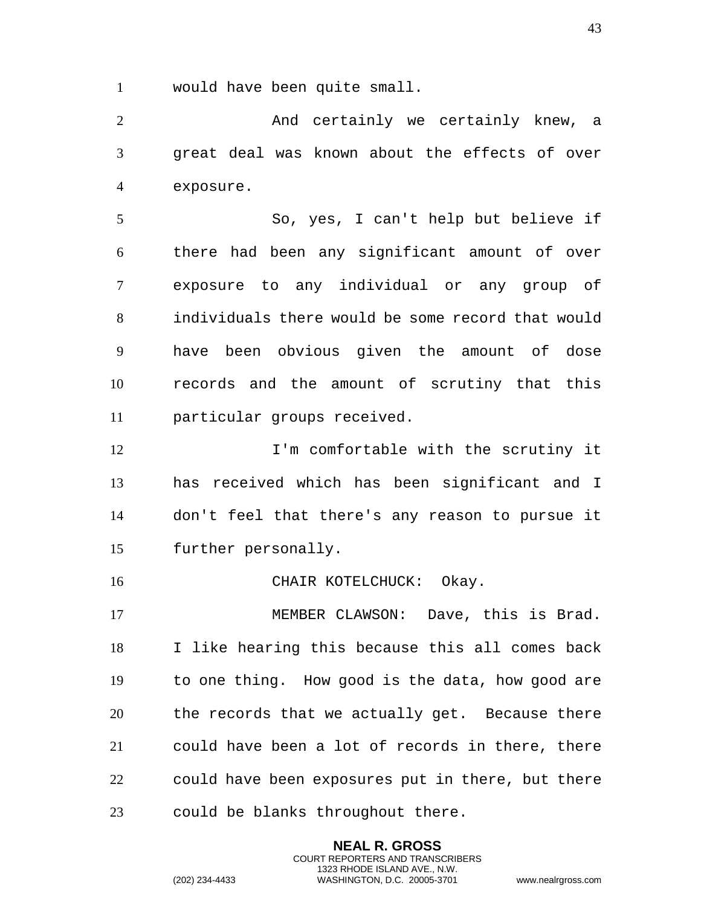would have been quite small.

2 And certainly we certainly knew, a great deal was known about the effects of over exposure.

 So, yes, I can't help but believe if there had been any significant amount of over exposure to any individual or any group of individuals there would be some record that would have been obvious given the amount of dose records and the amount of scrutiny that this particular groups received.

12 12 I'm comfortable with the scrutiny it has received which has been significant and I don't feel that there's any reason to pursue it further personally.

16 CHAIR KOTELCHUCK: Okay.

17 MEMBER CLAWSON: Dave, this is Brad. I like hearing this because this all comes back to one thing. How good is the data, how good are the records that we actually get. Because there could have been a lot of records in there, there could have been exposures put in there, but there could be blanks throughout there.

> **NEAL R. GROSS** COURT REPORTERS AND TRANSCRIBERS 1323 RHODE ISLAND AVE., N.W.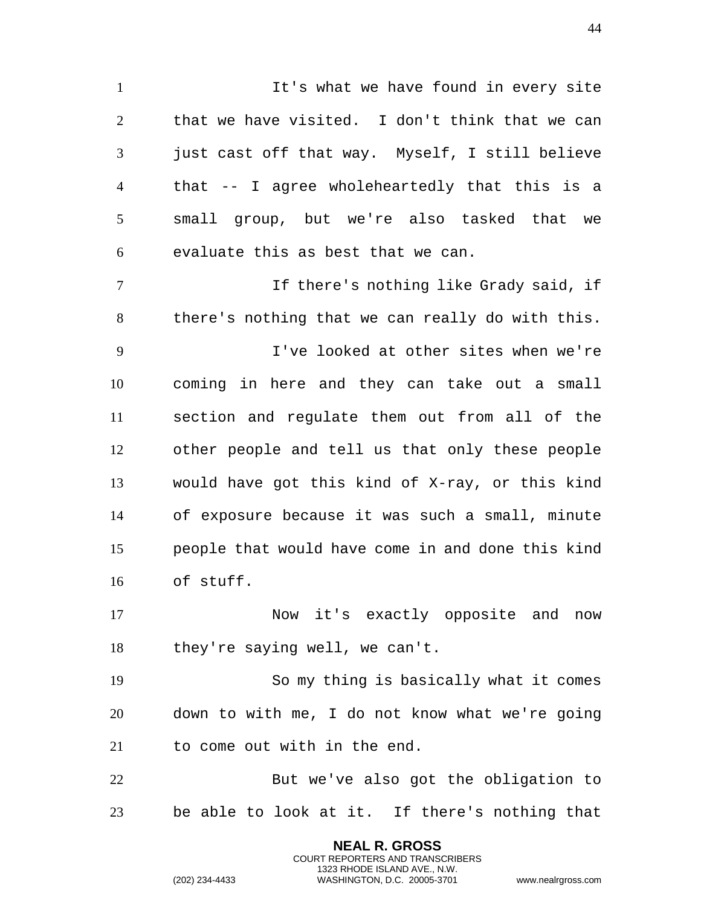It's what we have found in every site that we have visited. I don't think that we can just cast off that way. Myself, I still believe that -- I agree wholeheartedly that this is a small group, but we're also tasked that we evaluate this as best that we can.

 If there's nothing like Grady said, if there's nothing that we can really do with this.

 I've looked at other sites when we're coming in here and they can take out a small section and regulate them out from all of the other people and tell us that only these people would have got this kind of X-ray, or this kind of exposure because it was such a small, minute people that would have come in and done this kind of stuff.

 Now it's exactly opposite and now they're saying well, we can't.

 So my thing is basically what it comes down to with me, I do not know what we're going to come out with in the end.

 But we've also got the obligation to be able to look at it. If there's nothing that

> **NEAL R. GROSS** COURT REPORTERS AND TRANSCRIBERS 1323 RHODE ISLAND AVE., N.W.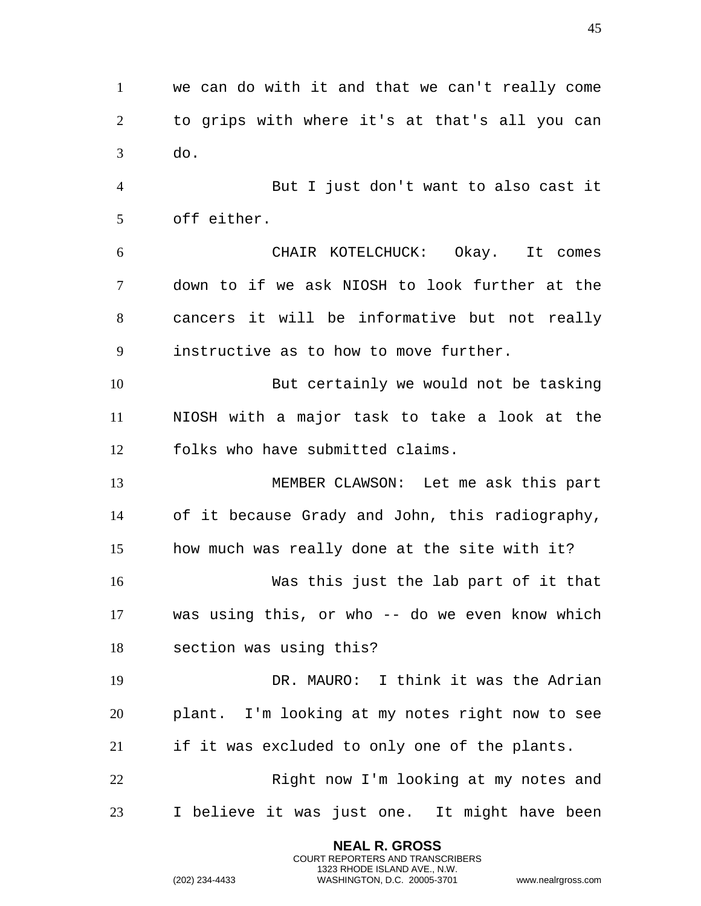we can do with it and that we can't really come to grips with where it's at that's all you can do.

 But I just don't want to also cast it off either.

 CHAIR KOTELCHUCK: Okay. It comes down to if we ask NIOSH to look further at the cancers it will be informative but not really instructive as to how to move further.

 But certainly we would not be tasking NIOSH with a major task to take a look at the folks who have submitted claims.

 MEMBER CLAWSON: Let me ask this part of it because Grady and John, this radiography, how much was really done at the site with it?

 Was this just the lab part of it that was using this, or who -- do we even know which section was using this?

 DR. MAURO: I think it was the Adrian plant. I'm looking at my notes right now to see if it was excluded to only one of the plants.

 Right now I'm looking at my notes and I believe it was just one. It might have been

> **NEAL R. GROSS** COURT REPORTERS AND TRANSCRIBERS 1323 RHODE ISLAND AVE., N.W.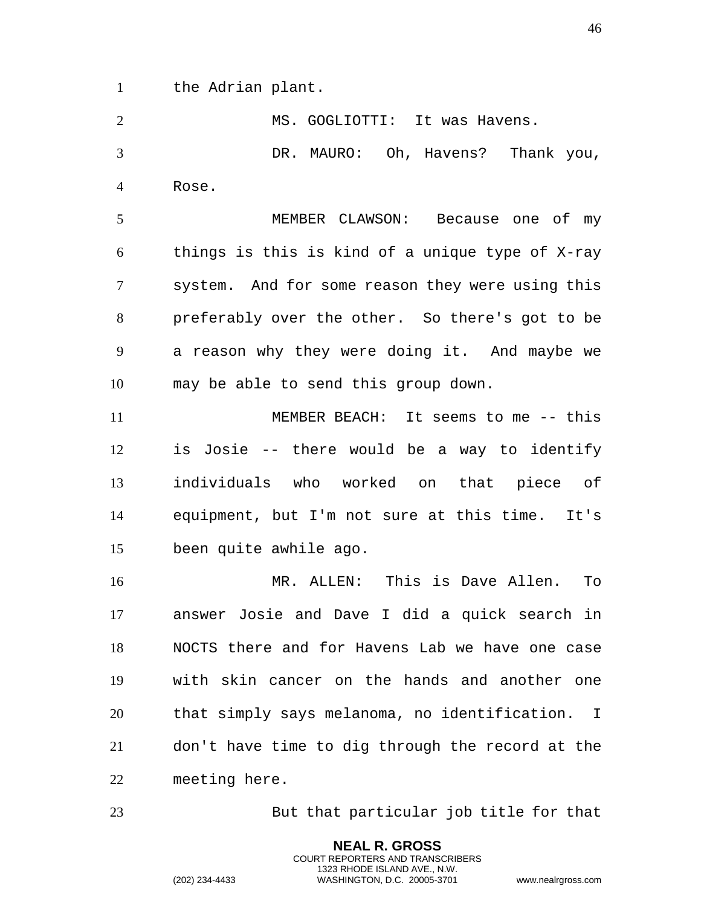the Adrian plant.

2 MS. GOGLIOTTI: It was Havens. DR. MAURO: Oh, Havens? Thank you, Rose.

 MEMBER CLAWSON: Because one of my things is this is kind of a unique type of X-ray system. And for some reason they were using this preferably over the other. So there's got to be a reason why they were doing it. And maybe we may be able to send this group down.

 MEMBER BEACH: It seems to me -- this is Josie -- there would be a way to identify individuals who worked on that piece of equipment, but I'm not sure at this time. It's been quite awhile ago.

 MR. ALLEN: This is Dave Allen. To answer Josie and Dave I did a quick search in NOCTS there and for Havens Lab we have one case with skin cancer on the hands and another one that simply says melanoma, no identification. I don't have time to dig through the record at the meeting here.

But that particular job title for that

**NEAL R. GROSS** COURT REPORTERS AND TRANSCRIBERS 1323 RHODE ISLAND AVE., N.W.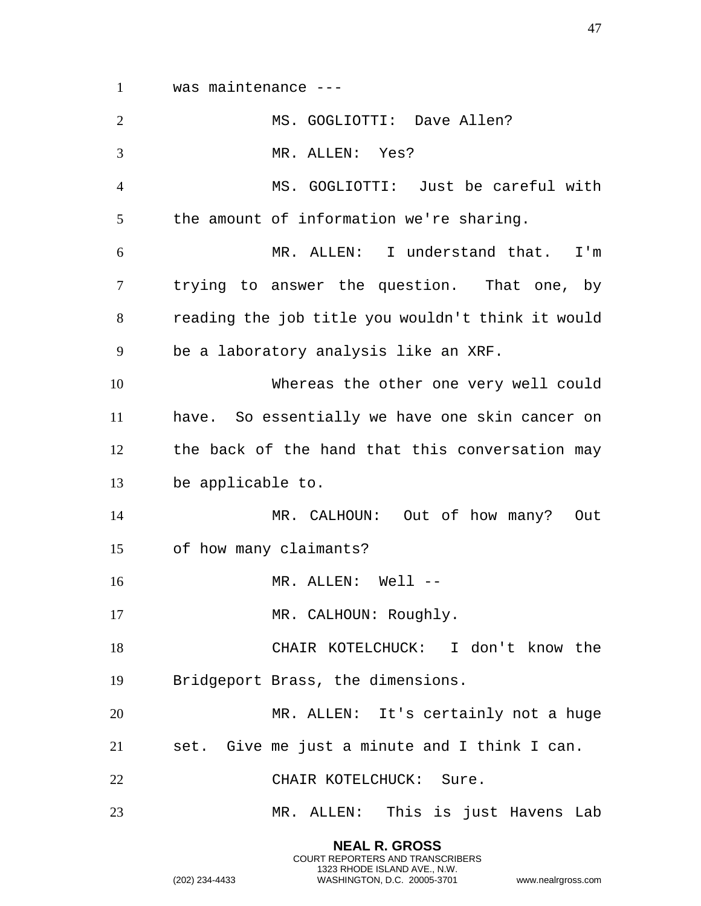was maintenance ---

| $\overline{2}$ | MS. GOGLIOTTI: Dave Allen?                        |
|----------------|---------------------------------------------------|
| 3              | MR. ALLEN: Yes?                                   |
| $\overline{4}$ | MS. GOGLIOTTI: Just be careful with               |
| 5              | the amount of information we're sharing.          |
| 6              | MR. ALLEN: I understand that. I'm                 |
| 7              | trying to answer the question. That one, by       |
| 8              | reading the job title you wouldn't think it would |
| 9              | be a laboratory analysis like an XRF.             |
| 10             | Whereas the other one very well could             |
| 11             | have. So essentially we have one skin cancer on   |
| 12             | the back of the hand that this conversation may   |
| 13             | be applicable to.                                 |
| 14             | MR. CALHOUN: Out of how many?<br>Out              |
| 15             | of how many claimants?                            |
| 16             | MR. ALLEN: Well --                                |
| 17             | MR. CALHOUN: Roughly.                             |
| 18             | CHAIR KOTELCHUCK: I don't know the                |
| 19             | Bridgeport Brass, the dimensions.                 |
| 20             | MR. ALLEN: It's certainly not a huge              |
| 21             | set. Give me just a minute and I think I can.     |
| 22             | CHAIR KOTELCHUCK: Sure.                           |
| 23             | MR. ALLEN: This is just Havens Lab                |

**NEAL R. GROSS** COURT REPORTERS AND TRANSCRIBERS 1323 RHODE ISLAND AVE., N.W.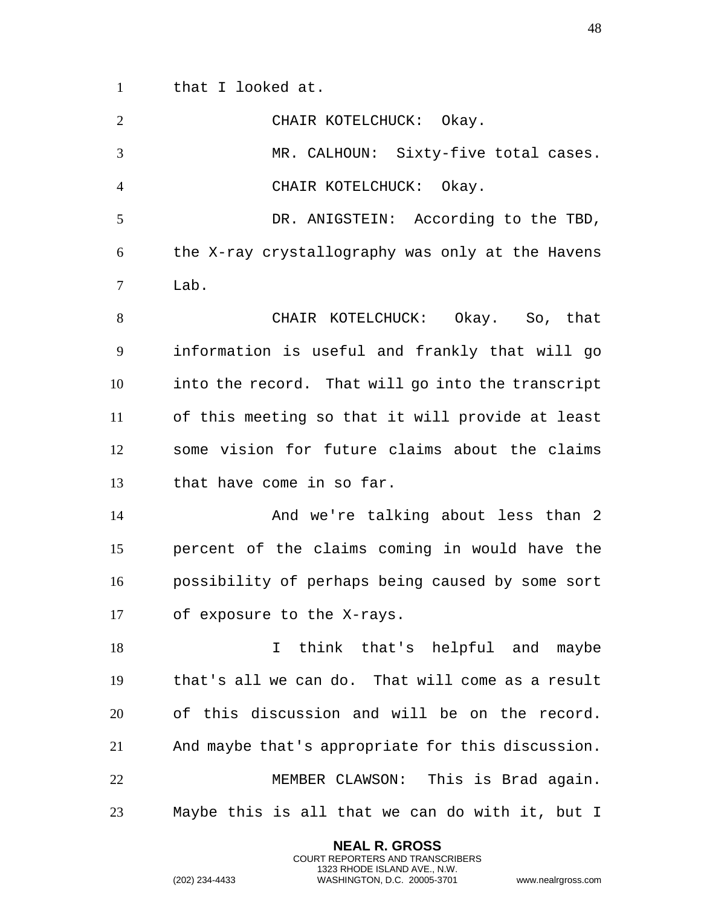that I looked at.

| $\overline{2}$ | CHAIR KOTELCHUCK: Okay.                           |
|----------------|---------------------------------------------------|
| 3              | MR. CALHOUN: Sixty-five total cases.              |
| $\overline{4}$ | CHAIR KOTELCHUCK: Okay.                           |
| 5              | DR. ANIGSTEIN: According to the TBD,              |
| 6              | the X-ray crystallography was only at the Havens  |
| 7              | Lab.                                              |
| 8              | CHAIR KOTELCHUCK: Okay. So, that                  |
| 9              | information is useful and frankly that will go    |
| 10             | into the record. That will go into the transcript |
| 11             | of this meeting so that it will provide at least  |
| 12             | some vision for future claims about the claims    |
| 13             | that have come in so far.                         |
| 14             | And we're talking about less than 2               |
| 15             | percent of the claims coming in would have the    |
| 16             | possibility of perhaps being caused by some sort  |
| 17             | of exposure to the X-rays.                        |
| 18             | think that's helpful and maybe<br>I.              |
| 19             | that's all we can do. That will come as a result  |
| 20             | of this discussion and will be on the record.     |
| 21             | And maybe that's appropriate for this discussion. |
| 22             | MEMBER CLAWSON: This is Brad again.               |
| 23             | Maybe this is all that we can do with it, but I   |
|                |                                                   |

**NEAL R. GROSS** COURT REPORTERS AND TRANSCRIBERS 1323 RHODE ISLAND AVE., N.W.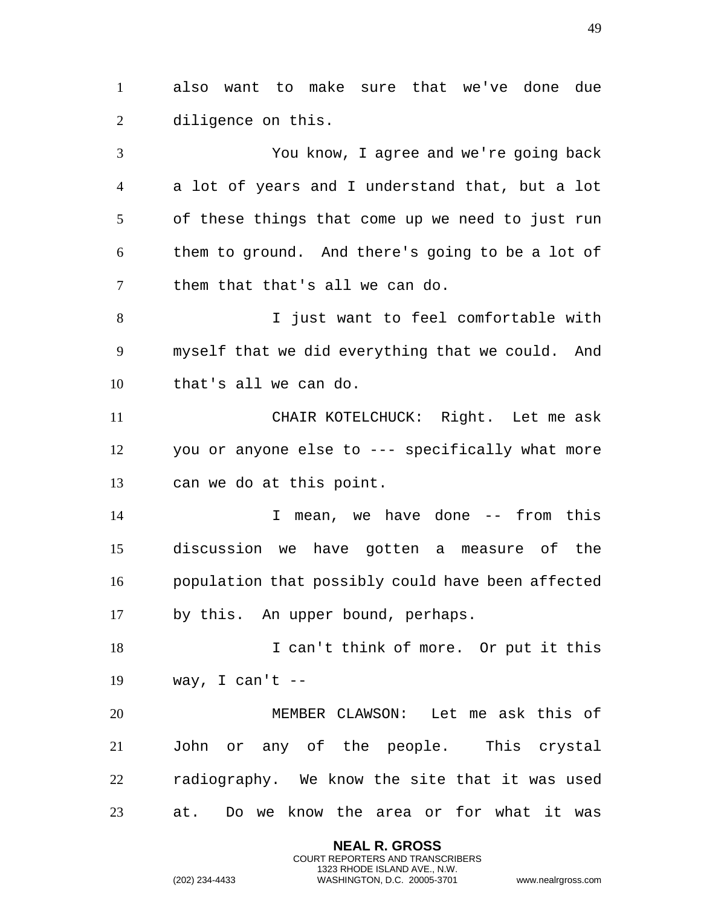also want to make sure that we've done due diligence on this.

 You know, I agree and we're going back a lot of years and I understand that, but a lot of these things that come up we need to just run them to ground. And there's going to be a lot of them that that's all we can do.

 I just want to feel comfortable with myself that we did everything that we could. And that's all we can do.

 CHAIR KOTELCHUCK: Right. Let me ask you or anyone else to --- specifically what more can we do at this point.

 I mean, we have done -- from this discussion we have gotten a measure of the population that possibly could have been affected by this. An upper bound, perhaps.

18 I can't think of more. Or put it this 19 way, I can't  $-$ 

 MEMBER CLAWSON: Let me ask this of John or any of the people. This crystal radiography. We know the site that it was used at. Do we know the area or for what it was

> **NEAL R. GROSS** COURT REPORTERS AND TRANSCRIBERS 1323 RHODE ISLAND AVE., N.W.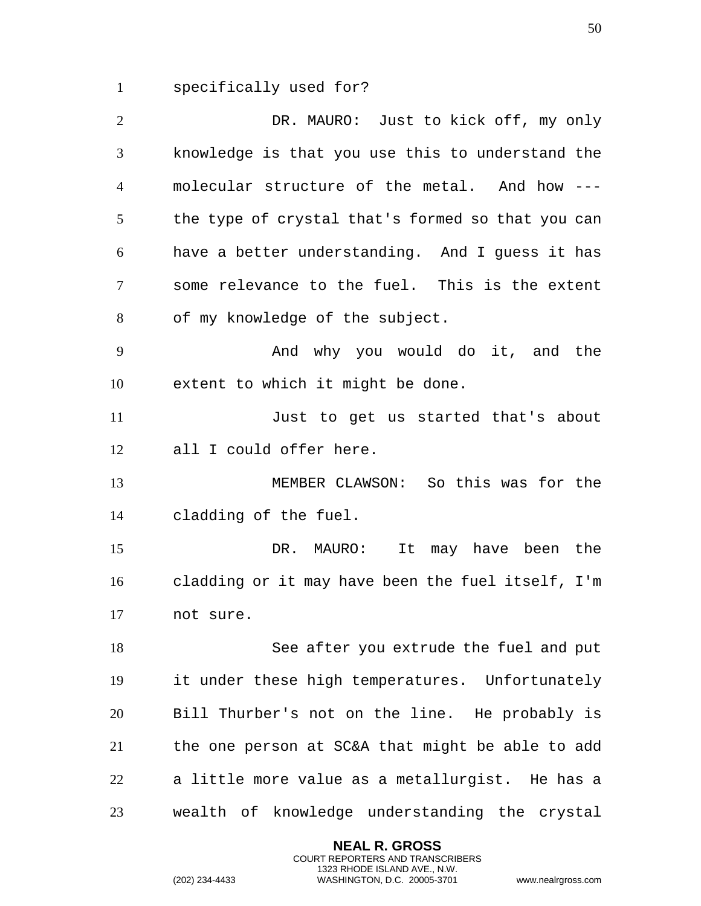specifically used for?

 DR. MAURO: Just to kick off, my only knowledge is that you use this to understand the molecular structure of the metal. And how --- the type of crystal that's formed so that you can have a better understanding. And I guess it has some relevance to the fuel. This is the extent of my knowledge of the subject. And why you would do it, and the extent to which it might be done. Just to get us started that's about all I could offer here. MEMBER CLAWSON: So this was for the cladding of the fuel. DR. MAURO: It may have been the cladding or it may have been the fuel itself, I'm not sure. See after you extrude the fuel and put it under these high temperatures. Unfortunately Bill Thurber's not on the line. He probably is the one person at SC&A that might be able to add a little more value as a metallurgist. He has a wealth of knowledge understanding the crystal

> **NEAL R. GROSS** COURT REPORTERS AND TRANSCRIBERS 1323 RHODE ISLAND AVE., N.W.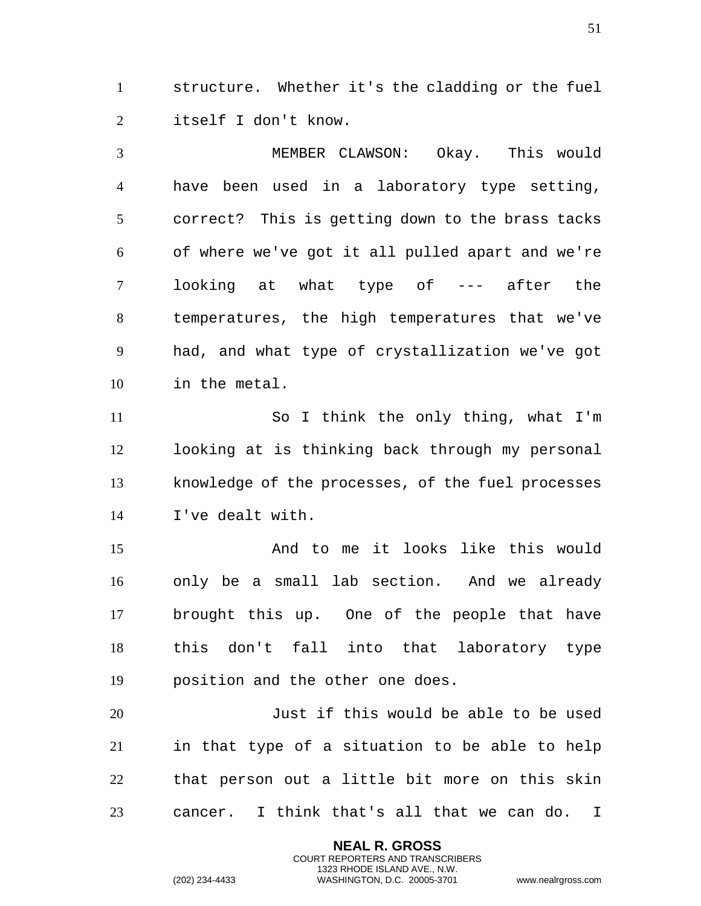structure. Whether it's the cladding or the fuel itself I don't know.

 MEMBER CLAWSON: Okay. This would have been used in a laboratory type setting, correct? This is getting down to the brass tacks of where we've got it all pulled apart and we're looking at what type of --- after the temperatures, the high temperatures that we've had, and what type of crystallization we've got in the metal.

 So I think the only thing, what I'm looking at is thinking back through my personal knowledge of the processes, of the fuel processes I've dealt with.

 And to me it looks like this would only be a small lab section. And we already brought this up. One of the people that have this don't fall into that laboratory type position and the other one does.

 Just if this would be able to be used in that type of a situation to be able to help that person out a little bit more on this skin cancer. I think that's all that we can do. I

> **NEAL R. GROSS** COURT REPORTERS AND TRANSCRIBERS 1323 RHODE ISLAND AVE., N.W.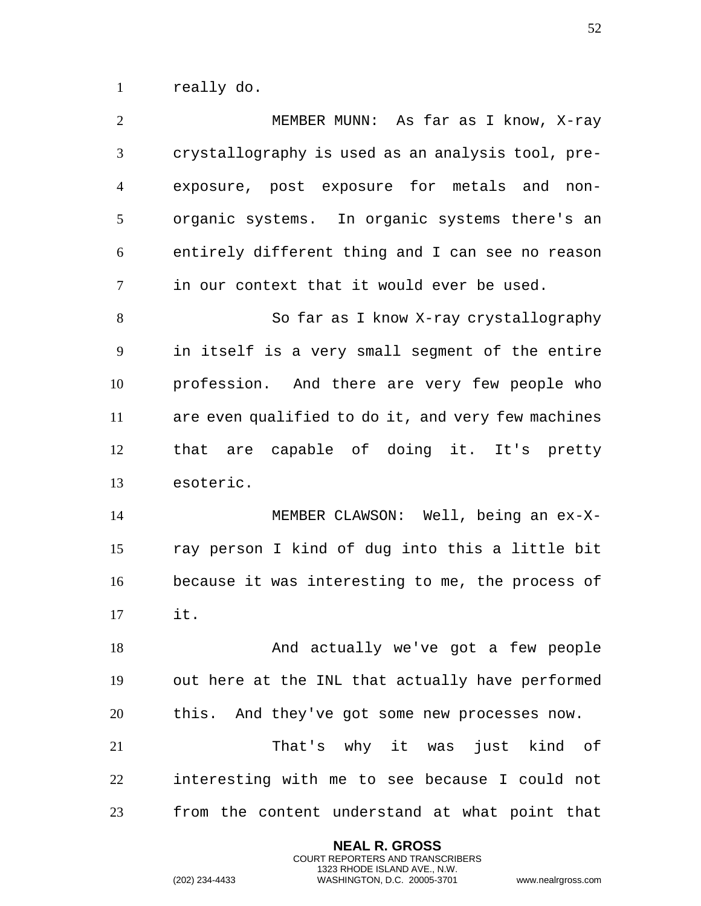really do.

| $\overline{2}$ | MEMBER MUNN: As far as I know, X-ray               |
|----------------|----------------------------------------------------|
| 3              | crystallography is used as an analysis tool, pre-  |
| $\overline{4}$ | exposure, post exposure for metals and<br>non-     |
| 5              | organic systems. In organic systems there's an     |
| 6              | entirely different thing and I can see no reason   |
| $\tau$         | in our context that it would ever be used.         |
| 8              | So far as I know X-ray crystallography             |
| 9              | in itself is a very small segment of the entire    |
| 10             | profession. And there are very few people who      |
| 11             | are even qualified to do it, and very few machines |
| 12             | that are capable of doing it. It's pretty          |
| 13             | esoteric.                                          |
| 14             | MEMBER CLAWSON: Well, being an ex-X-               |
| 15             | ray person I kind of dug into this a little bit    |
| 16             | because it was interesting to me, the process of   |
| 17             | it.                                                |
| 18             | And actually we've got a few people                |
| 19             | out here at the INL that actually have performed   |
| 20             | this. And they've got some new processes now.      |
| 21             | That's why it was just kind of                     |
| 22             | interesting with me to see because I could not     |
| 23             | from the content understand at what point that     |
|                |                                                    |

**NEAL R. GROSS** COURT REPORTERS AND TRANSCRIBERS 1323 RHODE ISLAND AVE., N.W.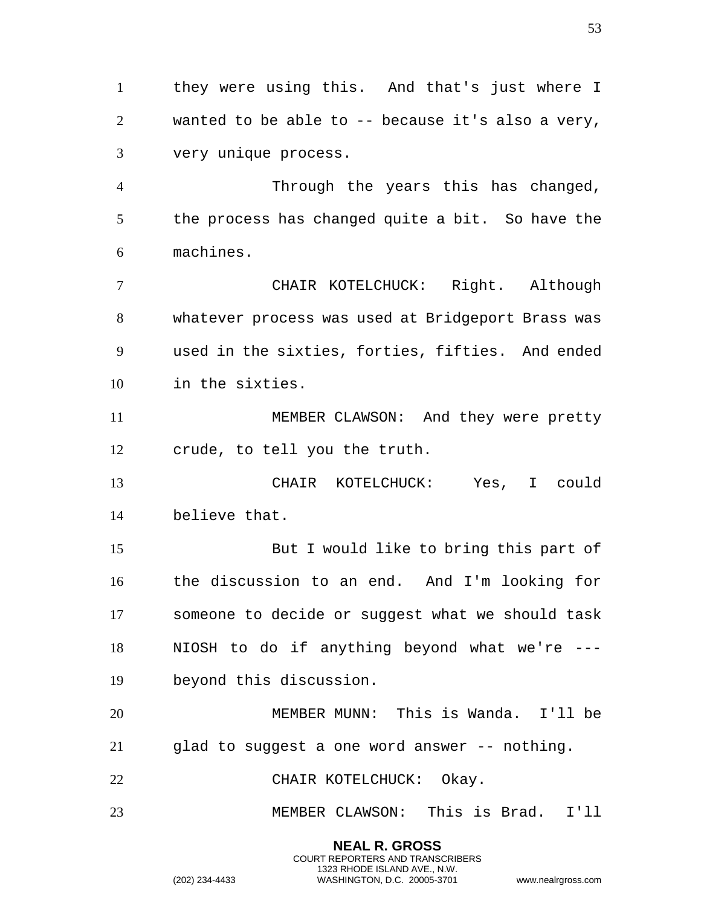they were using this. And that's just where I wanted to be able to -- because it's also a very, very unique process.

 Through the years this has changed, the process has changed quite a bit. So have the machines.

 CHAIR KOTELCHUCK: Right. Although whatever process was used at Bridgeport Brass was used in the sixties, forties, fifties. And ended in the sixties.

 MEMBER CLAWSON: And they were pretty crude, to tell you the truth.

 CHAIR KOTELCHUCK: Yes, I could believe that.

 But I would like to bring this part of the discussion to an end. And I'm looking for someone to decide or suggest what we should task NIOSH to do if anything beyond what we're --- beyond this discussion.

 MEMBER MUNN: This is Wanda. I'll be glad to suggest a one word answer -- nothing.

22 CHAIR KOTELCHUCK: Okay.

MEMBER CLAWSON: This is Brad. I'll

**NEAL R. GROSS** COURT REPORTERS AND TRANSCRIBERS 1323 RHODE ISLAND AVE., N.W.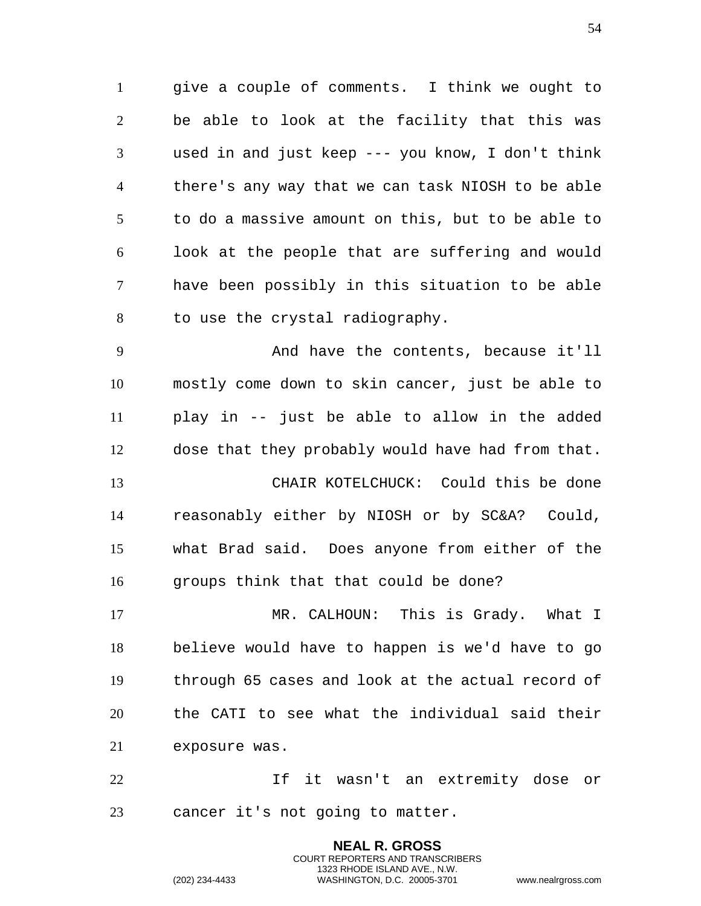give a couple of comments. I think we ought to be able to look at the facility that this was used in and just keep --- you know, I don't think there's any way that we can task NIOSH to be able to do a massive amount on this, but to be able to look at the people that are suffering and would have been possibly in this situation to be able to use the crystal radiography.

 And have the contents, because it'll mostly come down to skin cancer, just be able to play in -- just be able to allow in the added dose that they probably would have had from that. CHAIR KOTELCHUCK: Could this be done reasonably either by NIOSH or by SC&A? Could, what Brad said. Does anyone from either of the groups think that that could be done?

 MR. CALHOUN: This is Grady. What I believe would have to happen is we'd have to go through 65 cases and look at the actual record of the CATI to see what the individual said their exposure was.

 If it wasn't an extremity dose or cancer it's not going to matter.

> **NEAL R. GROSS** COURT REPORTERS AND TRANSCRIBERS 1323 RHODE ISLAND AVE., N.W.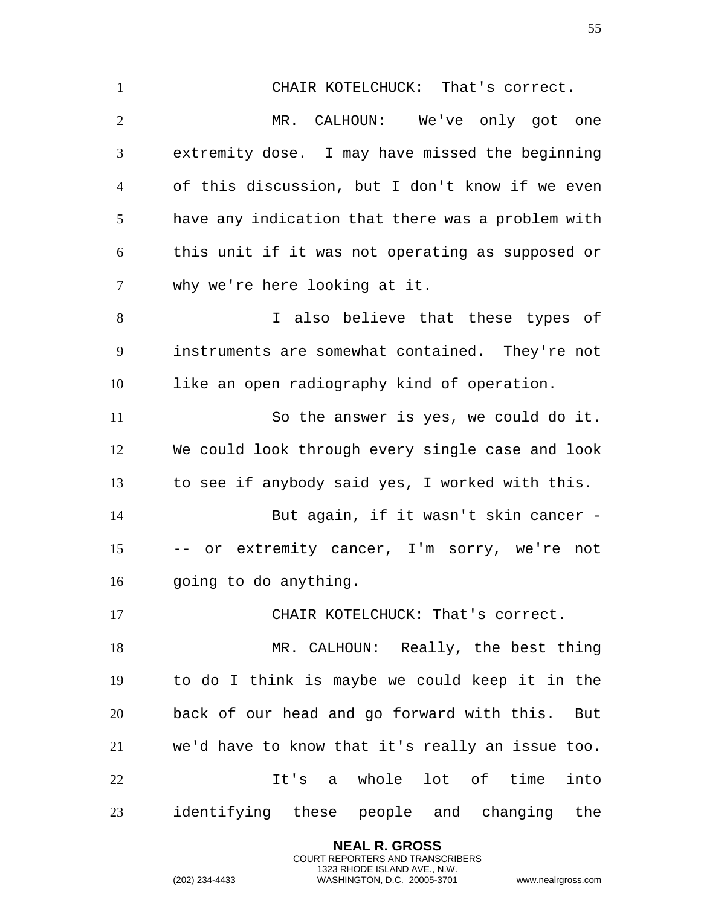CHAIR KOTELCHUCK: That's correct. MR. CALHOUN: We've only got one extremity dose. I may have missed the beginning of this discussion, but I don't know if we even have any indication that there was a problem with this unit if it was not operating as supposed or why we're here looking at it. I also believe that these types of instruments are somewhat contained. They're not like an open radiography kind of operation. So the answer is yes, we could do it. We could look through every single case and look to see if anybody said yes, I worked with this. 14 But again, if it wasn't skin cancer - -- or extremity cancer, I'm sorry, we're not going to do anything. 17 CHAIR KOTELCHUCK: That's correct. 18 MR. CALHOUN: Really, the best thing to do I think is maybe we could keep it in the back of our head and go forward with this. But we'd have to know that it's really an issue too. It's a whole lot of time into identifying these people and changing the

> **NEAL R. GROSS** COURT REPORTERS AND TRANSCRIBERS 1323 RHODE ISLAND AVE., N.W.

(202) 234-4433 WASHINGTON, D.C. 20005-3701 www.nealrgross.com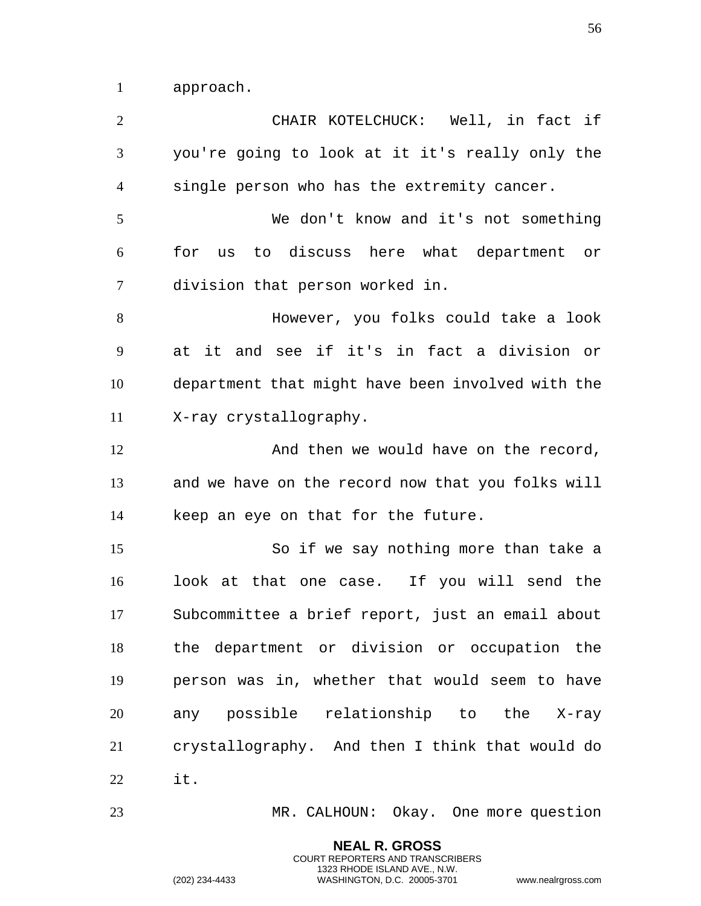approach.

 CHAIR KOTELCHUCK: Well, in fact if you're going to look at it it's really only the single person who has the extremity cancer. We don't know and it's not something for us to discuss here what department or division that person worked in. However, you folks could take a look at it and see if it's in fact a division or department that might have been involved with the X-ray crystallography. 12 And then we would have on the record, and we have on the record now that you folks will keep an eye on that for the future. So if we say nothing more than take a look at that one case. If you will send the Subcommittee a brief report, just an email about the department or division or occupation the person was in, whether that would seem to have any possible relationship to the X-ray crystallography. And then I think that would do it. MR. CALHOUN: Okay. One more question

**NEAL R. GROSS**

COURT REPORTERS AND TRANSCRIBERS 1323 RHODE ISLAND AVE., N.W.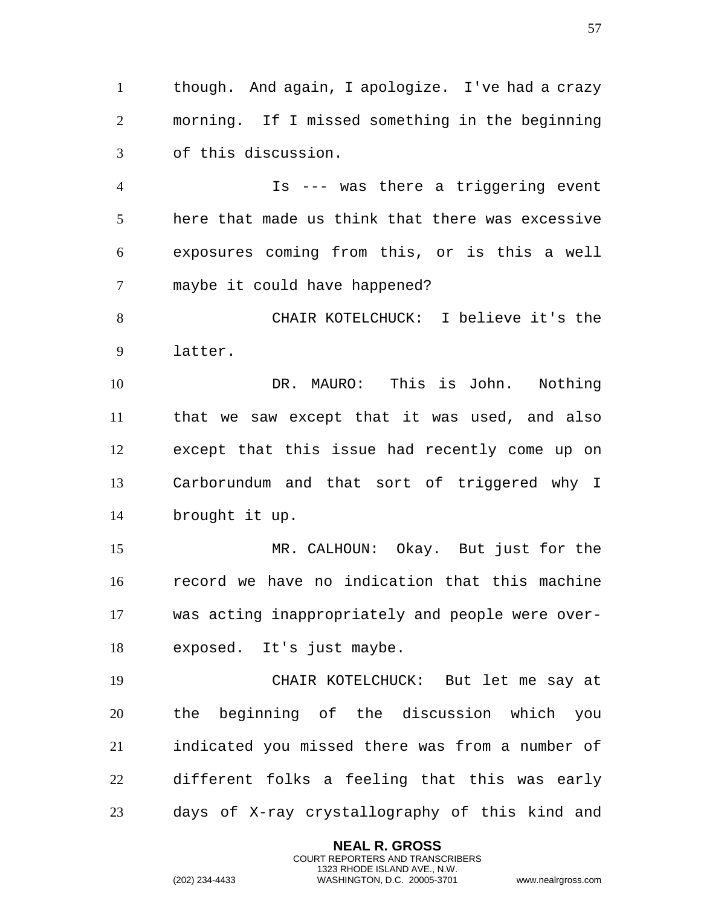though. And again, I apologize. I've had a crazy morning. If I missed something in the beginning of this discussion.

 Is --- was there a triggering event here that made us think that there was excessive exposures coming from this, or is this a well maybe it could have happened?

 CHAIR KOTELCHUCK: I believe it's the latter.

 DR. MAURO: This is John. Nothing that we saw except that it was used, and also except that this issue had recently come up on Carborundum and that sort of triggered why I brought it up.

 MR. CALHOUN: Okay. But just for the record we have no indication that this machine was acting inappropriately and people were over-exposed. It's just maybe.

 CHAIR KOTELCHUCK: But let me say at the beginning of the discussion which you indicated you missed there was from a number of different folks a feeling that this was early days of X-ray crystallography of this kind and

> **NEAL R. GROSS** COURT REPORTERS AND TRANSCRIBERS 1323 RHODE ISLAND AVE., N.W.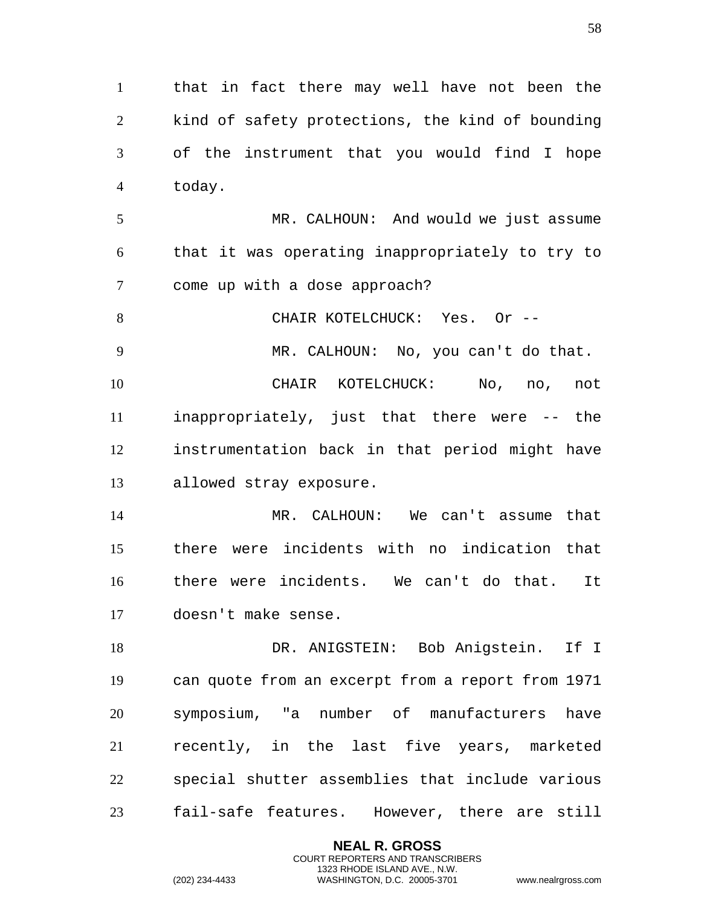that in fact there may well have not been the kind of safety protections, the kind of bounding of the instrument that you would find I hope today.

 MR. CALHOUN: And would we just assume that it was operating inappropriately to try to come up with a dose approach?

8 CHAIR KOTELCHUCK: Yes. Or --

 CHAIR KOTELCHUCK: No, no, not inappropriately, just that there were -- the instrumentation back in that period might have allowed stray exposure.

MR. CALHOUN: No, you can't do that.

 MR. CALHOUN: We can't assume that there were incidents with no indication that there were incidents. We can't do that. It doesn't make sense.

18 DR. ANIGSTEIN: Bob Anigstein. If I can quote from an excerpt from a report from 1971 symposium, "a number of manufacturers have recently, in the last five years, marketed special shutter assemblies that include various fail-safe features. However, there are still

> **NEAL R. GROSS** COURT REPORTERS AND TRANSCRIBERS 1323 RHODE ISLAND AVE., N.W.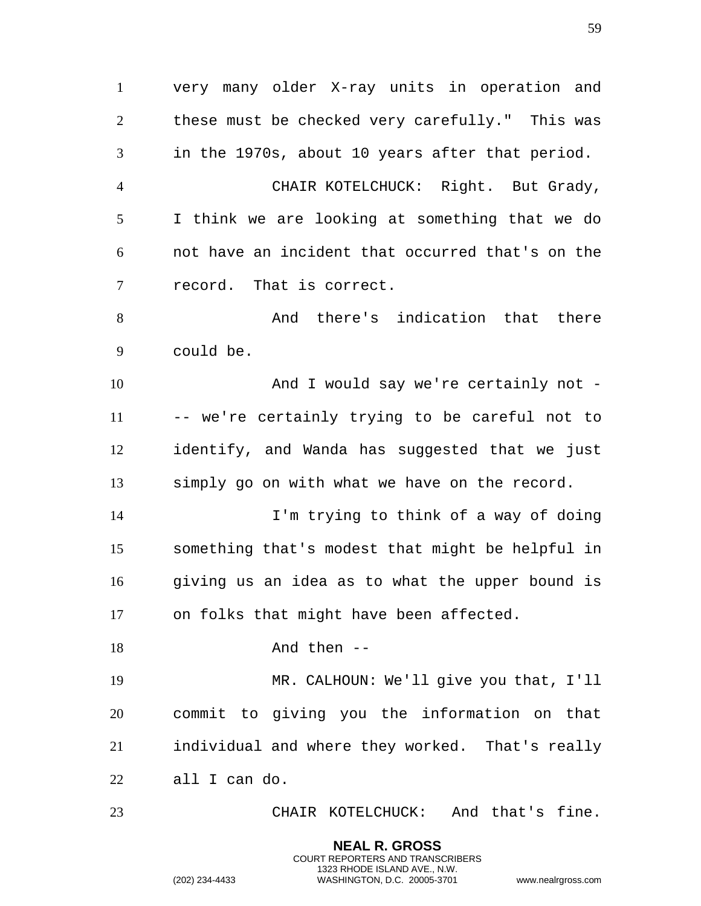very many older X-ray units in operation and these must be checked very carefully." This was in the 1970s, about 10 years after that period. CHAIR KOTELCHUCK: Right. But Grady, I think we are looking at something that we do not have an incident that occurred that's on the record. That is correct. And there's indication that there could be. 10 And I would say we're certainly not - -- we're certainly trying to be careful not to identify, and Wanda has suggested that we just simply go on with what we have on the record. I'm trying to think of a way of doing something that's modest that might be helpful in giving us an idea as to what the upper bound is on folks that might have been affected. 18 And then -- MR. CALHOUN: We'll give you that, I'll commit to giving you the information on that individual and where they worked. That's really all I can do. CHAIR KOTELCHUCK: And that's fine.

> **NEAL R. GROSS** COURT REPORTERS AND TRANSCRIBERS 1323 RHODE ISLAND AVE., N.W.

(202) 234-4433 WASHINGTON, D.C. 20005-3701 www.nealrgross.com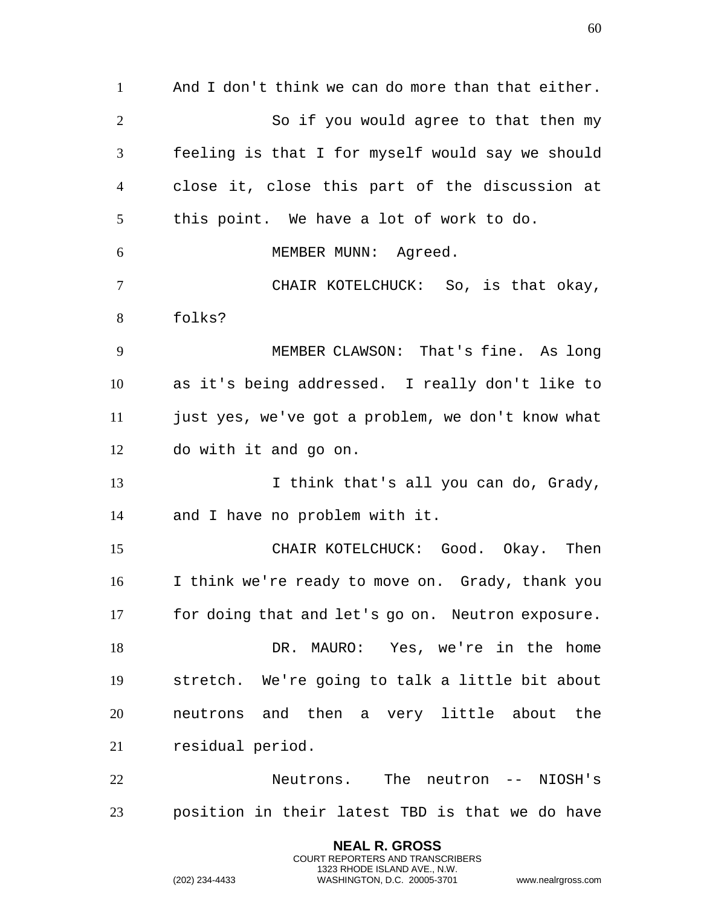And I don't think we can do more than that either. So if you would agree to that then my feeling is that I for myself would say we should close it, close this part of the discussion at this point. We have a lot of work to do. 6 MEMBER MUNN: Agreed. CHAIR KOTELCHUCK: So, is that okay, folks? MEMBER CLAWSON: That's fine. As long as it's being addressed. I really don't like to just yes, we've got a problem, we don't know what do with it and go on. 13 I think that's all you can do, Grady, and I have no problem with it. CHAIR KOTELCHUCK: Good. Okay. Then I think we're ready to move on. Grady, thank you for doing that and let's go on. Neutron exposure. DR. MAURO: Yes, we're in the home stretch. We're going to talk a little bit about neutrons and then a very little about the residual period. Neutrons. The neutron -- NIOSH's position in their latest TBD is that we do have

> **NEAL R. GROSS** COURT REPORTERS AND TRANSCRIBERS 1323 RHODE ISLAND AVE., N.W.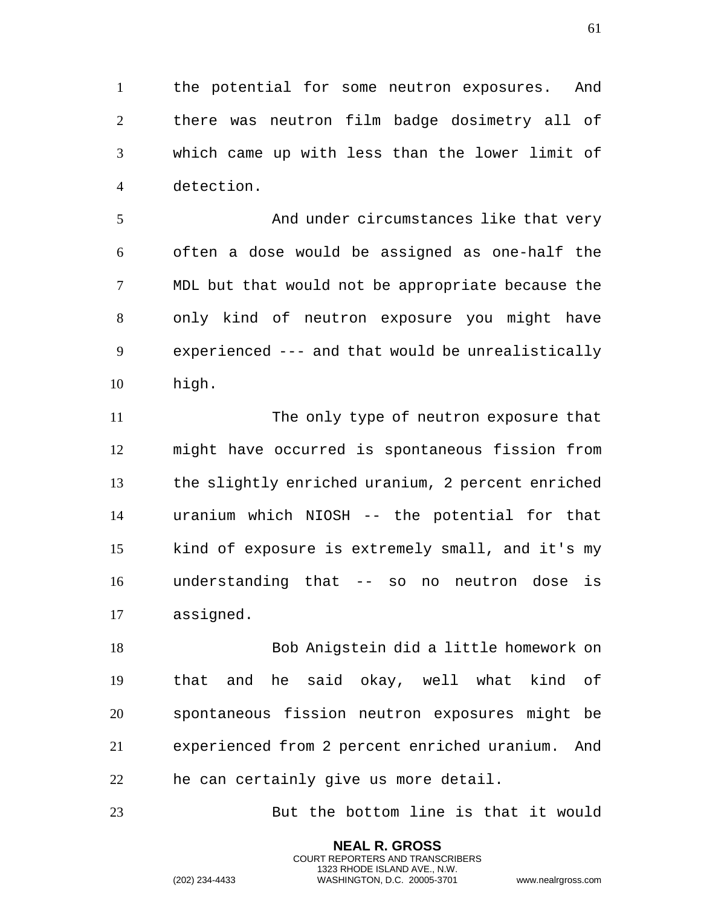the potential for some neutron exposures. And there was neutron film badge dosimetry all of which came up with less than the lower limit of detection.

 And under circumstances like that very often a dose would be assigned as one-half the MDL but that would not be appropriate because the only kind of neutron exposure you might have experienced --- and that would be unrealistically high.

 The only type of neutron exposure that might have occurred is spontaneous fission from the slightly enriched uranium, 2 percent enriched uranium which NIOSH -- the potential for that kind of exposure is extremely small, and it's my understanding that -- so no neutron dose is assigned.

 Bob Anigstein did a little homework on that and he said okay, well what kind of spontaneous fission neutron exposures might be experienced from 2 percent enriched uranium. And he can certainly give us more detail.

But the bottom line is that it would

**NEAL R. GROSS** COURT REPORTERS AND TRANSCRIBERS 1323 RHODE ISLAND AVE., N.W.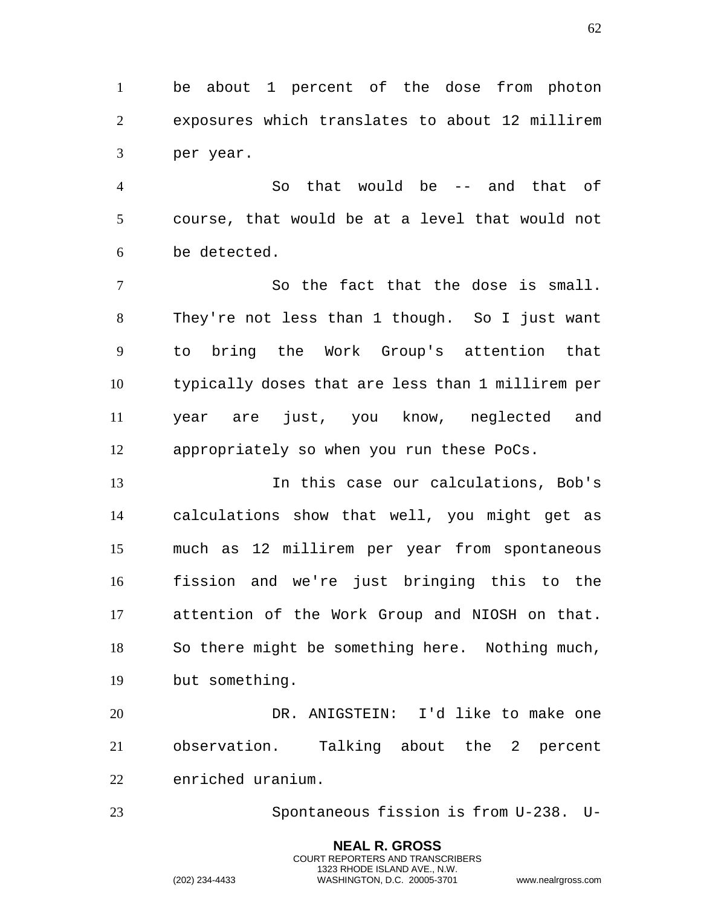be about 1 percent of the dose from photon exposures which translates to about 12 millirem per year.

 So that would be -- and that of course, that would be at a level that would not be detected.

 So the fact that the dose is small. They're not less than 1 though. So I just want to bring the Work Group's attention that typically doses that are less than 1 millirem per year are just, you know, neglected and appropriately so when you run these PoCs.

 In this case our calculations, Bob's calculations show that well, you might get as much as 12 millirem per year from spontaneous fission and we're just bringing this to the attention of the Work Group and NIOSH on that. So there might be something here. Nothing much, but something.

 DR. ANIGSTEIN: I'd like to make one observation. Talking about the 2 percent enriched uranium.

Spontaneous fission is from U-238. U-

**NEAL R. GROSS** COURT REPORTERS AND TRANSCRIBERS 1323 RHODE ISLAND AVE., N.W.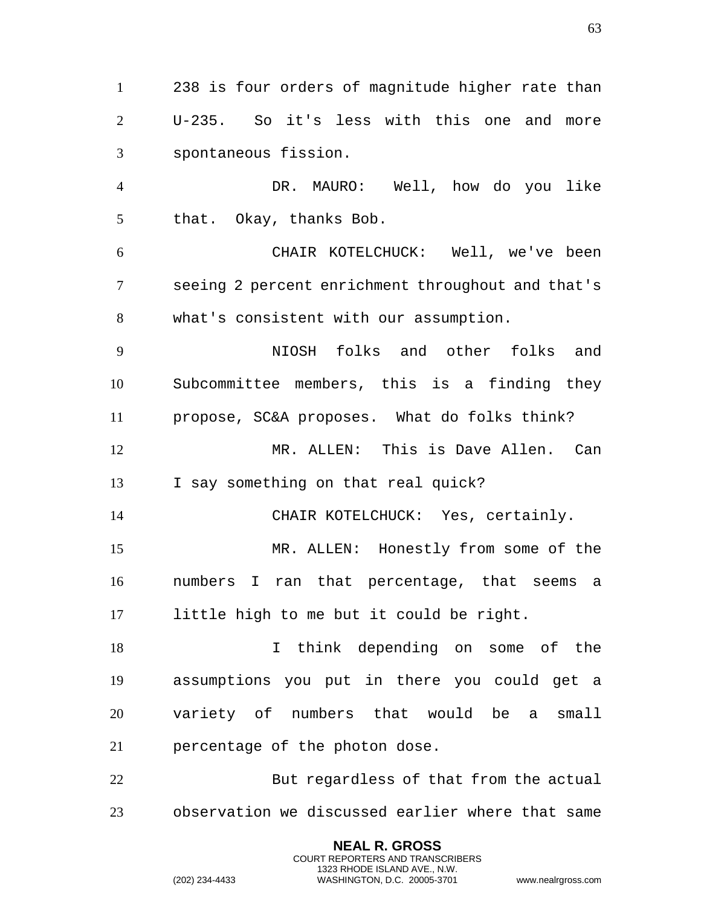238 is four orders of magnitude higher rate than U-235. So it's less with this one and more spontaneous fission. DR. MAURO: Well, how do you like that. Okay, thanks Bob. CHAIR KOTELCHUCK: Well, we've been seeing 2 percent enrichment throughout and that's what's consistent with our assumption. NIOSH folks and other folks and Subcommittee members, this is a finding they propose, SC&A proposes. What do folks think? MR. ALLEN: This is Dave Allen. Can I say something on that real quick? CHAIR KOTELCHUCK: Yes, certainly. MR. ALLEN: Honestly from some of the numbers I ran that percentage, that seems a little high to me but it could be right. 18 18 I think depending on some of the assumptions you put in there you could get a variety of numbers that would be a small percentage of the photon dose. But regardless of that from the actual observation we discussed earlier where that same

> **NEAL R. GROSS** COURT REPORTERS AND TRANSCRIBERS 1323 RHODE ISLAND AVE., N.W.

(202) 234-4433 WASHINGTON, D.C. 20005-3701 www.nealrgross.com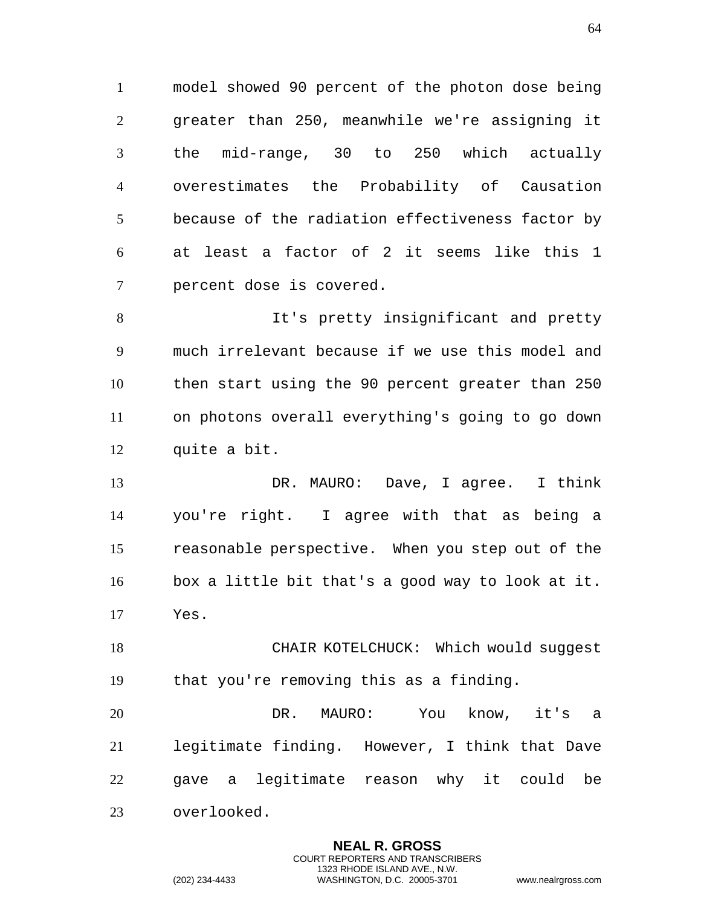model showed 90 percent of the photon dose being greater than 250, meanwhile we're assigning it the mid-range, 30 to 250 which actually overestimates the Probability of Causation because of the radiation effectiveness factor by at least a factor of 2 it seems like this 1 percent dose is covered.

 It's pretty insignificant and pretty much irrelevant because if we use this model and then start using the 90 percent greater than 250 on photons overall everything's going to go down quite a bit.

 DR. MAURO: Dave, I agree. I think you're right. I agree with that as being a reasonable perspective. When you step out of the box a little bit that's a good way to look at it. Yes.

18 CHAIR KOTELCHUCK: Which would suqqest that you're removing this as a finding.

 DR. MAURO: You know, it's a legitimate finding. However, I think that Dave gave a legitimate reason why it could be overlooked.

> **NEAL R. GROSS** COURT REPORTERS AND TRANSCRIBERS 1323 RHODE ISLAND AVE., N.W.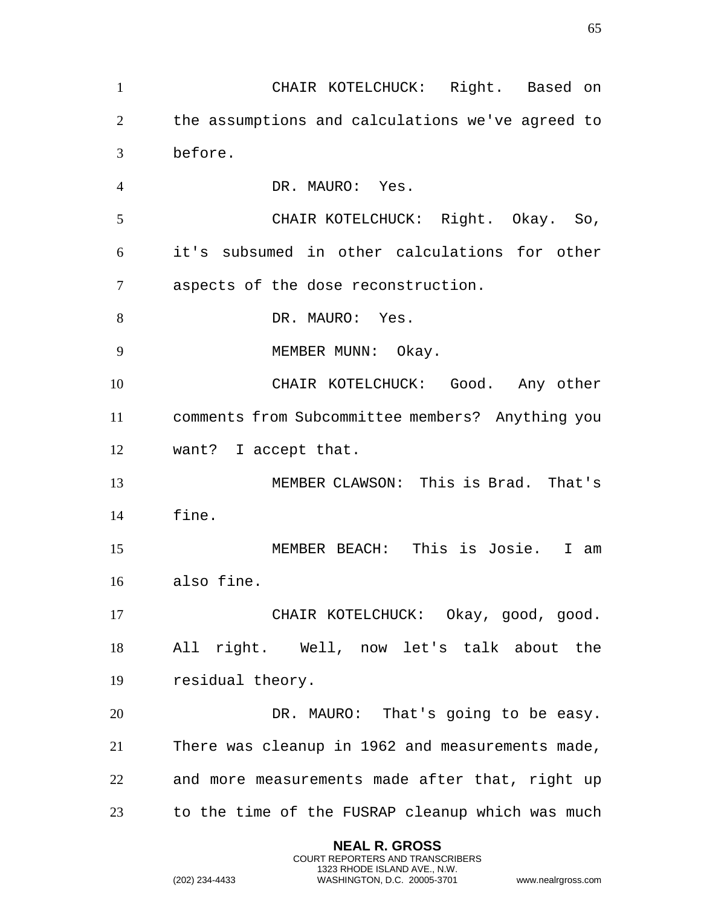CHAIR KOTELCHUCK: Right. Based on the assumptions and calculations we've agreed to before. DR. MAURO: Yes. CHAIR KOTELCHUCK: Right. Okay. So, it's subsumed in other calculations for other aspects of the dose reconstruction. 8 DR. MAURO: Yes. 9 MEMBER MUNN: Okay. CHAIR KOTELCHUCK: Good. Any other comments from Subcommittee members? Anything you want? I accept that. MEMBER CLAWSON: This is Brad. That's fine. MEMBER BEACH: This is Josie. I am also fine. CHAIR KOTELCHUCK: Okay, good, good. All right. Well, now let's talk about the residual theory. 20 DR. MAURO: That's going to be easy. There was cleanup in 1962 and measurements made, and more measurements made after that, right up to the time of the FUSRAP cleanup which was much

> **NEAL R. GROSS** COURT REPORTERS AND TRANSCRIBERS 1323 RHODE ISLAND AVE., N.W.

(202) 234-4433 WASHINGTON, D.C. 20005-3701 www.nealrgross.com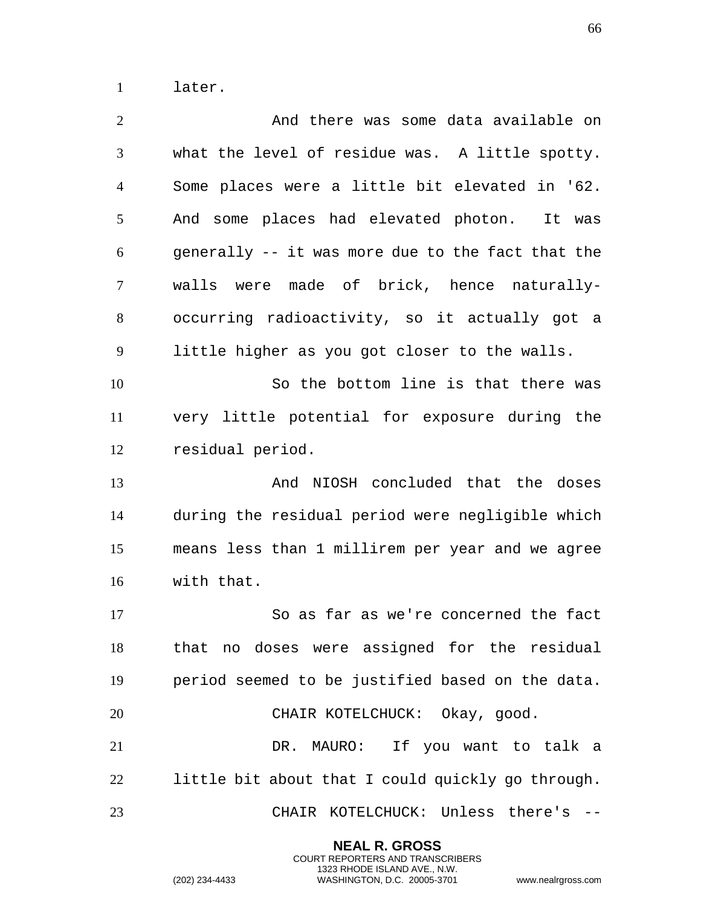later.

| $\overline{2}$ | And there was some data available on              |
|----------------|---------------------------------------------------|
| 3              | what the level of residue was. A little spotty.   |
| $\overline{4}$ | Some places were a little bit elevated in '62.    |
| 5              | And some places had elevated photon. It was       |
| 6              | generally -- it was more due to the fact that the |
| $\overline{7}$ | walls were made of brick, hence naturally-        |
| 8              | occurring radioactivity, so it actually got a     |
| 9              | little higher as you got closer to the walls.     |
| 10             | So the bottom line is that there was              |
| 11             | very little potential for exposure during the     |
| 12             | residual period.                                  |
| 13             | And NIOSH concluded that the doses                |
|                |                                                   |
| 14             | during the residual period were negligible which  |
| 15             | means less than 1 millirem per year and we agree  |
| 16             | with that.                                        |
| 17             | So as far as we're concerned the fact             |
| 18             | that no doses were assigned for the residual      |
| 19             | period seemed to be justified based on the data.  |
| 20             | CHAIR KOTELCHUCK: Okay, good.                     |
| 21             | DR. MAURO: If you want to talk a                  |
| 22             | little bit about that I could quickly go through. |

**NEAL R. GROSS** COURT REPORTERS AND TRANSCRIBERS 1323 RHODE ISLAND AVE., N.W.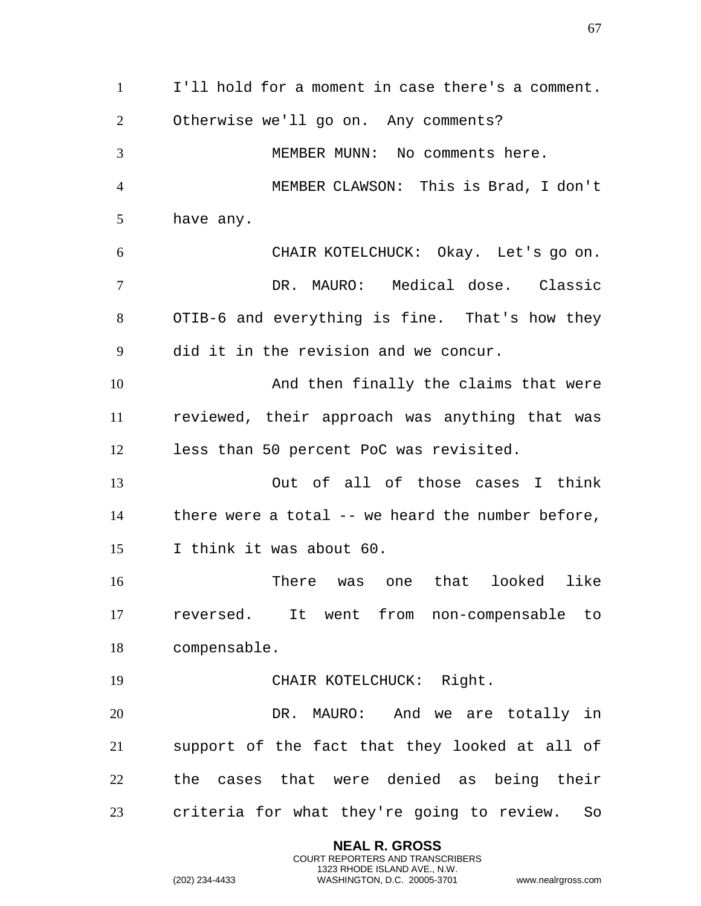I'll hold for a moment in case there's a comment. Otherwise we'll go on. Any comments? MEMBER MUNN: No comments here. MEMBER CLAWSON: This is Brad, I don't have any. CHAIR KOTELCHUCK: Okay. Let's go on. DR. MAURO: Medical dose. Classic OTIB-6 and everything is fine. That's how they did it in the revision and we concur. And then finally the claims that were reviewed, their approach was anything that was less than 50 percent PoC was revisited. Out of all of those cases I think there were a total -- we heard the number before, I think it was about 60. There was one that looked like reversed. It went from non-compensable to compensable. CHAIR KOTELCHUCK: Right. DR. MAURO: And we are totally in support of the fact that they looked at all of the cases that were denied as being their criteria for what they're going to review. So

> **NEAL R. GROSS** COURT REPORTERS AND TRANSCRIBERS 1323 RHODE ISLAND AVE., N.W.

```
(202) 234-4433 WASHINGTON, D.C. 20005-3701 www.nealrgross.com
```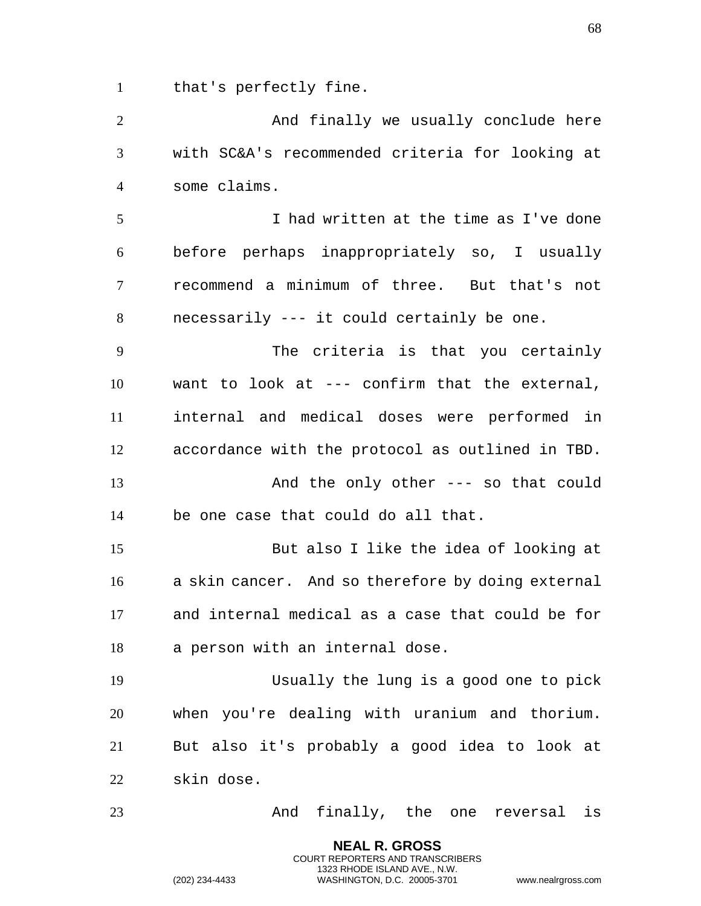that's perfectly fine.

2 And finally we usually conclude here with SC&A's recommended criteria for looking at some claims. I had written at the time as I've done before perhaps inappropriately so, I usually recommend a minimum of three. But that's not necessarily --- it could certainly be one. The criteria is that you certainly want to look at --- confirm that the external, internal and medical doses were performed in accordance with the protocol as outlined in TBD. And the only other --- so that could be one case that could do all that. But also I like the idea of looking at a skin cancer. And so therefore by doing external and internal medical as a case that could be for a person with an internal dose. Usually the lung is a good one to pick when you're dealing with uranium and thorium. But also it's probably a good idea to look at skin dose. And finally, the one reversal is

> **NEAL R. GROSS** COURT REPORTERS AND TRANSCRIBERS 1323 RHODE ISLAND AVE., N.W.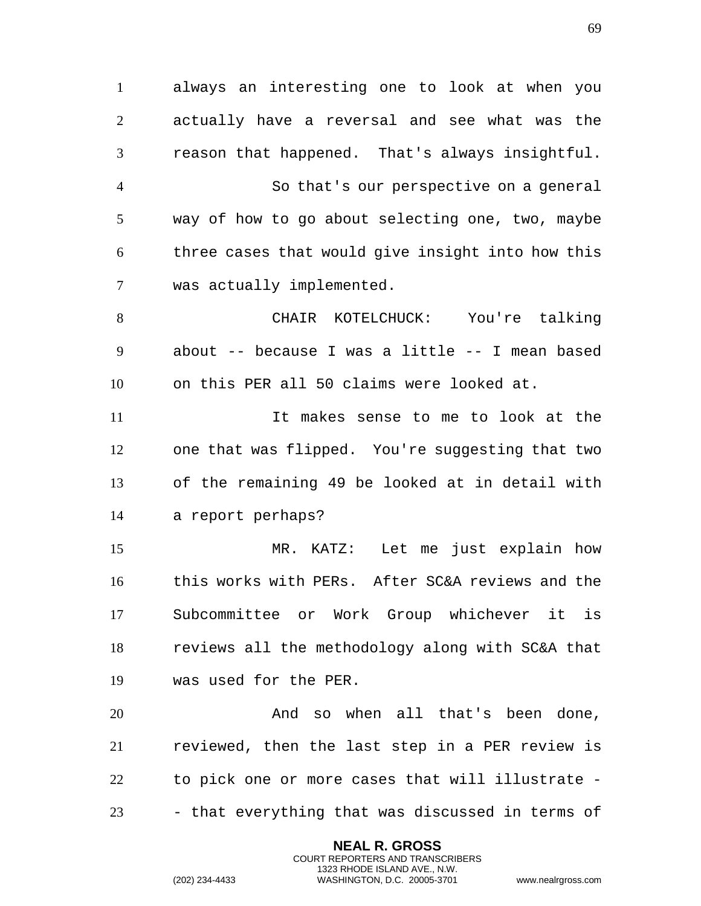always an interesting one to look at when you actually have a reversal and see what was the reason that happened. That's always insightful. So that's our perspective on a general way of how to go about selecting one, two, maybe three cases that would give insight into how this was actually implemented. CHAIR KOTELCHUCK: You're talking about -- because I was a little -- I mean based on this PER all 50 claims were looked at. It makes sense to me to look at the one that was flipped. You're suggesting that two of the remaining 49 be looked at in detail with a report perhaps? MR. KATZ: Let me just explain how this works with PERs. After SC&A reviews and the Subcommittee or Work Group whichever it is reviews all the methodology along with SC&A that was used for the PER. And so when all that's been done, reviewed, then the last step in a PER review is to pick one or more cases that will illustrate - - that everything that was discussed in terms of

> **NEAL R. GROSS** COURT REPORTERS AND TRANSCRIBERS 1323 RHODE ISLAND AVE., N.W.

(202) 234-4433 WASHINGTON, D.C. 20005-3701 www.nealrgross.com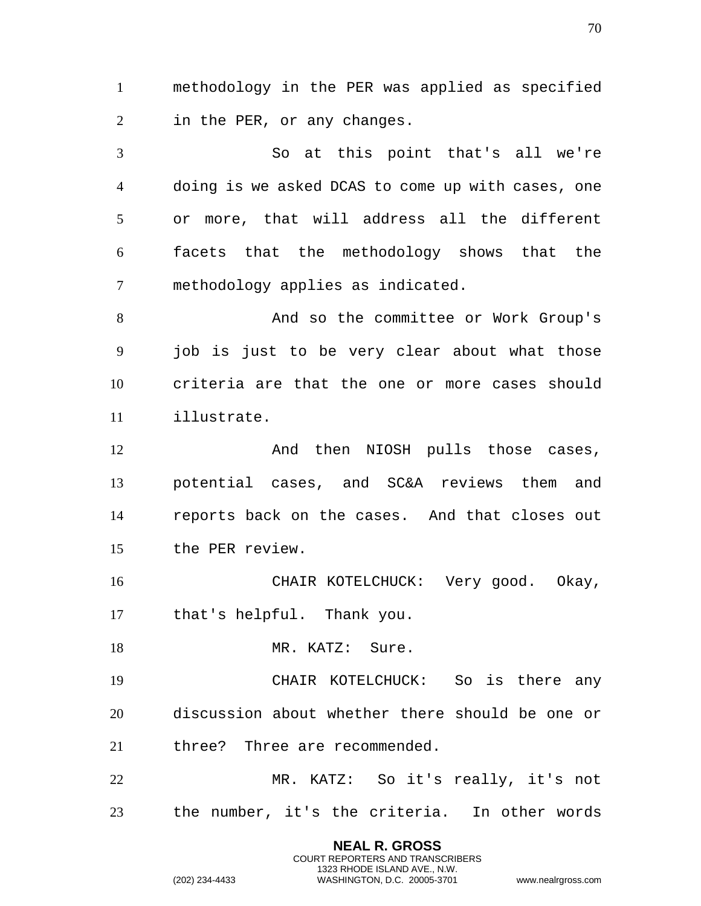methodology in the PER was applied as specified in the PER, or any changes.

 So at this point that's all we're doing is we asked DCAS to come up with cases, one or more, that will address all the different facets that the methodology shows that the methodology applies as indicated.

8 And so the committee or Work Group's job is just to be very clear about what those criteria are that the one or more cases should illustrate.

12 And then NIOSH pulls those cases, potential cases, and SC&A reviews them and reports back on the cases. And that closes out the PER review.

 CHAIR KOTELCHUCK: Very good. Okay, that's helpful. Thank you.

18 MR. KATZ: Sure.

 CHAIR KOTELCHUCK: So is there any discussion about whether there should be one or three? Three are recommended.

 MR. KATZ: So it's really, it's not the number, it's the criteria. In other words

> **NEAL R. GROSS** COURT REPORTERS AND TRANSCRIBERS 1323 RHODE ISLAND AVE., N.W.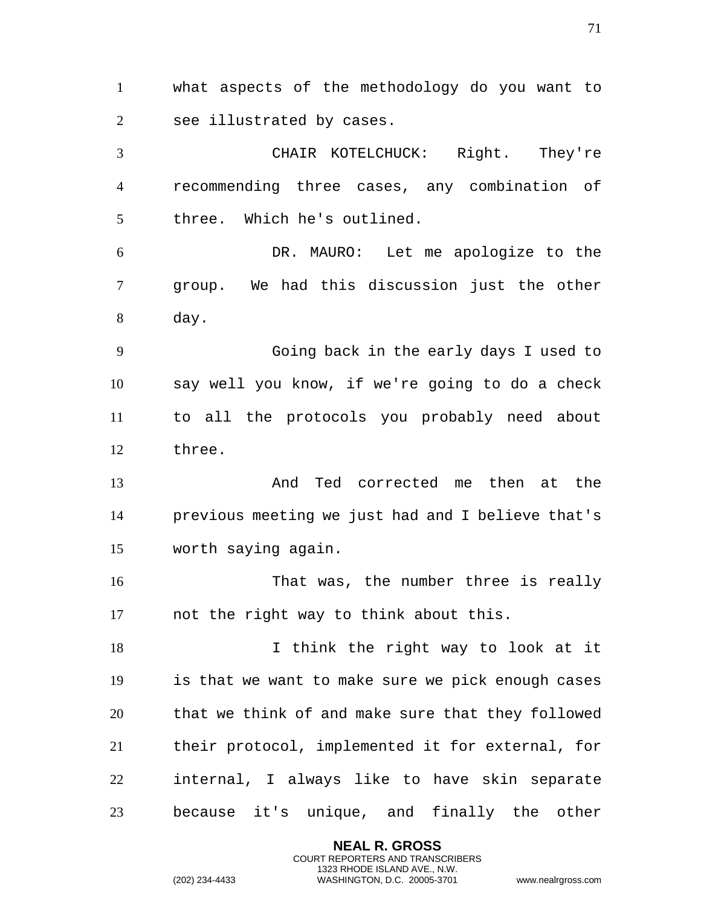what aspects of the methodology do you want to see illustrated by cases. CHAIR KOTELCHUCK: Right. They're recommending three cases, any combination of three. Which he's outlined. DR. MAURO: Let me apologize to the group. We had this discussion just the other day. Going back in the early days I used to say well you know, if we're going to do a check to all the protocols you probably need about three. And Ted corrected me then at the previous meeting we just had and I believe that's worth saying again. That was, the number three is really not the right way to think about this. 18 I think the right way to look at it is that we want to make sure we pick enough cases that we think of and make sure that they followed their protocol, implemented it for external, for internal, I always like to have skin separate because it's unique, and finally the other

> **NEAL R. GROSS** COURT REPORTERS AND TRANSCRIBERS 1323 RHODE ISLAND AVE., N.W.

(202) 234-4433 WASHINGTON, D.C. 20005-3701 www.nealrgross.com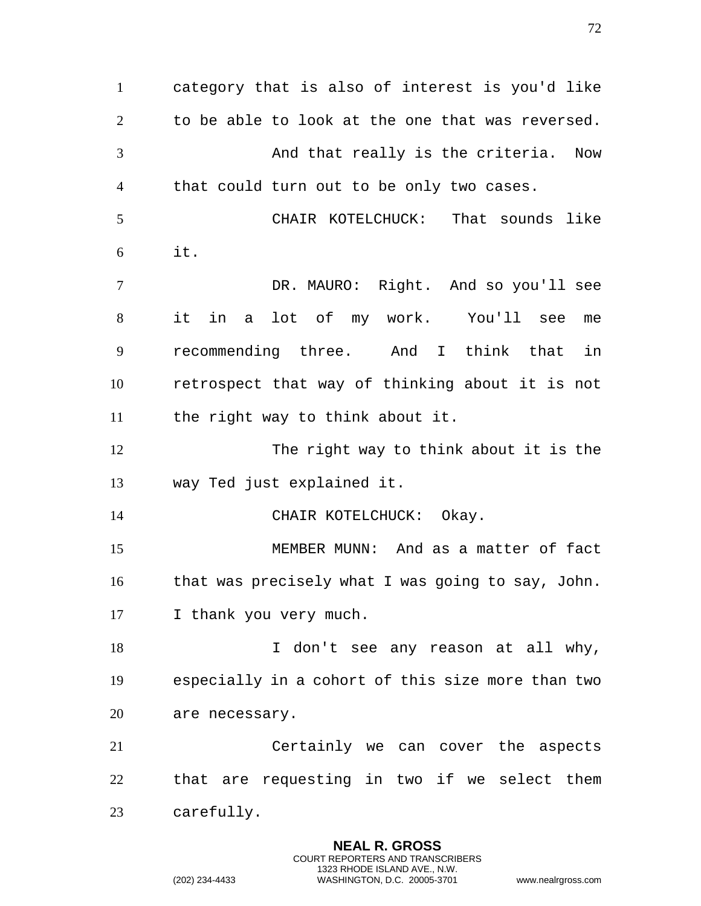category that is also of interest is you'd like to be able to look at the one that was reversed. And that really is the criteria. Now that could turn out to be only two cases. CHAIR KOTELCHUCK: That sounds like it. DR. MAURO: Right. And so you'll see it in a lot of my work. You'll see me recommending three. And I think that in retrospect that way of thinking about it is not the right way to think about it. The right way to think about it is the way Ted just explained it. 14 CHAIR KOTELCHUCK: Okay. MEMBER MUNN: And as a matter of fact that was precisely what I was going to say, John. I thank you very much. 18 I don't see any reason at all why, especially in a cohort of this size more than two are necessary. Certainly we can cover the aspects that are requesting in two if we select them carefully.

> **NEAL R. GROSS** COURT REPORTERS AND TRANSCRIBERS 1323 RHODE ISLAND AVE., N.W.

(202) 234-4433 WASHINGTON, D.C. 20005-3701 www.nealrgross.com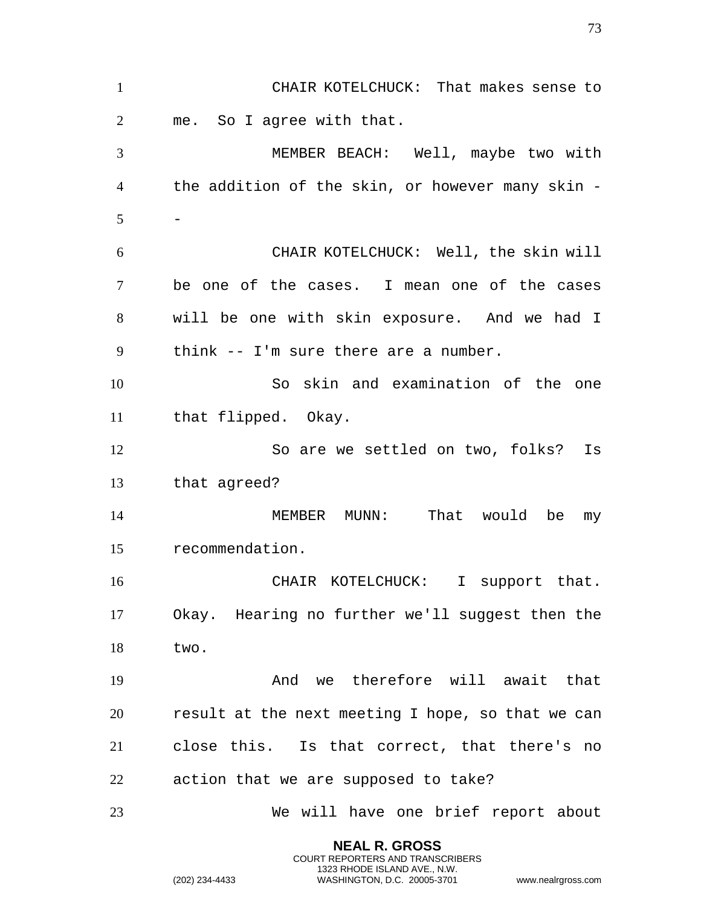| $\mathbf{1}$   | CHAIR KOTELCHUCK: That makes sense to             |
|----------------|---------------------------------------------------|
| $\overline{2}$ | me. So I agree with that.                         |
| 3              | MEMBER BEACH: Well, maybe two with                |
| $\overline{4}$ | the addition of the skin, or however many skin -  |
| 5              |                                                   |
| 6              | CHAIR KOTELCHUCK: Well, the skin will             |
| 7              | be one of the cases. I mean one of the cases      |
| 8              | will be one with skin exposure. And we had I      |
| 9              | think -- I'm sure there are a number.             |
| 10             | So skin and examination of the one                |
| 11             | that flipped. Okay.                               |
| 12             | So are we settled on two, folks? Is               |
| 13             | that agreed?                                      |
| 14             | MEMBER MUNN: That would be my                     |
| 15             | recommendation.                                   |
| 16             | CHAIR KOTELCHUCK: I support that.                 |
| 17             | Okay. Hearing no further we'll suggest then the   |
| 18             | two.                                              |
| 19             | And we therefore will await that                  |
| 20             | result at the next meeting I hope, so that we can |
| 21             | close this. Is that correct, that there's no      |
| 22             | action that we are supposed to take?              |
| 23             | We will have one brief report about               |

**NEAL R. GROSS** COURT REPORTERS AND TRANSCRIBERS 1323 RHODE ISLAND AVE., N.W.

(202) 234-4433 WASHINGTON, D.C. 20005-3701 www.nealrgross.com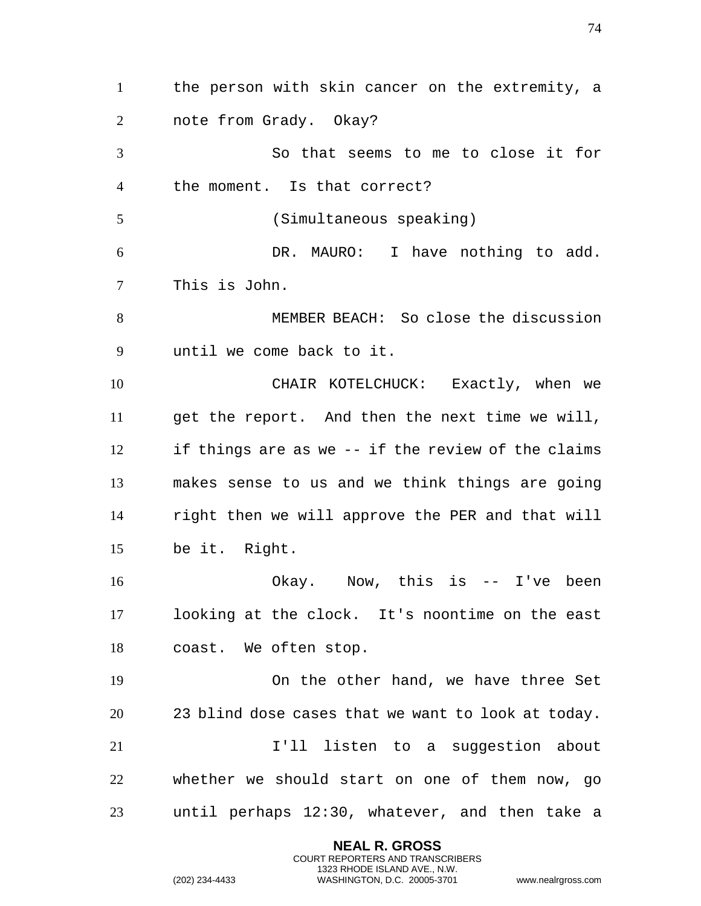the person with skin cancer on the extremity, a note from Grady. Okay? So that seems to me to close it for the moment. Is that correct? (Simultaneous speaking) DR. MAURO: I have nothing to add. This is John. MEMBER BEACH: So close the discussion until we come back to it. CHAIR KOTELCHUCK: Exactly, when we get the report. And then the next time we will, if things are as we -- if the review of the claims makes sense to us and we think things are going right then we will approve the PER and that will be it. Right. Okay. Now, this is -- I've been looking at the clock. It's noontime on the east coast. We often stop. On the other hand, we have three Set 23 blind dose cases that we want to look at today. 21 11 I'll listen to a suggestion about whether we should start on one of them now, go until perhaps 12:30, whatever, and then take a

> **NEAL R. GROSS** COURT REPORTERS AND TRANSCRIBERS 1323 RHODE ISLAND AVE., N.W.

(202) 234-4433 WASHINGTON, D.C. 20005-3701 www.nealrgross.com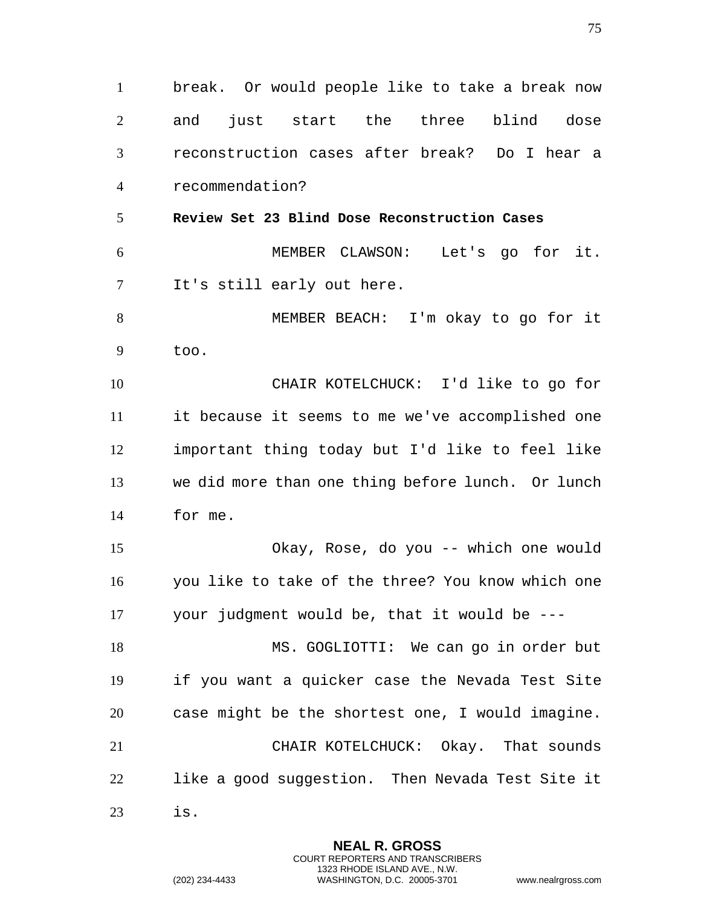break. Or would people like to take a break now and just start the three blind dose reconstruction cases after break? Do I hear a recommendation? **Review Set 23 Blind Dose Reconstruction Cases** MEMBER CLAWSON: Let's go for it. It's still early out here. MEMBER BEACH: I'm okay to go for it too. CHAIR KOTELCHUCK: I'd like to go for it because it seems to me we've accomplished one important thing today but I'd like to feel like we did more than one thing before lunch. Or lunch for me. Okay, Rose, do you -- which one would you like to take of the three? You know which one your judgment would be, that it would be --- MS. GOGLIOTTI: We can go in order but if you want a quicker case the Nevada Test Site case might be the shortest one, I would imagine. CHAIR KOTELCHUCK: Okay. That sounds like a good suggestion. Then Nevada Test Site it is.

> **NEAL R. GROSS** COURT REPORTERS AND TRANSCRIBERS 1323 RHODE ISLAND AVE., N.W.

(202) 234-4433 WASHINGTON, D.C. 20005-3701 www.nealrgross.com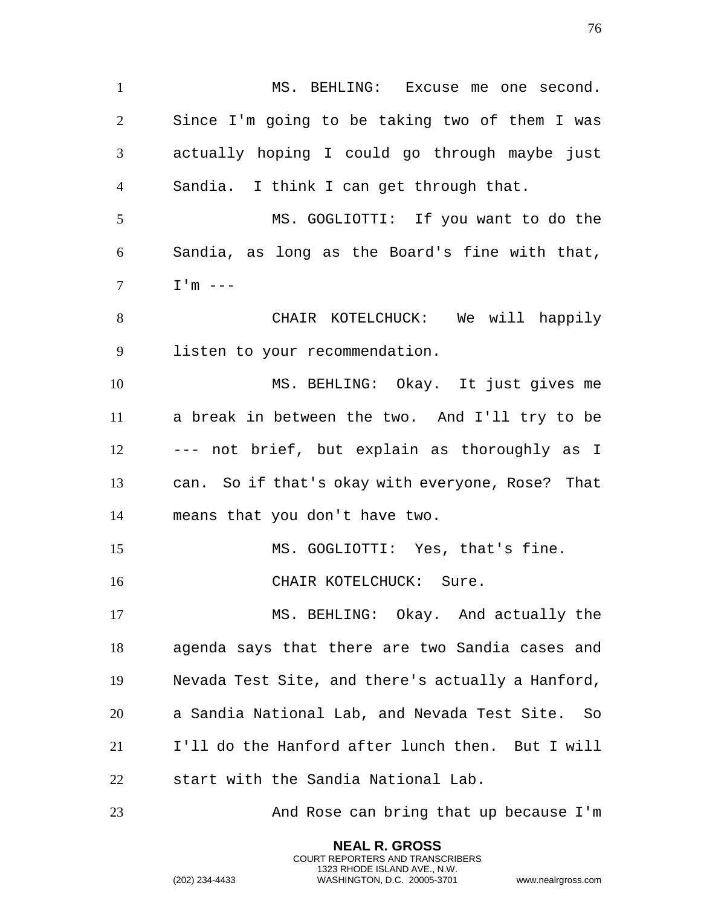1 MS. BEHLING: Excuse me one second. Since I'm going to be taking two of them I was actually hoping I could go through maybe just Sandia. I think I can get through that. MS. GOGLIOTTI: If you want to do the Sandia, as long as the Board's fine with that,  $7 \qquad \qquad \text{I}' \text{m} \text{ ----}$  CHAIR KOTELCHUCK: We will happily listen to your recommendation. MS. BEHLING: Okay. It just gives me a break in between the two. And I'll try to be --- not brief, but explain as thoroughly as I can. So if that's okay with everyone, Rose? That means that you don't have two. MS. GOGLIOTTI: Yes, that's fine. 16 CHAIR KOTELCHUCK: Sure. MS. BEHLING: Okay. And actually the agenda says that there are two Sandia cases and Nevada Test Site, and there's actually a Hanford, a Sandia National Lab, and Nevada Test Site. So I'll do the Hanford after lunch then. But I will start with the Sandia National Lab. And Rose can bring that up because I'm

> **NEAL R. GROSS** COURT REPORTERS AND TRANSCRIBERS 1323 RHODE ISLAND AVE., N.W.

(202) 234-4433 WASHINGTON, D.C. 20005-3701 www.nealrgross.com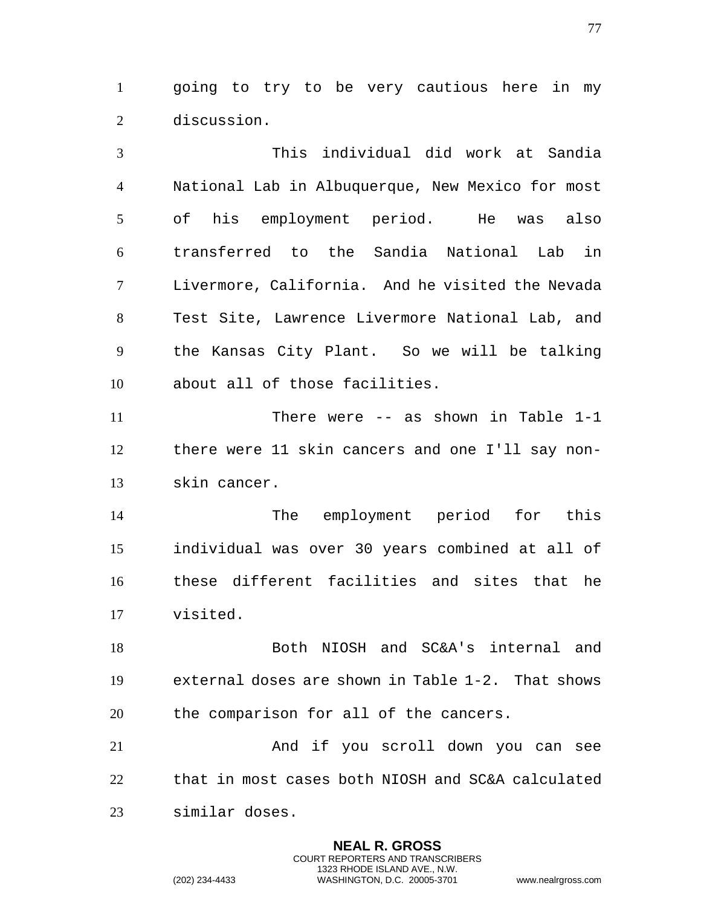going to try to be very cautious here in my discussion.

 This individual did work at Sandia National Lab in Albuquerque, New Mexico for most of his employment period. He was also transferred to the Sandia National Lab in Livermore, California. And he visited the Nevada Test Site, Lawrence Livermore National Lab, and the Kansas City Plant. So we will be talking about all of those facilities.

 There were -- as shown in Table 1-1 there were 11 skin cancers and one I'll say non-skin cancer.

 The employment period for this individual was over 30 years combined at all of these different facilities and sites that he visited.

 Both NIOSH and SC&A's internal and external doses are shown in Table 1-2. That shows the comparison for all of the cancers.

 And if you scroll down you can see that in most cases both NIOSH and SC&A calculated similar doses.

> **NEAL R. GROSS** COURT REPORTERS AND TRANSCRIBERS 1323 RHODE ISLAND AVE., N.W.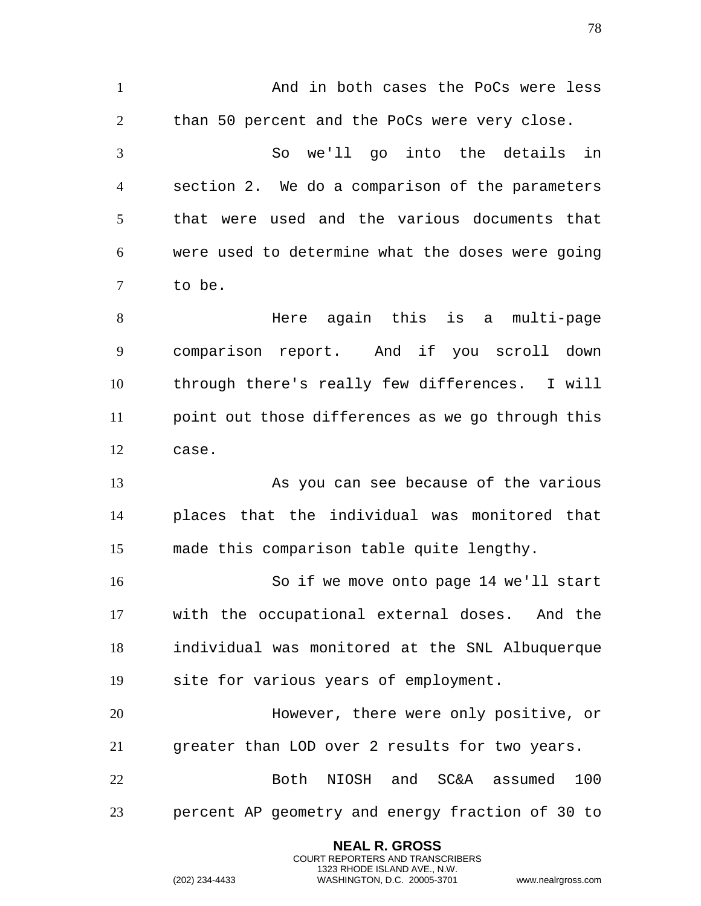And in both cases the PoCs were less 2 than 50 percent and the PoCs were very close. So we'll go into the details in section 2. We do a comparison of the parameters that were used and the various documents that were used to determine what the doses were going to be. Here again this is a multi-page comparison report. And if you scroll down through there's really few differences. I will point out those differences as we go through this case. As you can see because of the various places that the individual was monitored that made this comparison table quite lengthy. So if we move onto page 14 we'll start with the occupational external doses. And the individual was monitored at the SNL Albuquerque site for various years of employment. However, there were only positive, or greater than LOD over 2 results for two years. Both NIOSH and SC&A assumed 100 percent AP geometry and energy fraction of 30 to

> **NEAL R. GROSS** COURT REPORTERS AND TRANSCRIBERS 1323 RHODE ISLAND AVE., N.W.

(202) 234-4433 WASHINGTON, D.C. 20005-3701 www.nealrgross.com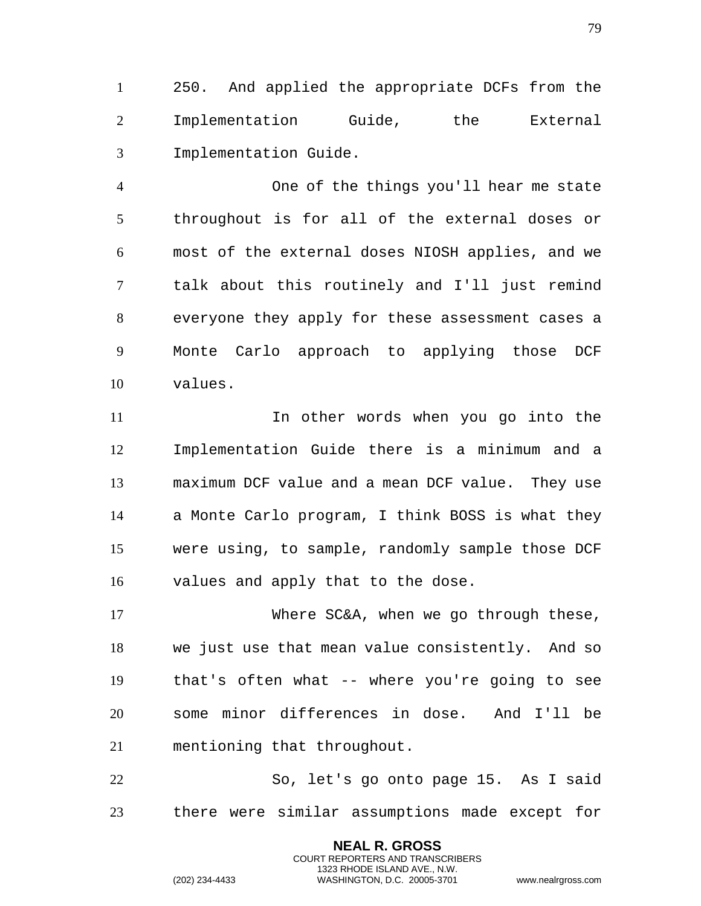250. And applied the appropriate DCFs from the Implementation Guide, the External Implementation Guide.

 One of the things you'll hear me state throughout is for all of the external doses or most of the external doses NIOSH applies, and we talk about this routinely and I'll just remind everyone they apply for these assessment cases a Monte Carlo approach to applying those DCF values.

 In other words when you go into the Implementation Guide there is a minimum and a maximum DCF value and a mean DCF value. They use a Monte Carlo program, I think BOSS is what they were using, to sample, randomly sample those DCF values and apply that to the dose.

 Where SC&A, when we go through these, we just use that mean value consistently. And so that's often what -- where you're going to see some minor differences in dose. And I'll be mentioning that throughout.

 So, let's go onto page 15. As I said there were similar assumptions made except for

> **NEAL R. GROSS** COURT REPORTERS AND TRANSCRIBERS 1323 RHODE ISLAND AVE., N.W.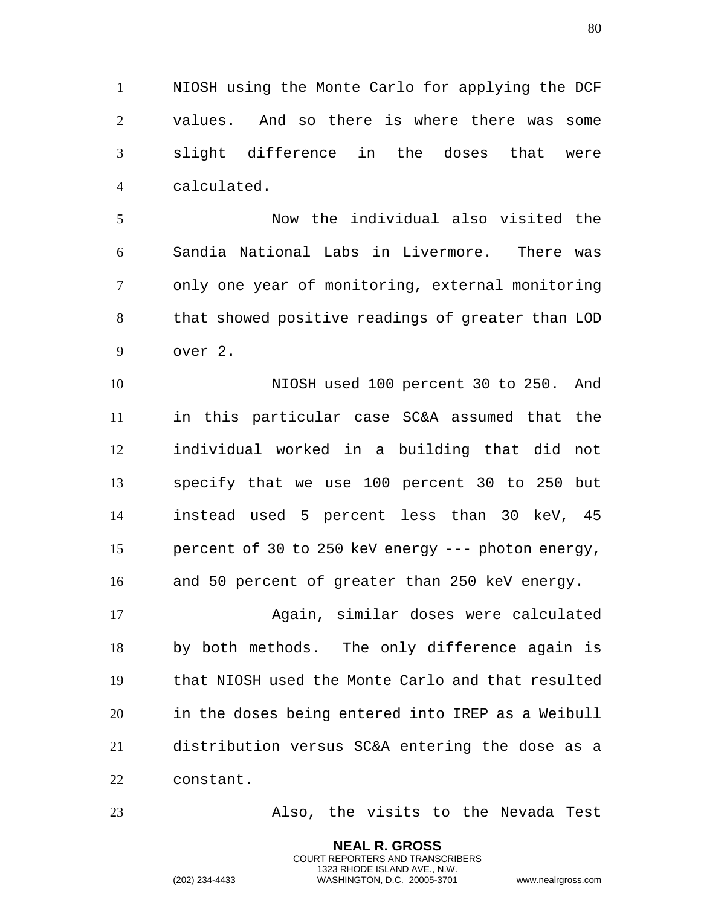NIOSH using the Monte Carlo for applying the DCF values. And so there is where there was some slight difference in the doses that were calculated.

 Now the individual also visited the Sandia National Labs in Livermore. There was only one year of monitoring, external monitoring that showed positive readings of greater than LOD over 2.

 NIOSH used 100 percent 30 to 250. And in this particular case SC&A assumed that the individual worked in a building that did not specify that we use 100 percent 30 to 250 but instead used 5 percent less than 30 keV, 45 percent of 30 to 250 keV energy --- photon energy, and 50 percent of greater than 250 keV energy.

 Again, similar doses were calculated by both methods. The only difference again is that NIOSH used the Monte Carlo and that resulted in the doses being entered into IREP as a Weibull distribution versus SC&A entering the dose as a constant.

Also, the visits to the Nevada Test

**NEAL R. GROSS** COURT REPORTERS AND TRANSCRIBERS 1323 RHODE ISLAND AVE., N.W.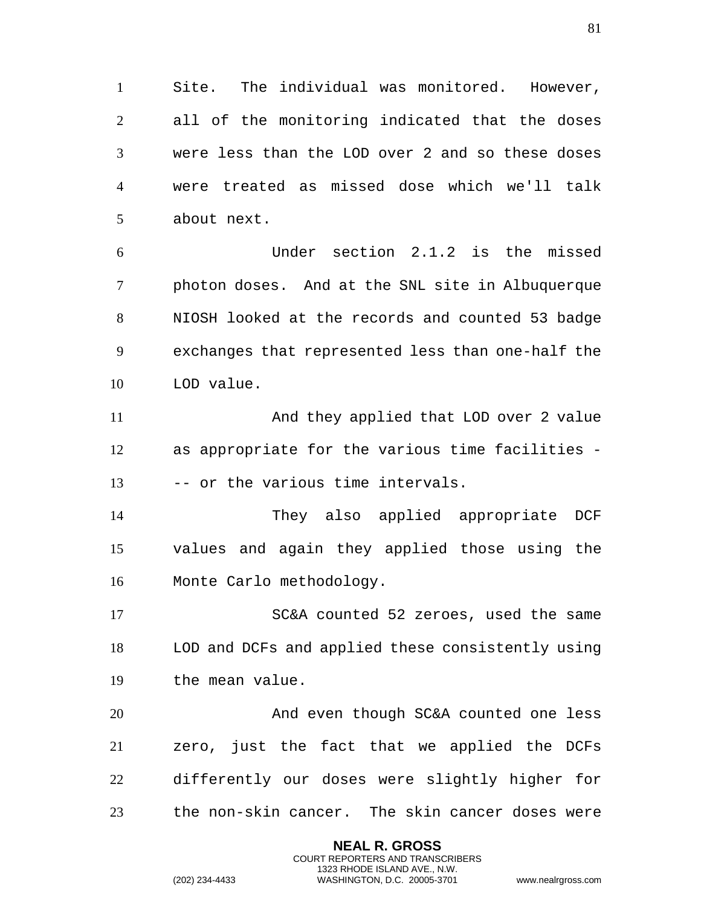Site. The individual was monitored. However, all of the monitoring indicated that the doses were less than the LOD over 2 and so these doses were treated as missed dose which we'll talk about next.

 Under section 2.1.2 is the missed photon doses. And at the SNL site in Albuquerque NIOSH looked at the records and counted 53 badge exchanges that represented less than one-half the LOD value.

 And they applied that LOD over 2 value as appropriate for the various time facilities - -- or the various time intervals.

 They also applied appropriate DCF values and again they applied those using the Monte Carlo methodology.

 SC&A counted 52 zeroes, used the same LOD and DCFs and applied these consistently using the mean value.

 And even though SC&A counted one less zero, just the fact that we applied the DCFs differently our doses were slightly higher for the non-skin cancer. The skin cancer doses were

> **NEAL R. GROSS** COURT REPORTERS AND TRANSCRIBERS 1323 RHODE ISLAND AVE., N.W.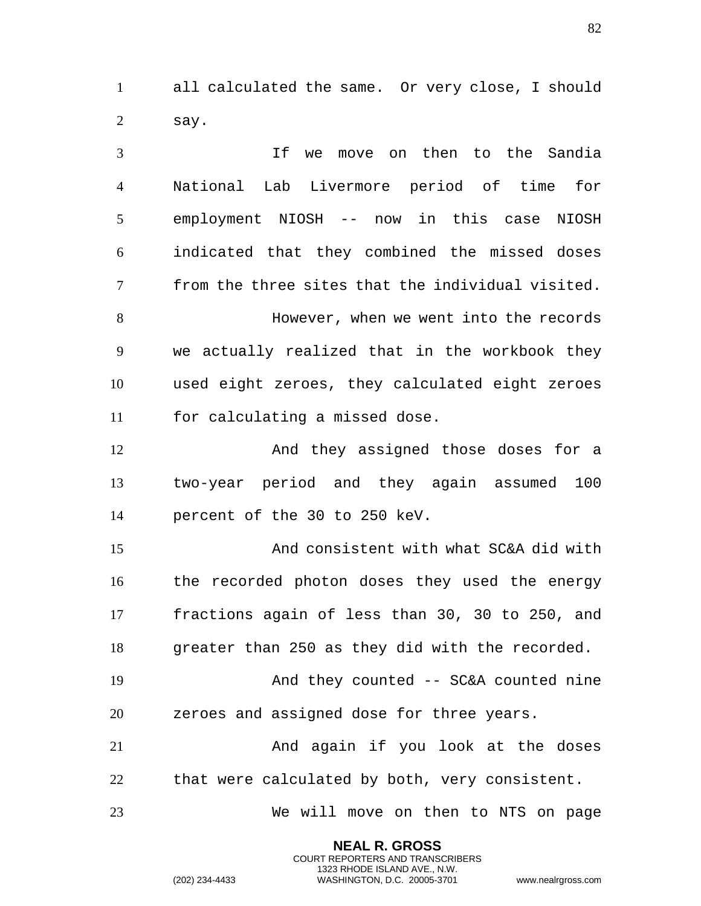all calculated the same. Or very close, I should say.

 If we move on then to the Sandia National Lab Livermore period of time for employment NIOSH -- now in this case NIOSH indicated that they combined the missed doses from the three sites that the individual visited. However, when we went into the records we actually realized that in the workbook they used eight zeroes, they calculated eight zeroes for calculating a missed dose. And they assigned those doses for a two-year period and they again assumed 100 percent of the 30 to 250 keV. And consistent with what SC&A did with the recorded photon doses they used the energy fractions again of less than 30, 30 to 250, and greater than 250 as they did with the recorded. And they counted -- SC&A counted nine zeroes and assigned dose for three years. And again if you look at the doses that were calculated by both, very consistent. We will move on then to NTS on page

> **NEAL R. GROSS** COURT REPORTERS AND TRANSCRIBERS 1323 RHODE ISLAND AVE., N.W.

(202) 234-4433 WASHINGTON, D.C. 20005-3701 www.nealrgross.com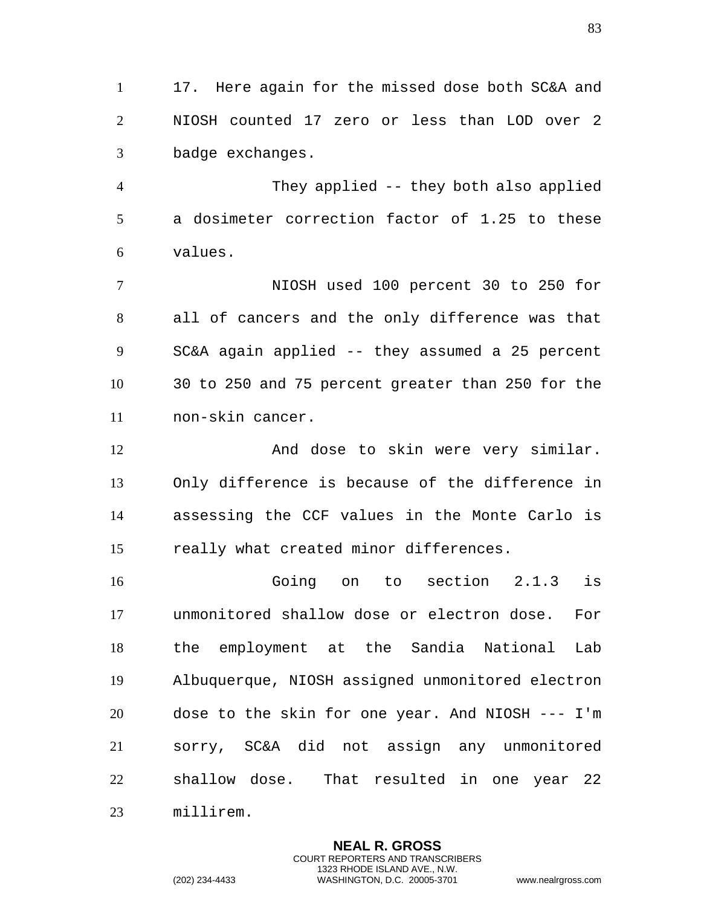17. Here again for the missed dose both SC&A and NIOSH counted 17 zero or less than LOD over 2 badge exchanges.

 They applied -- they both also applied a dosimeter correction factor of 1.25 to these values.

 NIOSH used 100 percent 30 to 250 for all of cancers and the only difference was that SC&A again applied -- they assumed a 25 percent 30 to 250 and 75 percent greater than 250 for the non-skin cancer.

12 And dose to skin were very similar. Only difference is because of the difference in assessing the CCF values in the Monte Carlo is really what created minor differences.

 Going on to section 2.1.3 is unmonitored shallow dose or electron dose. For the employment at the Sandia National Lab Albuquerque, NIOSH assigned unmonitored electron dose to the skin for one year. And NIOSH --- I'm sorry, SC&A did not assign any unmonitored shallow dose. That resulted in one year 22 millirem.

> **NEAL R. GROSS** COURT REPORTERS AND TRANSCRIBERS 1323 RHODE ISLAND AVE., N.W.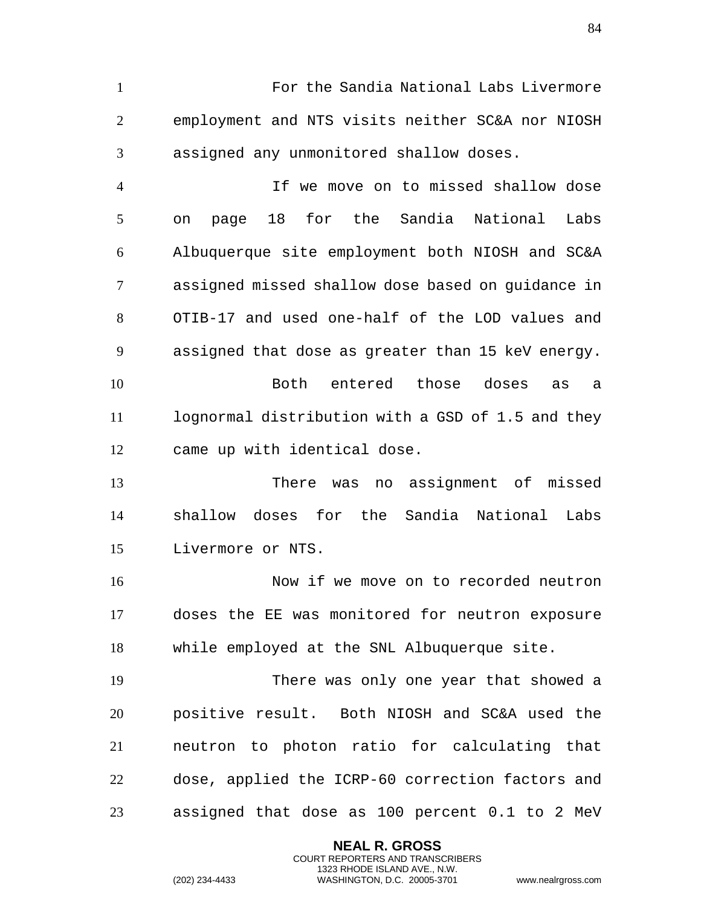For the Sandia National Labs Livermore employment and NTS visits neither SC&A nor NIOSH assigned any unmonitored shallow doses.

 If we move on to missed shallow dose on page 18 for the Sandia National Labs Albuquerque site employment both NIOSH and SC&A assigned missed shallow dose based on guidance in OTIB-17 and used one-half of the LOD values and assigned that dose as greater than 15 keV energy. Both entered those doses as a lognormal distribution with a GSD of 1.5 and they came up with identical dose.

 There was no assignment of missed shallow doses for the Sandia National Labs Livermore or NTS.

 Now if we move on to recorded neutron doses the EE was monitored for neutron exposure while employed at the SNL Albuquerque site.

 There was only one year that showed a positive result. Both NIOSH and SC&A used the neutron to photon ratio for calculating that dose, applied the ICRP-60 correction factors and assigned that dose as 100 percent 0.1 to 2 MeV

> **NEAL R. GROSS** COURT REPORTERS AND TRANSCRIBERS 1323 RHODE ISLAND AVE., N.W.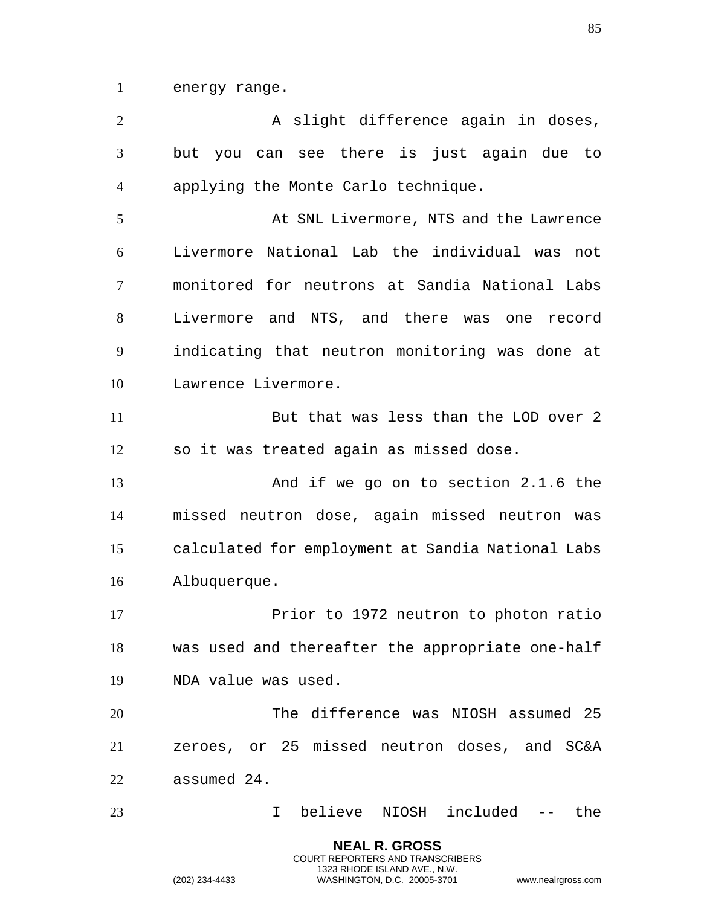energy range.

2 A slight difference again in doses, but you can see there is just again due to applying the Monte Carlo technique. At SNL Livermore, NTS and the Lawrence Livermore National Lab the individual was not monitored for neutrons at Sandia National Labs Livermore and NTS, and there was one record indicating that neutron monitoring was done at Lawrence Livermore. 11 But that was less than the LOD over 2 so it was treated again as missed dose. And if we go on to section 2.1.6 the missed neutron dose, again missed neutron was calculated for employment at Sandia National Labs Albuquerque. 17 Prior to 1972 neutron to photon ratio was used and thereafter the appropriate one-half NDA value was used. The difference was NIOSH assumed 25 zeroes, or 25 missed neutron doses, and SC&A assumed 24. I believe NIOSH included -- the

> **NEAL R. GROSS** COURT REPORTERS AND TRANSCRIBERS 1323 RHODE ISLAND AVE., N.W.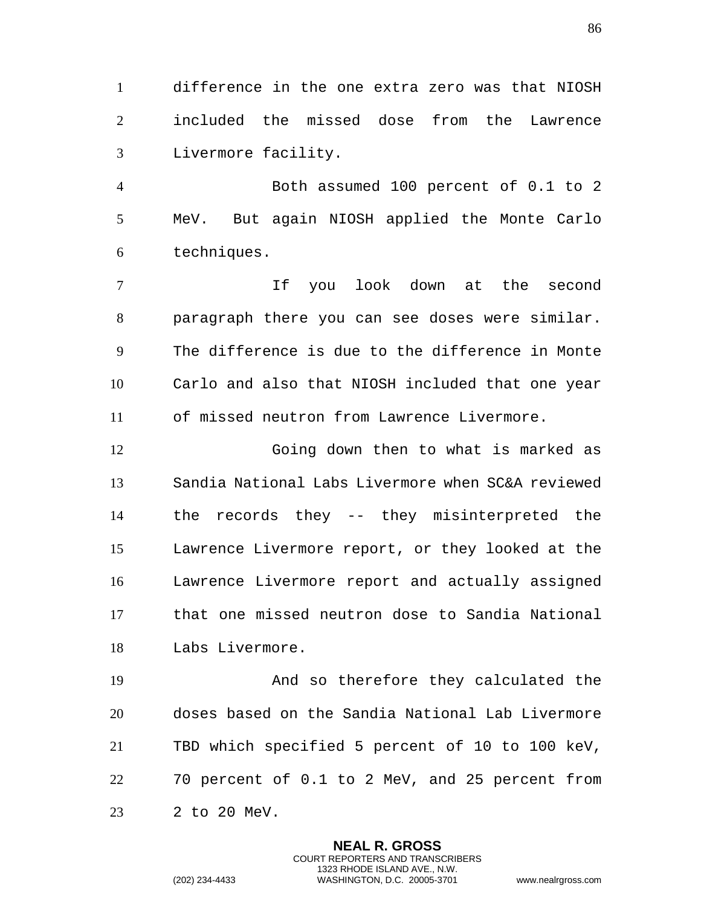difference in the one extra zero was that NIOSH included the missed dose from the Lawrence Livermore facility.

 Both assumed 100 percent of 0.1 to 2 MeV. But again NIOSH applied the Monte Carlo techniques.

 If you look down at the second paragraph there you can see doses were similar. The difference is due to the difference in Monte Carlo and also that NIOSH included that one year of missed neutron from Lawrence Livermore.

 Going down then to what is marked as Sandia National Labs Livermore when SC&A reviewed the records they -- they misinterpreted the Lawrence Livermore report, or they looked at the Lawrence Livermore report and actually assigned that one missed neutron dose to Sandia National Labs Livermore.

 And so therefore they calculated the doses based on the Sandia National Lab Livermore TBD which specified 5 percent of 10 to 100 keV, 70 percent of 0.1 to 2 MeV, and 25 percent from 2 to 20 MeV.

> **NEAL R. GROSS** COURT REPORTERS AND TRANSCRIBERS 1323 RHODE ISLAND AVE., N.W.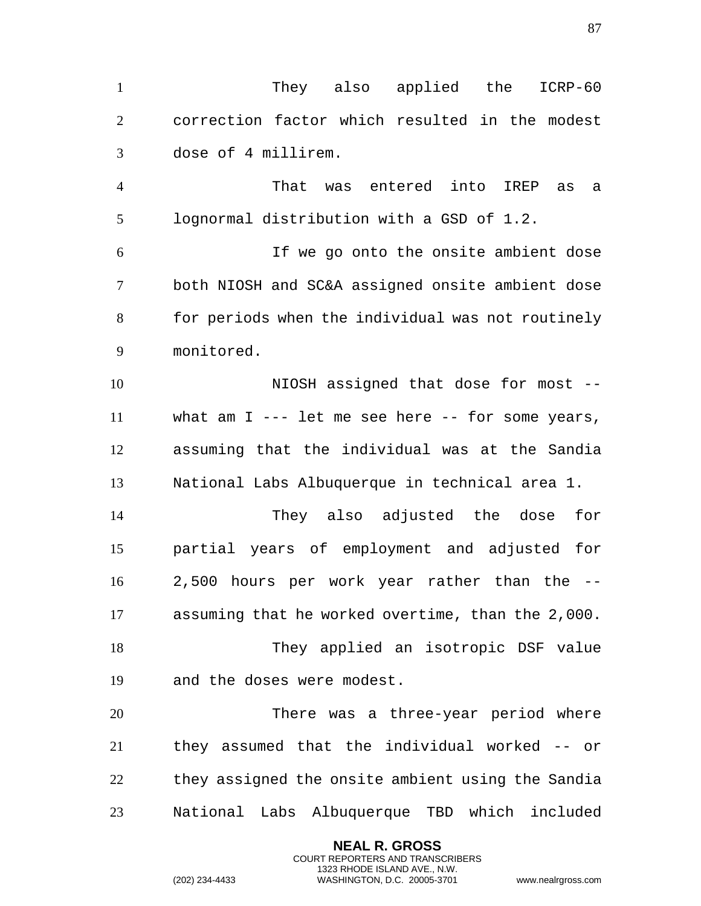They also applied the ICRP-60 correction factor which resulted in the modest dose of 4 millirem.

 That was entered into IREP as a lognormal distribution with a GSD of 1.2.

 If we go onto the onsite ambient dose both NIOSH and SC&A assigned onsite ambient dose for periods when the individual was not routinely monitored.

 NIOSH assigned that dose for most -- what am I --- let me see here -- for some years, assuming that the individual was at the Sandia National Labs Albuquerque in technical area 1.

 They also adjusted the dose for partial years of employment and adjusted for 2,500 hours per work year rather than the -- assuming that he worked overtime, than the 2,000. They applied an isotropic DSF value

and the doses were modest.

 There was a three-year period where they assumed that the individual worked -- or they assigned the onsite ambient using the Sandia National Labs Albuquerque TBD which included

> **NEAL R. GROSS** COURT REPORTERS AND TRANSCRIBERS 1323 RHODE ISLAND AVE., N.W.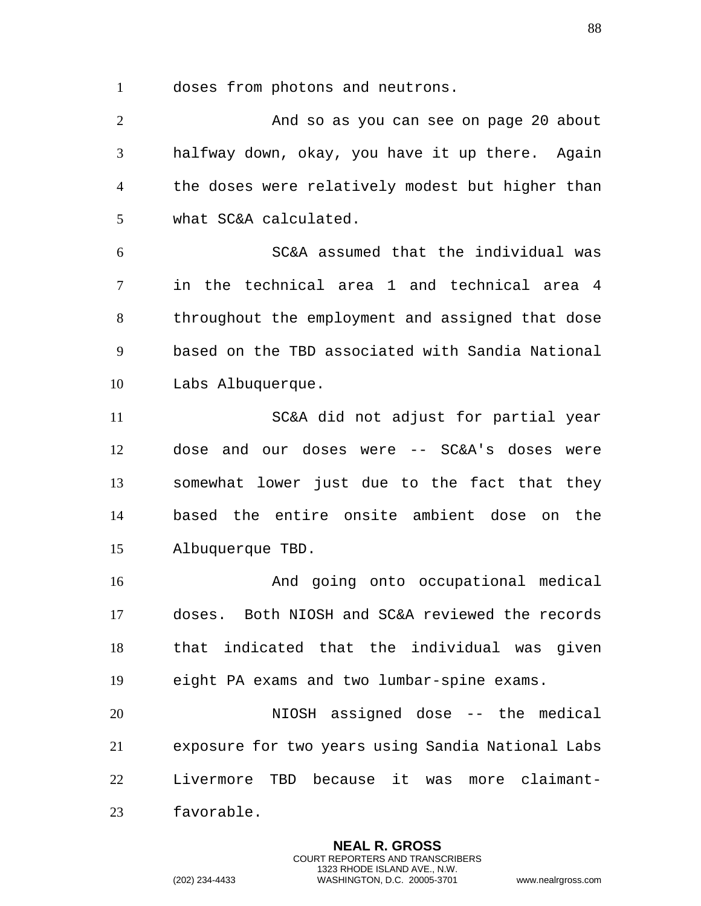doses from photons and neutrons.

 And so as you can see on page 20 about halfway down, okay, you have it up there. Again the doses were relatively modest but higher than what SC&A calculated.

 SC&A assumed that the individual was in the technical area 1 and technical area 4 throughout the employment and assigned that dose based on the TBD associated with Sandia National Labs Albuquerque.

 SC&A did not adjust for partial year dose and our doses were -- SC&A's doses were somewhat lower just due to the fact that they based the entire onsite ambient dose on the Albuquerque TBD.

 And going onto occupational medical doses. Both NIOSH and SC&A reviewed the records that indicated that the individual was given eight PA exams and two lumbar-spine exams.

 NIOSH assigned dose -- the medical exposure for two years using Sandia National Labs Livermore TBD because it was more claimant-favorable.

> **NEAL R. GROSS** COURT REPORTERS AND TRANSCRIBERS 1323 RHODE ISLAND AVE., N.W.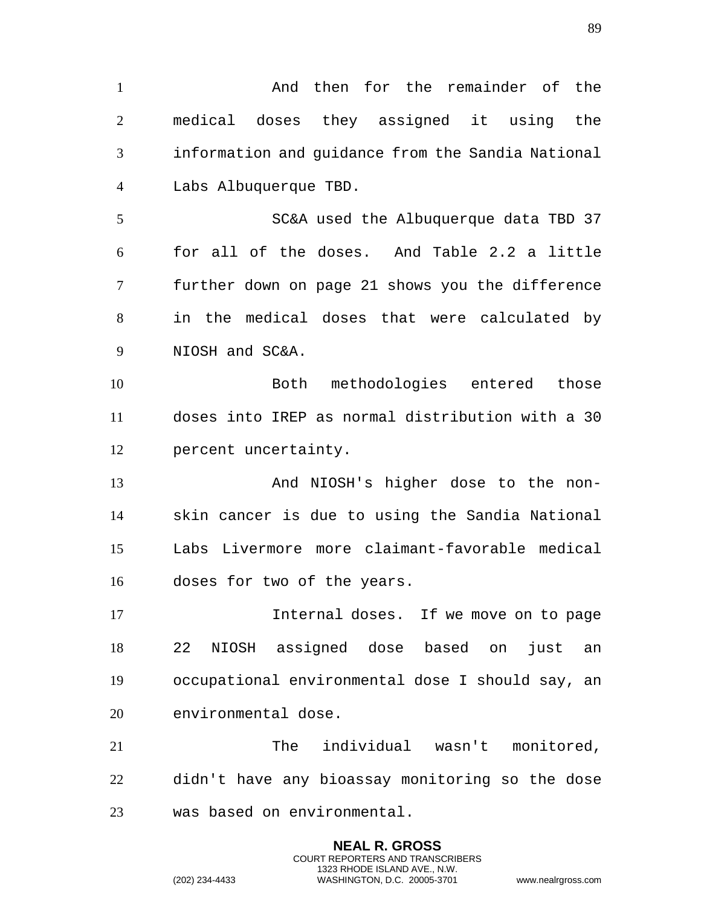1 And then for the remainder of the medical doses they assigned it using the information and guidance from the Sandia National Labs Albuquerque TBD. SC&A used the Albuquerque data TBD 37 for all of the doses. And Table 2.2 a little further down on page 21 shows you the difference in the medical doses that were calculated by NIOSH and SC&A. Both methodologies entered those doses into IREP as normal distribution with a 30 percent uncertainty. 13 And NIOSH's higher dose to the non- skin cancer is due to using the Sandia National Labs Livermore more claimant-favorable medical doses for two of the years. Internal doses. If we move on to page 22 NIOSH assigned dose based on just an occupational environmental dose I should say, an environmental dose. The individual wasn't monitored, didn't have any bioassay monitoring so the dose was based on environmental.

> **NEAL R. GROSS** COURT REPORTERS AND TRANSCRIBERS 1323 RHODE ISLAND AVE., N.W.

(202) 234-4433 WASHINGTON, D.C. 20005-3701 www.nealrgross.com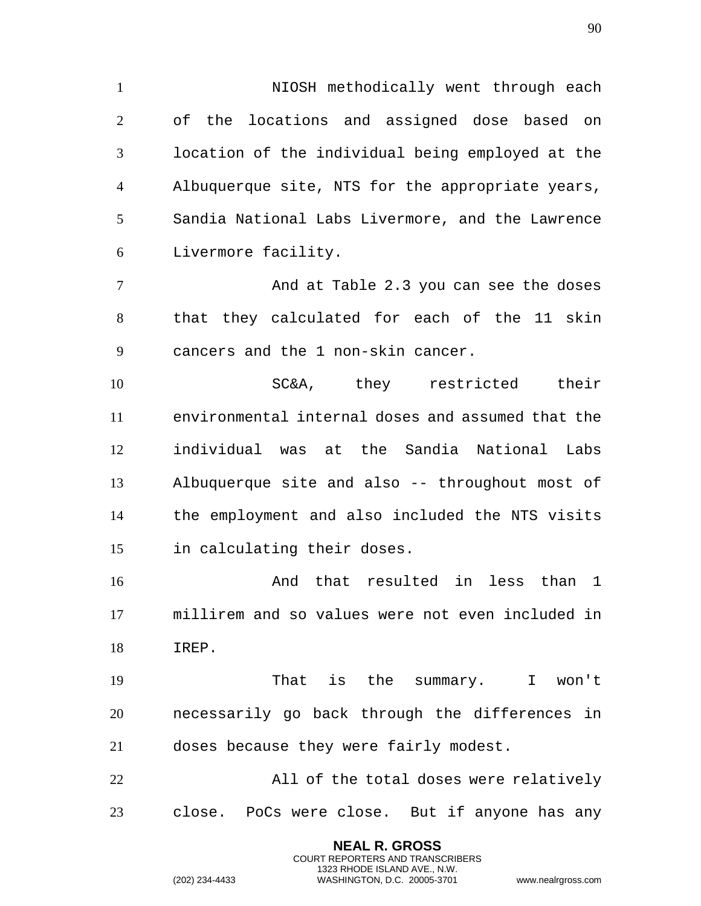NIOSH methodically went through each of the locations and assigned dose based on location of the individual being employed at the Albuquerque site, NTS for the appropriate years, Sandia National Labs Livermore, and the Lawrence Livermore facility.

 And at Table 2.3 you can see the doses that they calculated for each of the 11 skin cancers and the 1 non-skin cancer.

 SC&A, they restricted their environmental internal doses and assumed that the individual was at the Sandia National Labs Albuquerque site and also -- throughout most of the employment and also included the NTS visits in calculating their doses.

 And that resulted in less than 1 millirem and so values were not even included in IREP.

 That is the summary. I won't necessarily go back through the differences in doses because they were fairly modest.

 All of the total doses were relatively close. PoCs were close. But if anyone has any

> **NEAL R. GROSS** COURT REPORTERS AND TRANSCRIBERS 1323 RHODE ISLAND AVE., N.W.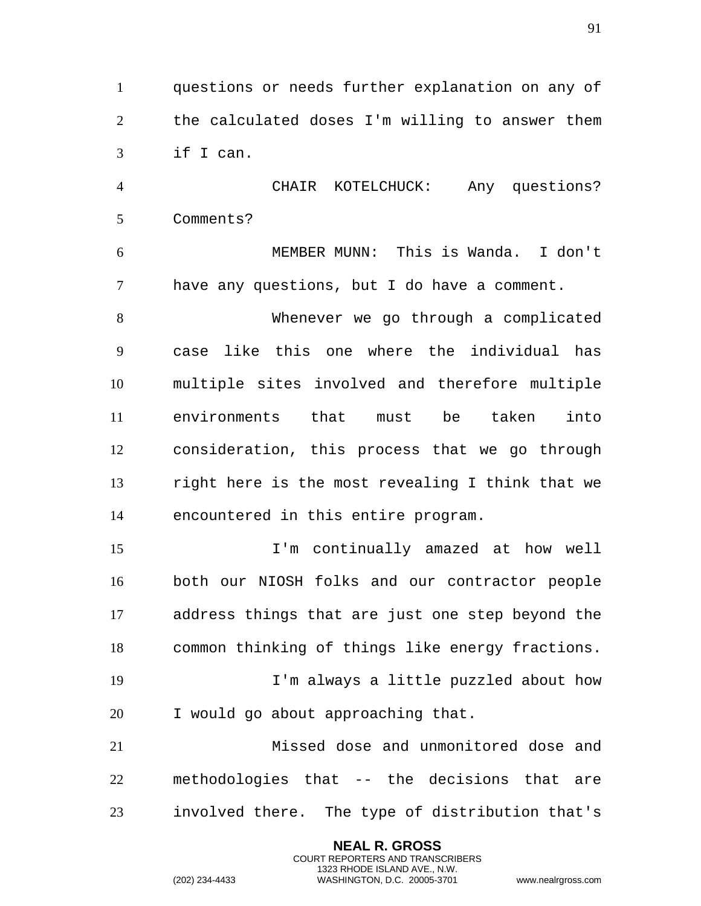questions or needs further explanation on any of the calculated doses I'm willing to answer them if I can.

 CHAIR KOTELCHUCK: Any questions? Comments?

 MEMBER MUNN: This is Wanda. I don't have any questions, but I do have a comment.

 Whenever we go through a complicated case like this one where the individual has multiple sites involved and therefore multiple environments that must be taken into consideration, this process that we go through right here is the most revealing I think that we encountered in this entire program.

 I'm continually amazed at how well both our NIOSH folks and our contractor people address things that are just one step beyond the common thinking of things like energy fractions.

 I'm always a little puzzled about how I would go about approaching that.

 Missed dose and unmonitored dose and methodologies that -- the decisions that are involved there. The type of distribution that's

> **NEAL R. GROSS** COURT REPORTERS AND TRANSCRIBERS 1323 RHODE ISLAND AVE., N.W.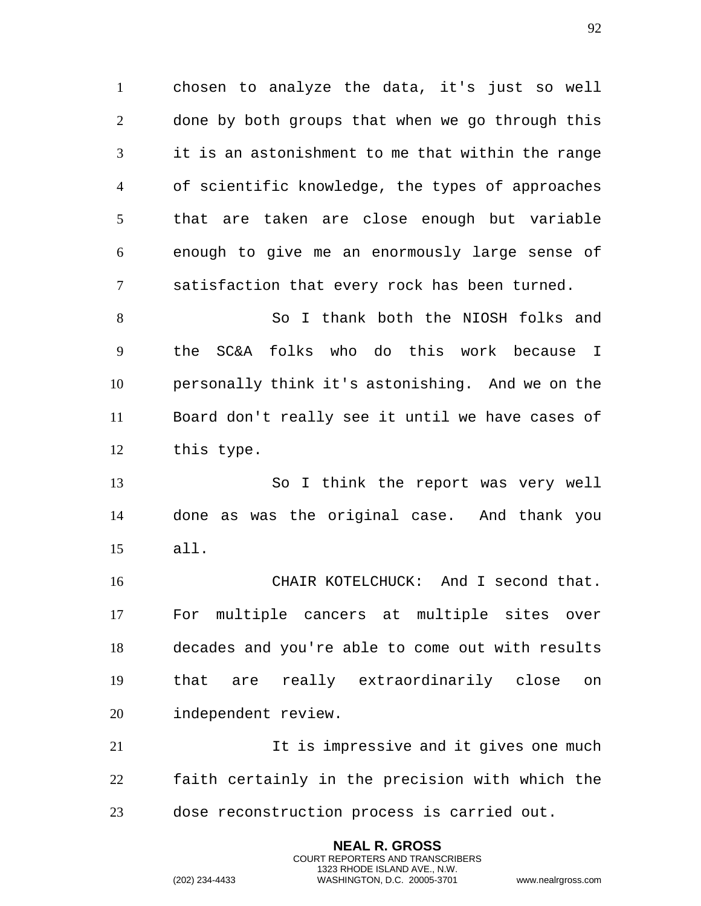chosen to analyze the data, it's just so well done by both groups that when we go through this it is an astonishment to me that within the range of scientific knowledge, the types of approaches that are taken are close enough but variable enough to give me an enormously large sense of satisfaction that every rock has been turned.

 So I thank both the NIOSH folks and the SC&A folks who do this work because I personally think it's astonishing. And we on the Board don't really see it until we have cases of this type.

 So I think the report was very well done as was the original case. And thank you all.

 CHAIR KOTELCHUCK: And I second that. For multiple cancers at multiple sites over decades and you're able to come out with results that are really extraordinarily close on independent review.

21 12 It is impressive and it gives one much faith certainly in the precision with which the dose reconstruction process is carried out.

> **NEAL R. GROSS** COURT REPORTERS AND TRANSCRIBERS 1323 RHODE ISLAND AVE., N.W.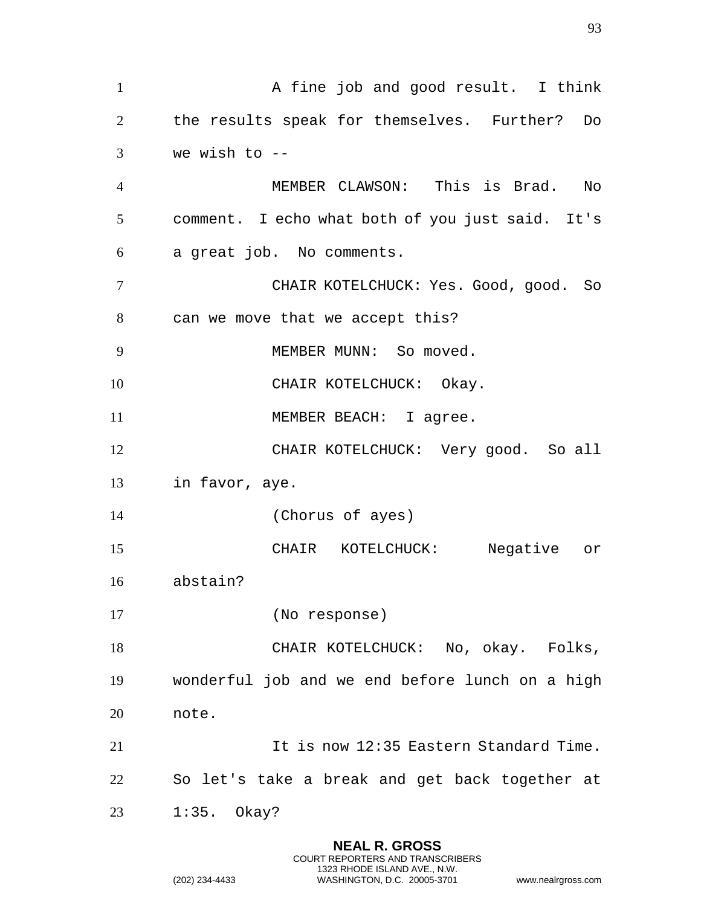1 A fine job and good result. I think the results speak for themselves. Further? Do we wish to  $-$  MEMBER CLAWSON: This is Brad. No comment. I echo what both of you just said. It's a great job. No comments. CHAIR KOTELCHUCK: Yes. Good, good. So can we move that we accept this? 9 MEMBER MUNN: So moved. 10 CHAIR KOTELCHUCK: Okay. 11 MEMBER BEACH: I agree. CHAIR KOTELCHUCK: Very good. So all in favor, aye. (Chorus of ayes) CHAIR KOTELCHUCK: Negative or abstain? (No response) CHAIR KOTELCHUCK: No, okay. Folks, wonderful job and we end before lunch on a high note. 21 11 It is now 12:35 Eastern Standard Time. So let's take a break and get back together at 1:35. Okay?

> **NEAL R. GROSS** COURT REPORTERS AND TRANSCRIBERS 1323 RHODE ISLAND AVE., N.W.

(202) 234-4433 WASHINGTON, D.C. 20005-3701 www.nealrgross.com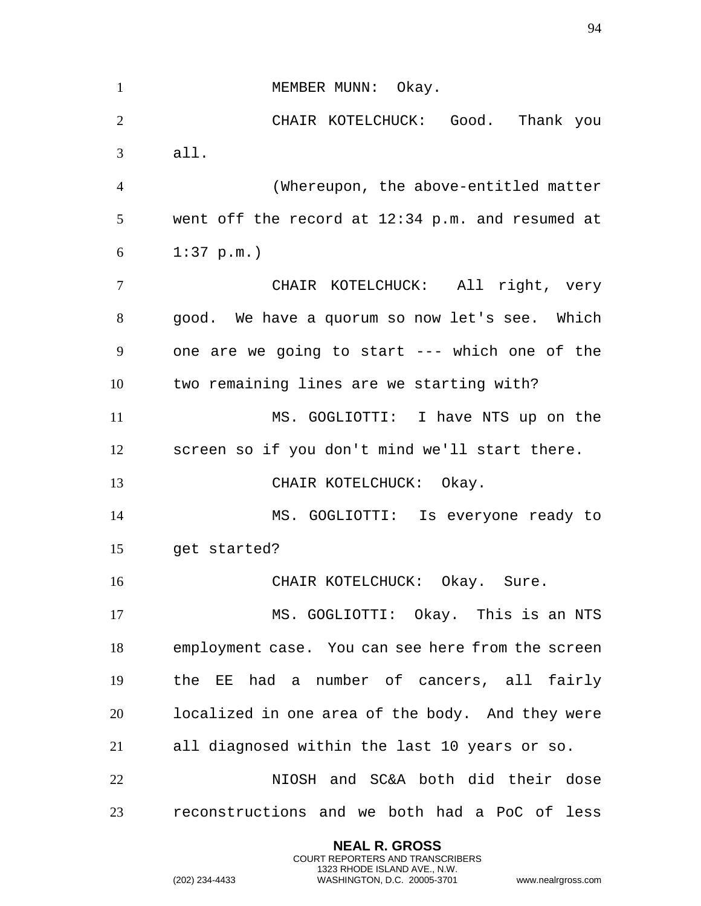1 MEMBER MUNN: Okay. CHAIR KOTELCHUCK: Good. Thank you all. (Whereupon, the above-entitled matter went off the record at 12:34 p.m. and resumed at 1:37 p.m.) CHAIR KOTELCHUCK: All right, very good. We have a quorum so now let's see. Which one are we going to start --- which one of the two remaining lines are we starting with? MS. GOGLIOTTI: I have NTS up on the screen so if you don't mind we'll start there. 13 CHAIR KOTELCHUCK: Okay. MS. GOGLIOTTI: Is everyone ready to get started? CHAIR KOTELCHUCK: Okay. Sure. MS. GOGLIOTTI: Okay. This is an NTS employment case. You can see here from the screen the EE had a number of cancers, all fairly localized in one area of the body. And they were all diagnosed within the last 10 years or so. NIOSH and SC&A both did their dose reconstructions and we both had a PoC of less

> **NEAL R. GROSS** COURT REPORTERS AND TRANSCRIBERS 1323 RHODE ISLAND AVE., N.W.

(202) 234-4433 WASHINGTON, D.C. 20005-3701 www.nealrgross.com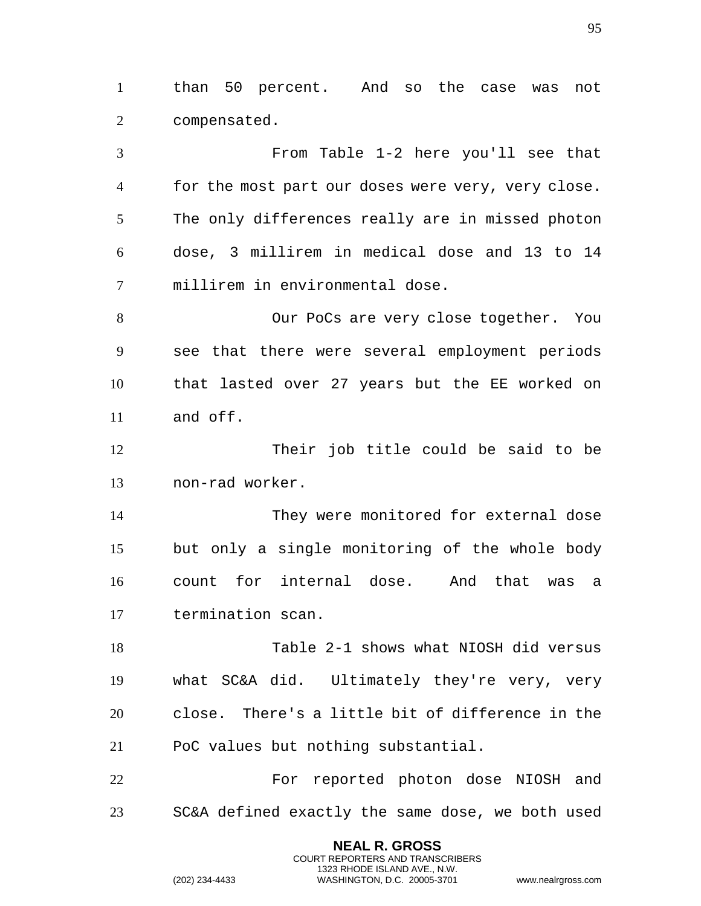than 50 percent. And so the case was not compensated.

 From Table 1-2 here you'll see that for the most part our doses were very, very close. The only differences really are in missed photon dose, 3 millirem in medical dose and 13 to 14 millirem in environmental dose.

 Our PoCs are very close together. You see that there were several employment periods that lasted over 27 years but the EE worked on and off.

 Their job title could be said to be non-rad worker.

 They were monitored for external dose but only a single monitoring of the whole body count for internal dose. And that was a termination scan.

 Table 2-1 shows what NIOSH did versus what SC&A did. Ultimately they're very, very close. There's a little bit of difference in the PoC values but nothing substantial.

22 For reported photon dose NIOSH and SC&A defined exactly the same dose, we both used

> **NEAL R. GROSS** COURT REPORTERS AND TRANSCRIBERS 1323 RHODE ISLAND AVE., N.W.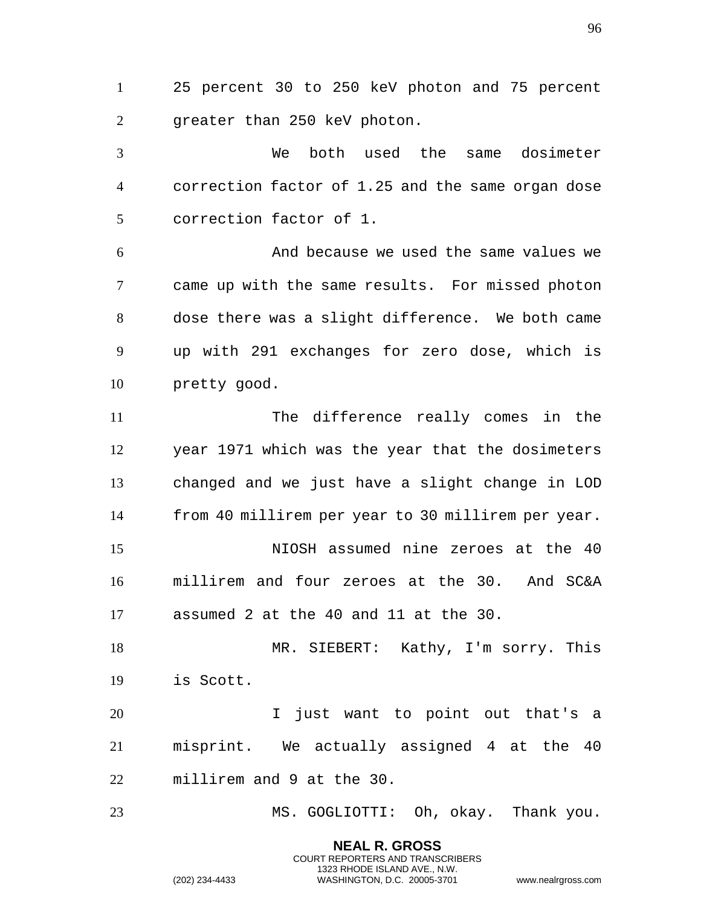25 percent 30 to 250 keV photon and 75 percent greater than 250 keV photon.

 We both used the same dosimeter correction factor of 1.25 and the same organ dose correction factor of 1.

 And because we used the same values we came up with the same results. For missed photon dose there was a slight difference. We both came up with 291 exchanges for zero dose, which is pretty good.

 The difference really comes in the year 1971 which was the year that the dosimeters changed and we just have a slight change in LOD from 40 millirem per year to 30 millirem per year. NIOSH assumed nine zeroes at the 40 millirem and four zeroes at the 30. And SC&A assumed 2 at the 40 and 11 at the 30.

 MR. SIEBERT: Kathy, I'm sorry. This is Scott.

 I just want to point out that's a misprint. We actually assigned 4 at the 40 millirem and 9 at the 30.

MS. GOGLIOTTI: Oh, okay. Thank you.

**NEAL R. GROSS** COURT REPORTERS AND TRANSCRIBERS 1323 RHODE ISLAND AVE., N.W.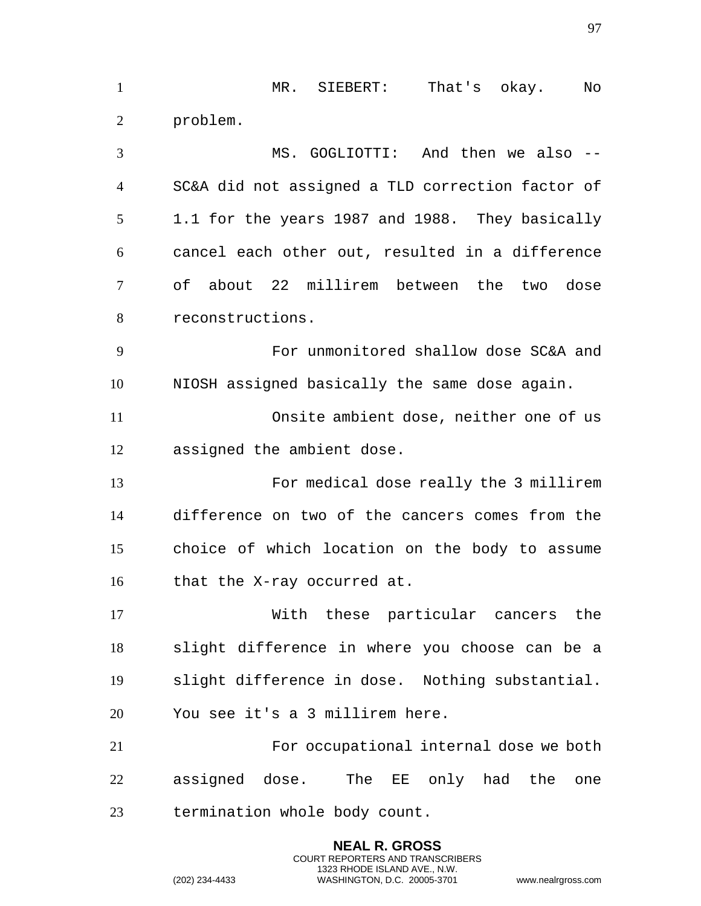MR. SIEBERT: That's okay. No problem. MS. GOGLIOTTI: And then we also -- SC&A did not assigned a TLD correction factor of 1.1 for the years 1987 and 1988. They basically cancel each other out, resulted in a difference of about 22 millirem between the two dose reconstructions. For unmonitored shallow dose SC&A and NIOSH assigned basically the same dose again. Onsite ambient dose, neither one of us assigned the ambient dose. For medical dose really the 3 millirem difference on two of the cancers comes from the choice of which location on the body to assume that the X-ray occurred at. With these particular cancers the slight difference in where you choose can be a slight difference in dose. Nothing substantial. You see it's a 3 millirem here. For occupational internal dose we both assigned dose. The EE only had the one termination whole body count.

> **NEAL R. GROSS** COURT REPORTERS AND TRANSCRIBERS 1323 RHODE ISLAND AVE., N.W.

(202) 234-4433 WASHINGTON, D.C. 20005-3701 www.nealrgross.com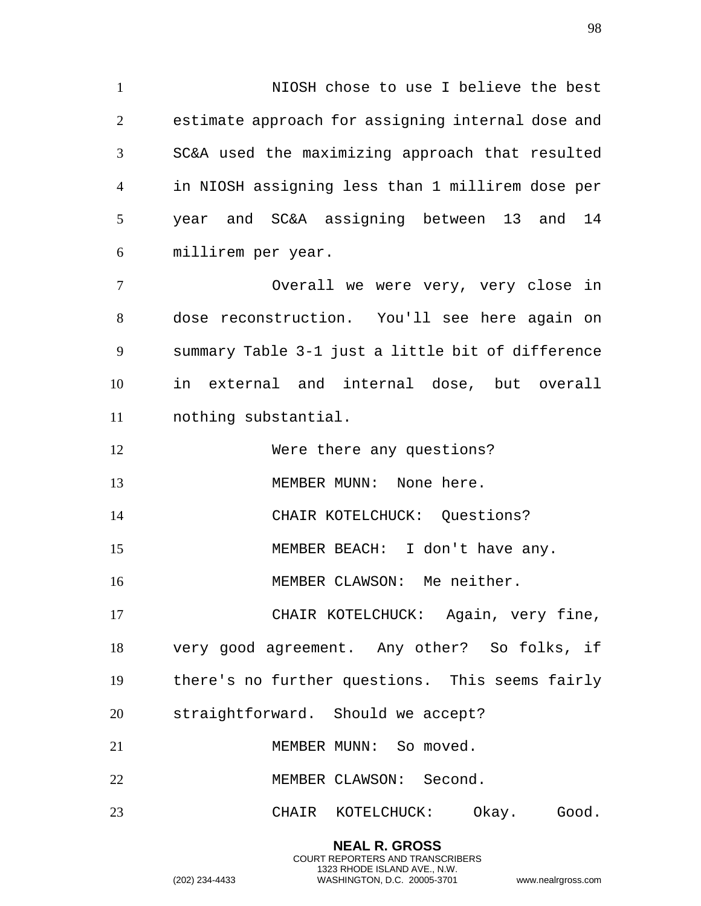NIOSH chose to use I believe the best estimate approach for assigning internal dose and SC&A used the maximizing approach that resulted in NIOSH assigning less than 1 millirem dose per year and SC&A assigning between 13 and 14 millirem per year.

 Overall we were very, very close in dose reconstruction. You'll see here again on summary Table 3-1 just a little bit of difference in external and internal dose, but overall nothing substantial.

Were there any questions?

13 MEMBER MUNN: None here.

CHAIR KOTELCHUCK: Questions?

MEMBER BEACH: I don't have any.

MEMBER CLAWSON: Me neither.

 CHAIR KOTELCHUCK: Again, very fine, very good agreement. Any other? So folks, if there's no further questions. This seems fairly straightforward. Should we accept?

21 MEMBER MUNN: So moved.

MEMBER CLAWSON: Second.

CHAIR KOTELCHUCK: Okay. Good.

**NEAL R. GROSS** COURT REPORTERS AND TRANSCRIBERS 1323 RHODE ISLAND AVE., N.W.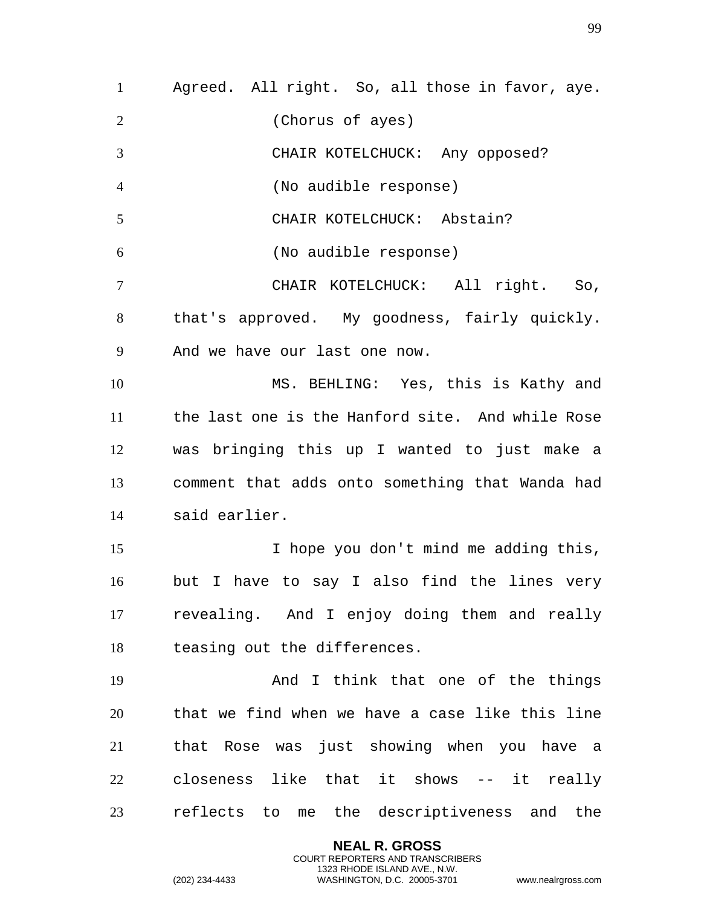Agreed. All right. So, all those in favor, aye. (Chorus of ayes) CHAIR KOTELCHUCK: Any opposed? (No audible response) CHAIR KOTELCHUCK: Abstain? (No audible response) CHAIR KOTELCHUCK: All right. So, that's approved. My goodness, fairly quickly. And we have our last one now. MS. BEHLING: Yes, this is Kathy and the last one is the Hanford site. And while Rose was bringing this up I wanted to just make a comment that adds onto something that Wanda had said earlier. I hope you don't mind me adding this, but I have to say I also find the lines very revealing. And I enjoy doing them and really teasing out the differences. And I think that one of the things that we find when we have a case like this line that Rose was just showing when you have a closeness like that it shows -- it really reflects to me the descriptiveness and the

> **NEAL R. GROSS** COURT REPORTERS AND TRANSCRIBERS 1323 RHODE ISLAND AVE., N.W.

(202) 234-4433 WASHINGTON, D.C. 20005-3701 www.nealrgross.com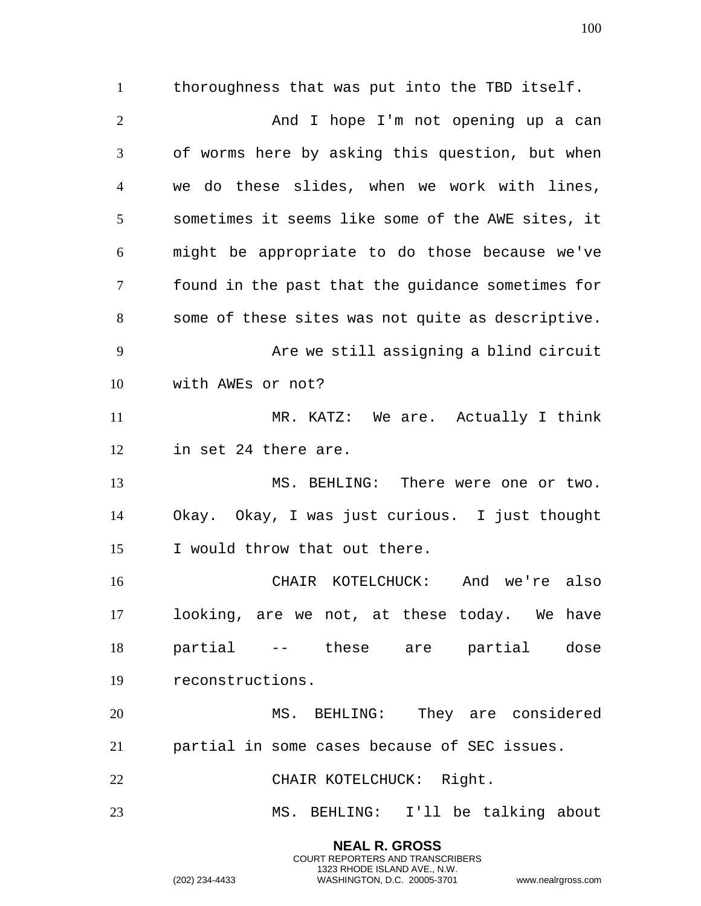thoroughness that was put into the TBD itself. 2 And I hope I'm not opening up a can of worms here by asking this question, but when we do these slides, when we work with lines, sometimes it seems like some of the AWE sites, it might be appropriate to do those because we've found in the past that the guidance sometimes for some of these sites was not quite as descriptive. Are we still assigning a blind circuit with AWEs or not? MR. KATZ: We are. Actually I think in set 24 there are. 13 MS. BEHLING: There were one or two. Okay. Okay, I was just curious. I just thought I would throw that out there. CHAIR KOTELCHUCK: And we're also looking, are we not, at these today. We have partial -- these are partial dose reconstructions. MS. BEHLING: They are considered partial in some cases because of SEC issues.

22 CHAIR KOTELCHUCK: Right.

MS. BEHLING: I'll be talking about

**NEAL R. GROSS** COURT REPORTERS AND TRANSCRIBERS 1323 RHODE ISLAND AVE., N.W.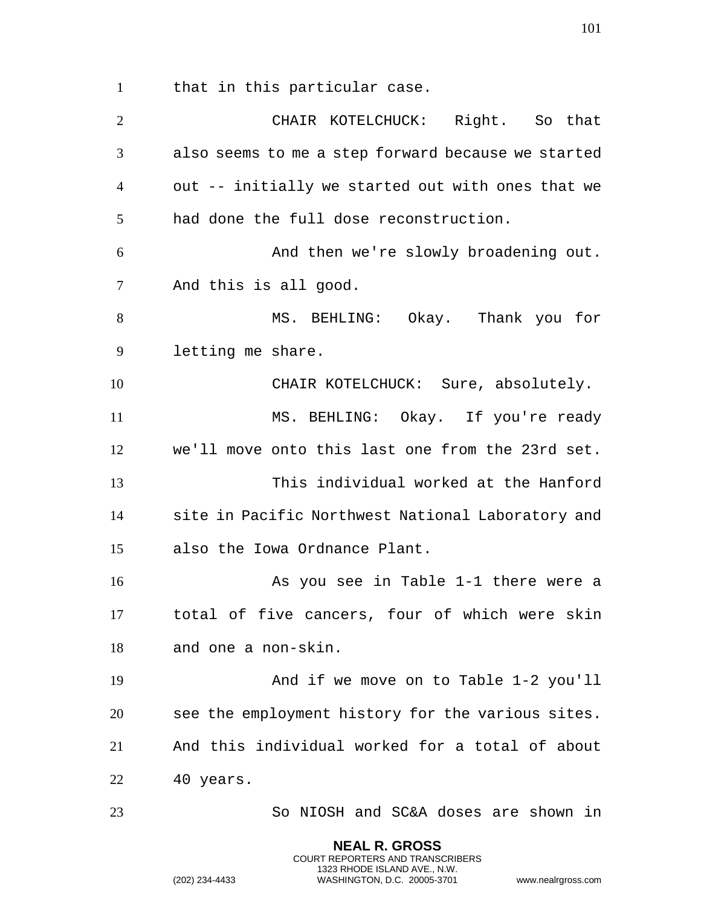that in this particular case.

 CHAIR KOTELCHUCK: Right. So that also seems to me a step forward because we started out -- initially we started out with ones that we had done the full dose reconstruction. And then we're slowly broadening out. And this is all good. MS. BEHLING: Okay. Thank you for letting me share. CHAIR KOTELCHUCK: Sure, absolutely. MS. BEHLING: Okay. If you're ready we'll move onto this last one from the 23rd set. This individual worked at the Hanford site in Pacific Northwest National Laboratory and also the Iowa Ordnance Plant. As you see in Table 1-1 there were a total of five cancers, four of which were skin and one a non-skin. And if we move on to Table 1-2 you'll see the employment history for the various sites. And this individual worked for a total of about 40 years. So NIOSH and SC&A doses are shown in

> **NEAL R. GROSS** COURT REPORTERS AND TRANSCRIBERS 1323 RHODE ISLAND AVE., N.W.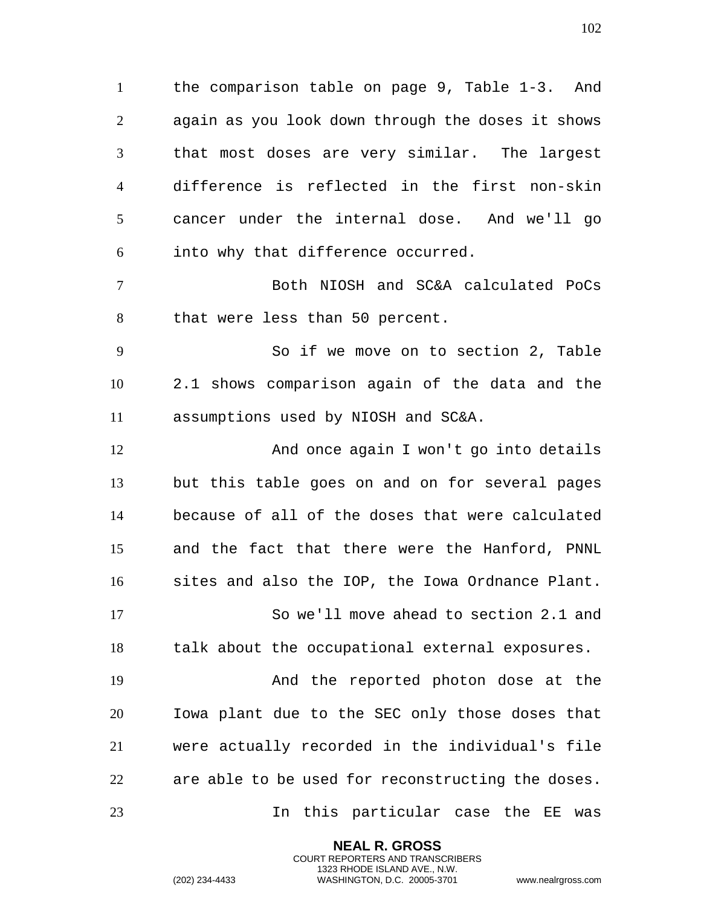the comparison table on page 9, Table 1-3. And again as you look down through the doses it shows that most doses are very similar. The largest difference is reflected in the first non-skin cancer under the internal dose. And we'll go into why that difference occurred.

 Both NIOSH and SC&A calculated PoCs that were less than 50 percent.

 So if we move on to section 2, Table 2.1 shows comparison again of the data and the assumptions used by NIOSH and SC&A.

 And once again I won't go into details but this table goes on and on for several pages because of all of the doses that were calculated and the fact that there were the Hanford, PNNL sites and also the IOP, the Iowa Ordnance Plant. So we'll move ahead to section 2.1 and talk about the occupational external exposures. And the reported photon dose at the

 Iowa plant due to the SEC only those doses that were actually recorded in the individual's file are able to be used for reconstructing the doses. In this particular case the EE was

> **NEAL R. GROSS** COURT REPORTERS AND TRANSCRIBERS 1323 RHODE ISLAND AVE., N.W.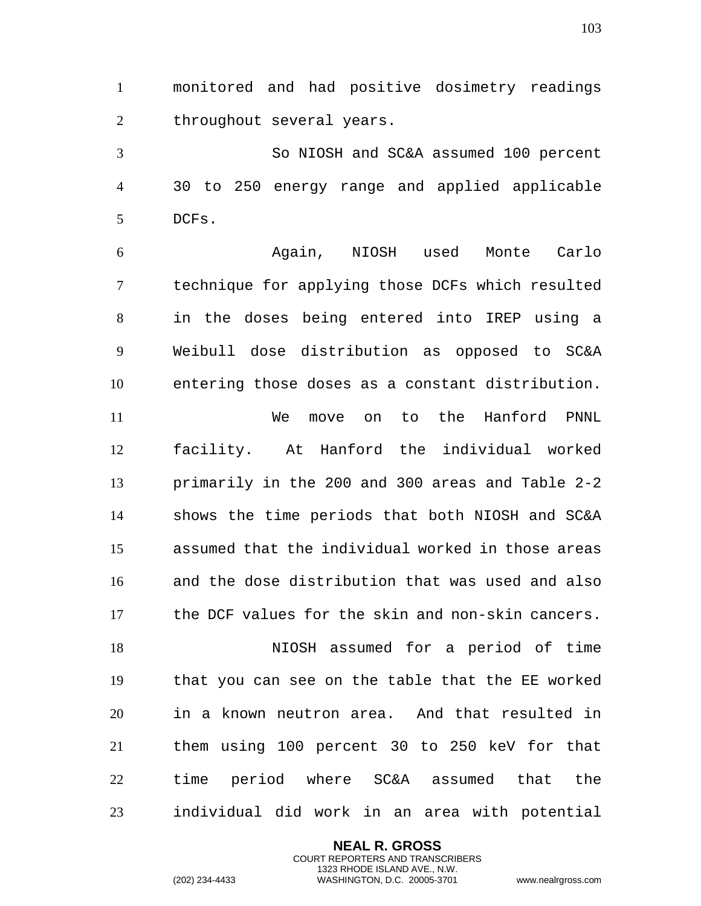monitored and had positive dosimetry readings 2 throughout several years.

 So NIOSH and SC&A assumed 100 percent 30 to 250 energy range and applied applicable DCFs.

 Again, NIOSH used Monte Carlo technique for applying those DCFs which resulted in the doses being entered into IREP using a Weibull dose distribution as opposed to SC&A entering those doses as a constant distribution. We move on to the Hanford PNNL facility. At Hanford the individual worked primarily in the 200 and 300 areas and Table 2-2 shows the time periods that both NIOSH and SC&A assumed that the individual worked in those areas and the dose distribution that was used and also the DCF values for the skin and non-skin cancers. NIOSH assumed for a period of time that you can see on the table that the EE worked in a known neutron area. And that resulted in them using 100 percent 30 to 250 keV for that time period where SC&A assumed that the

individual did work in an area with potential

**NEAL R. GROSS** COURT REPORTERS AND TRANSCRIBERS 1323 RHODE ISLAND AVE., N.W.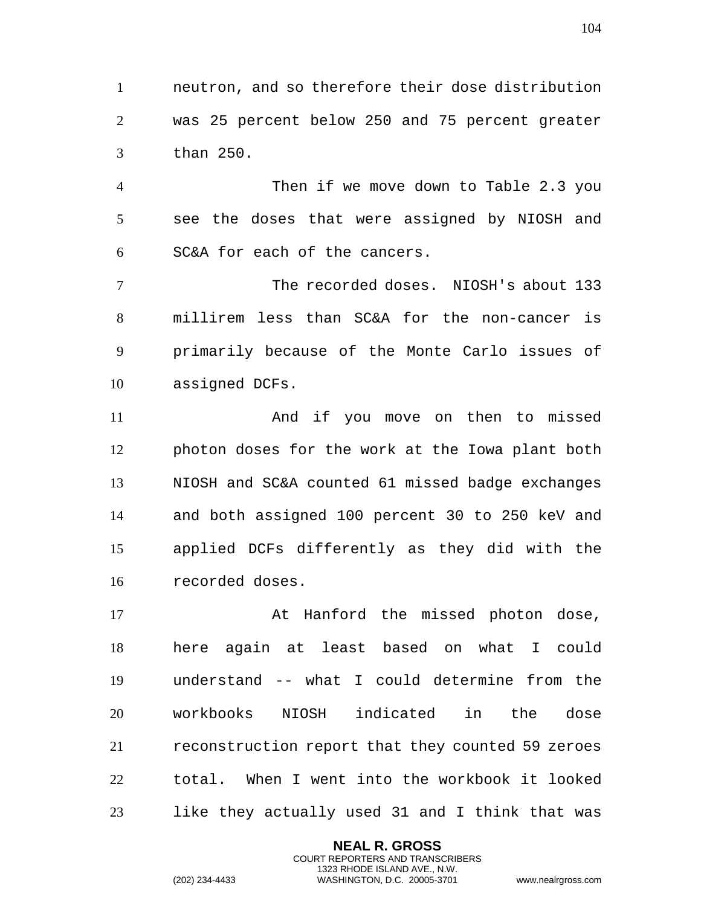neutron, and so therefore their dose distribution was 25 percent below 250 and 75 percent greater than 250.

 Then if we move down to Table 2.3 you see the doses that were assigned by NIOSH and SC&A for each of the cancers.

 The recorded doses. NIOSH's about 133 millirem less than SC&A for the non-cancer is primarily because of the Monte Carlo issues of assigned DCFs.

 And if you move on then to missed photon doses for the work at the Iowa plant both NIOSH and SC&A counted 61 missed badge exchanges and both assigned 100 percent 30 to 250 keV and applied DCFs differently as they did with the recorded doses.

17 At Hanford the missed photon dose, here again at least based on what I could understand -- what I could determine from the workbooks NIOSH indicated in the dose reconstruction report that they counted 59 zeroes total. When I went into the workbook it looked like they actually used 31 and I think that was

> **NEAL R. GROSS** COURT REPORTERS AND TRANSCRIBERS 1323 RHODE ISLAND AVE., N.W.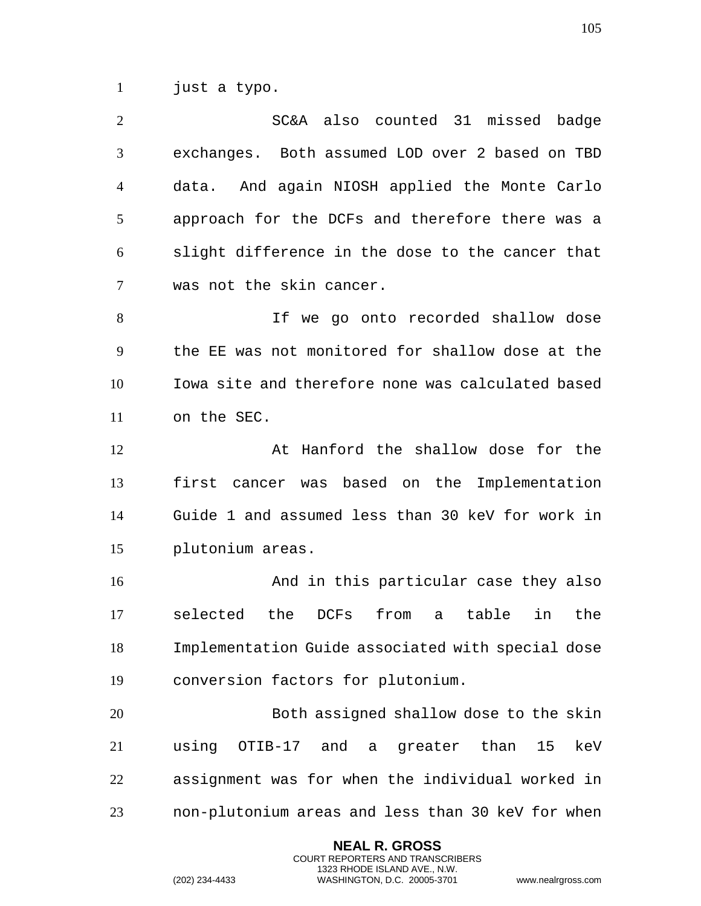just a typo.

| 2              | SC&A also counted 31 missed badge                |
|----------------|--------------------------------------------------|
| 3              | exchanges. Both assumed LOD over 2 based on TBD  |
| $\overline{A}$ | data. And again NIOSH applied the Monte Carlo    |
| 5              | approach for the DCFs and therefore there was a  |
| 6              | slight difference in the dose to the cancer that |
| 7              | was not the skin cancer.                         |
| 8              | If we go onto recorded shallow dose              |
| 9              | the EE was not monitored for shallow dose at the |

 Iowa site and therefore none was calculated based on the SEC.

 At Hanford the shallow dose for the first cancer was based on the Implementation Guide 1 and assumed less than 30 keV for work in plutonium areas.

 And in this particular case they also selected the DCFs from a table in the Implementation Guide associated with special dose conversion factors for plutonium.

 Both assigned shallow dose to the skin using OTIB-17 and a greater than 15 keV assignment was for when the individual worked in non-plutonium areas and less than 30 keV for when

> **NEAL R. GROSS** COURT REPORTERS AND TRANSCRIBERS 1323 RHODE ISLAND AVE., N.W.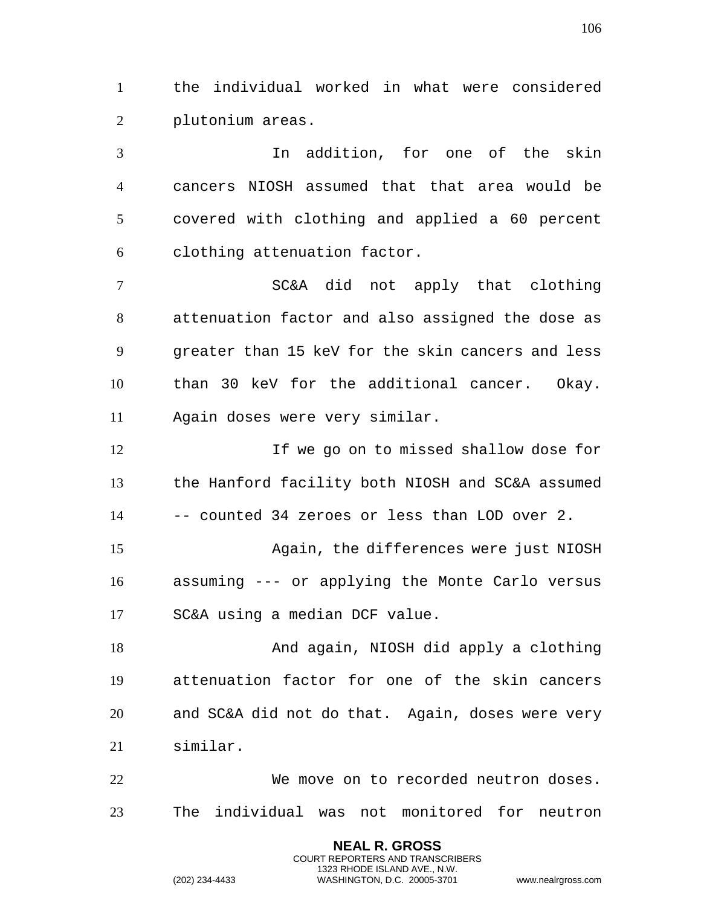the individual worked in what were considered plutonium areas.

 In addition, for one of the skin cancers NIOSH assumed that that area would be covered with clothing and applied a 60 percent clothing attenuation factor.

 SC&A did not apply that clothing attenuation factor and also assigned the dose as greater than 15 keV for the skin cancers and less than 30 keV for the additional cancer. Okay. Again doses were very similar.

 If we go on to missed shallow dose for the Hanford facility both NIOSH and SC&A assumed -- counted 34 zeroes or less than LOD over 2. Again, the differences were just NIOSH assuming --- or applying the Monte Carlo versus

SC&A using a median DCF value.

 And again, NIOSH did apply a clothing attenuation factor for one of the skin cancers and SC&A did not do that. Again, doses were very similar.

 We move on to recorded neutron doses. The individual was not monitored for neutron

> **NEAL R. GROSS** COURT REPORTERS AND TRANSCRIBERS 1323 RHODE ISLAND AVE., N.W.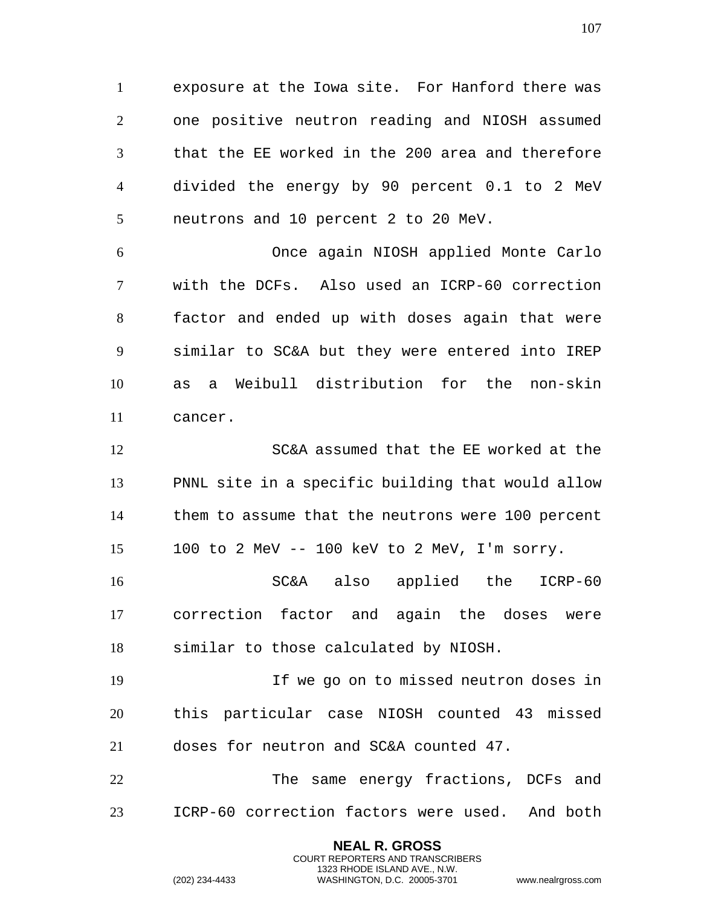exposure at the Iowa site. For Hanford there was one positive neutron reading and NIOSH assumed that the EE worked in the 200 area and therefore divided the energy by 90 percent 0.1 to 2 MeV neutrons and 10 percent 2 to 20 MeV.

 Once again NIOSH applied Monte Carlo with the DCFs. Also used an ICRP-60 correction factor and ended up with doses again that were similar to SC&A but they were entered into IREP as a Weibull distribution for the non-skin cancer.

 SC&A assumed that the EE worked at the PNNL site in a specific building that would allow them to assume that the neutrons were 100 percent 100 to 2 MeV -- 100 keV to 2 MeV, I'm sorry.

 SC&A also applied the ICRP-60 correction factor and again the doses were similar to those calculated by NIOSH.

 If we go on to missed neutron doses in this particular case NIOSH counted 43 missed doses for neutron and SC&A counted 47.

 The same energy fractions, DCFs and ICRP-60 correction factors were used. And both

> **NEAL R. GROSS** COURT REPORTERS AND TRANSCRIBERS 1323 RHODE ISLAND AVE., N.W.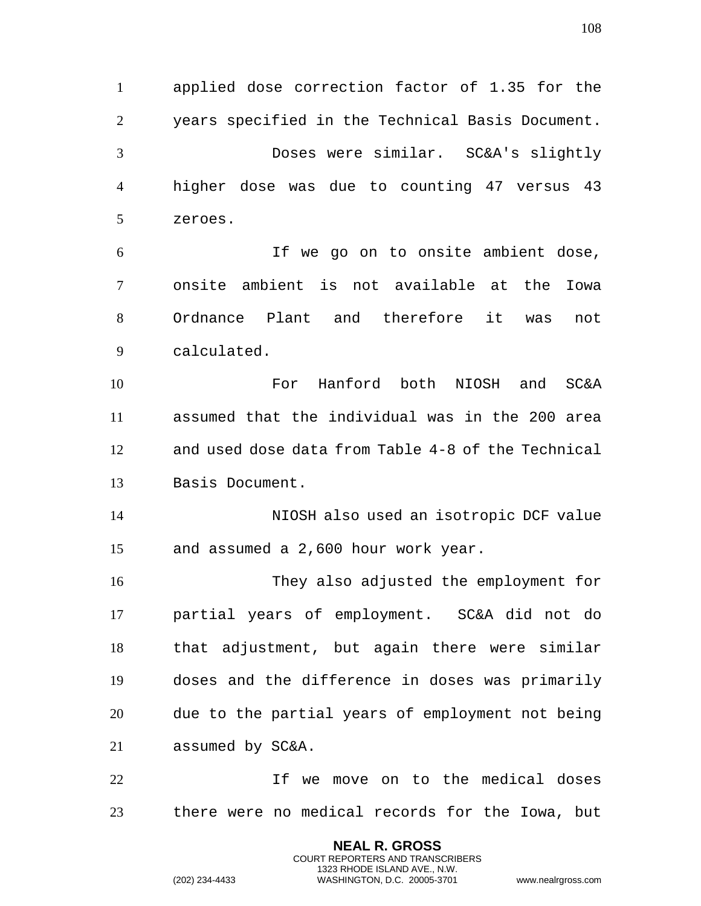applied dose correction factor of 1.35 for the years specified in the Technical Basis Document. Doses were similar. SC&A's slightly higher dose was due to counting 47 versus 43 zeroes.

 If we go on to onsite ambient dose, onsite ambient is not available at the Iowa Ordnance Plant and therefore it was not calculated.

 For Hanford both NIOSH and SC&A assumed that the individual was in the 200 area and used dose data from Table 4-8 of the Technical Basis Document.

 NIOSH also used an isotropic DCF value and assumed a 2,600 hour work year.

 They also adjusted the employment for partial years of employment. SC&A did not do that adjustment, but again there were similar doses and the difference in doses was primarily due to the partial years of employment not being assumed by SC&A.

 If we move on to the medical doses there were no medical records for the Iowa, but

> **NEAL R. GROSS** COURT REPORTERS AND TRANSCRIBERS 1323 RHODE ISLAND AVE., N.W.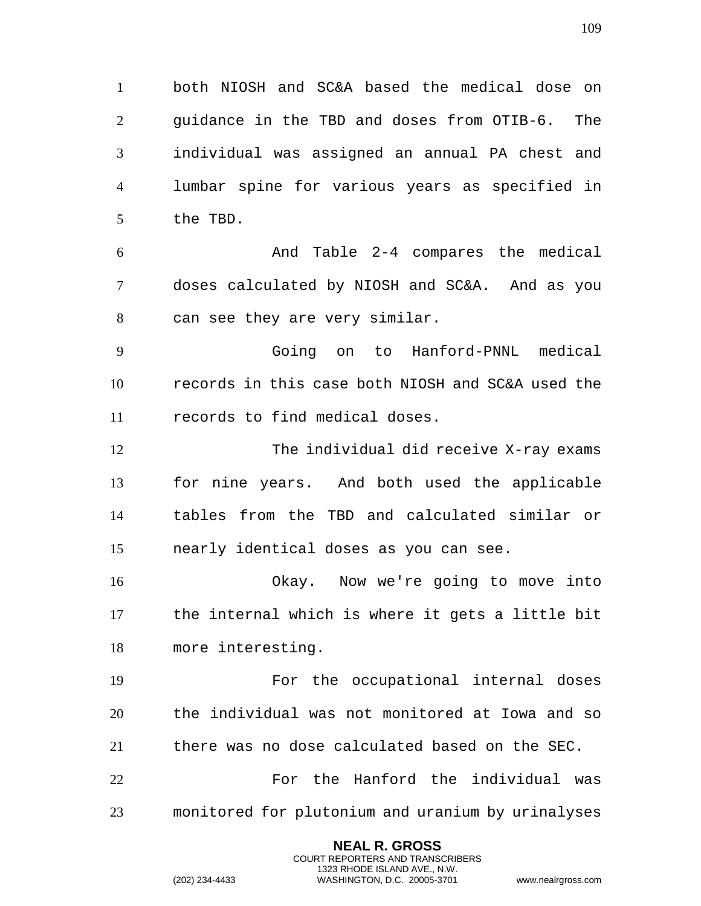both NIOSH and SC&A based the medical dose on guidance in the TBD and doses from OTIB-6. The individual was assigned an annual PA chest and lumbar spine for various years as specified in the TBD.

 And Table 2-4 compares the medical doses calculated by NIOSH and SC&A. And as you can see they are very similar.

 Going on to Hanford-PNNL medical records in this case both NIOSH and SC&A used the records to find medical doses.

 The individual did receive X-ray exams for nine years. And both used the applicable tables from the TBD and calculated similar or nearly identical doses as you can see.

 Okay. Now we're going to move into the internal which is where it gets a little bit more interesting.

 For the occupational internal doses the individual was not monitored at Iowa and so there was no dose calculated based on the SEC.

22 For the Hanford the individual was monitored for plutonium and uranium by urinalyses

> **NEAL R. GROSS** COURT REPORTERS AND TRANSCRIBERS 1323 RHODE ISLAND AVE., N.W.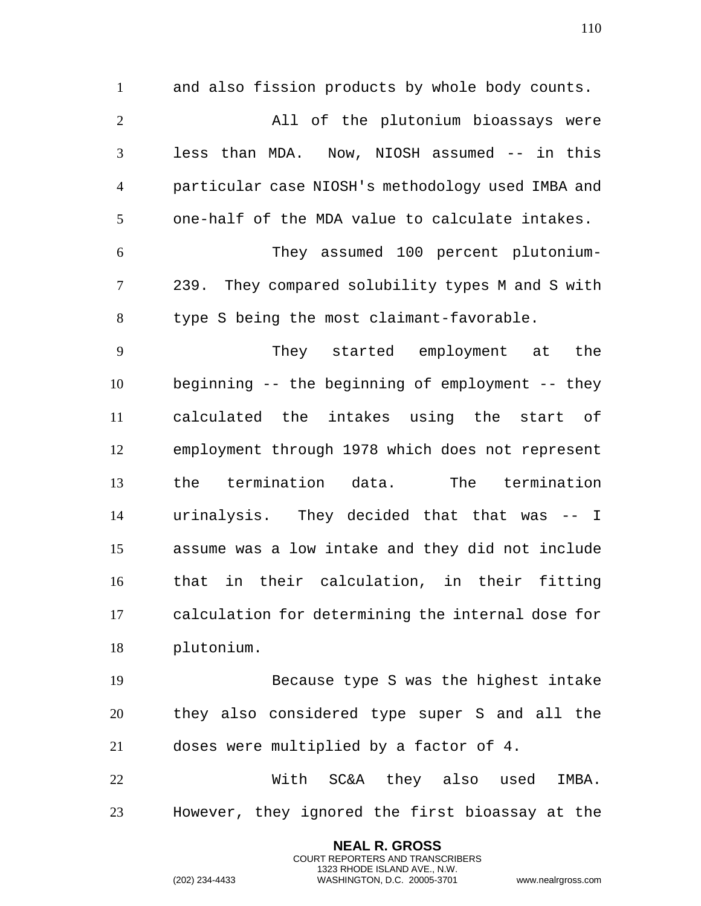and also fission products by whole body counts. All of the plutonium bioassays were less than MDA. Now, NIOSH assumed -- in this particular case NIOSH's methodology used IMBA and one-half of the MDA value to calculate intakes. They assumed 100 percent plutonium- 239. They compared solubility types M and S with type S being the most claimant-favorable. They started employment at the beginning -- the beginning of employment -- they calculated the intakes using the start of employment through 1978 which does not represent the termination data. The termination urinalysis. They decided that that was -- I assume was a low intake and they did not include that in their calculation, in their fitting calculation for determining the internal dose for

plutonium.

 Because type S was the highest intake they also considered type super S and all the doses were multiplied by a factor of 4.

 With SC&A they also used IMBA. However, they ignored the first bioassay at the

> **NEAL R. GROSS** COURT REPORTERS AND TRANSCRIBERS 1323 RHODE ISLAND AVE., N.W.

(202) 234-4433 WASHINGTON, D.C. 20005-3701 www.nealrgross.com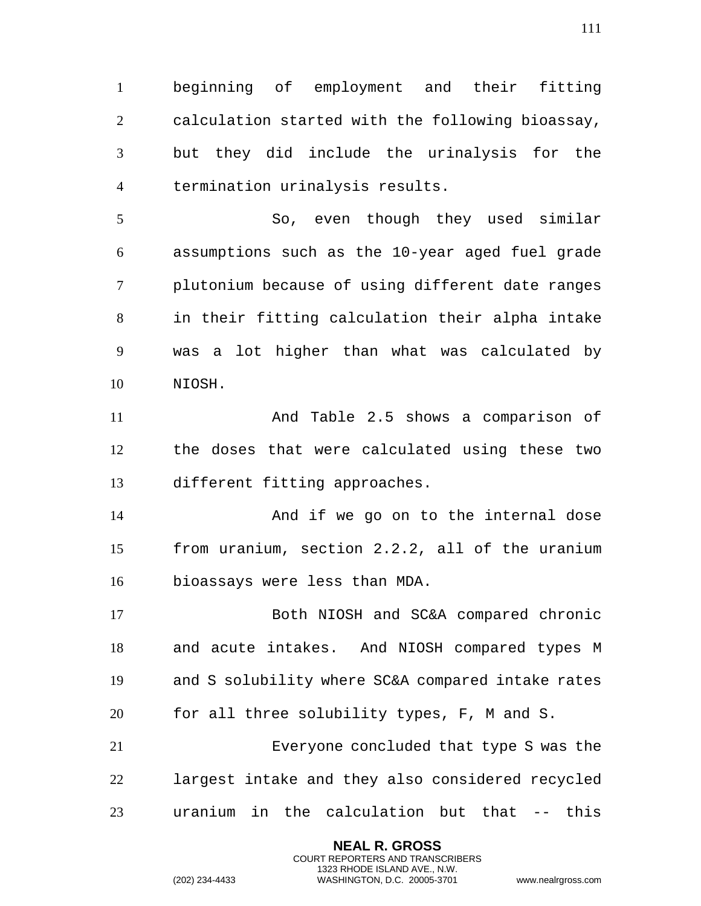beginning of employment and their fitting calculation started with the following bioassay, but they did include the urinalysis for the termination urinalysis results.

 So, even though they used similar assumptions such as the 10-year aged fuel grade plutonium because of using different date ranges in their fitting calculation their alpha intake was a lot higher than what was calculated by NIOSH.

 And Table 2.5 shows a comparison of the doses that were calculated using these two different fitting approaches.

 And if we go on to the internal dose from uranium, section 2.2.2, all of the uranium bioassays were less than MDA.

 Both NIOSH and SC&A compared chronic and acute intakes. And NIOSH compared types M and S solubility where SC&A compared intake rates for all three solubility types, F, M and S. Everyone concluded that type S was the

 largest intake and they also considered recycled uranium in the calculation but that -- this

> **NEAL R. GROSS** COURT REPORTERS AND TRANSCRIBERS 1323 RHODE ISLAND AVE., N.W.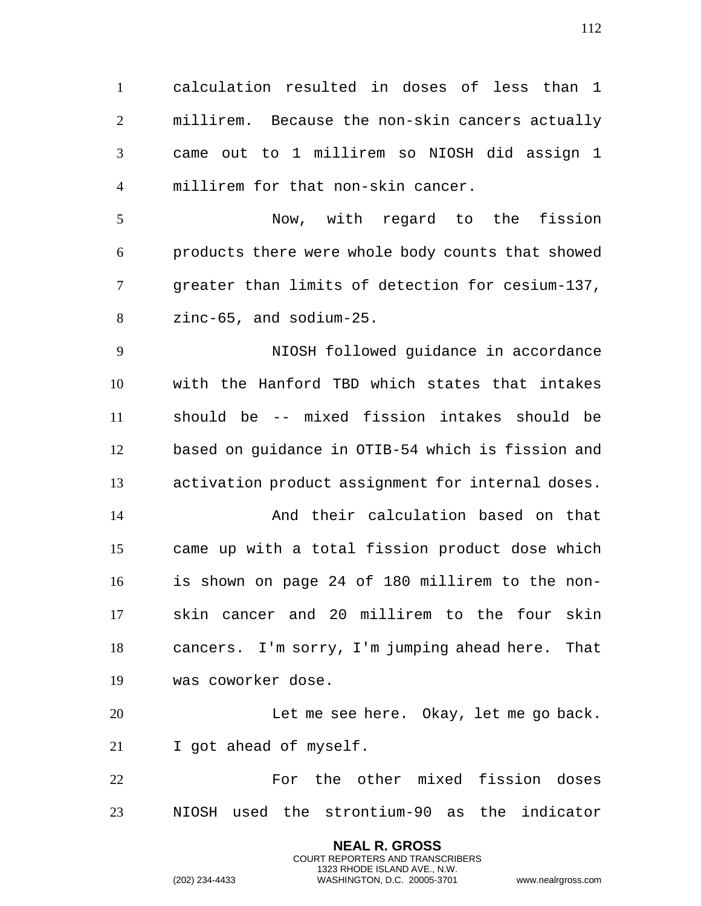calculation resulted in doses of less than 1 millirem. Because the non-skin cancers actually came out to 1 millirem so NIOSH did assign 1 millirem for that non-skin cancer. Now, with regard to the fission products there were whole body counts that showed greater than limits of detection for cesium-137, zinc-65, and sodium-25. NIOSH followed guidance in accordance with the Hanford TBD which states that intakes should be -- mixed fission intakes should be based on guidance in OTIB-54 which is fission and activation product assignment for internal doses. And their calculation based on that came up with a total fission product dose which is shown on page 24 of 180 millirem to the non- skin cancer and 20 millirem to the four skin cancers. I'm sorry, I'm jumping ahead here. That was coworker dose. Let me see here. Okay, let me go back. I got ahead of myself. For the other mixed fission doses NIOSH used the strontium-90 as the indicator

> **NEAL R. GROSS** COURT REPORTERS AND TRANSCRIBERS 1323 RHODE ISLAND AVE., N.W.

(202) 234-4433 WASHINGTON, D.C. 20005-3701 www.nealrgross.com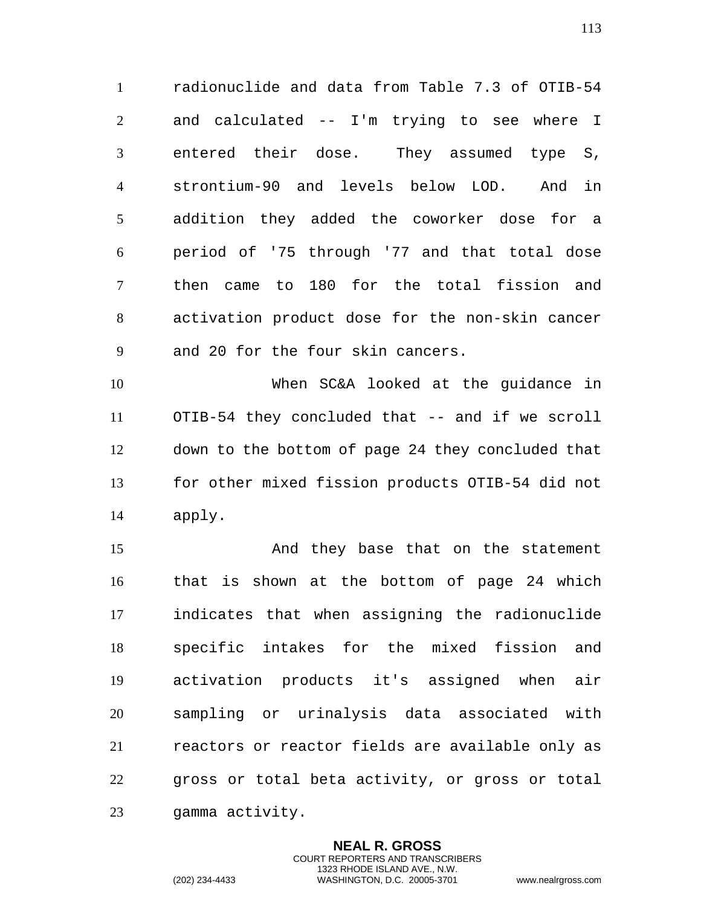radionuclide and data from Table 7.3 of OTIB-54 and calculated -- I'm trying to see where I entered their dose. They assumed type S, strontium-90 and levels below LOD. And in addition they added the coworker dose for a period of '75 through '77 and that total dose then came to 180 for the total fission and activation product dose for the non-skin cancer and 20 for the four skin cancers.

 When SC&A looked at the guidance in OTIB-54 they concluded that -- and if we scroll down to the bottom of page 24 they concluded that for other mixed fission products OTIB-54 did not apply.

 And they base that on the statement that is shown at the bottom of page 24 which indicates that when assigning the radionuclide specific intakes for the mixed fission and activation products it's assigned when air sampling or urinalysis data associated with reactors or reactor fields are available only as gross or total beta activity, or gross or total gamma activity.

> **NEAL R. GROSS** COURT REPORTERS AND TRANSCRIBERS 1323 RHODE ISLAND AVE., N.W.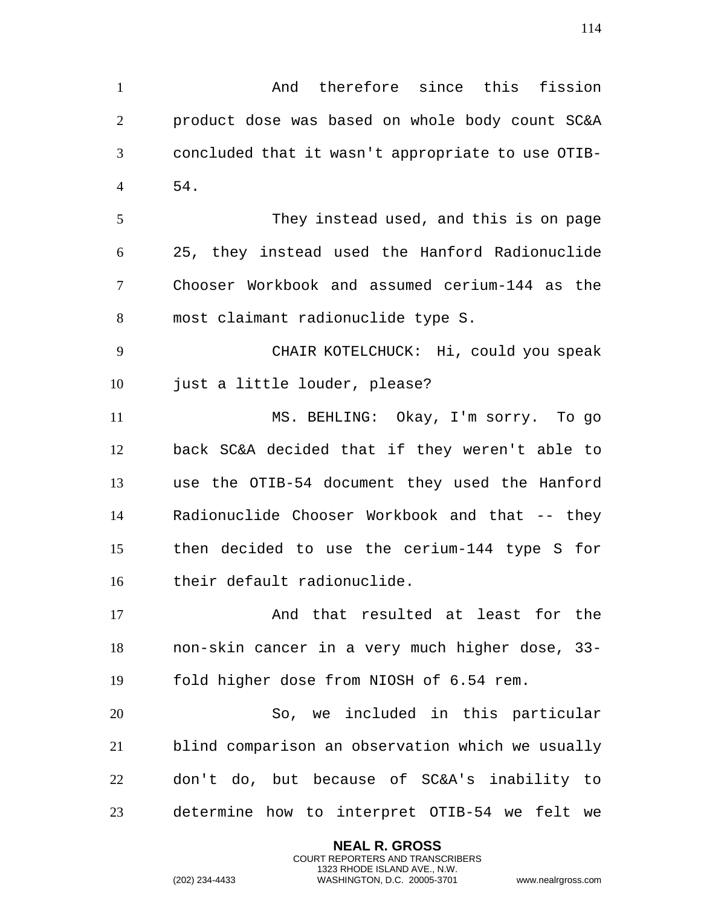And therefore since this fission product dose was based on whole body count SC&A concluded that it wasn't appropriate to use OTIB- 54. They instead used, and this is on page 25, they instead used the Hanford Radionuclide Chooser Workbook and assumed cerium-144 as the most claimant radionuclide type S. CHAIR KOTELCHUCK: Hi, could you speak just a little louder, please? MS. BEHLING: Okay, I'm sorry. To go back SC&A decided that if they weren't able to use the OTIB-54 document they used the Hanford Radionuclide Chooser Workbook and that -- they then decided to use the cerium-144 type S for their default radionuclide. And that resulted at least for the non-skin cancer in a very much higher dose, 33- fold higher dose from NIOSH of 6.54 rem. So, we included in this particular blind comparison an observation which we usually don't do, but because of SC&A's inability to

determine how to interpret OTIB-54 we felt we

**NEAL R. GROSS** COURT REPORTERS AND TRANSCRIBERS 1323 RHODE ISLAND AVE., N.W.

(202) 234-4433 WASHINGTON, D.C. 20005-3701 www.nealrgross.com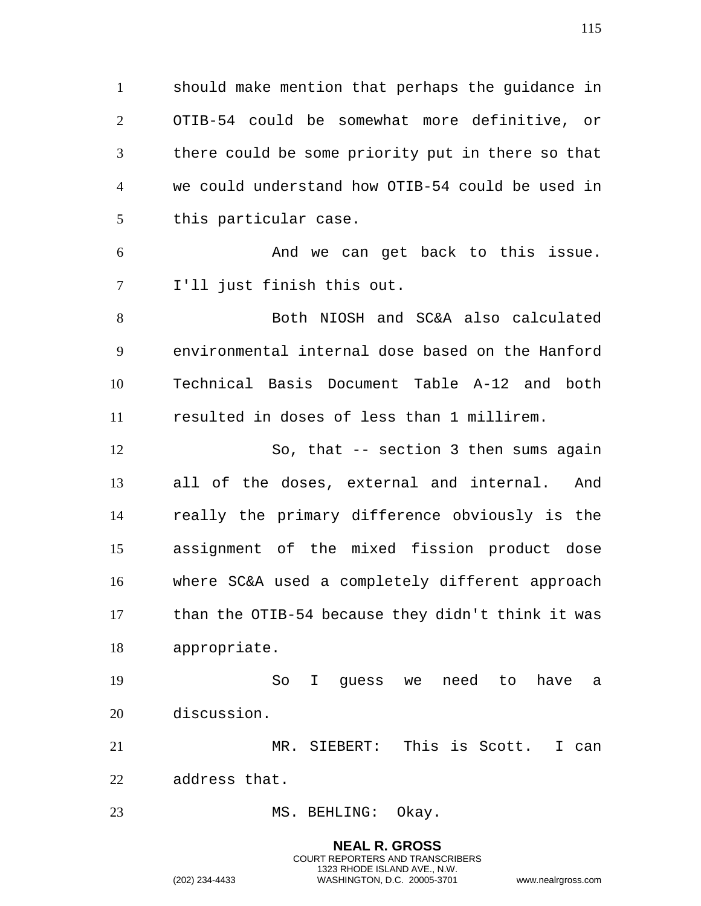should make mention that perhaps the guidance in OTIB-54 could be somewhat more definitive, or there could be some priority put in there so that we could understand how OTIB-54 could be used in this particular case.

 And we can get back to this issue. I'll just finish this out.

 Both NIOSH and SC&A also calculated environmental internal dose based on the Hanford Technical Basis Document Table A-12 and both resulted in doses of less than 1 millirem.

 So, that -- section 3 then sums again all of the doses, external and internal. And really the primary difference obviously is the assignment of the mixed fission product dose where SC&A used a completely different approach than the OTIB-54 because they didn't think it was appropriate.

 So I guess we need to have a discussion.

 MR. SIEBERT: This is Scott. I can address that.

## 23 MS. BEHLING: Okay.

**NEAL R. GROSS** COURT REPORTERS AND TRANSCRIBERS 1323 RHODE ISLAND AVE., N.W. (202) 234-4433 WASHINGTON, D.C. 20005-3701 www.nealrgross.com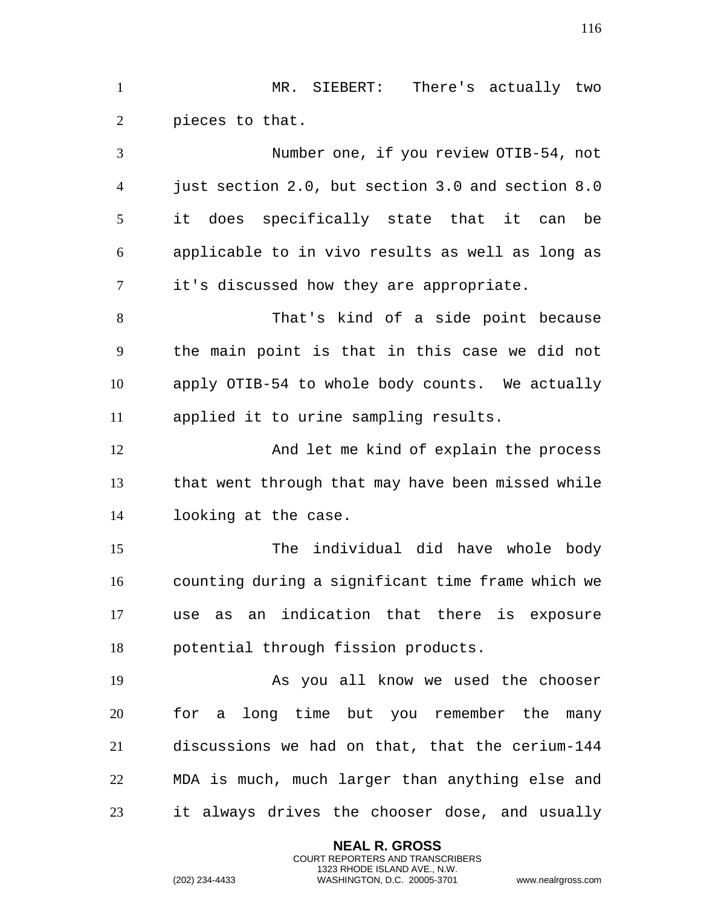MR. SIEBERT: There's actually two pieces to that.

 Number one, if you review OTIB-54, not just section 2.0, but section 3.0 and section 8.0 it does specifically state that it can be applicable to in vivo results as well as long as it's discussed how they are appropriate. That's kind of a side point because the main point is that in this case we did not apply OTIB-54 to whole body counts. We actually applied it to urine sampling results. And let me kind of explain the process that went through that may have been missed while looking at the case. The individual did have whole body counting during a significant time frame which we use as an indication that there is exposure potential through fission products. As you all know we used the chooser for a long time but you remember the many

 discussions we had on that, that the cerium-144 MDA is much, much larger than anything else and it always drives the chooser dose, and usually

> **NEAL R. GROSS** COURT REPORTERS AND TRANSCRIBERS 1323 RHODE ISLAND AVE., N.W.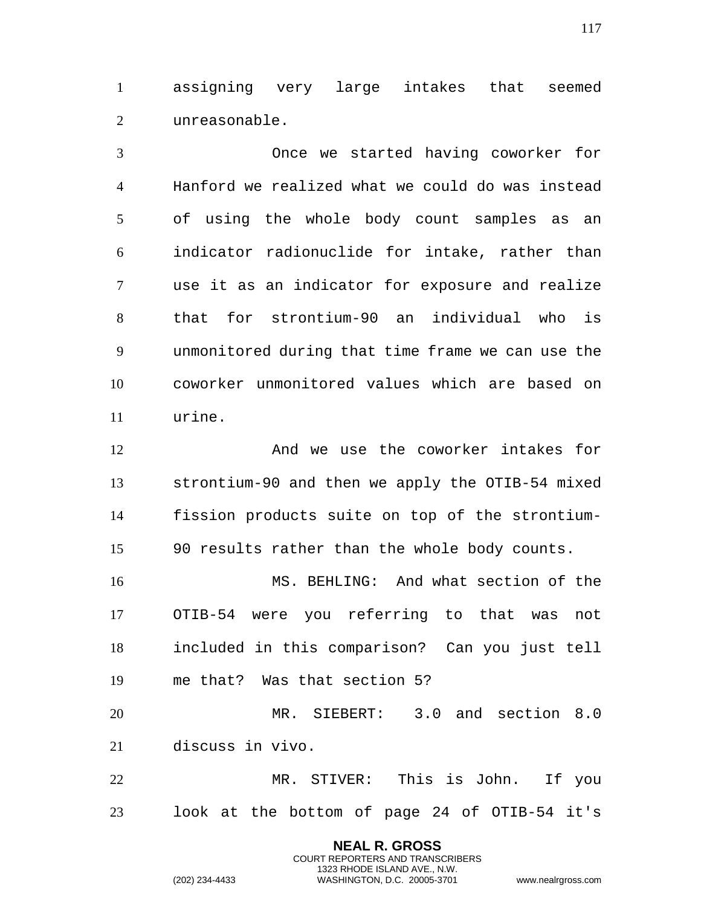assigning very large intakes that seemed unreasonable.

 Once we started having coworker for Hanford we realized what we could do was instead of using the whole body count samples as an indicator radionuclide for intake, rather than use it as an indicator for exposure and realize that for strontium-90 an individual who is unmonitored during that time frame we can use the coworker unmonitored values which are based on urine.

 And we use the coworker intakes for strontium-90 and then we apply the OTIB-54 mixed fission products suite on top of the strontium-90 results rather than the whole body counts.

 MS. BEHLING: And what section of the OTIB-54 were you referring to that was not included in this comparison? Can you just tell me that? Was that section 5?

 MR. SIEBERT: 3.0 and section 8.0 discuss in vivo.

 MR. STIVER: This is John. If you look at the bottom of page 24 of OTIB-54 it's

> **NEAL R. GROSS** COURT REPORTERS AND TRANSCRIBERS 1323 RHODE ISLAND AVE., N.W.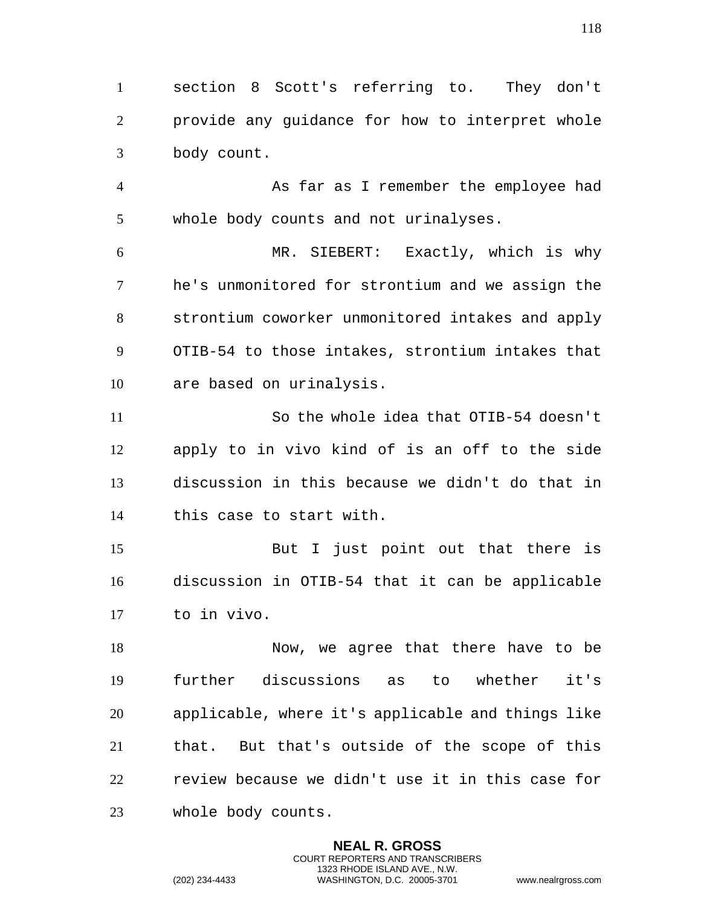section 8 Scott's referring to. They don't provide any guidance for how to interpret whole body count.

 As far as I remember the employee had whole body counts and not urinalyses.

 MR. SIEBERT: Exactly, which is why he's unmonitored for strontium and we assign the strontium coworker unmonitored intakes and apply OTIB-54 to those intakes, strontium intakes that are based on urinalysis.

 So the whole idea that OTIB-54 doesn't apply to in vivo kind of is an off to the side discussion in this because we didn't do that in this case to start with.

 But I just point out that there is discussion in OTIB-54 that it can be applicable to in vivo.

 Now, we agree that there have to be further discussions as to whether it's applicable, where it's applicable and things like that. But that's outside of the scope of this review because we didn't use it in this case for whole body counts.

> **NEAL R. GROSS** COURT REPORTERS AND TRANSCRIBERS 1323 RHODE ISLAND AVE., N.W.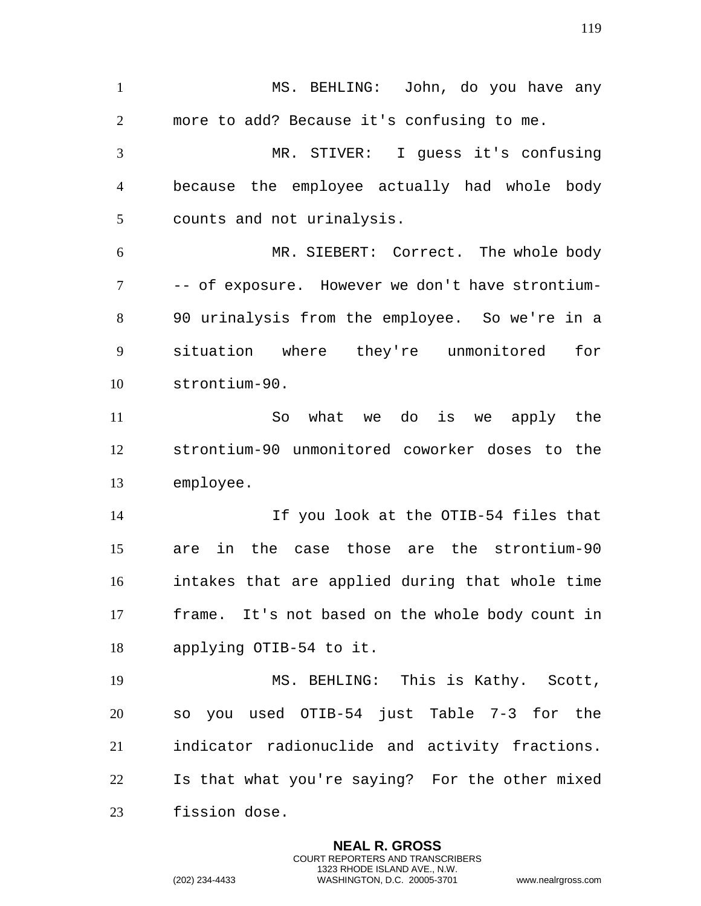MS. BEHLING: John, do you have any more to add? Because it's confusing to me. MR. STIVER: I guess it's confusing because the employee actually had whole body counts and not urinalysis. MR. SIEBERT: Correct. The whole body -- of exposure. However we don't have strontium- 90 urinalysis from the employee. So we're in a situation where they're unmonitored for strontium-90. So what we do is we apply the strontium-90 unmonitored coworker doses to the employee. If you look at the OTIB-54 files that are in the case those are the strontium-90 intakes that are applied during that whole time frame. It's not based on the whole body count in applying OTIB-54 to it. MS. BEHLING: This is Kathy. Scott, so you used OTIB-54 just Table 7-3 for the indicator radionuclide and activity fractions. Is that what you're saying? For the other mixed fission dose.

> **NEAL R. GROSS** COURT REPORTERS AND TRANSCRIBERS 1323 RHODE ISLAND AVE., N.W.

(202) 234-4433 WASHINGTON, D.C. 20005-3701 www.nealrgross.com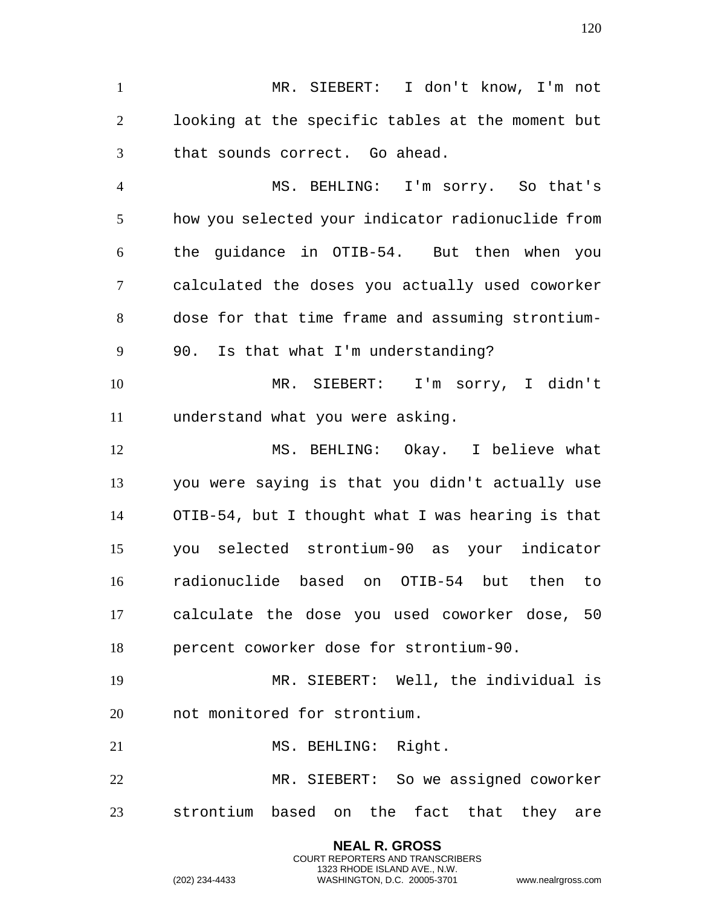MR. SIEBERT: I don't know, I'm not looking at the specific tables at the moment but that sounds correct. Go ahead.

 MS. BEHLING: I'm sorry. So that's how you selected your indicator radionuclide from the guidance in OTIB-54. But then when you calculated the doses you actually used coworker dose for that time frame and assuming strontium-90. Is that what I'm understanding?

 MR. SIEBERT: I'm sorry, I didn't understand what you were asking.

 MS. BEHLING: Okay. I believe what you were saying is that you didn't actually use OTIB-54, but I thought what I was hearing is that you selected strontium-90 as your indicator radionuclide based on OTIB-54 but then to calculate the dose you used coworker dose, 50 percent coworker dose for strontium-90.

 MR. SIEBERT: Well, the individual is not monitored for strontium.

21 MS. BEHLING: Right.

 MR. SIEBERT: So we assigned coworker strontium based on the fact that they are

> **NEAL R. GROSS** COURT REPORTERS AND TRANSCRIBERS 1323 RHODE ISLAND AVE., N.W.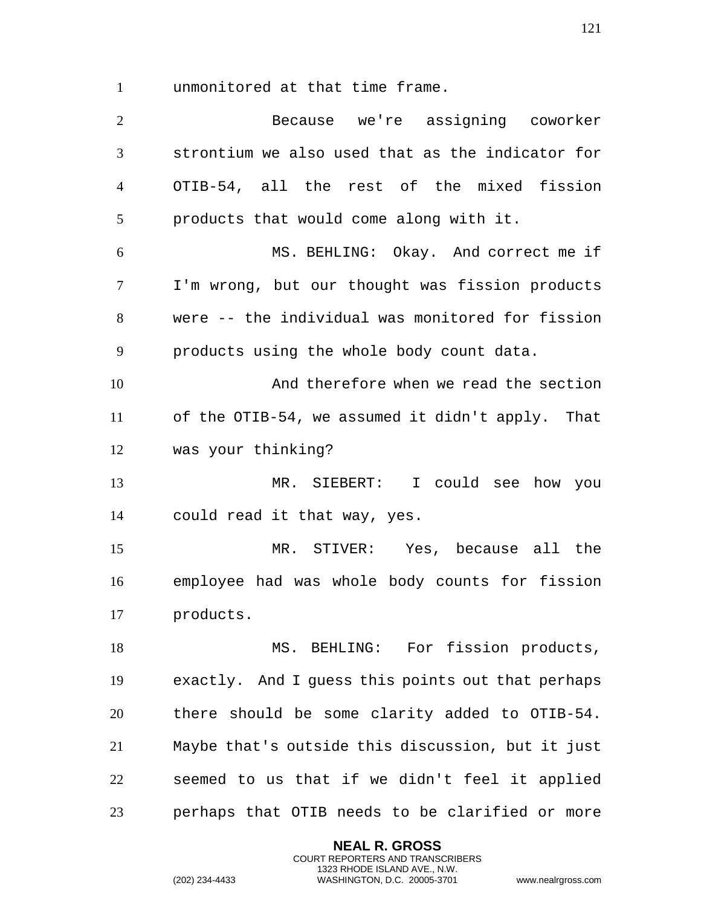unmonitored at that time frame.

 Because we're assigning coworker strontium we also used that as the indicator for OTIB-54, all the rest of the mixed fission products that would come along with it. MS. BEHLING: Okay. And correct me if I'm wrong, but our thought was fission products were -- the individual was monitored for fission products using the whole body count data. And therefore when we read the section of the OTIB-54, we assumed it didn't apply. That was your thinking? MR. SIEBERT: I could see how you could read it that way, yes. MR. STIVER: Yes, because all the employee had was whole body counts for fission products. 18 MS. BEHLING: For fission products, exactly. And I guess this points out that perhaps there should be some clarity added to OTIB-54. Maybe that's outside this discussion, but it just seemed to us that if we didn't feel it applied perhaps that OTIB needs to be clarified or more

> **NEAL R. GROSS** COURT REPORTERS AND TRANSCRIBERS 1323 RHODE ISLAND AVE., N.W.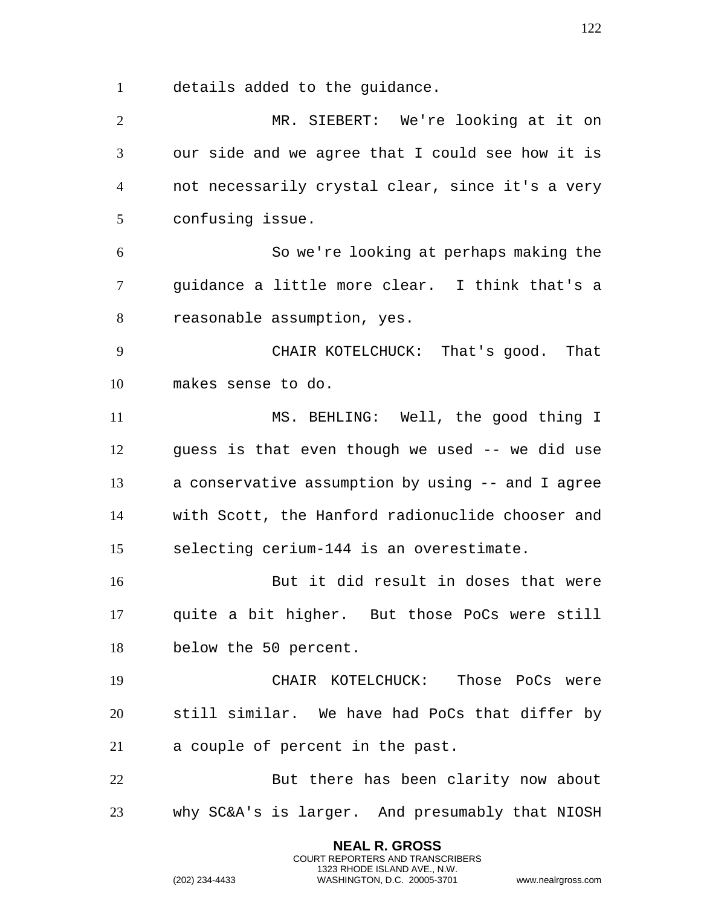details added to the guidance.

 MR. SIEBERT: We're looking at it on our side and we agree that I could see how it is not necessarily crystal clear, since it's a very confusing issue. So we're looking at perhaps making the guidance a little more clear. I think that's a reasonable assumption, yes. CHAIR KOTELCHUCK: That's good. That makes sense to do. 11 MS. BEHLING: Well, the good thing I guess is that even though we used -- we did use a conservative assumption by using -- and I agree with Scott, the Hanford radionuclide chooser and selecting cerium-144 is an overestimate. But it did result in doses that were quite a bit higher. But those PoCs were still below the 50 percent. CHAIR KOTELCHUCK: Those PoCs were still similar. We have had PoCs that differ by a couple of percent in the past. But there has been clarity now about why SC&A's is larger. And presumably that NIOSH

> **NEAL R. GROSS** COURT REPORTERS AND TRANSCRIBERS 1323 RHODE ISLAND AVE., N.W.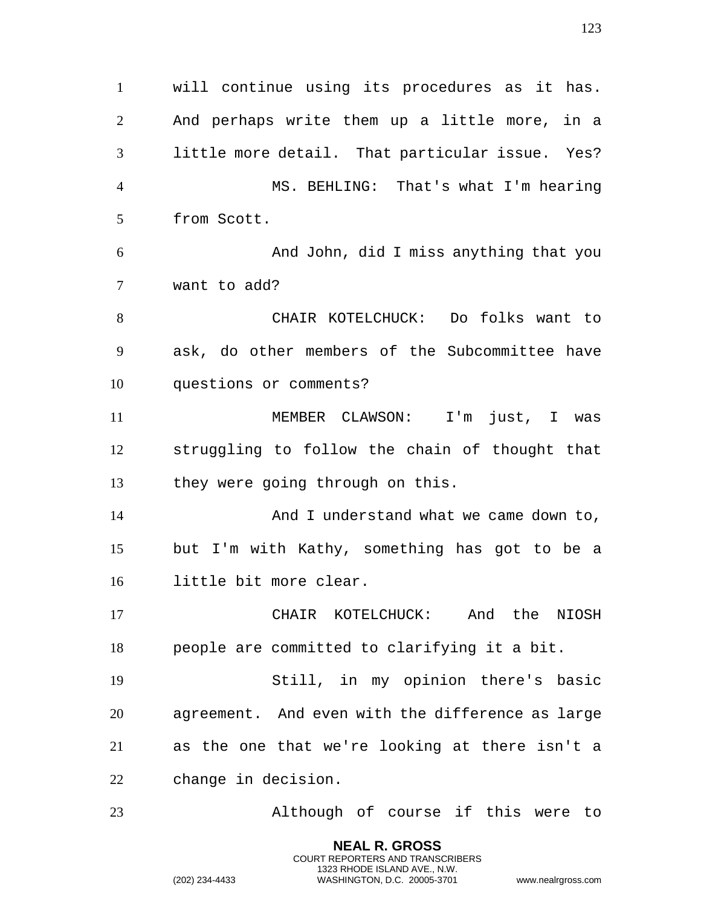will continue using its procedures as it has. And perhaps write them up a little more, in a little more detail. That particular issue. Yes? MS. BEHLING: That's what I'm hearing from Scott. And John, did I miss anything that you want to add? CHAIR KOTELCHUCK: Do folks want to ask, do other members of the Subcommittee have questions or comments? MEMBER CLAWSON: I'm just, I was struggling to follow the chain of thought that they were going through on this. 14 And I understand what we came down to, but I'm with Kathy, something has got to be a little bit more clear. CHAIR KOTELCHUCK: And the NIOSH people are committed to clarifying it a bit. Still, in my opinion there's basic agreement. And even with the difference as large as the one that we're looking at there isn't a change in decision. Although of course if this were to

> **NEAL R. GROSS** COURT REPORTERS AND TRANSCRIBERS 1323 RHODE ISLAND AVE., N.W.

(202) 234-4433 WASHINGTON, D.C. 20005-3701 www.nealrgross.com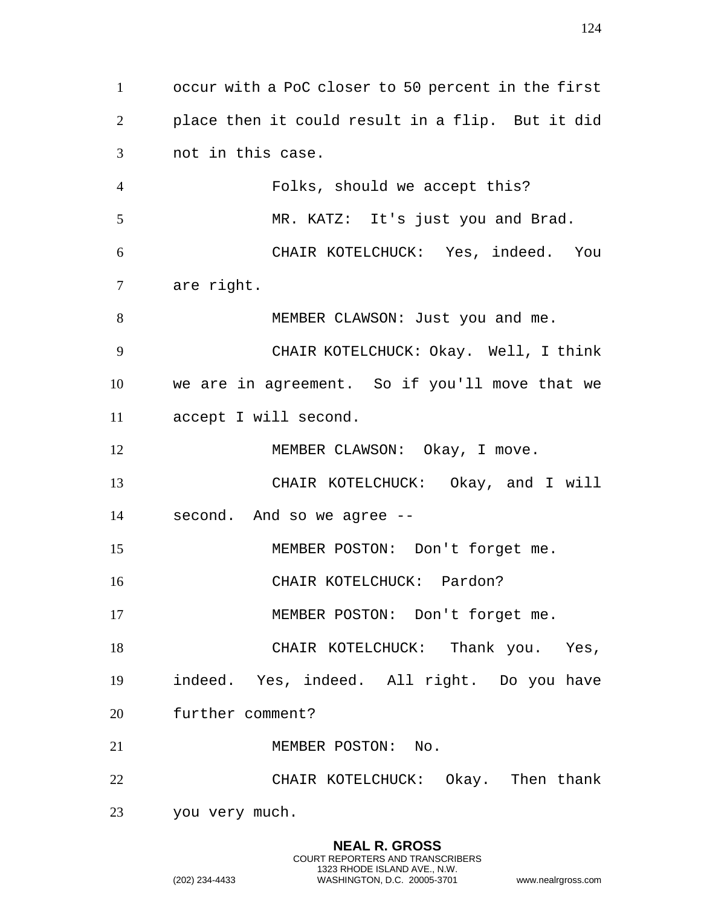occur with a PoC closer to 50 percent in the first place then it could result in a flip. But it did not in this case. Folks, should we accept this? MR. KATZ: It's just you and Brad. CHAIR KOTELCHUCK: Yes, indeed. You are right. 8 MEMBER CLAWSON: Just you and me. CHAIR KOTELCHUCK: Okay. Well, I think we are in agreement. So if you'll move that we accept I will second. 12 MEMBER CLAWSON: Okay, I move. CHAIR KOTELCHUCK: Okay, and I will second. And so we agree -- MEMBER POSTON: Don't forget me. 16 CHAIR KOTELCHUCK: Pardon? MEMBER POSTON: Don't forget me. 18 CHAIR KOTELCHUCK: Thank you. Yes, indeed. Yes, indeed. All right. Do you have further comment? 21 MEMBER POSTON: No. CHAIR KOTELCHUCK: Okay. Then thank you very much.

> **NEAL R. GROSS** COURT REPORTERS AND TRANSCRIBERS 1323 RHODE ISLAND AVE., N.W.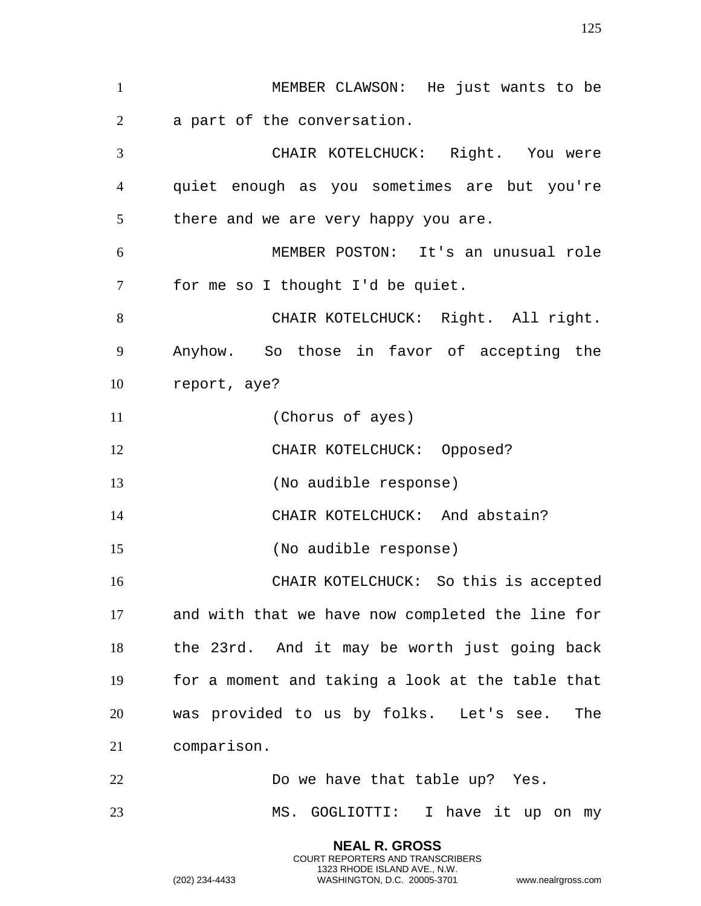MEMBER CLAWSON: He just wants to be a part of the conversation. CHAIR KOTELCHUCK: Right. You were quiet enough as you sometimes are but you're 5 there and we are very happy you are. MEMBER POSTON: It's an unusual role for me so I thought I'd be quiet. 8 CHAIR KOTELCHUCK: Right. All right. Anyhow. So those in favor of accepting the report, aye? (Chorus of ayes) CHAIR KOTELCHUCK: Opposed? (No audible response) CHAIR KOTELCHUCK: And abstain? (No audible response) CHAIR KOTELCHUCK: So this is accepted and with that we have now completed the line for the 23rd. And it may be worth just going back for a moment and taking a look at the table that was provided to us by folks. Let's see. The comparison. Do we have that table up? Yes. MS. GOGLIOTTI: I have it up on my

> **NEAL R. GROSS** COURT REPORTERS AND TRANSCRIBERS 1323 RHODE ISLAND AVE., N.W.

(202) 234-4433 WASHINGTON, D.C. 20005-3701 www.nealrgross.com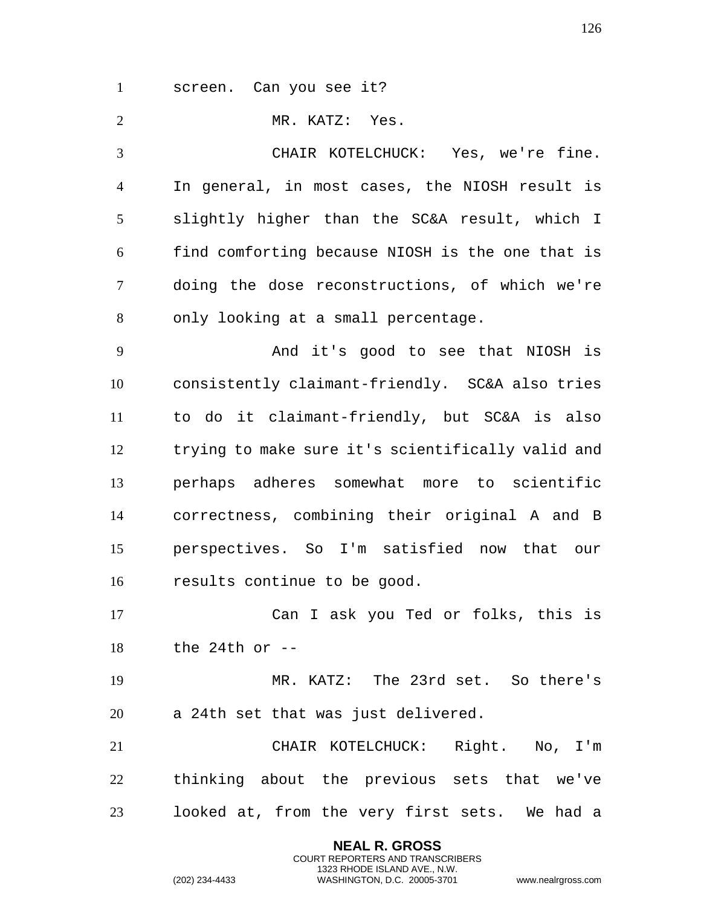screen. Can you see it?

MR. KATZ: Yes.

 CHAIR KOTELCHUCK: Yes, we're fine. In general, in most cases, the NIOSH result is slightly higher than the SC&A result, which I find comforting because NIOSH is the one that is doing the dose reconstructions, of which we're only looking at a small percentage.

 And it's good to see that NIOSH is consistently claimant-friendly. SC&A also tries to do it claimant-friendly, but SC&A is also trying to make sure it's scientifically valid and perhaps adheres somewhat more to scientific correctness, combining their original A and B perspectives. So I'm satisfied now that our results continue to be good.

 Can I ask you Ted or folks, this is the 24th or --

 MR. KATZ: The 23rd set. So there's a 24th set that was just delivered.

 CHAIR KOTELCHUCK: Right. No, I'm thinking about the previous sets that we've looked at, from the very first sets. We had a

> **NEAL R. GROSS** COURT REPORTERS AND TRANSCRIBERS 1323 RHODE ISLAND AVE., N.W.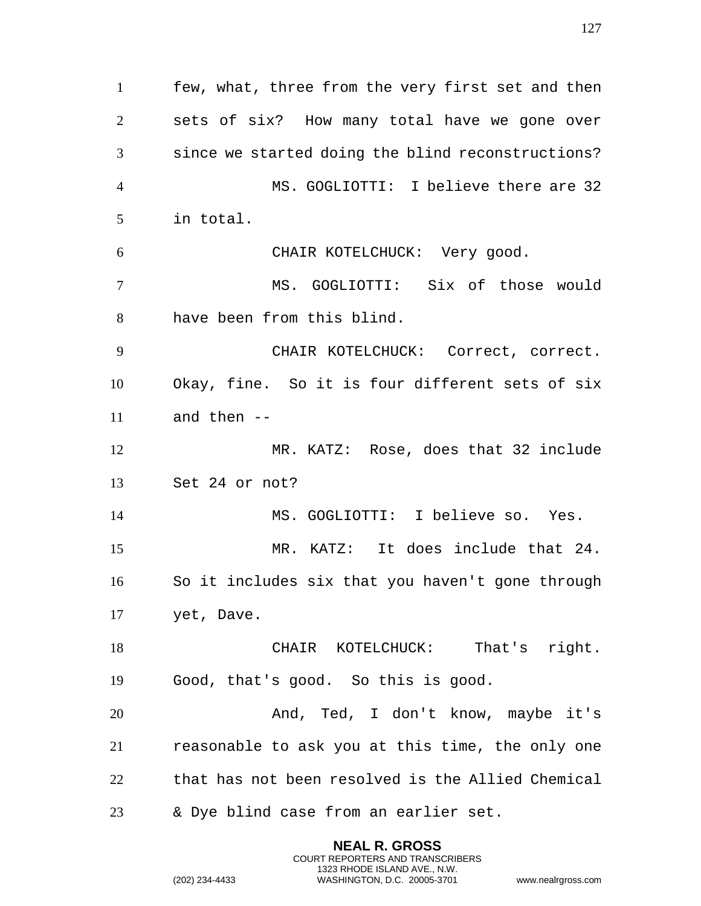few, what, three from the very first set and then sets of six? How many total have we gone over since we started doing the blind reconstructions? MS. GOGLIOTTI: I believe there are 32 in total. CHAIR KOTELCHUCK: Very good. MS. GOGLIOTTI: Six of those would have been from this blind. CHAIR KOTELCHUCK: Correct, correct. Okay, fine. So it is four different sets of six and then -- MR. KATZ: Rose, does that 32 include Set 24 or not? MS. GOGLIOTTI: I believe so. Yes. MR. KATZ: It does include that 24. So it includes six that you haven't gone through yet, Dave. 18 CHAIR KOTELCHUCK: That's right. Good, that's good. So this is good. And, Ted, I don't know, maybe it's reasonable to ask you at this time, the only one that has not been resolved is the Allied Chemical & Dye blind case from an earlier set.

> **NEAL R. GROSS** COURT REPORTERS AND TRANSCRIBERS 1323 RHODE ISLAND AVE., N.W.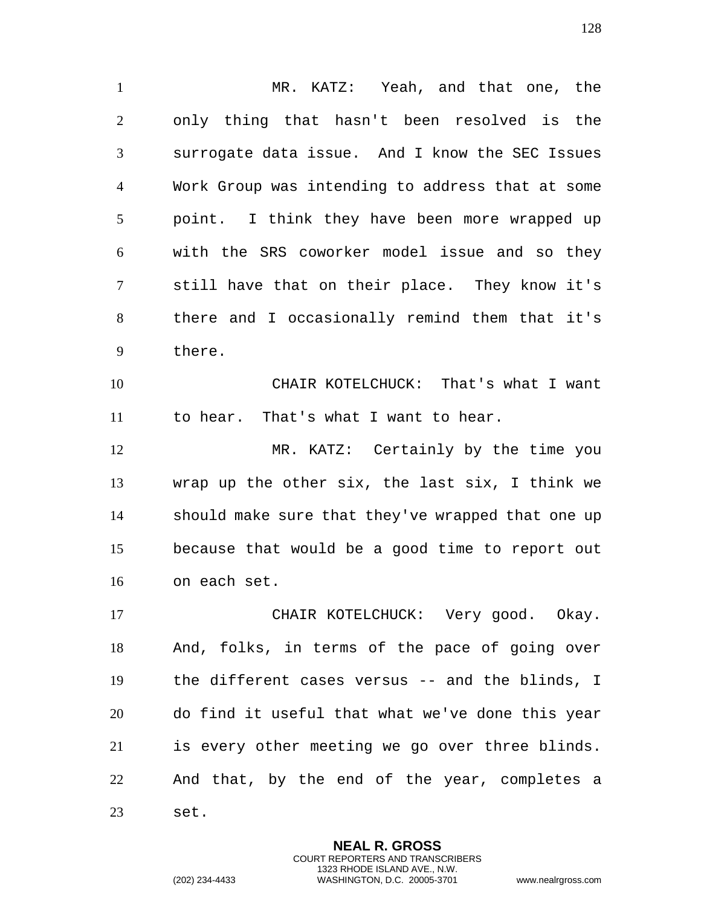MR. KATZ: Yeah, and that one, the only thing that hasn't been resolved is the surrogate data issue. And I know the SEC Issues Work Group was intending to address that at some point. I think they have been more wrapped up with the SRS coworker model issue and so they still have that on their place. They know it's there and I occasionally remind them that it's there.

 CHAIR KOTELCHUCK: That's what I want to hear. That's what I want to hear.

 MR. KATZ: Certainly by the time you wrap up the other six, the last six, I think we should make sure that they've wrapped that one up because that would be a good time to report out on each set.

 CHAIR KOTELCHUCK: Very good. Okay. And, folks, in terms of the pace of going over the different cases versus -- and the blinds, I do find it useful that what we've done this year is every other meeting we go over three blinds. And that, by the end of the year, completes a set.

> **NEAL R. GROSS** COURT REPORTERS AND TRANSCRIBERS 1323 RHODE ISLAND AVE., N.W.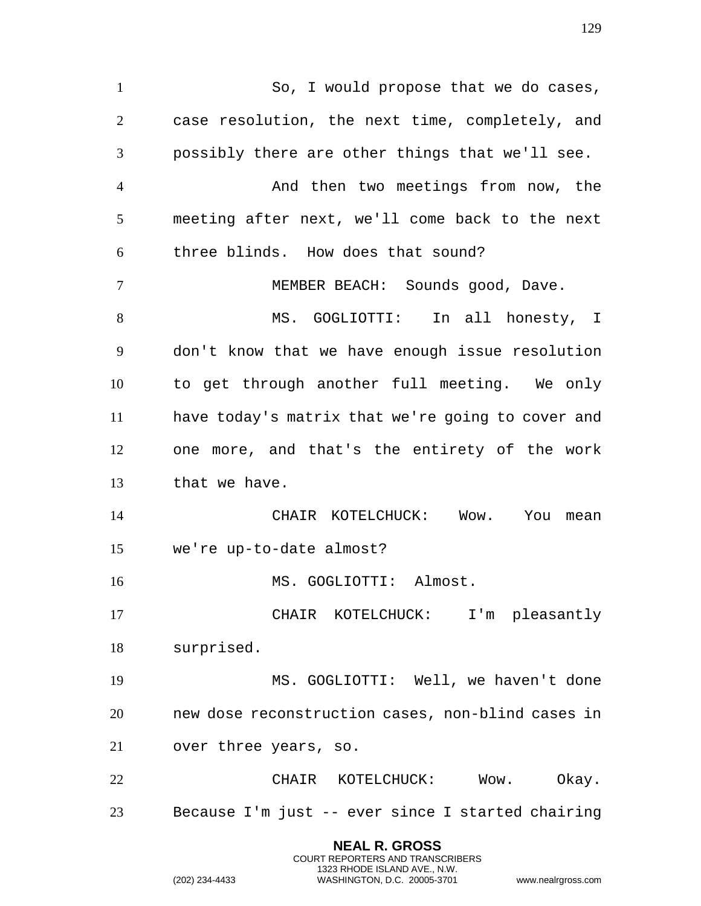**NEAL R. GROSS** So, I would propose that we do cases, case resolution, the next time, completely, and possibly there are other things that we'll see. And then two meetings from now, the meeting after next, we'll come back to the next three blinds. How does that sound? MEMBER BEACH: Sounds good, Dave. MS. GOGLIOTTI: In all honesty, I don't know that we have enough issue resolution to get through another full meeting. We only have today's matrix that we're going to cover and one more, and that's the entirety of the work that we have. CHAIR KOTELCHUCK: Wow. You mean we're up-to-date almost? 16 MS. GOGLIOTTI: Almost. CHAIR KOTELCHUCK: I'm pleasantly surprised. MS. GOGLIOTTI: Well, we haven't done new dose reconstruction cases, non-blind cases in over three years, so. CHAIR KOTELCHUCK: Wow. Okay. Because I'm just -- ever since I started chairing

> COURT REPORTERS AND TRANSCRIBERS 1323 RHODE ISLAND AVE., N.W.

(202) 234-4433 WASHINGTON, D.C. 20005-3701 www.nealrgross.com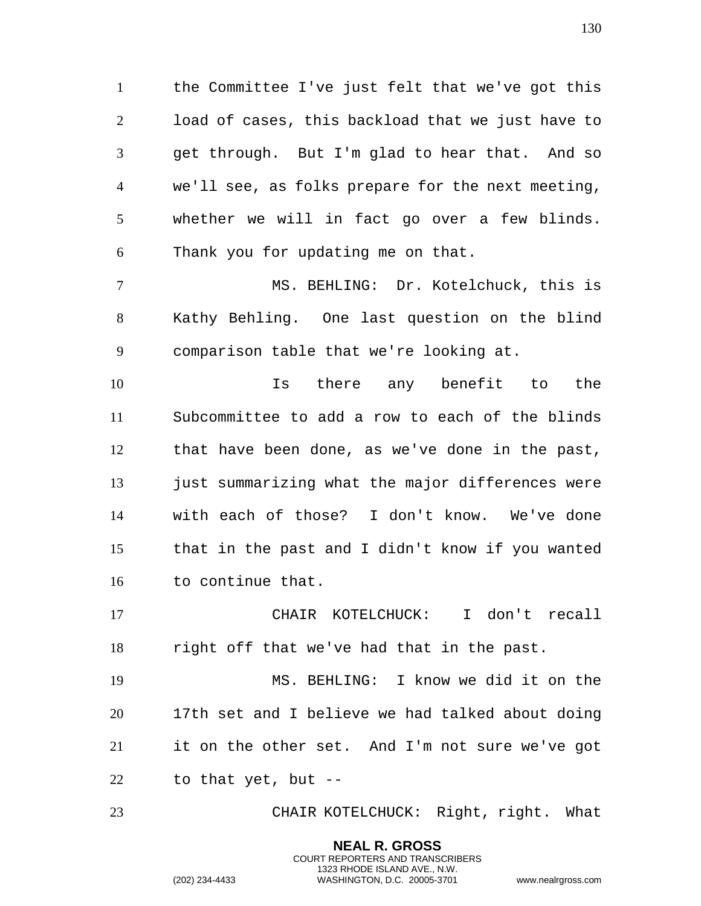the Committee I've just felt that we've got this load of cases, this backload that we just have to get through. But I'm glad to hear that. And so we'll see, as folks prepare for the next meeting, whether we will in fact go over a few blinds. Thank you for updating me on that.

 MS. BEHLING: Dr. Kotelchuck, this is Kathy Behling. One last question on the blind comparison table that we're looking at.

 Is there any benefit to the Subcommittee to add a row to each of the blinds that have been done, as we've done in the past, 13 just summarizing what the major differences were with each of those? I don't know. We've done that in the past and I didn't know if you wanted to continue that.

 CHAIR KOTELCHUCK: I don't recall right off that we've had that in the past.

 MS. BEHLING: I know we did it on the 17th set and I believe we had talked about doing it on the other set. And I'm not sure we've got to that yet, but --

CHAIR KOTELCHUCK: Right, right. What

**NEAL R. GROSS** COURT REPORTERS AND TRANSCRIBERS 1323 RHODE ISLAND AVE., N.W.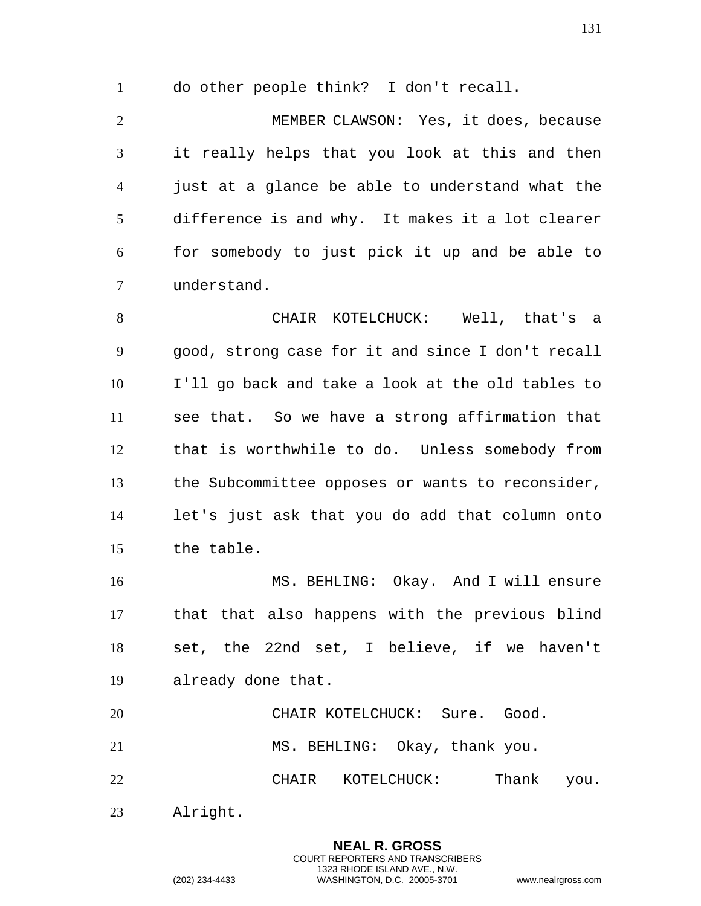do other people think? I don't recall.

 MEMBER CLAWSON: Yes, it does, because it really helps that you look at this and then just at a glance be able to understand what the difference is and why. It makes it a lot clearer for somebody to just pick it up and be able to understand.

 CHAIR KOTELCHUCK: Well, that's a good, strong case for it and since I don't recall I'll go back and take a look at the old tables to see that. So we have a strong affirmation that that is worthwhile to do. Unless somebody from the Subcommittee opposes or wants to reconsider, let's just ask that you do add that column onto the table.

 MS. BEHLING: Okay. And I will ensure that that also happens with the previous blind set, the 22nd set, I believe, if we haven't already done that.

 CHAIR KOTELCHUCK: Sure. Good. MS. BEHLING: Okay, thank you. 22 CHAIR KOTELCHUCK: Thank you.

> **NEAL R. GROSS** COURT REPORTERS AND TRANSCRIBERS 1323 RHODE ISLAND AVE., N.W.

Alright.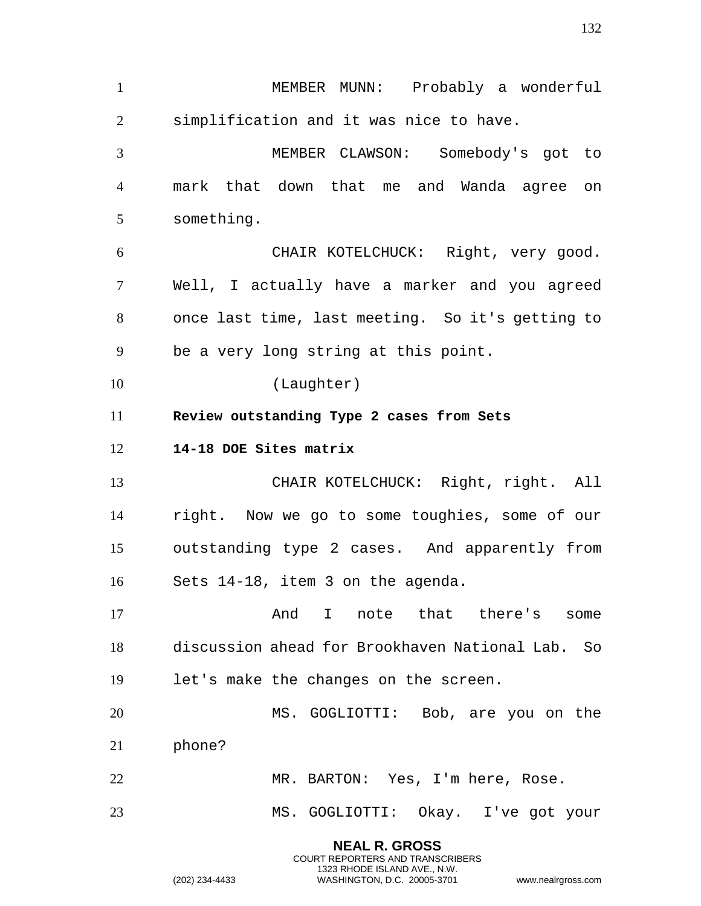**NEAL R. GROSS** MEMBER MUNN: Probably a wonderful simplification and it was nice to have. MEMBER CLAWSON: Somebody's got to mark that down that me and Wanda agree on something. CHAIR KOTELCHUCK: Right, very good. Well, I actually have a marker and you agreed once last time, last meeting. So it's getting to be a very long string at this point. (Laughter) **Review outstanding Type 2 cases from Sets 14-18 DOE Sites matrix**  CHAIR KOTELCHUCK: Right, right. All right. Now we go to some toughies, some of our outstanding type 2 cases. And apparently from Sets 14-18, item 3 on the agenda. 17 and I note that there's some discussion ahead for Brookhaven National Lab. So let's make the changes on the screen. MS. GOGLIOTTI: Bob, are you on the phone? MR. BARTON: Yes, I'm here, Rose. MS. GOGLIOTTI: Okay. I've got your

COURT REPORTERS AND TRANSCRIBERS 1323 RHODE ISLAND AVE., N.W.

(202) 234-4433 WASHINGTON, D.C. 20005-3701 www.nealrgross.com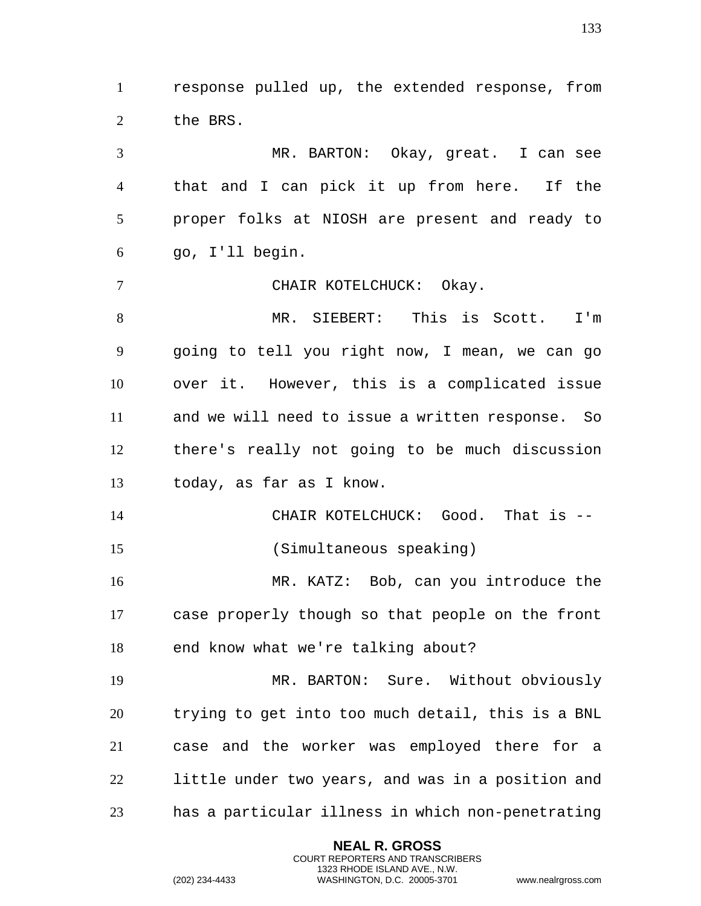response pulled up, the extended response, from 2 the BRS.

 MR. BARTON: Okay, great. I can see that and I can pick it up from here. If the proper folks at NIOSH are present and ready to go, I'll begin.

CHAIR KOTELCHUCK: Okay.

 MR. SIEBERT: This is Scott. I'm going to tell you right now, I mean, we can go over it. However, this is a complicated issue and we will need to issue a written response. So there's really not going to be much discussion today, as far as I know.

 CHAIR KOTELCHUCK: Good. That is -- (Simultaneous speaking)

 MR. KATZ: Bob, can you introduce the case properly though so that people on the front end know what we're talking about?

 MR. BARTON: Sure. Without obviously trying to get into too much detail, this is a BNL case and the worker was employed there for a little under two years, and was in a position and has a particular illness in which non-penetrating

> **NEAL R. GROSS** COURT REPORTERS AND TRANSCRIBERS 1323 RHODE ISLAND AVE., N.W.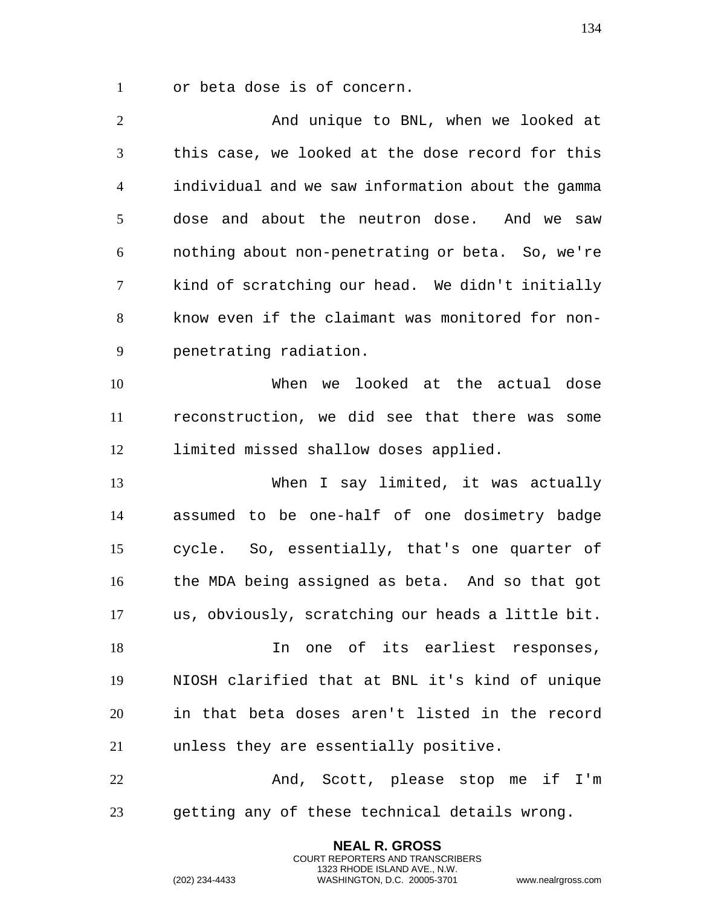or beta dose is of concern.

2 And unique to BNL, when we looked at this case, we looked at the dose record for this individual and we saw information about the gamma dose and about the neutron dose. And we saw nothing about non-penetrating or beta. So, we're kind of scratching our head. We didn't initially know even if the claimant was monitored for non- penetrating radiation. When we looked at the actual dose reconstruction, we did see that there was some limited missed shallow doses applied. When I say limited, it was actually assumed to be one-half of one dosimetry badge cycle. So, essentially, that's one quarter of the MDA being assigned as beta. And so that got us, obviously, scratching our heads a little bit. In one of its earliest responses, NIOSH clarified that at BNL it's kind of unique in that beta doses aren't listed in the record unless they are essentially positive. And, Scott, please stop me if I'm getting any of these technical details wrong.

> **NEAL R. GROSS** COURT REPORTERS AND TRANSCRIBERS 1323 RHODE ISLAND AVE., N.W.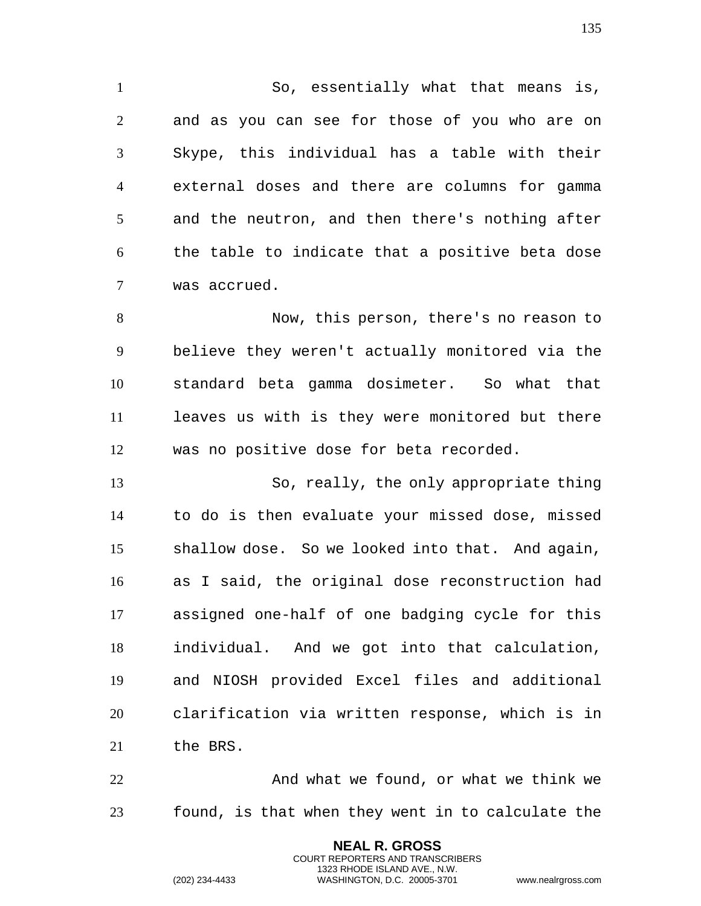So, essentially what that means is, and as you can see for those of you who are on Skype, this individual has a table with their external doses and there are columns for gamma and the neutron, and then there's nothing after the table to indicate that a positive beta dose was accrued.

 Now, this person, there's no reason to believe they weren't actually monitored via the standard beta gamma dosimeter. So what that leaves us with is they were monitored but there was no positive dose for beta recorded.

 So, really, the only appropriate thing to do is then evaluate your missed dose, missed shallow dose. So we looked into that. And again, as I said, the original dose reconstruction had assigned one-half of one badging cycle for this individual. And we got into that calculation, and NIOSH provided Excel files and additional clarification via written response, which is in the BRS.

 And what we found, or what we think we found, is that when they went in to calculate the

> **NEAL R. GROSS** COURT REPORTERS AND TRANSCRIBERS 1323 RHODE ISLAND AVE., N.W.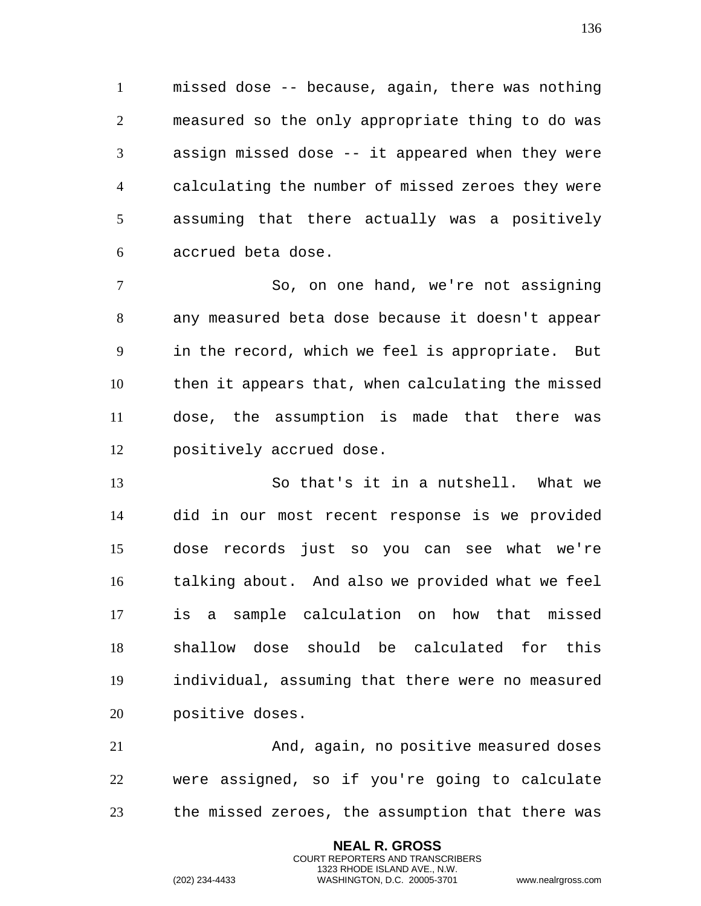missed dose -- because, again, there was nothing measured so the only appropriate thing to do was assign missed dose -- it appeared when they were calculating the number of missed zeroes they were assuming that there actually was a positively accrued beta dose.

 So, on one hand, we're not assigning any measured beta dose because it doesn't appear in the record, which we feel is appropriate. But then it appears that, when calculating the missed dose, the assumption is made that there was positively accrued dose.

 So that's it in a nutshell. What we did in our most recent response is we provided dose records just so you can see what we're talking about. And also we provided what we feel is a sample calculation on how that missed shallow dose should be calculated for this individual, assuming that there were no measured positive doses.

 And, again, no positive measured doses were assigned, so if you're going to calculate the missed zeroes, the assumption that there was

> **NEAL R. GROSS** COURT REPORTERS AND TRANSCRIBERS 1323 RHODE ISLAND AVE., N.W.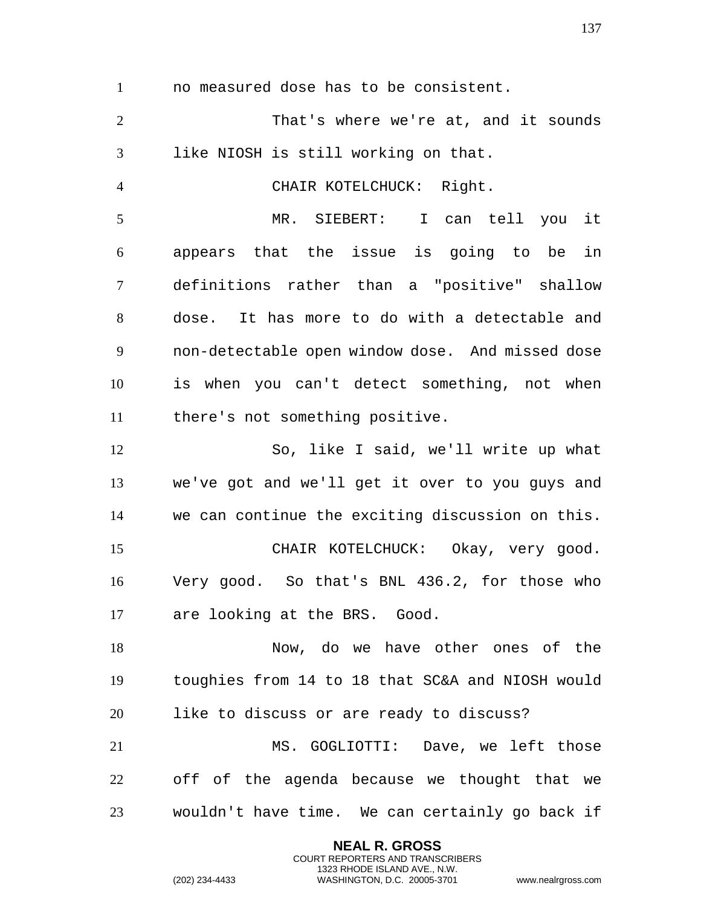no measured dose has to be consistent.

 That's where we're at, and it sounds like NIOSH is still working on that.

CHAIR KOTELCHUCK: Right.

 MR. SIEBERT: I can tell you it appears that the issue is going to be in definitions rather than a "positive" shallow dose. It has more to do with a detectable and non-detectable open window dose. And missed dose is when you can't detect something, not when there's not something positive.

 So, like I said, we'll write up what we've got and we'll get it over to you guys and we can continue the exciting discussion on this. CHAIR KOTELCHUCK: Okay, very good. Very good. So that's BNL 436.2, for those who are looking at the BRS. Good.

 Now, do we have other ones of the toughies from 14 to 18 that SC&A and NIOSH would like to discuss or are ready to discuss?

 MS. GOGLIOTTI: Dave, we left those off of the agenda because we thought that we wouldn't have time. We can certainly go back if

> **NEAL R. GROSS** COURT REPORTERS AND TRANSCRIBERS 1323 RHODE ISLAND AVE., N.W.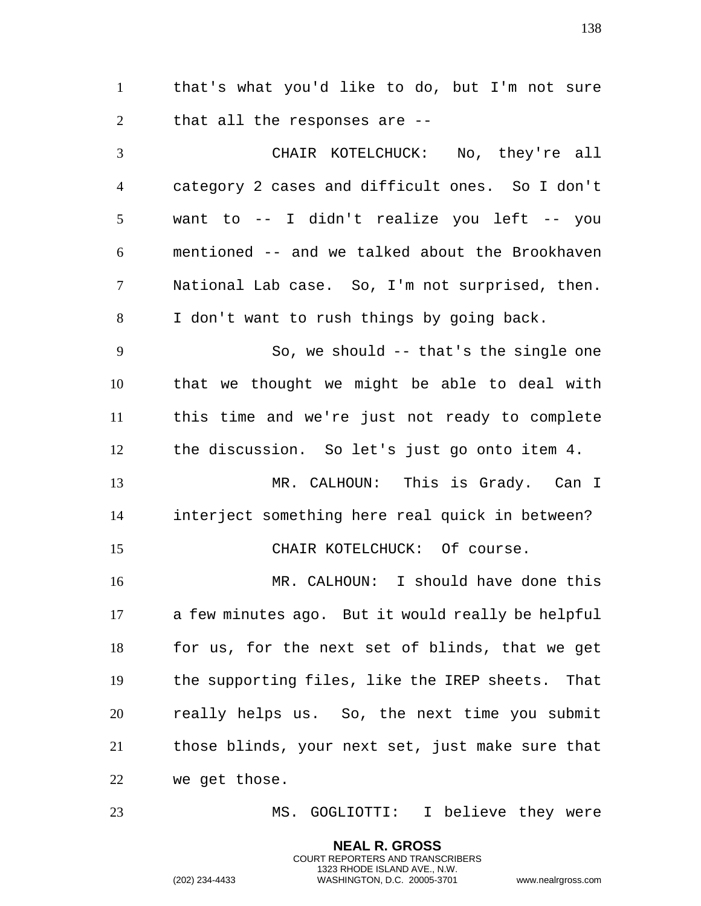that's what you'd like to do, but I'm not sure that all the responses are --

 CHAIR KOTELCHUCK: No, they're all category 2 cases and difficult ones. So I don't want to -- I didn't realize you left -- you mentioned -- and we talked about the Brookhaven National Lab case. So, I'm not surprised, then. I don't want to rush things by going back.

9 So, we should -- that's the single one that we thought we might be able to deal with this time and we're just not ready to complete the discussion. So let's just go onto item 4.

 MR. CALHOUN: This is Grady. Can I interject something here real quick in between? CHAIR KOTELCHUCK: Of course.

 MR. CALHOUN: I should have done this a few minutes ago. But it would really be helpful for us, for the next set of blinds, that we get the supporting files, like the IREP sheets. That really helps us. So, the next time you submit those blinds, your next set, just make sure that we get those.

MS. GOGLIOTTI: I believe they were

**NEAL R. GROSS** COURT REPORTERS AND TRANSCRIBERS 1323 RHODE ISLAND AVE., N.W.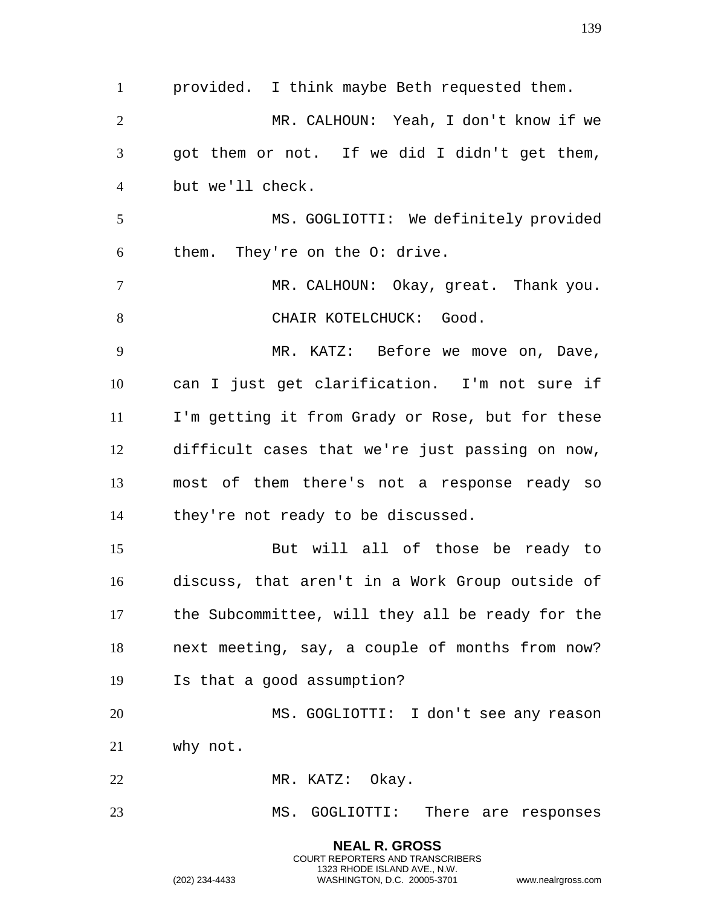**NEAL R. GROSS** provided. I think maybe Beth requested them. MR. CALHOUN: Yeah, I don't know if we got them or not. If we did I didn't get them, but we'll check. MS. GOGLIOTTI: We definitely provided them. They're on the O: drive. MR. CALHOUN: Okay, great. Thank you. 8 CHAIR KOTELCHUCK: Good. 9 MR. KATZ: Before we move on, Dave, can I just get clarification. I'm not sure if I'm getting it from Grady or Rose, but for these difficult cases that we're just passing on now, most of them there's not a response ready so they're not ready to be discussed. But will all of those be ready to discuss, that aren't in a Work Group outside of the Subcommittee, will they all be ready for the next meeting, say, a couple of months from now? Is that a good assumption? MS. GOGLIOTTI: I don't see any reason why not. 22 MR. KATZ: Okay. MS. GOGLIOTTI: There are responses

> COURT REPORTERS AND TRANSCRIBERS 1323 RHODE ISLAND AVE., N.W.

(202) 234-4433 WASHINGTON, D.C. 20005-3701 www.nealrgross.com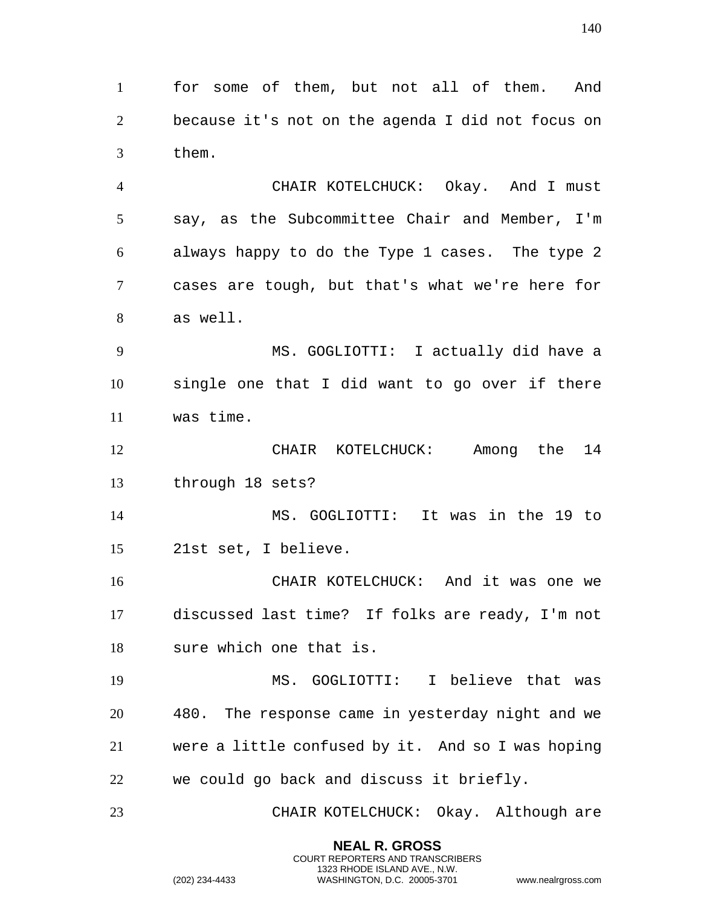for some of them, but not all of them. And because it's not on the agenda I did not focus on them.

 CHAIR KOTELCHUCK: Okay. And I must say, as the Subcommittee Chair and Member, I'm always happy to do the Type 1 cases. The type 2 cases are tough, but that's what we're here for as well.

 MS. GOGLIOTTI: I actually did have a single one that I did want to go over if there was time.

 CHAIR KOTELCHUCK: Among the 14 through 18 sets?

 MS. GOGLIOTTI: It was in the 19 to 21st set, I believe.

 CHAIR KOTELCHUCK: And it was one we discussed last time? If folks are ready, I'm not sure which one that is.

 MS. GOGLIOTTI: I believe that was 480. The response came in yesterday night and we were a little confused by it. And so I was hoping we could go back and discuss it briefly.

CHAIR KOTELCHUCK: Okay. Although are

**NEAL R. GROSS** COURT REPORTERS AND TRANSCRIBERS 1323 RHODE ISLAND AVE., N.W.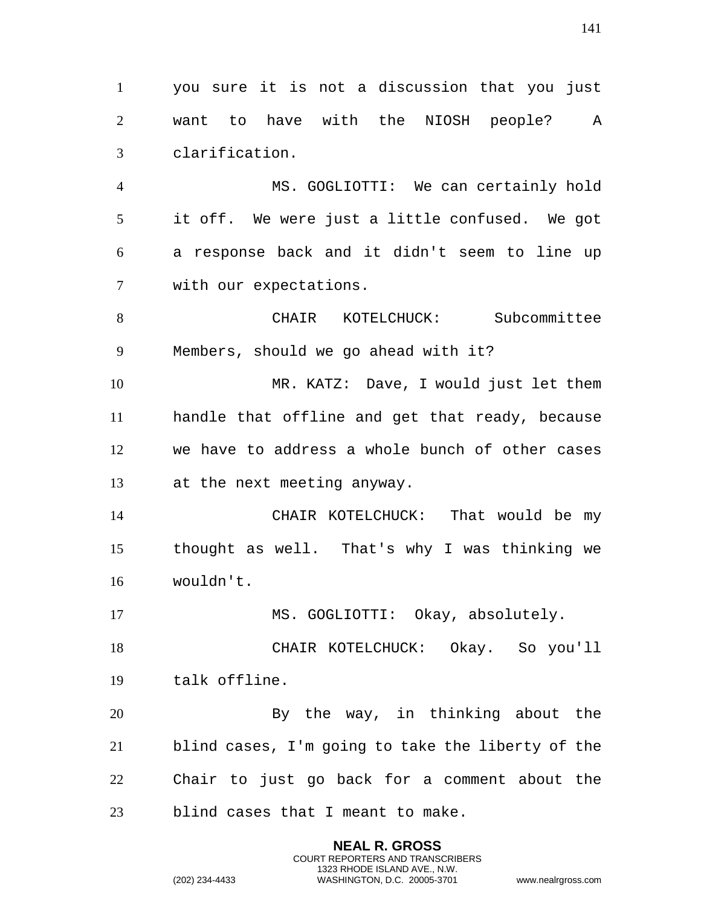you sure it is not a discussion that you just want to have with the NIOSH people? A clarification.

 MS. GOGLIOTTI: We can certainly hold it off. We were just a little confused. We got a response back and it didn't seem to line up with our expectations.

 CHAIR KOTELCHUCK: Subcommittee Members, should we go ahead with it?

 MR. KATZ: Dave, I would just let them handle that offline and get that ready, because we have to address a whole bunch of other cases at the next meeting anyway.

 CHAIR KOTELCHUCK: That would be my thought as well. That's why I was thinking we wouldn't.

17 MS. GOGLIOTTI: Okay, absolutely.

 CHAIR KOTELCHUCK: Okay. So you'll talk offline.

20 By the way, in thinking about the blind cases, I'm going to take the liberty of the Chair to just go back for a comment about the blind cases that I meant to make.

> **NEAL R. GROSS** COURT REPORTERS AND TRANSCRIBERS 1323 RHODE ISLAND AVE., N.W.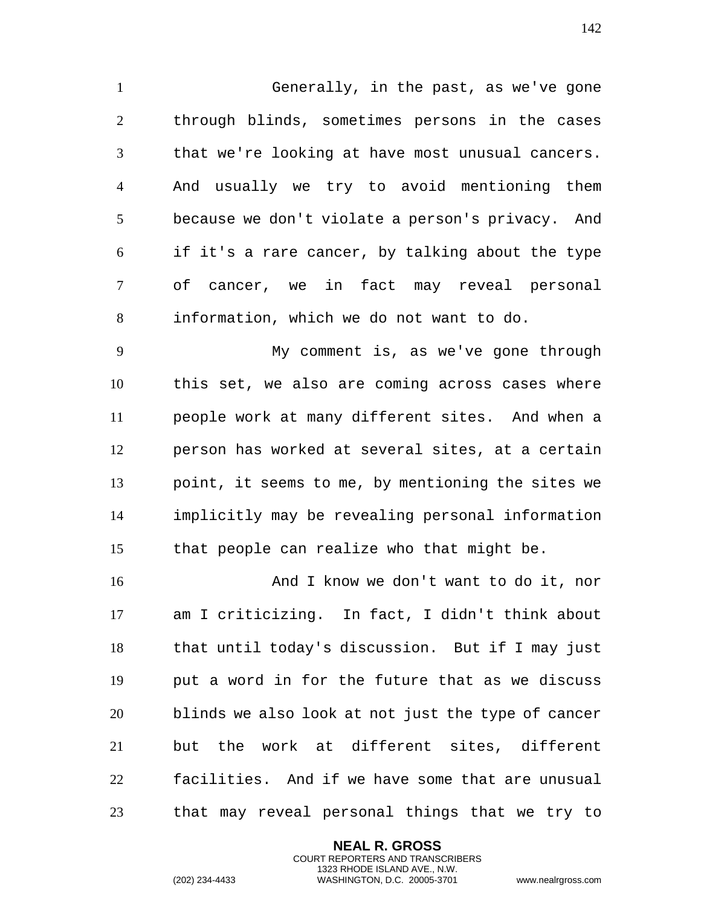Generally, in the past, as we've gone through blinds, sometimes persons in the cases that we're looking at have most unusual cancers. And usually we try to avoid mentioning them because we don't violate a person's privacy. And if it's a rare cancer, by talking about the type of cancer, we in fact may reveal personal information, which we do not want to do.

 My comment is, as we've gone through this set, we also are coming across cases where people work at many different sites. And when a person has worked at several sites, at a certain point, it seems to me, by mentioning the sites we implicitly may be revealing personal information that people can realize who that might be.

 And I know we don't want to do it, nor am I criticizing. In fact, I didn't think about that until today's discussion. But if I may just put a word in for the future that as we discuss blinds we also look at not just the type of cancer but the work at different sites, different facilities. And if we have some that are unusual that may reveal personal things that we try to

> **NEAL R. GROSS** COURT REPORTERS AND TRANSCRIBERS 1323 RHODE ISLAND AVE., N.W.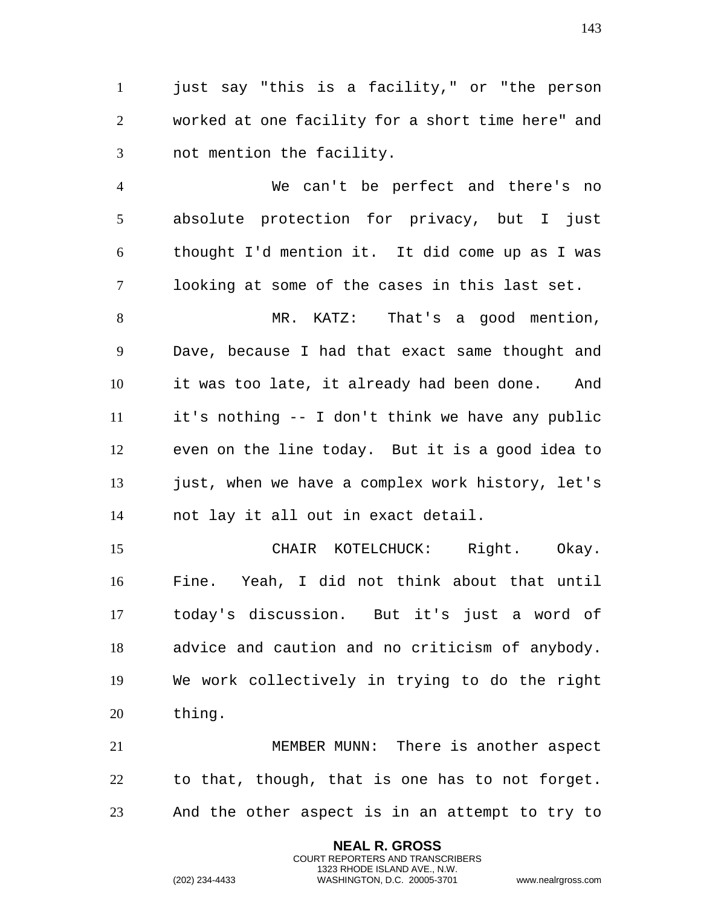just say "this is a facility," or "the person worked at one facility for a short time here" and not mention the facility.

 We can't be perfect and there's no absolute protection for privacy, but I just thought I'd mention it. It did come up as I was looking at some of the cases in this last set.

 MR. KATZ: That's a good mention, Dave, because I had that exact same thought and it was too late, it already had been done. And it's nothing -- I don't think we have any public even on the line today. But it is a good idea to 13 just, when we have a complex work history, let's not lay it all out in exact detail.

 CHAIR KOTELCHUCK: Right. Okay. Fine. Yeah, I did not think about that until today's discussion. But it's just a word of advice and caution and no criticism of anybody. We work collectively in trying to do the right thing.

 MEMBER MUNN: There is another aspect to that, though, that is one has to not forget. And the other aspect is in an attempt to try to

> **NEAL R. GROSS** COURT REPORTERS AND TRANSCRIBERS 1323 RHODE ISLAND AVE., N.W.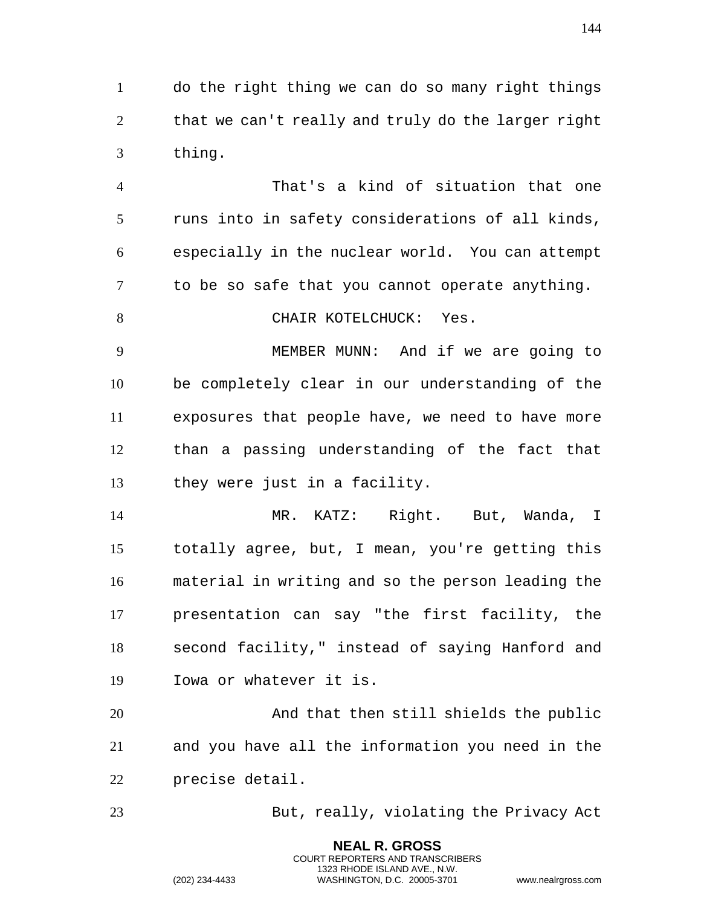do the right thing we can do so many right things that we can't really and truly do the larger right thing.

 That's a kind of situation that one runs into in safety considerations of all kinds, especially in the nuclear world. You can attempt to be so safe that you cannot operate anything.

8 CHAIR KOTELCHUCK: Yes.

 MEMBER MUNN: And if we are going to be completely clear in our understanding of the exposures that people have, we need to have more than a passing understanding of the fact that they were just in a facility.

 MR. KATZ: Right. But, Wanda, I totally agree, but, I mean, you're getting this material in writing and so the person leading the presentation can say "the first facility, the second facility," instead of saying Hanford and Iowa or whatever it is.

 And that then still shields the public and you have all the information you need in the precise detail.

> **NEAL R. GROSS** COURT REPORTERS AND TRANSCRIBERS 1323 RHODE ISLAND AVE., N.W.

But, really, violating the Privacy Act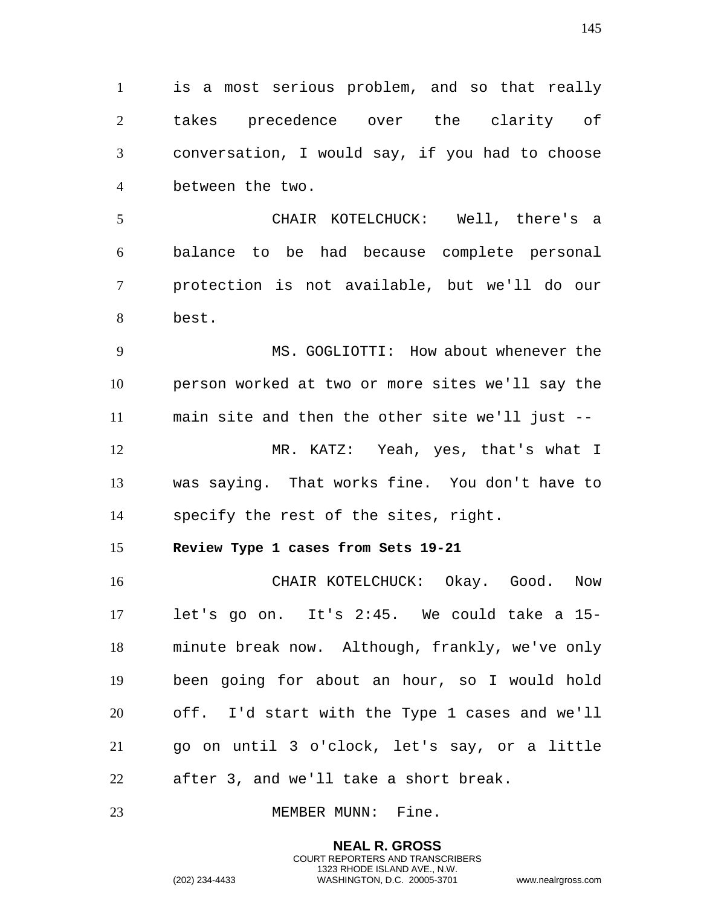is a most serious problem, and so that really takes precedence over the clarity of conversation, I would say, if you had to choose between the two.

 CHAIR KOTELCHUCK: Well, there's a balance to be had because complete personal protection is not available, but we'll do our best.

 MS. GOGLIOTTI: How about whenever the person worked at two or more sites we'll say the main site and then the other site we'll just -- MR. KATZ: Yeah, yes, that's what I was saying. That works fine. You don't have to specify the rest of the sites, right.

**Review Type 1 cases from Sets 19-21**

 CHAIR KOTELCHUCK: Okay. Good. Now let's go on. It's 2:45. We could take a 15- minute break now. Although, frankly, we've only been going for about an hour, so I would hold off. I'd start with the Type 1 cases and we'll go on until 3 o'clock, let's say, or a little after 3, and we'll take a short break.

23 MEMBER MUNN: Fine.

**NEAL R. GROSS** COURT REPORTERS AND TRANSCRIBERS 1323 RHODE ISLAND AVE., N.W.

(202) 234-4433 WASHINGTON, D.C. 20005-3701 www.nealrgross.com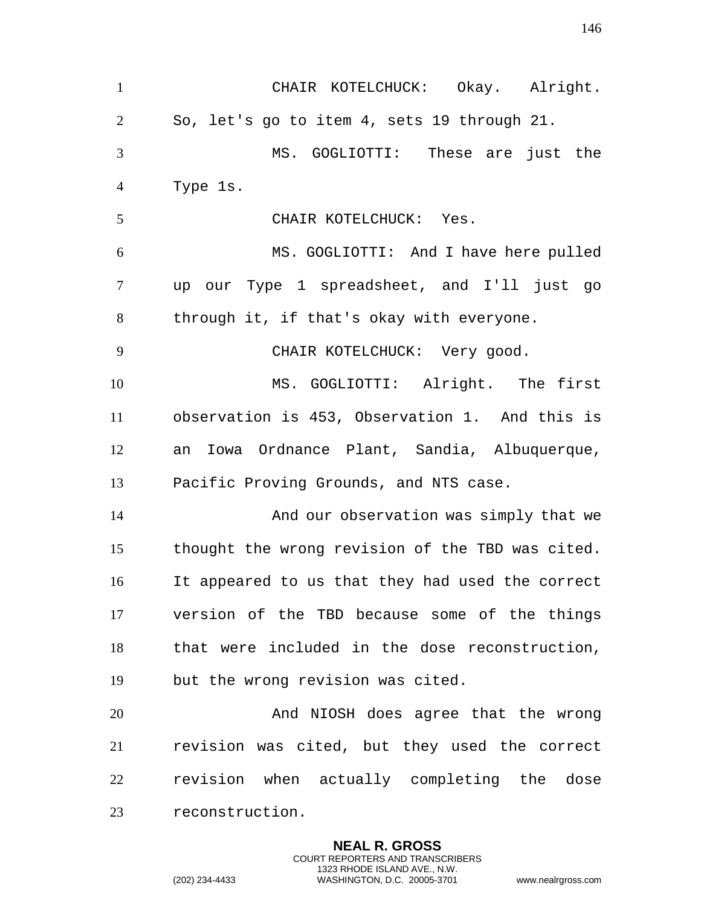CHAIR KOTELCHUCK: Okay. Alright. So, let's go to item 4, sets 19 through 21. MS. GOGLIOTTI: These are just the Type 1s. CHAIR KOTELCHUCK: Yes. MS. GOGLIOTTI: And I have here pulled up our Type 1 spreadsheet, and I'll just go through it, if that's okay with everyone. 9 CHAIR KOTELCHUCK: Very good. MS. GOGLIOTTI: Alright. The first observation is 453, Observation 1. And this is an Iowa Ordnance Plant, Sandia, Albuquerque, Pacific Proving Grounds, and NTS case. And our observation was simply that we thought the wrong revision of the TBD was cited. It appeared to us that they had used the correct version of the TBD because some of the things that were included in the dose reconstruction, but the wrong revision was cited. And NIOSH does agree that the wrong revision was cited, but they used the correct revision when actually completing the dose reconstruction.

> **NEAL R. GROSS** COURT REPORTERS AND TRANSCRIBERS 1323 RHODE ISLAND AVE., N.W.

(202) 234-4433 WASHINGTON, D.C. 20005-3701 www.nealrgross.com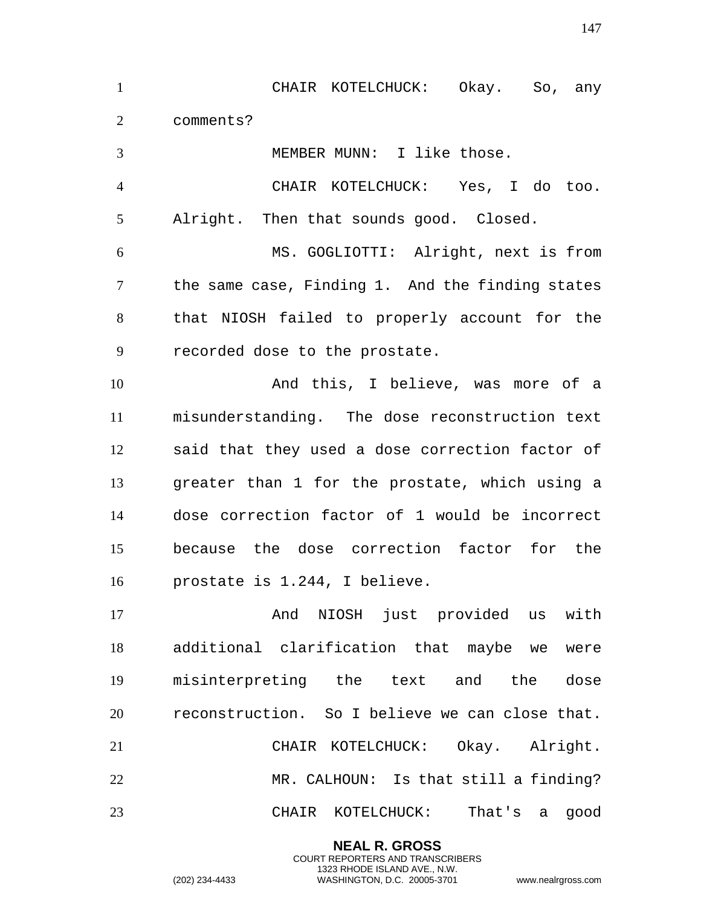CHAIR KOTELCHUCK: Okay. So, any comments? MEMBER MUNN: I like those. CHAIR KOTELCHUCK: Yes, I do too. Alright. Then that sounds good. Closed. MS. GOGLIOTTI: Alright, next is from the same case, Finding 1. And the finding states that NIOSH failed to properly account for the recorded dose to the prostate. And this, I believe, was more of a misunderstanding. The dose reconstruction text said that they used a dose correction factor of greater than 1 for the prostate, which using a dose correction factor of 1 would be incorrect because the dose correction factor for the prostate is 1.244, I believe. And NIOSH just provided us with additional clarification that maybe we were misinterpreting the text and the dose reconstruction. So I believe we can close that. CHAIR KOTELCHUCK: Okay. Alright. MR. CALHOUN: Is that still a finding? CHAIR KOTELCHUCK: That's a good

> **NEAL R. GROSS** COURT REPORTERS AND TRANSCRIBERS 1323 RHODE ISLAND AVE., N.W.

(202) 234-4433 WASHINGTON, D.C. 20005-3701 www.nealrgross.com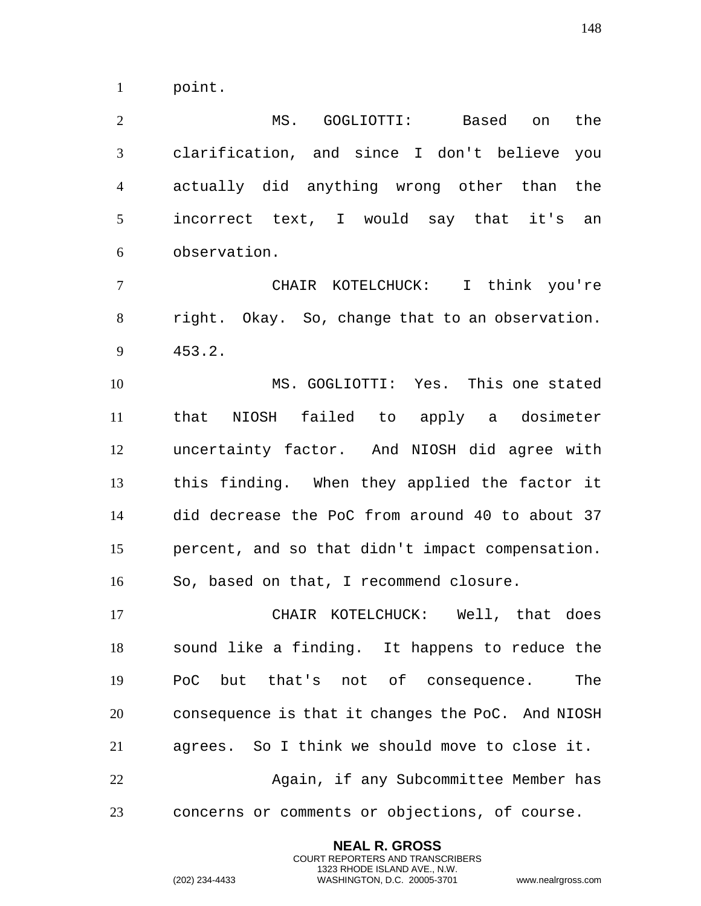point.

 MS. GOGLIOTTI: Based on the clarification, and since I don't believe you actually did anything wrong other than the incorrect text, I would say that it's an observation.

 CHAIR KOTELCHUCK: I think you're right. Okay. So, change that to an observation. 453.2.

 MS. GOGLIOTTI: Yes. This one stated that NIOSH failed to apply a dosimeter uncertainty factor. And NIOSH did agree with this finding. When they applied the factor it did decrease the PoC from around 40 to about 37 percent, and so that didn't impact compensation. So, based on that, I recommend closure.

 CHAIR KOTELCHUCK: Well, that does sound like a finding. It happens to reduce the PoC but that's not of consequence. The consequence is that it changes the PoC. And NIOSH agrees. So I think we should move to close it. Again, if any Subcommittee Member has concerns or comments or objections, of course.

> **NEAL R. GROSS** COURT REPORTERS AND TRANSCRIBERS 1323 RHODE ISLAND AVE., N.W.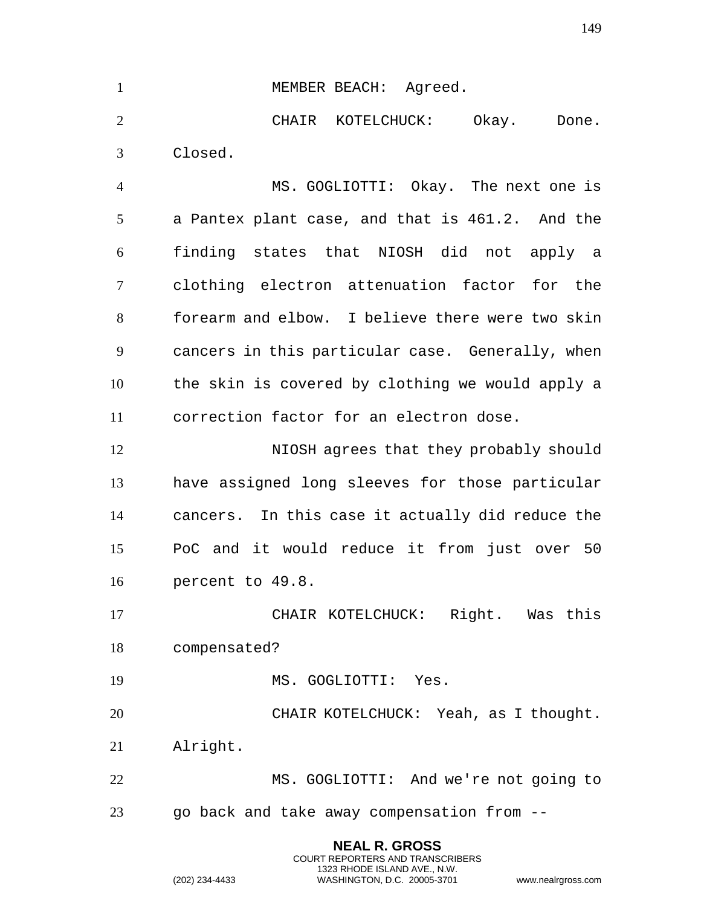1 MEMBER BEACH: Agreed. CHAIR KOTELCHUCK: Okay. Done. Closed. MS. GOGLIOTTI: Okay. The next one is a Pantex plant case, and that is 461.2. And the finding states that NIOSH did not apply a clothing electron attenuation factor for the forearm and elbow. I believe there were two skin cancers in this particular case. Generally, when the skin is covered by clothing we would apply a correction factor for an electron dose. NIOSH agrees that they probably should have assigned long sleeves for those particular cancers. In this case it actually did reduce the PoC and it would reduce it from just over 50 percent to 49.8. CHAIR KOTELCHUCK: Right. Was this compensated? 19 MS. GOGLIOTTI: Yes. CHAIR KOTELCHUCK: Yeah, as I thought. Alright. MS. GOGLIOTTI: And we're not going to go back and take away compensation from --

> **NEAL R. GROSS** COURT REPORTERS AND TRANSCRIBERS 1323 RHODE ISLAND AVE., N.W.

(202) 234-4433 WASHINGTON, D.C. 20005-3701 www.nealrgross.com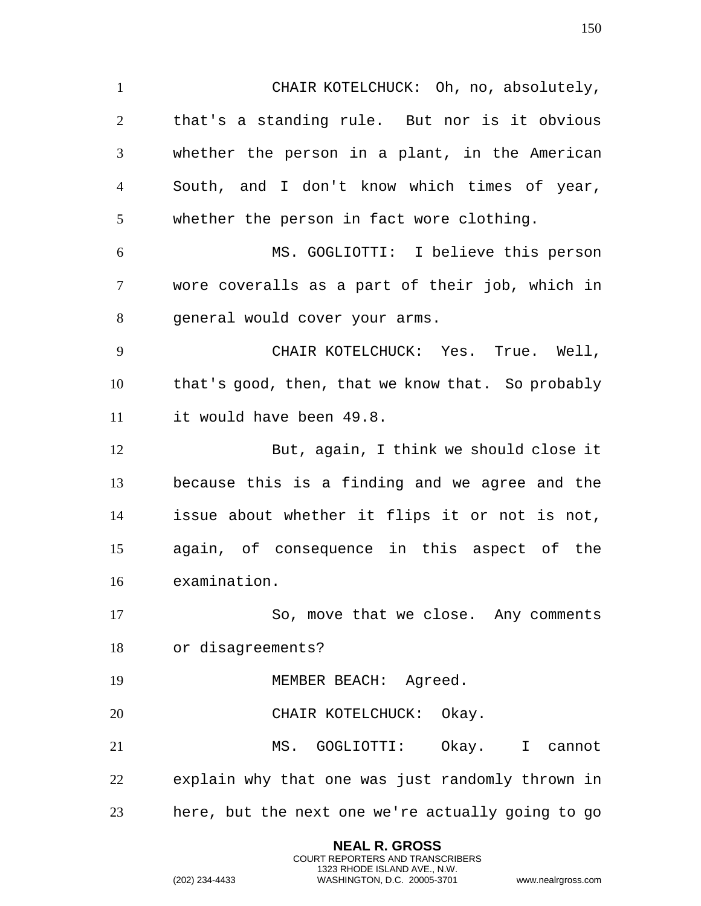CHAIR KOTELCHUCK: Oh, no, absolutely, that's a standing rule. But nor is it obvious whether the person in a plant, in the American South, and I don't know which times of year, whether the person in fact wore clothing. MS. GOGLIOTTI: I believe this person wore coveralls as a part of their job, which in general would cover your arms. CHAIR KOTELCHUCK: Yes. True. Well, that's good, then, that we know that. So probably it would have been 49.8. But, again, I think we should close it because this is a finding and we agree and the issue about whether it flips it or not is not, again, of consequence in this aspect of the examination. So, move that we close. Any comments or disagreements? 19 MEMBER BEACH: Agreed. 20 CHAIR KOTELCHUCK: Okay. MS. GOGLIOTTI: Okay. I cannot explain why that one was just randomly thrown in here, but the next one we're actually going to go

> **NEAL R. GROSS** COURT REPORTERS AND TRANSCRIBERS 1323 RHODE ISLAND AVE., N.W.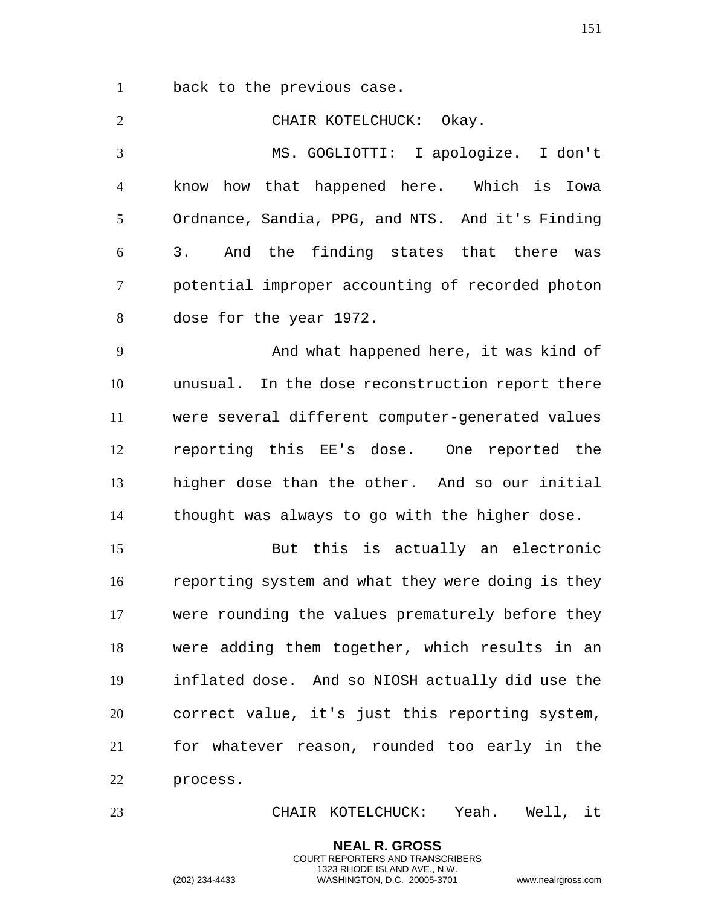back to the previous case.

 CHAIR KOTELCHUCK: Okay. MS. GOGLIOTTI: I apologize. I don't know how that happened here. Which is Iowa Ordnance, Sandia, PPG, and NTS. And it's Finding 3. And the finding states that there was potential improper accounting of recorded photon dose for the year 1972. And what happened here, it was kind of unusual. In the dose reconstruction report there were several different computer-generated values reporting this EE's dose. One reported the higher dose than the other. And so our initial thought was always to go with the higher dose. But this is actually an electronic reporting system and what they were doing is they were rounding the values prematurely before they were adding them together, which results in an inflated dose. And so NIOSH actually did use the correct value, it's just this reporting system, for whatever reason, rounded too early in the process.

CHAIR KOTELCHUCK: Yeah. Well, it

**NEAL R. GROSS** COURT REPORTERS AND TRANSCRIBERS 1323 RHODE ISLAND AVE., N.W.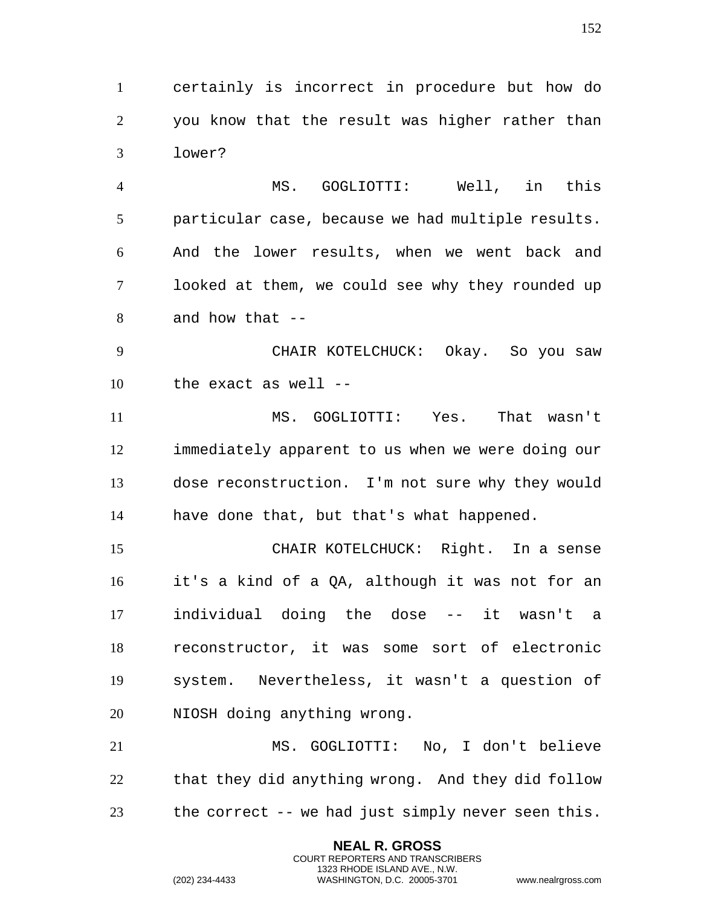certainly is incorrect in procedure but how do you know that the result was higher rather than lower?

 MS. GOGLIOTTI: Well, in this particular case, because we had multiple results. And the lower results, when we went back and looked at them, we could see why they rounded up and how that --

 CHAIR KOTELCHUCK: Okay. So you saw the exact as well --

 MS. GOGLIOTTI: Yes. That wasn't immediately apparent to us when we were doing our dose reconstruction. I'm not sure why they would have done that, but that's what happened.

 CHAIR KOTELCHUCK: Right. In a sense it's a kind of a QA, although it was not for an individual doing the dose -- it wasn't a reconstructor, it was some sort of electronic system. Nevertheless, it wasn't a question of NIOSH doing anything wrong.

 MS. GOGLIOTTI: No, I don't believe that they did anything wrong. And they did follow the correct -- we had just simply never seen this.

> **NEAL R. GROSS** COURT REPORTERS AND TRANSCRIBERS 1323 RHODE ISLAND AVE., N.W.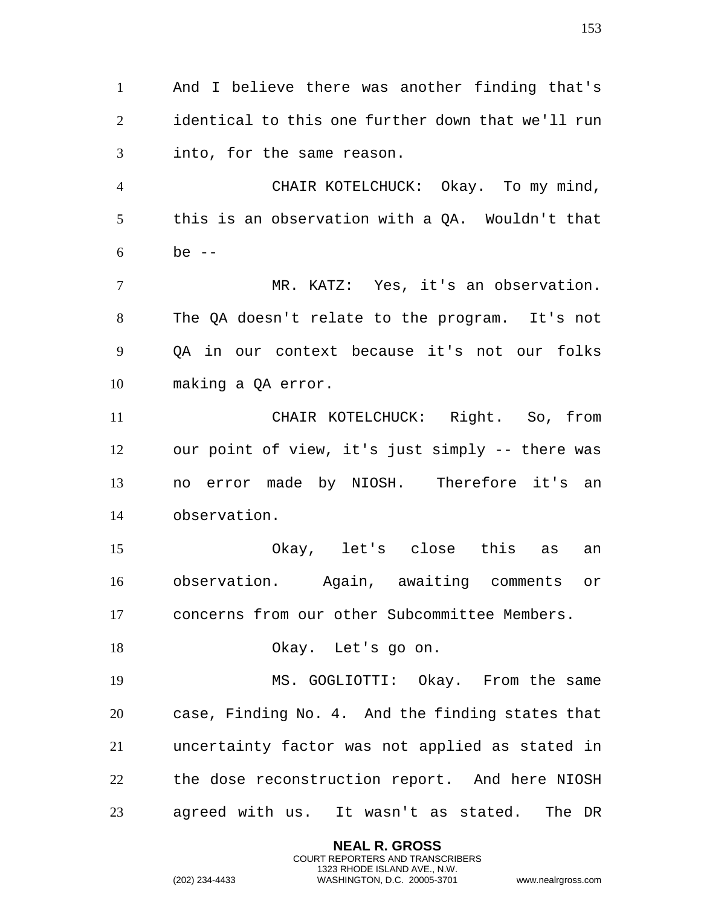And I believe there was another finding that's identical to this one further down that we'll run into, for the same reason. CHAIR KOTELCHUCK: Okay. To my mind, this is an observation with a QA. Wouldn't that be -- MR. KATZ: Yes, it's an observation. The QA doesn't relate to the program. It's not QA in our context because it's not our folks making a QA error. CHAIR KOTELCHUCK: Right. So, from our point of view, it's just simply -- there was no error made by NIOSH. Therefore it's an observation. Okay, let's close this as an observation. Again, awaiting comments or concerns from our other Subcommittee Members. Okay. Let's go on. MS. GOGLIOTTI: Okay. From the same case, Finding No. 4. And the finding states that uncertainty factor was not applied as stated in the dose reconstruction report. And here NIOSH agreed with us. It wasn't as stated. The DR

> **NEAL R. GROSS** COURT REPORTERS AND TRANSCRIBERS 1323 RHODE ISLAND AVE., N.W.

(202) 234-4433 WASHINGTON, D.C. 20005-3701 www.nealrgross.com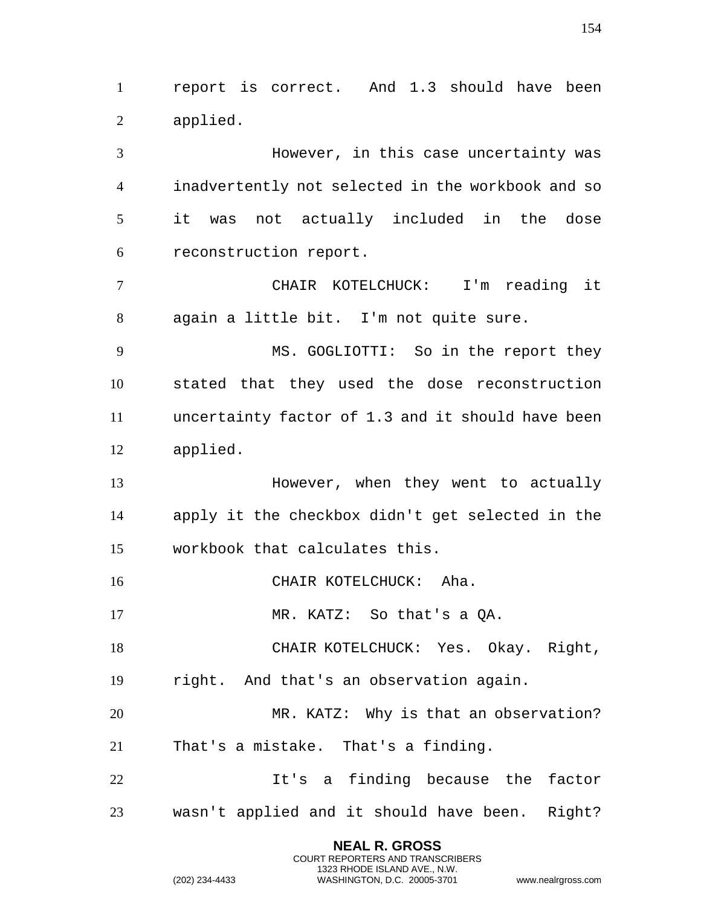report is correct. And 1.3 should have been applied.

 However, in this case uncertainty was inadvertently not selected in the workbook and so it was not actually included in the dose reconstruction report.

 CHAIR KOTELCHUCK: I'm reading it again a little bit. I'm not quite sure.

 MS. GOGLIOTTI: So in the report they stated that they used the dose reconstruction uncertainty factor of 1.3 and it should have been applied.

 However, when they went to actually apply it the checkbox didn't get selected in the workbook that calculates this.

16 CHAIR KOTELCHUCK: Aha.

17 MR. KATZ: So that's a QA.

18 CHAIR KOTELCHUCK: Yes. Okay. Right, right. And that's an observation again.

 MR. KATZ: Why is that an observation? That's a mistake. That's a finding.

 It's a finding because the factor wasn't applied and it should have been. Right?

> **NEAL R. GROSS** COURT REPORTERS AND TRANSCRIBERS 1323 RHODE ISLAND AVE., N.W.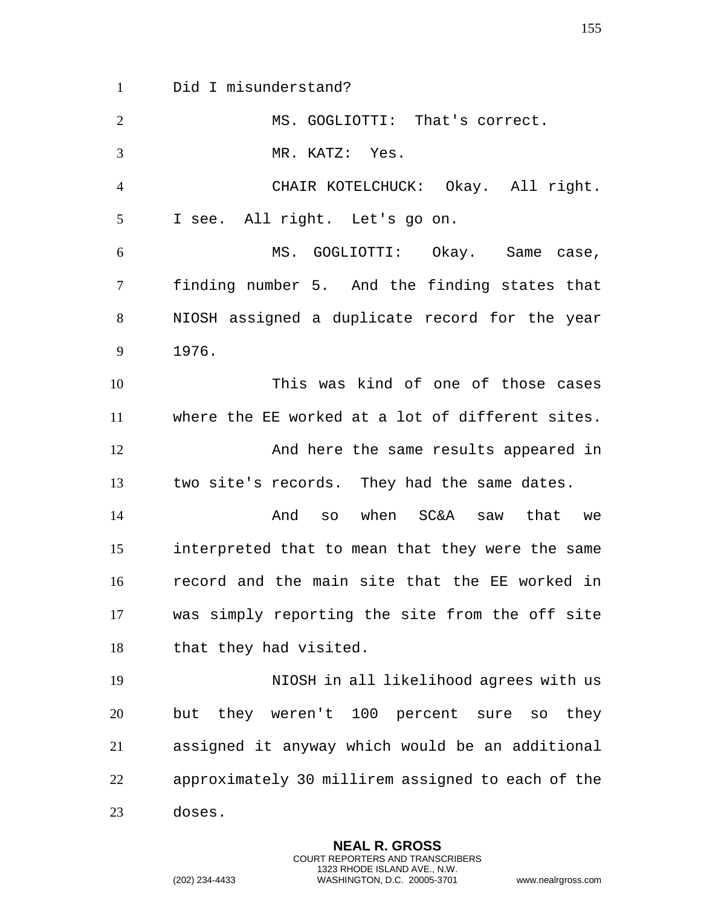Did I misunderstand? MS. GOGLIOTTI: That's correct. MR. KATZ: Yes. CHAIR KOTELCHUCK: Okay. All right. I see. All right. Let's go on. MS. GOGLIOTTI: Okay. Same case, finding number 5. And the finding states that NIOSH assigned a duplicate record for the year 1976. This was kind of one of those cases where the EE worked at a lot of different sites. And here the same results appeared in two site's records. They had the same dates. And so when SC&A saw that we interpreted that to mean that they were the same record and the main site that the EE worked in was simply reporting the site from the off site that they had visited. NIOSH in all likelihood agrees with us but they weren't 100 percent sure so they assigned it anyway which would be an additional approximately 30 millirem assigned to each of the doses.

> **NEAL R. GROSS** COURT REPORTERS AND TRANSCRIBERS 1323 RHODE ISLAND AVE., N.W.

(202) 234-4433 WASHINGTON, D.C. 20005-3701 www.nealrgross.com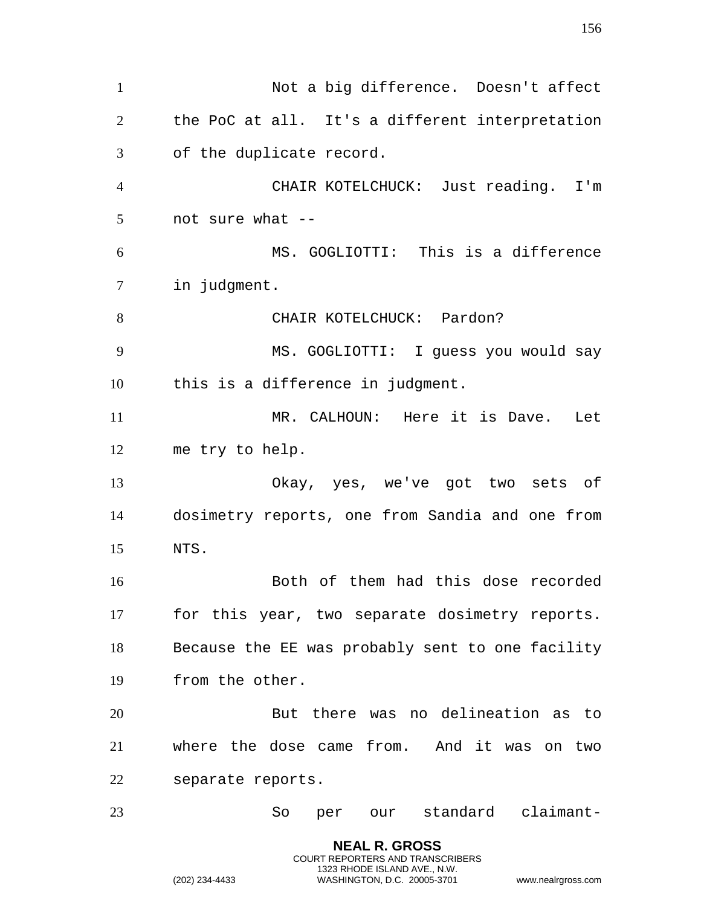Not a big difference. Doesn't affect the PoC at all. It's a different interpretation of the duplicate record. CHAIR KOTELCHUCK: Just reading. I'm not sure what -- MS. GOGLIOTTI: This is a difference in judgment. 8 CHAIR KOTELCHUCK: Pardon? MS. GOGLIOTTI: I guess you would say this is a difference in judgment. MR. CALHOUN: Here it is Dave. Let me try to help. Okay, yes, we've got two sets of dosimetry reports, one from Sandia and one from NTS. Both of them had this dose recorded for this year, two separate dosimetry reports. Because the EE was probably sent to one facility from the other. But there was no delineation as to where the dose came from. And it was on two separate reports. So per our standard claimant-

> **NEAL R. GROSS** COURT REPORTERS AND TRANSCRIBERS 1323 RHODE ISLAND AVE., N.W.

(202) 234-4433 WASHINGTON, D.C. 20005-3701 www.nealrgross.com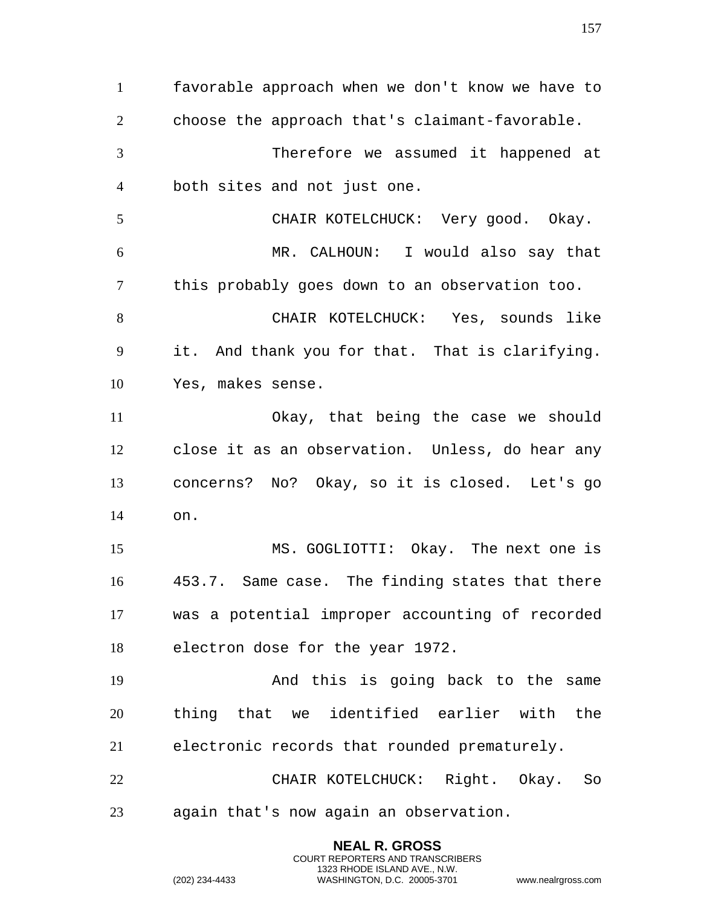favorable approach when we don't know we have to choose the approach that's claimant-favorable. Therefore we assumed it happened at both sites and not just one. CHAIR KOTELCHUCK: Very good. Okay. MR. CALHOUN: I would also say that this probably goes down to an observation too. CHAIR KOTELCHUCK: Yes, sounds like it. And thank you for that. That is clarifying. Yes, makes sense. Okay, that being the case we should close it as an observation. Unless, do hear any concerns? No? Okay, so it is closed. Let's go on. MS. GOGLIOTTI: Okay. The next one is 453.7. Same case. The finding states that there was a potential improper accounting of recorded electron dose for the year 1972. And this is going back to the same thing that we identified earlier with the electronic records that rounded prematurely. CHAIR KOTELCHUCK: Right. Okay. So again that's now again an observation.

> **NEAL R. GROSS** COURT REPORTERS AND TRANSCRIBERS 1323 RHODE ISLAND AVE., N.W.

(202) 234-4433 WASHINGTON, D.C. 20005-3701 www.nealrgross.com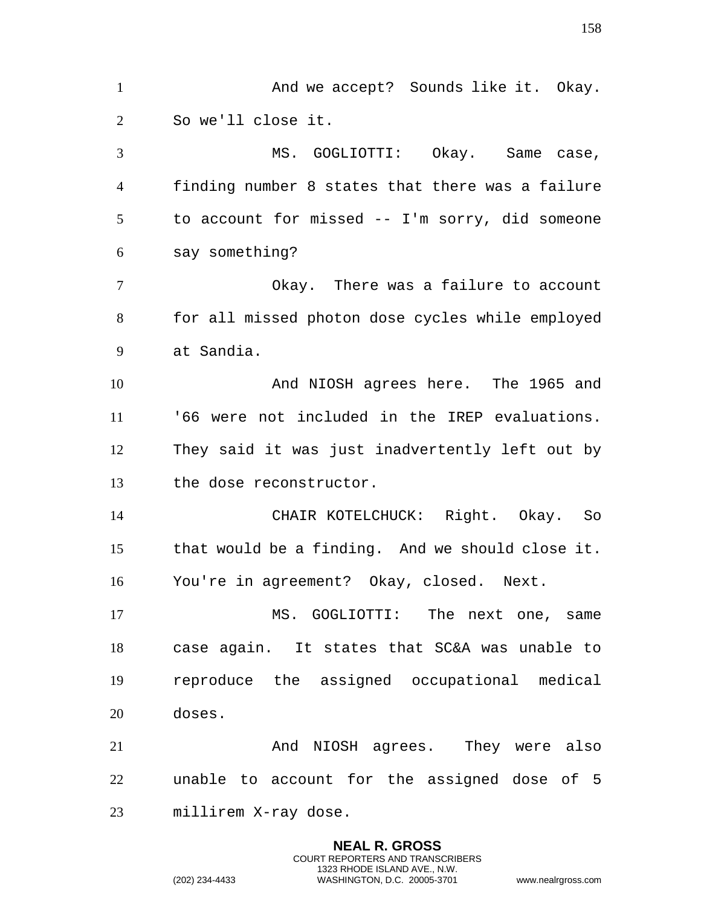1 And we accept? Sounds like it. Okay. So we'll close it. 3 MS. GOGLIOTTI: Okay. Same case, finding number 8 states that there was a failure to account for missed -- I'm sorry, did someone say something? Okay. There was a failure to account for all missed photon dose cycles while employed at Sandia. And NIOSH agrees here. The 1965 and '66 were not included in the IREP evaluations. They said it was just inadvertently left out by the dose reconstructor. CHAIR KOTELCHUCK: Right. Okay. So that would be a finding. And we should close it. You're in agreement? Okay, closed. Next. MS. GOGLIOTTI: The next one, same case again. It states that SC&A was unable to reproduce the assigned occupational medical doses. And NIOSH agrees. They were also unable to account for the assigned dose of 5 millirem X-ray dose.

> **NEAL R. GROSS** COURT REPORTERS AND TRANSCRIBERS 1323 RHODE ISLAND AVE., N.W.

(202) 234-4433 WASHINGTON, D.C. 20005-3701 www.nealrgross.com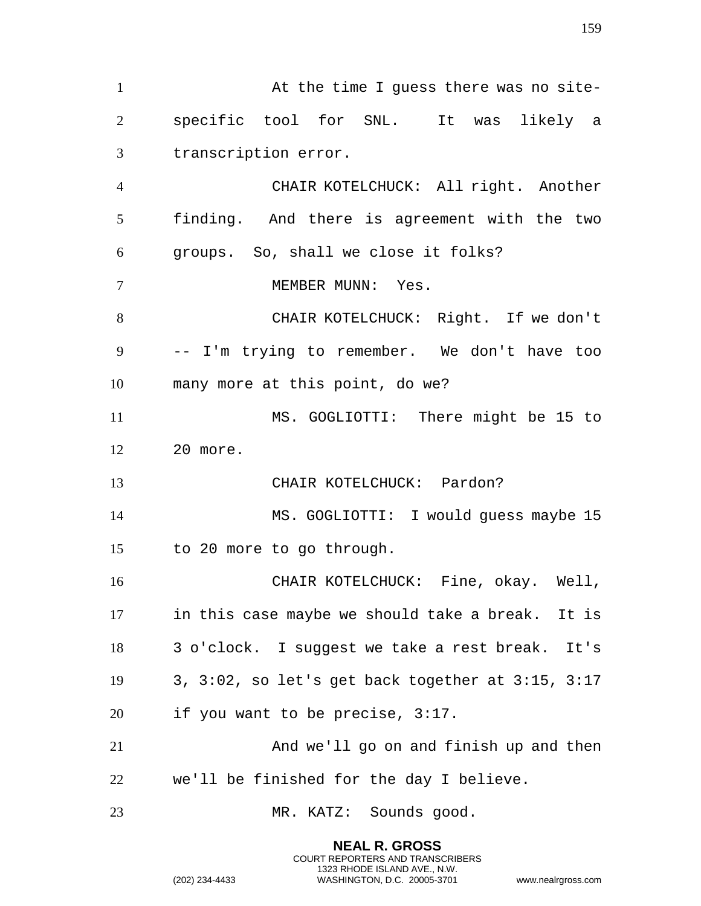1 At the time I guess there was no site- specific tool for SNL. It was likely a transcription error. CHAIR KOTELCHUCK: All right. Another finding. And there is agreement with the two groups. So, shall we close it folks? 7 MEMBER MUNN: Yes. CHAIR KOTELCHUCK: Right. If we don't -- I'm trying to remember. We don't have too many more at this point, do we? MS. GOGLIOTTI: There might be 15 to 20 more. CHAIR KOTELCHUCK: Pardon? MS. GOGLIOTTI: I would guess maybe 15 to 20 more to go through. CHAIR KOTELCHUCK: Fine, okay. Well, in this case maybe we should take a break. It is 3 o'clock. I suggest we take a rest break. It's 3, 3:02, so let's get back together at 3:15, 3:17 if you want to be precise, 3:17. And we'll go on and finish up and then we'll be finished for the day I believe. MR. KATZ: Sounds good.

> **NEAL R. GROSS** COURT REPORTERS AND TRANSCRIBERS 1323 RHODE ISLAND AVE., N.W.

(202) 234-4433 WASHINGTON, D.C. 20005-3701 www.nealrgross.com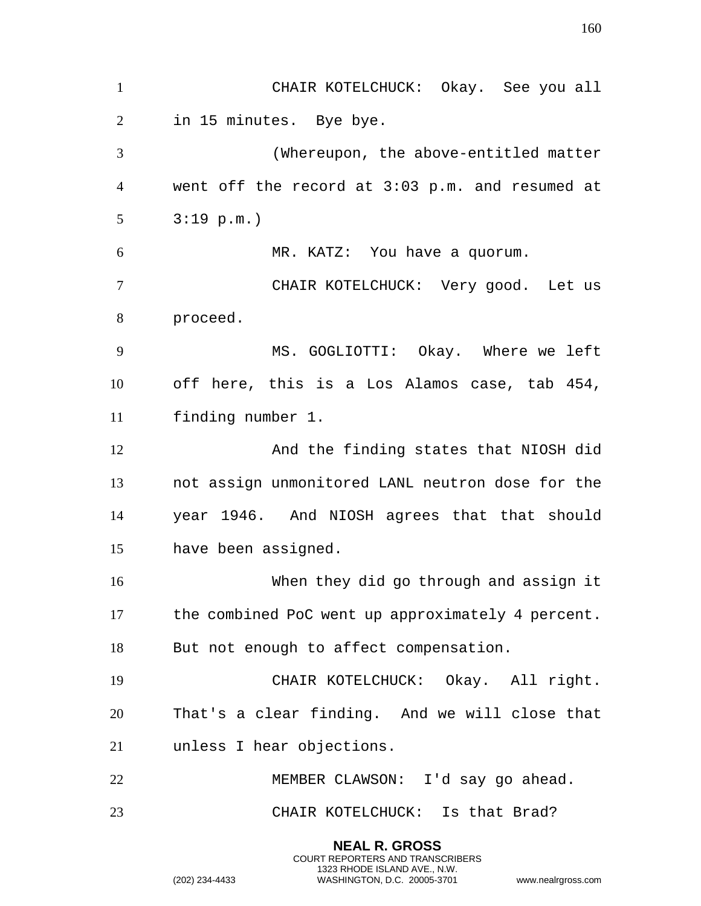**NEAL R. GROSS** CHAIR KOTELCHUCK: Okay. See you all in 15 minutes. Bye bye. (Whereupon, the above-entitled matter went off the record at 3:03 p.m. and resumed at 3:19 p.m.) MR. KATZ: You have a quorum. CHAIR KOTELCHUCK: Very good. Let us proceed. MS. GOGLIOTTI: Okay. Where we left off here, this is a Los Alamos case, tab 454, finding number 1. And the finding states that NIOSH did not assign unmonitored LANL neutron dose for the year 1946. And NIOSH agrees that that should have been assigned. When they did go through and assign it the combined PoC went up approximately 4 percent. But not enough to affect compensation. CHAIR KOTELCHUCK: Okay. All right. That's a clear finding. And we will close that unless I hear objections. MEMBER CLAWSON: I'd say go ahead. CHAIR KOTELCHUCK: Is that Brad?

> COURT REPORTERS AND TRANSCRIBERS 1323 RHODE ISLAND AVE., N.W.

(202) 234-4433 WASHINGTON, D.C. 20005-3701 www.nealrgross.com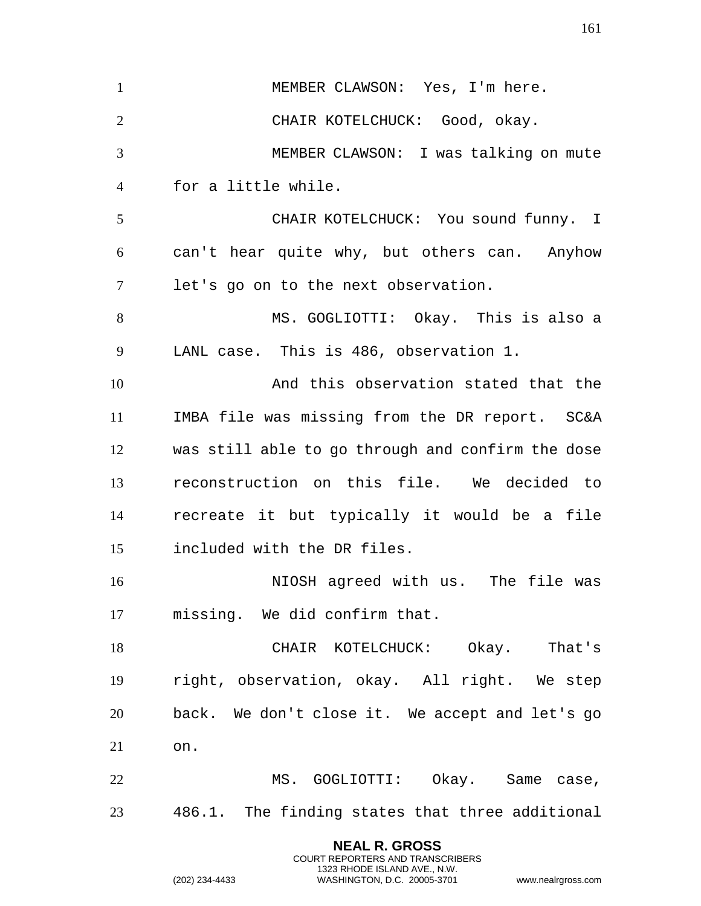**NEAL R. GROSS** 1 MEMBER CLAWSON: Yes, I'm here. CHAIR KOTELCHUCK: Good, okay. MEMBER CLAWSON: I was talking on mute for a little while. CHAIR KOTELCHUCK: You sound funny. I can't hear quite why, but others can. Anyhow let's go on to the next observation. MS. GOGLIOTTI: Okay. This is also a LANL case. This is 486, observation 1. And this observation stated that the IMBA file was missing from the DR report. SC&A was still able to go through and confirm the dose reconstruction on this file. We decided to recreate it but typically it would be a file included with the DR files. NIOSH agreed with us. The file was missing. We did confirm that. 18 CHAIR KOTELCHUCK: Okay. That's right, observation, okay. All right. We step back. We don't close it. We accept and let's go on. 22 MS. GOGLIOTTI: Okay. Same case, 486.1. The finding states that three additional

COURT REPORTERS AND TRANSCRIBERS 1323 RHODE ISLAND AVE., N.W.

(202) 234-4433 WASHINGTON, D.C. 20005-3701 www.nealrgross.com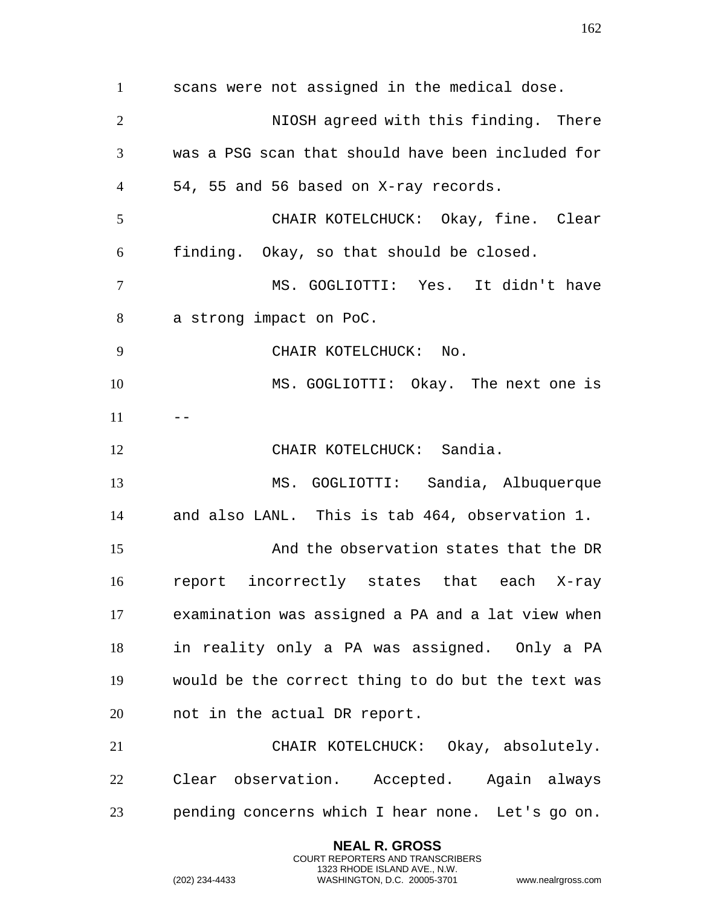scans were not assigned in the medical dose. NIOSH agreed with this finding. There was a PSG scan that should have been included for 54, 55 and 56 based on X-ray records. CHAIR KOTELCHUCK: Okay, fine. Clear finding. Okay, so that should be closed. MS. GOGLIOTTI: Yes. It didn't have a strong impact on PoC. 9 CHAIR KOTELCHUCK: No. MS. GOGLIOTTI: Okay. The next one is CHAIR KOTELCHUCK: Sandia. MS. GOGLIOTTI: Sandia, Albuquerque and also LANL. This is tab 464, observation 1. And the observation states that the DR report incorrectly states that each X-ray examination was assigned a PA and a lat view when in reality only a PA was assigned. Only a PA would be the correct thing to do but the text was not in the actual DR report. CHAIR KOTELCHUCK: Okay, absolutely. Clear observation. Accepted. Again always pending concerns which I hear none. Let's go on.

> **NEAL R. GROSS** COURT REPORTERS AND TRANSCRIBERS 1323 RHODE ISLAND AVE., N.W.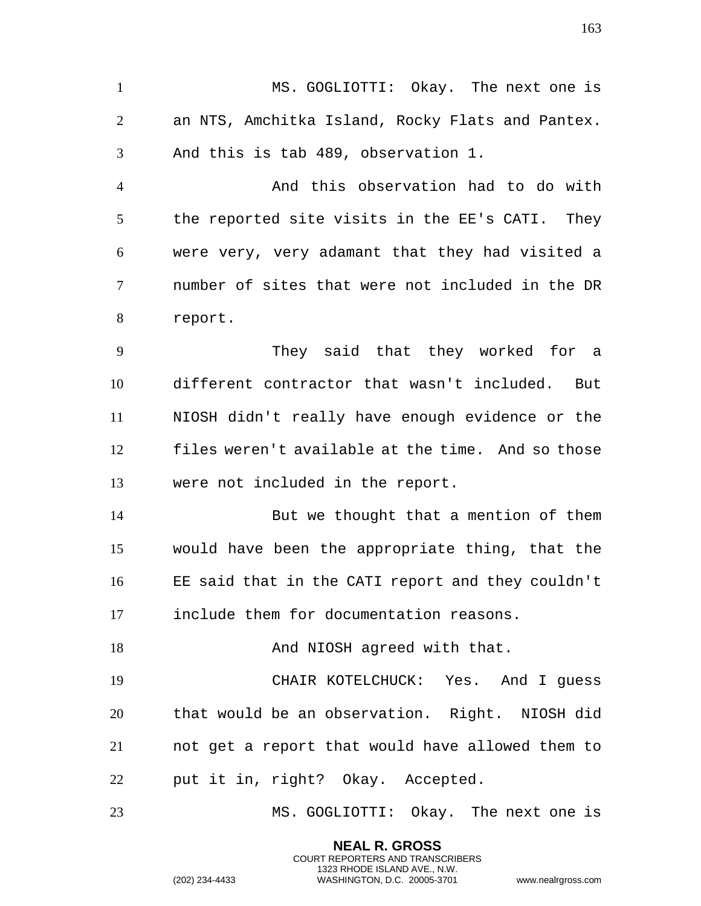MS. GOGLIOTTI: Okay. The next one is an NTS, Amchitka Island, Rocky Flats and Pantex. And this is tab 489, observation 1.

 And this observation had to do with the reported site visits in the EE's CATI. They were very, very adamant that they had visited a number of sites that were not included in the DR report.

 They said that they worked for a different contractor that wasn't included. But NIOSH didn't really have enough evidence or the files weren't available at the time. And so those were not included in the report.

 But we thought that a mention of them would have been the appropriate thing, that the EE said that in the CATI report and they couldn't include them for documentation reasons.

18 And NIOSH agreed with that.

 CHAIR KOTELCHUCK: Yes. And I guess that would be an observation. Right. NIOSH did not get a report that would have allowed them to put it in, right? Okay. Accepted.

MS. GOGLIOTTI: Okay. The next one is

**NEAL R. GROSS** COURT REPORTERS AND TRANSCRIBERS 1323 RHODE ISLAND AVE., N.W.

(202) 234-4433 WASHINGTON, D.C. 20005-3701 www.nealrgross.com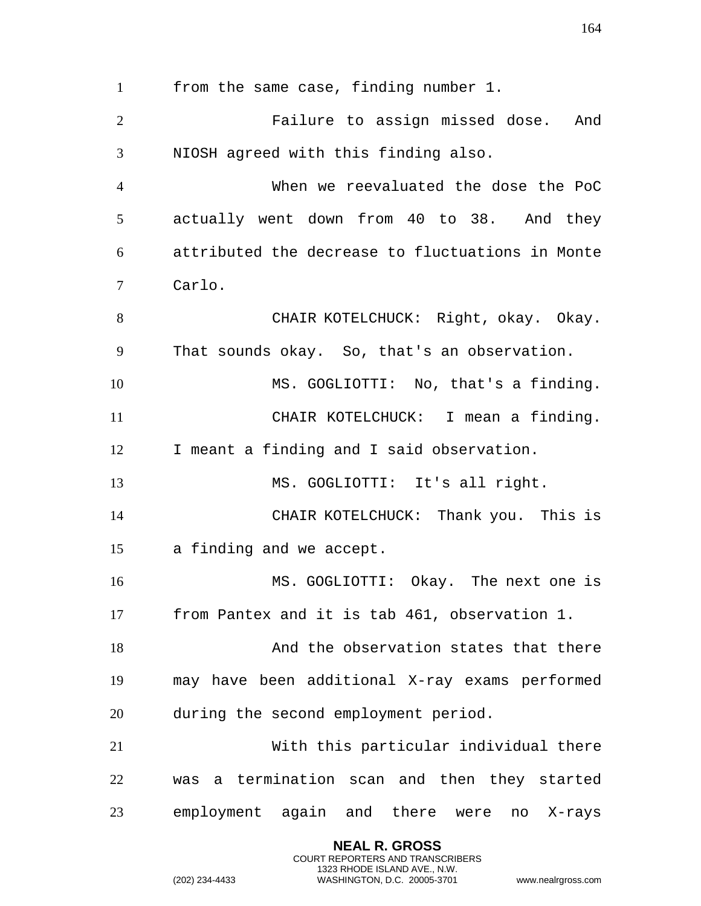from the same case, finding number 1. Failure to assign missed dose. And NIOSH agreed with this finding also. When we reevaluated the dose the PoC actually went down from 40 to 38. And they attributed the decrease to fluctuations in Monte Carlo. 8 CHAIR KOTELCHUCK: Right, okay. Okay. That sounds okay. So, that's an observation. MS. GOGLIOTTI: No, that's a finding. CHAIR KOTELCHUCK: I mean a finding. I meant a finding and I said observation. MS. GOGLIOTTI: It's all right. CHAIR KOTELCHUCK: Thank you. This is a finding and we accept. MS. GOGLIOTTI: Okay. The next one is from Pantex and it is tab 461, observation 1. 18 And the observation states that there may have been additional X-ray exams performed during the second employment period. With this particular individual there was a termination scan and then they started employment again and there were no X-rays

> **NEAL R. GROSS** COURT REPORTERS AND TRANSCRIBERS 1323 RHODE ISLAND AVE., N.W.

(202) 234-4433 WASHINGTON, D.C. 20005-3701 www.nealrgross.com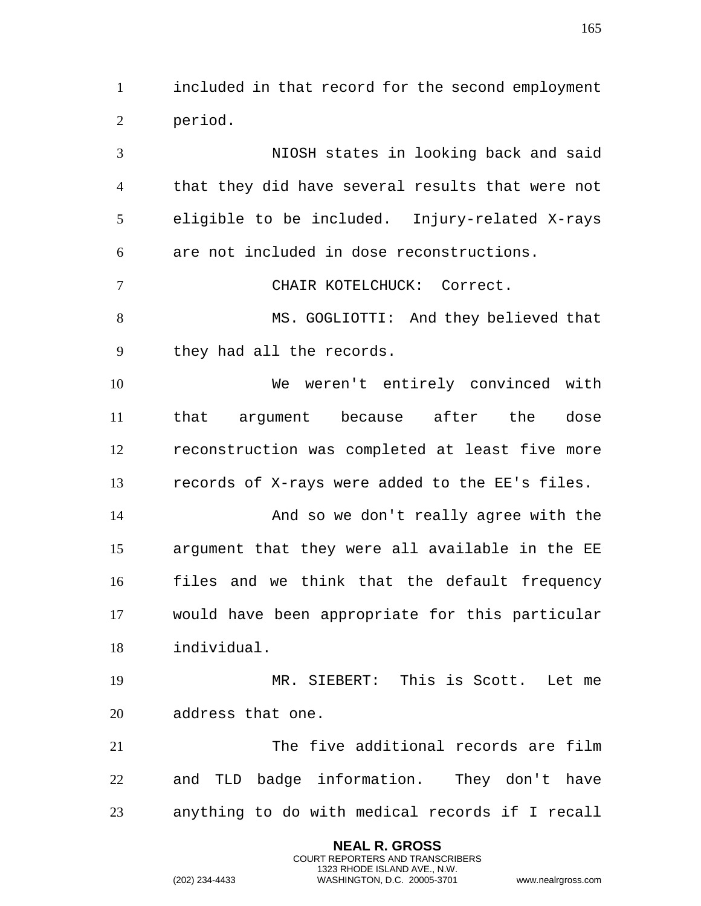included in that record for the second employment period.

 NIOSH states in looking back and said that they did have several results that were not eligible to be included. Injury-related X-rays are not included in dose reconstructions. CHAIR KOTELCHUCK: Correct. 8 MS. GOGLIOTTI: And they believed that they had all the records.

 We weren't entirely convinced with that argument because after the dose reconstruction was completed at least five more records of X-rays were added to the EE's files.

 And so we don't really agree with the argument that they were all available in the EE files and we think that the default frequency would have been appropriate for this particular individual.

 MR. SIEBERT: This is Scott. Let me address that one.

 The five additional records are film and TLD badge information. They don't have anything to do with medical records if I recall

> **NEAL R. GROSS** COURT REPORTERS AND TRANSCRIBERS 1323 RHODE ISLAND AVE., N.W.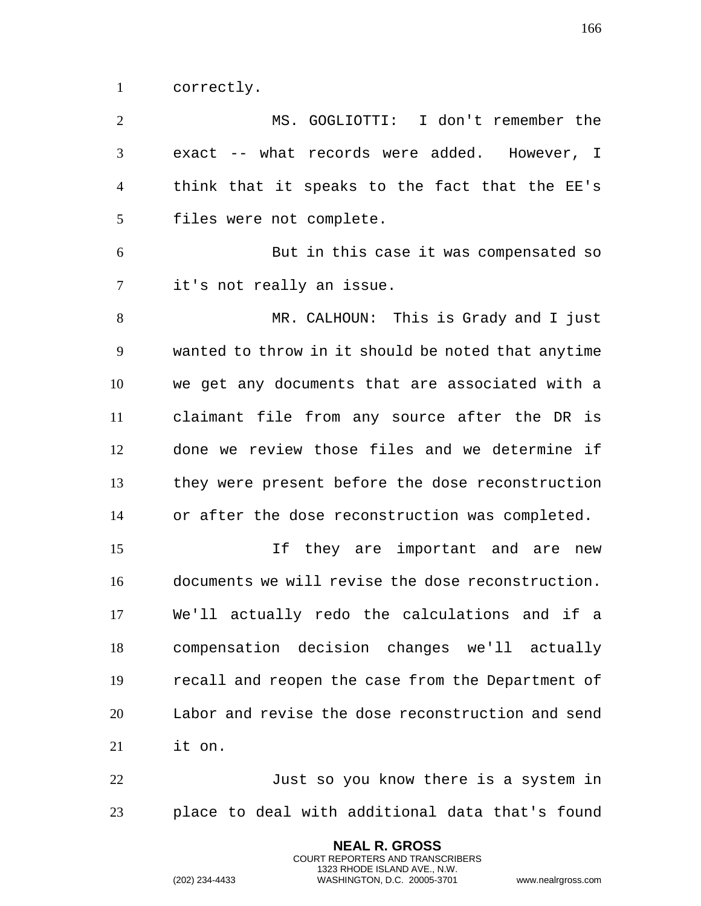correctly.

 MS. GOGLIOTTI: I don't remember the exact -- what records were added. However, I think that it speaks to the fact that the EE's files were not complete. But in this case it was compensated so it's not really an issue. MR. CALHOUN: This is Grady and I just wanted to throw in it should be noted that anytime we get any documents that are associated with a claimant file from any source after the DR is done we review those files and we determine if they were present before the dose reconstruction or after the dose reconstruction was completed. If they are important and are new documents we will revise the dose reconstruction. We'll actually redo the calculations and if a compensation decision changes we'll actually recall and reopen the case from the Department of Labor and revise the dose reconstruction and send it on. 22 Just so you know there is a system in place to deal with additional data that's found

> **NEAL R. GROSS** COURT REPORTERS AND TRANSCRIBERS 1323 RHODE ISLAND AVE., N.W.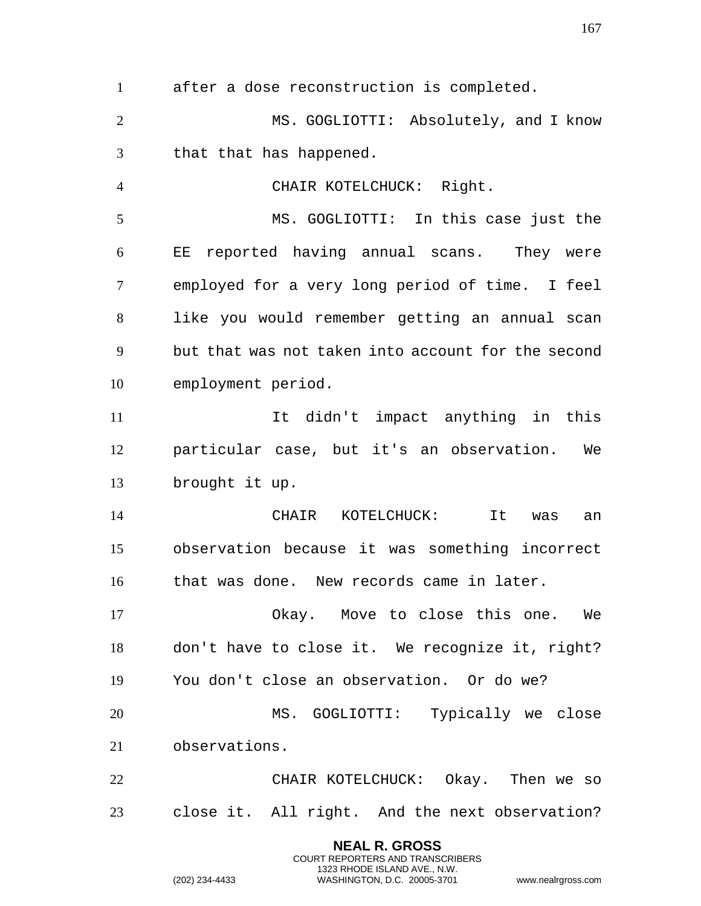after a dose reconstruction is completed.

 MS. GOGLIOTTI: Absolutely, and I know that that has happened.

 CHAIR KOTELCHUCK: Right. MS. GOGLIOTTI: In this case just the EE reported having annual scans. They were employed for a very long period of time. I feel like you would remember getting an annual scan but that was not taken into account for the second employment period.

 It didn't impact anything in this particular case, but it's an observation. We brought it up.

 CHAIR KOTELCHUCK: It was an observation because it was something incorrect that was done. New records came in later.

 Okay. Move to close this one. We don't have to close it. We recognize it, right? You don't close an observation. Or do we? MS. GOGLIOTTI: Typically we close

observations.

 CHAIR KOTELCHUCK: Okay. Then we so close it. All right. And the next observation?

> **NEAL R. GROSS** COURT REPORTERS AND TRANSCRIBERS 1323 RHODE ISLAND AVE., N.W.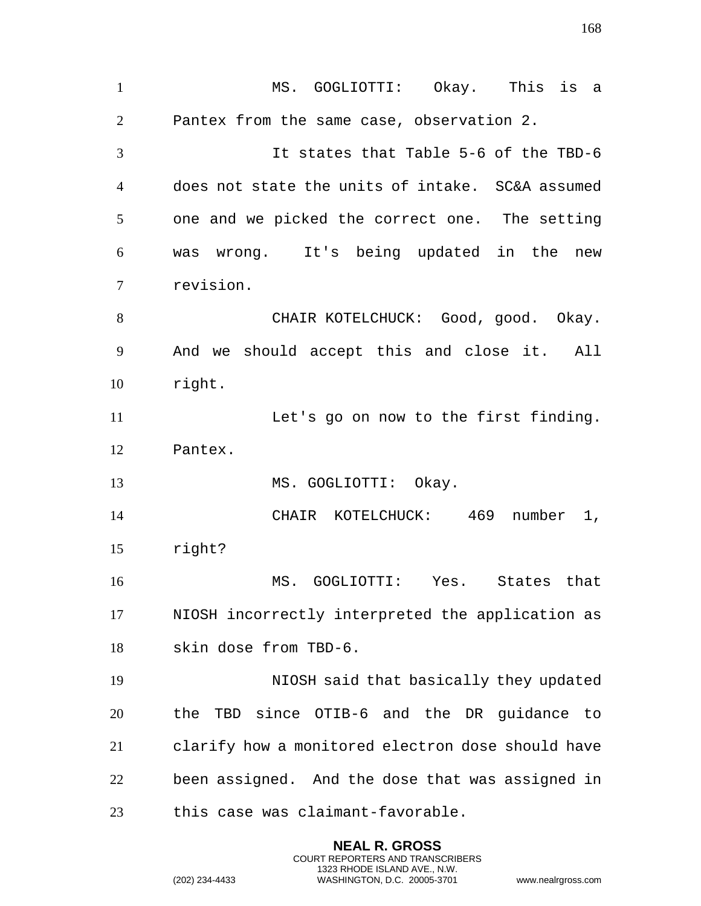MS. GOGLIOTTI: Okay. This is a Pantex from the same case, observation 2. It states that Table 5-6 of the TBD-6 does not state the units of intake. SC&A assumed one and we picked the correct one. The setting was wrong. It's being updated in the new revision. 8 CHAIR KOTELCHUCK: Good, good. Okay. And we should accept this and close it. All right. Let's go on now to the first finding. Pantex. 13 MS. GOGLIOTTI: Okay. CHAIR KOTELCHUCK: 469 number 1, right? MS. GOGLIOTTI: Yes. States that NIOSH incorrectly interpreted the application as skin dose from TBD-6. NIOSH said that basically they updated the TBD since OTIB-6 and the DR guidance to clarify how a monitored electron dose should have been assigned. And the dose that was assigned in this case was claimant-favorable.

> **NEAL R. GROSS** COURT REPORTERS AND TRANSCRIBERS 1323 RHODE ISLAND AVE., N.W.

(202) 234-4433 WASHINGTON, D.C. 20005-3701 www.nealrgross.com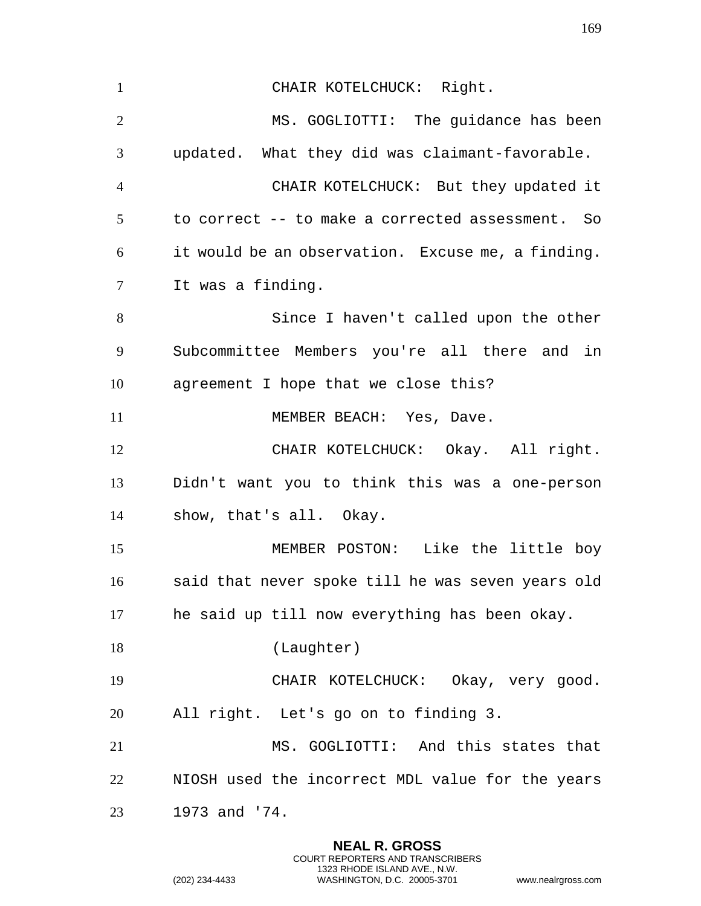1 CHAIR KOTELCHUCK: Right. MS. GOGLIOTTI: The guidance has been updated. What they did was claimant-favorable. CHAIR KOTELCHUCK: But they updated it to correct -- to make a corrected assessment. So it would be an observation. Excuse me, a finding. It was a finding. Since I haven't called upon the other Subcommittee Members you're all there and in agreement I hope that we close this? 11 MEMBER BEACH: Yes, Dave. CHAIR KOTELCHUCK: Okay. All right. Didn't want you to think this was a one-person show, that's all. Okay. MEMBER POSTON: Like the little boy said that never spoke till he was seven years old he said up till now everything has been okay. 18 (Laughter) CHAIR KOTELCHUCK: Okay, very good. All right. Let's go on to finding 3. MS. GOGLIOTTI: And this states that NIOSH used the incorrect MDL value for the years 1973 and '74.

> **NEAL R. GROSS** COURT REPORTERS AND TRANSCRIBERS 1323 RHODE ISLAND AVE., N.W.

(202) 234-4433 WASHINGTON, D.C. 20005-3701 www.nealrgross.com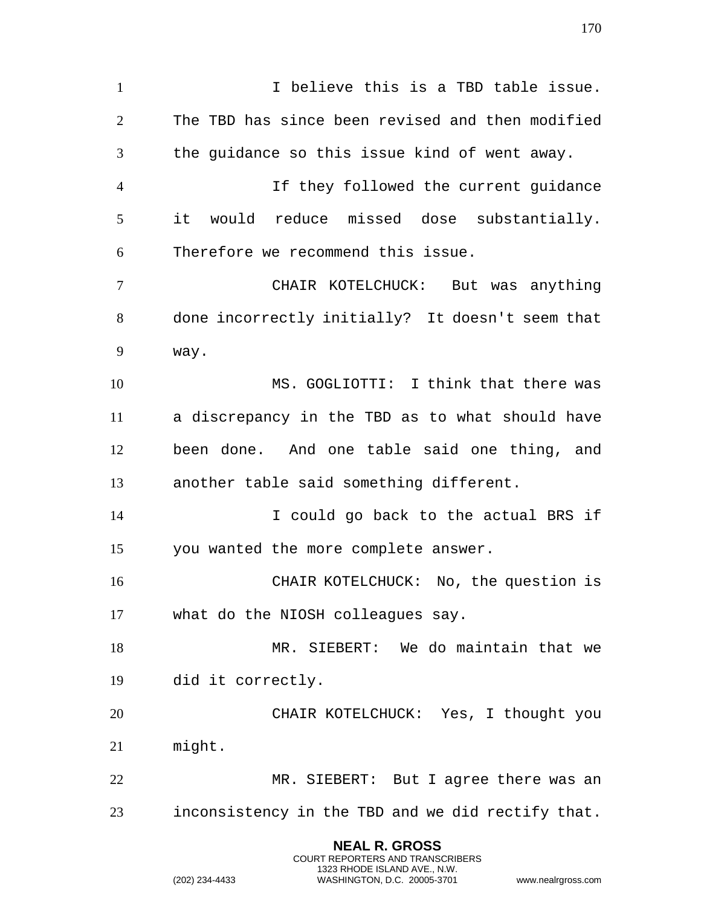**NEAL R. GROSS** 1 1 I believe this is a TBD table issue. The TBD has since been revised and then modified the guidance so this issue kind of went away. If they followed the current guidance it would reduce missed dose substantially. Therefore we recommend this issue. CHAIR KOTELCHUCK: But was anything done incorrectly initially? It doesn't seem that way. MS. GOGLIOTTI: I think that there was a discrepancy in the TBD as to what should have been done. And one table said one thing, and another table said something different. I could go back to the actual BRS if you wanted the more complete answer. CHAIR KOTELCHUCK: No, the question is what do the NIOSH colleagues say. MR. SIEBERT: We do maintain that we did it correctly. CHAIR KOTELCHUCK: Yes, I thought you might. MR. SIEBERT: But I agree there was an inconsistency in the TBD and we did rectify that.

> COURT REPORTERS AND TRANSCRIBERS 1323 RHODE ISLAND AVE., N.W.

(202) 234-4433 WASHINGTON, D.C. 20005-3701 www.nealrgross.com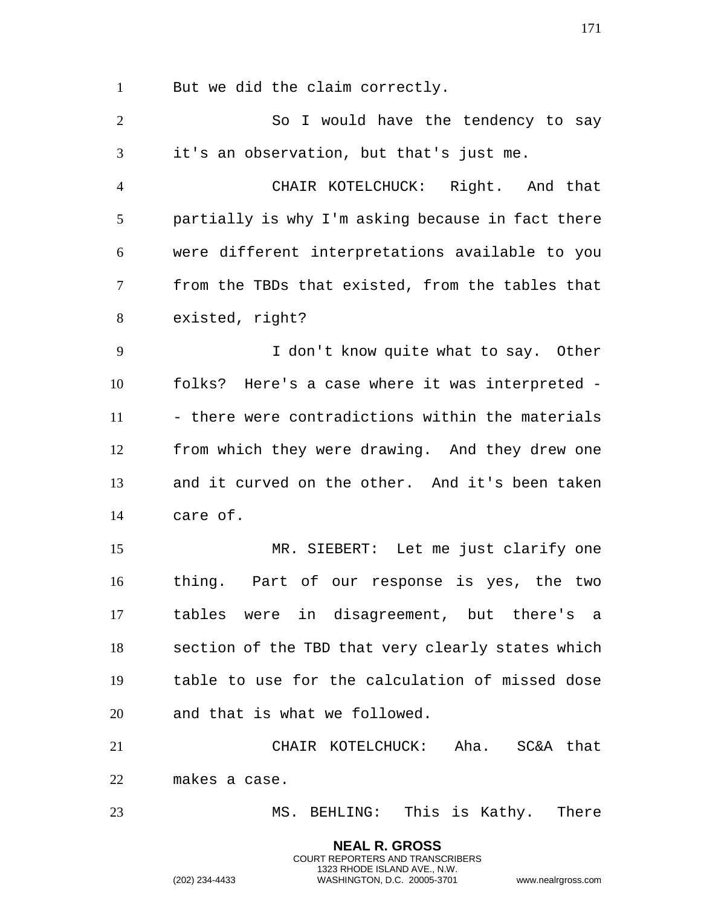But we did the claim correctly.

| $\overline{2}$ | So I would have the tendency to say               |
|----------------|---------------------------------------------------|
| 3              | it's an observation, but that's just me.          |
| $\overline{4}$ | CHAIR KOTELCHUCK: Right. And that                 |
| 5              | partially is why I'm asking because in fact there |
| 6              | were different interpretations available to you   |
| $\tau$         | from the TBDs that existed, from the tables that  |
| 8              | existed, right?                                   |
| 9              | I don't know quite what to say. Other             |
| 10             | folks? Here's a case where it was interpreted -   |
| 11             | - there were contradictions within the materials  |
| 12             | from which they were drawing. And they drew one   |
| 13             | and it curved on the other. And it's been taken   |
| 14             | care of.                                          |
| 15             | MR. SIEBERT: Let me just clarify one              |
| 16             | thing. Part of our response is yes, the two       |
| 17             | tables were in disagreement, but there's<br>a     |
| 18             | section of the TBD that very clearly states which |
| 19             | table to use for the calculation of missed dose   |
| 20             | and that is what we followed.                     |
| 21             | CHAIR KOTELCHUCK: Aha.<br>SC&A that               |
| 22             | makes a case.                                     |
| 23             | MS. BEHLING: This is Kathy. There                 |

**NEAL R. GROSS** COURT REPORTERS AND TRANSCRIBERS 1323 RHODE ISLAND AVE., N.W.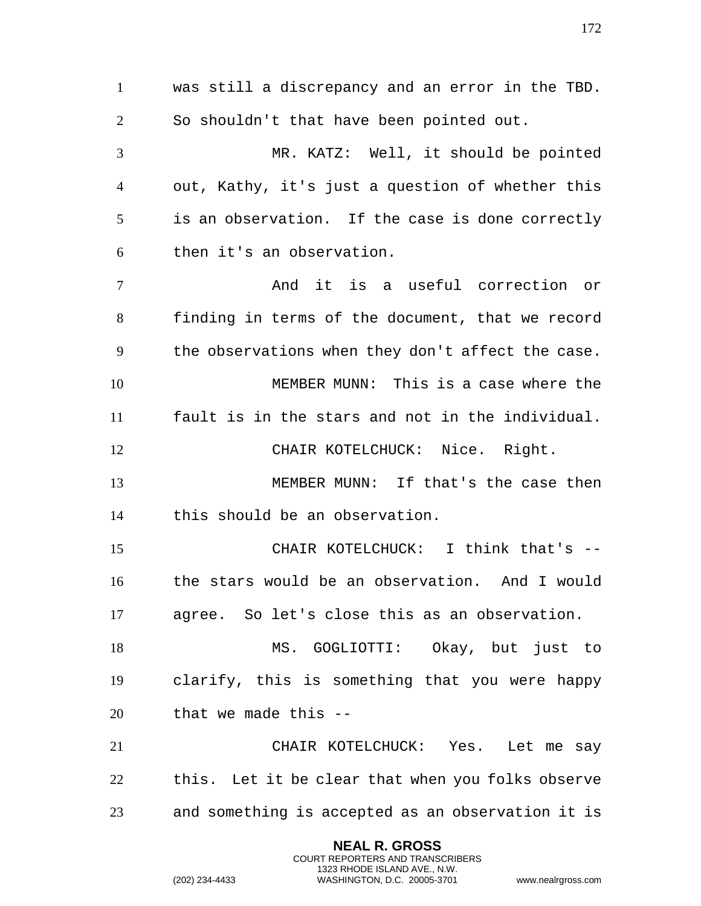was still a discrepancy and an error in the TBD. So shouldn't that have been pointed out. MR. KATZ: Well, it should be pointed out, Kathy, it's just a question of whether this is an observation. If the case is done correctly then it's an observation. And it is a useful correction or finding in terms of the document, that we record the observations when they don't affect the case. MEMBER MUNN: This is a case where the fault is in the stars and not in the individual. CHAIR KOTELCHUCK: Nice. Right. MEMBER MUNN: If that's the case then this should be an observation. CHAIR KOTELCHUCK: I think that's -- the stars would be an observation. And I would agree. So let's close this as an observation. MS. GOGLIOTTI: Okay, but just to clarify, this is something that you were happy that we made this -- CHAIR KOTELCHUCK: Yes. Let me say this. Let it be clear that when you folks observe and something is accepted as an observation it is

> **NEAL R. GROSS** COURT REPORTERS AND TRANSCRIBERS 1323 RHODE ISLAND AVE., N.W.

(202) 234-4433 WASHINGTON, D.C. 20005-3701 www.nealrgross.com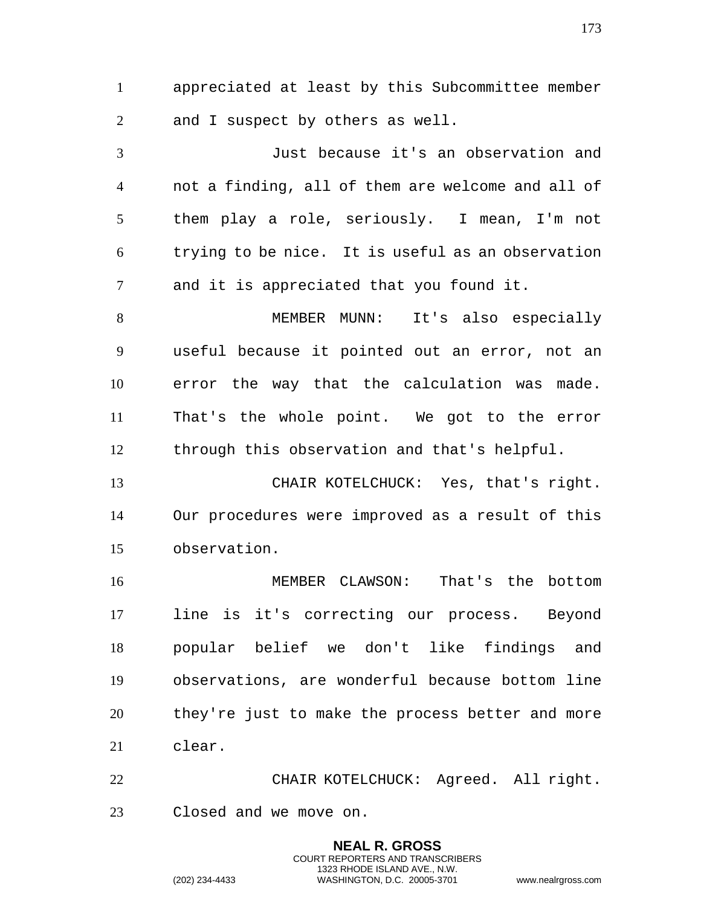appreciated at least by this Subcommittee member and I suspect by others as well.

 Just because it's an observation and not a finding, all of them are welcome and all of them play a role, seriously. I mean, I'm not trying to be nice. It is useful as an observation and it is appreciated that you found it.

 MEMBER MUNN: It's also especially useful because it pointed out an error, not an error the way that the calculation was made. That's the whole point. We got to the error through this observation and that's helpful.

 CHAIR KOTELCHUCK: Yes, that's right. Our procedures were improved as a result of this observation.

 MEMBER CLAWSON: That's the bottom line is it's correcting our process. Beyond popular belief we don't like findings and observations, are wonderful because bottom line they're just to make the process better and more clear.

 CHAIR KOTELCHUCK: Agreed. All right. Closed and we move on.

> **NEAL R. GROSS** COURT REPORTERS AND TRANSCRIBERS 1323 RHODE ISLAND AVE., N.W.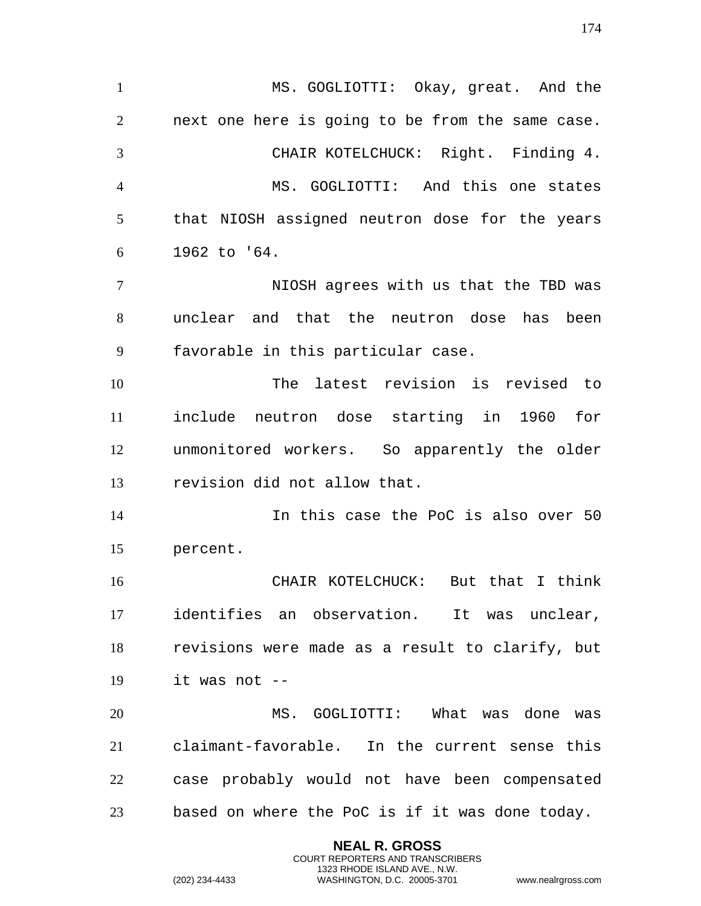MS. GOGLIOTTI: Okay, great. And the next one here is going to be from the same case. CHAIR KOTELCHUCK: Right. Finding 4. MS. GOGLIOTTI: And this one states that NIOSH assigned neutron dose for the years 1962 to '64. NIOSH agrees with us that the TBD was unclear and that the neutron dose has been favorable in this particular case. The latest revision is revised to include neutron dose starting in 1960 for unmonitored workers. So apparently the older revision did not allow that. In this case the PoC is also over 50 percent. CHAIR KOTELCHUCK: But that I think identifies an observation. It was unclear, revisions were made as a result to clarify, but it was not -- MS. GOGLIOTTI: What was done was claimant-favorable. In the current sense this case probably would not have been compensated based on where the PoC is if it was done today.

> **NEAL R. GROSS** COURT REPORTERS AND TRANSCRIBERS 1323 RHODE ISLAND AVE., N.W.

(202) 234-4433 WASHINGTON, D.C. 20005-3701 www.nealrgross.com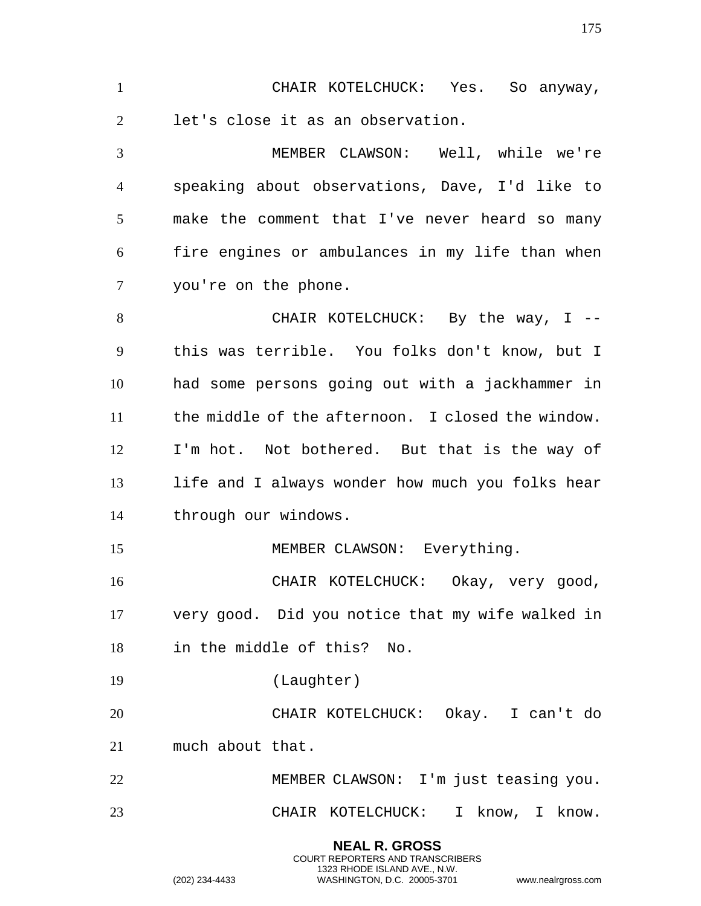CHAIR KOTELCHUCK: Yes. So anyway, let's close it as an observation. MEMBER CLAWSON: Well, while we're

 speaking about observations, Dave, I'd like to make the comment that I've never heard so many fire engines or ambulances in my life than when you're on the phone.

8 CHAIR KOTELCHUCK: By the way, I -- this was terrible. You folks don't know, but I had some persons going out with a jackhammer in the middle of the afternoon. I closed the window. I'm hot. Not bothered. But that is the way of 13 life and I always wonder how much you folks hear through our windows.

15 MEMBER CLAWSON: Everything.

 CHAIR KOTELCHUCK: Okay, very good, very good. Did you notice that my wife walked in in the middle of this? No.

(Laughter)

 CHAIR KOTELCHUCK: Okay. I can't do much about that.

 MEMBER CLAWSON: I'm just teasing you. CHAIR KOTELCHUCK: I know, I know.

> **NEAL R. GROSS** COURT REPORTERS AND TRANSCRIBERS 1323 RHODE ISLAND AVE., N.W.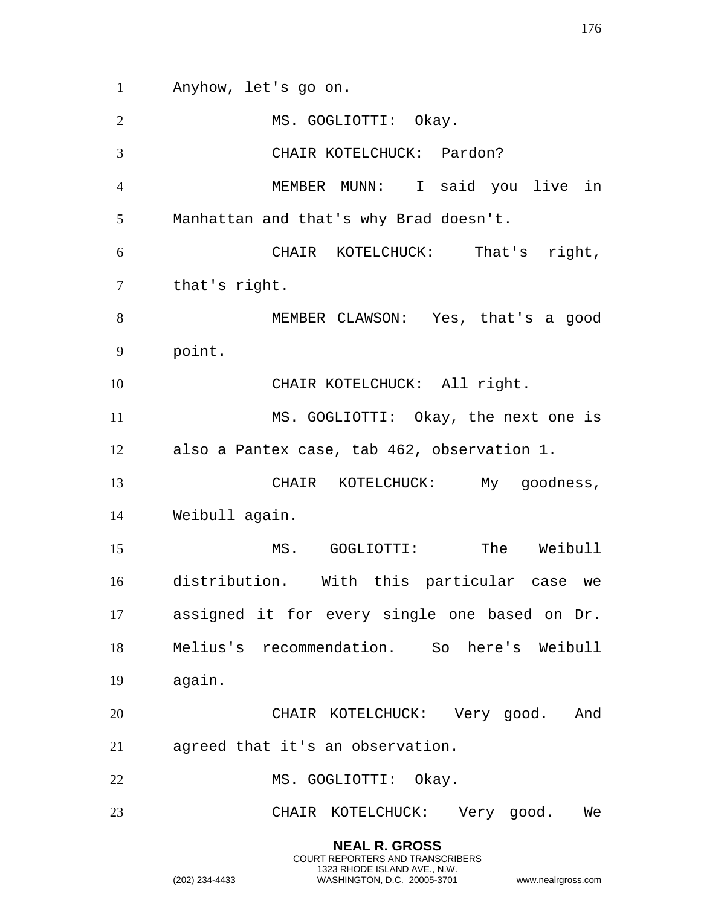Anyhow, let's go on. MS. GOGLIOTTI: Okay. CHAIR KOTELCHUCK: Pardon? MEMBER MUNN: I said you live in Manhattan and that's why Brad doesn't. CHAIR KOTELCHUCK: That's right, that's right. MEMBER CLAWSON: Yes, that's a good point. 10 CHAIR KOTELCHUCK: All right. MS. GOGLIOTTI: Okay, the next one is also a Pantex case, tab 462, observation 1. CHAIR KOTELCHUCK: My goodness, Weibull again. MS. GOGLIOTTI: The Weibull distribution. With this particular case we assigned it for every single one based on Dr. Melius's recommendation. So here's Weibull again. CHAIR KOTELCHUCK: Very good. And agreed that it's an observation. 22 MS. GOGLIOTTI: Okay. CHAIR KOTELCHUCK: Very good. We

> **NEAL R. GROSS** COURT REPORTERS AND TRANSCRIBERS 1323 RHODE ISLAND AVE., N.W.

(202) 234-4433 WASHINGTON, D.C. 20005-3701 www.nealrgross.com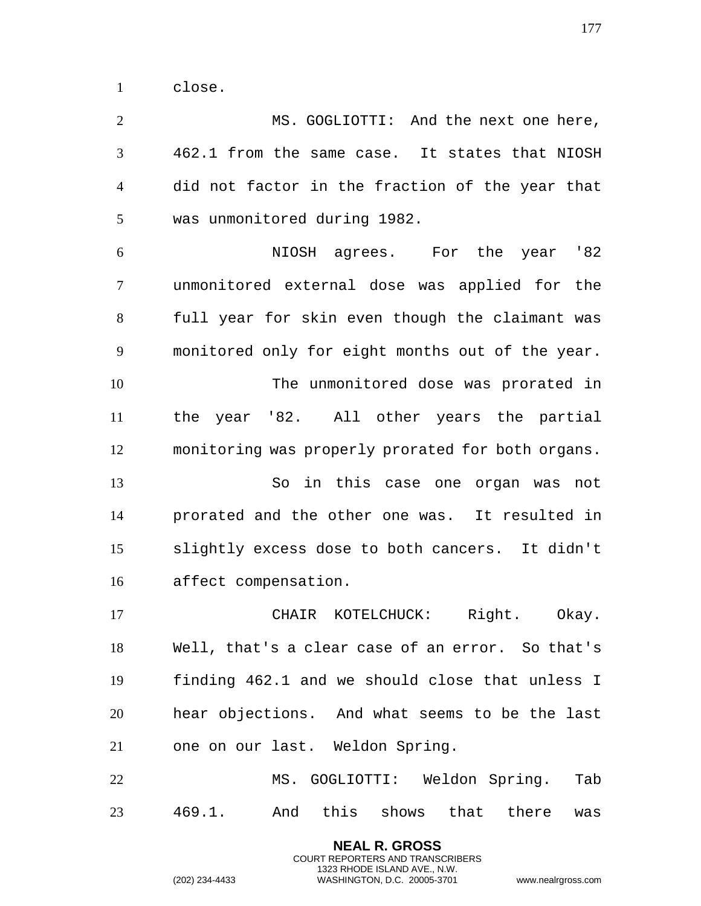close.

 MS. GOGLIOTTI: And the next one here, 462.1 from the same case. It states that NIOSH did not factor in the fraction of the year that was unmonitored during 1982.

 NIOSH agrees. For the year '82 unmonitored external dose was applied for the full year for skin even though the claimant was monitored only for eight months out of the year. The unmonitored dose was prorated in the year '82. All other years the partial monitoring was properly prorated for both organs. So in this case one organ was not prorated and the other one was. It resulted in slightly excess dose to both cancers. It didn't

 CHAIR KOTELCHUCK: Right. Okay. Well, that's a clear case of an error. So that's finding 462.1 and we should close that unless I hear objections. And what seems to be the last one on our last. Weldon Spring.

 MS. GOGLIOTTI: Weldon Spring. Tab 469.1. And this shows that there was

> **NEAL R. GROSS** COURT REPORTERS AND TRANSCRIBERS 1323 RHODE ISLAND AVE., N.W.

affect compensation.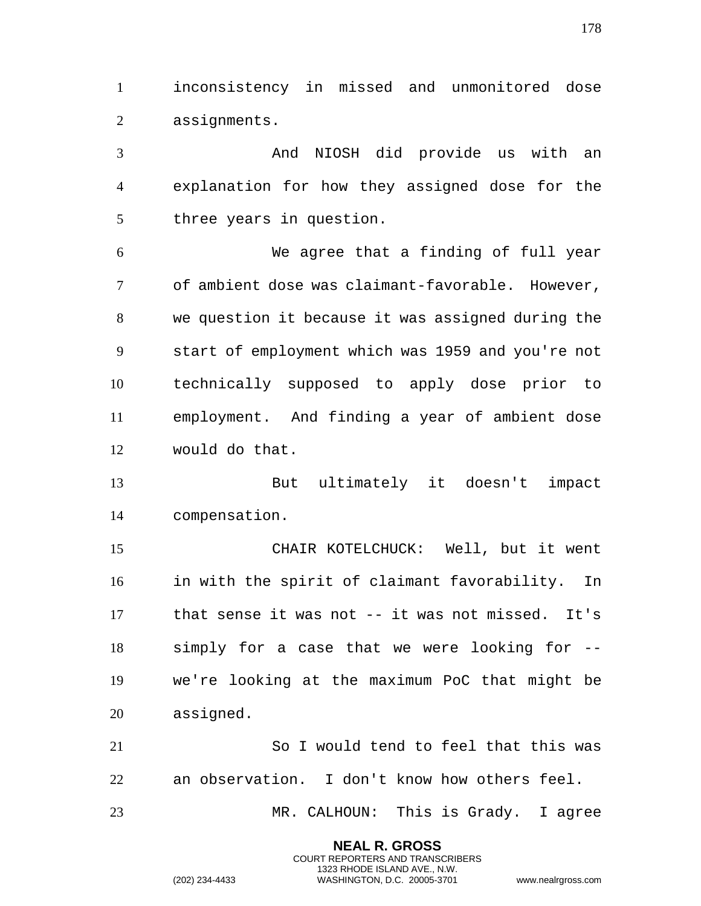inconsistency in missed and unmonitored dose assignments.

 And NIOSH did provide us with an explanation for how they assigned dose for the three years in question.

 We agree that a finding of full year of ambient dose was claimant-favorable. However, we question it because it was assigned during the start of employment which was 1959 and you're not technically supposed to apply dose prior to employment. And finding a year of ambient dose would do that.

 But ultimately it doesn't impact compensation.

 CHAIR KOTELCHUCK: Well, but it went in with the spirit of claimant favorability. In that sense it was not -- it was not missed. It's simply for a case that we were looking for -- we're looking at the maximum PoC that might be assigned.

 So I would tend to feel that this was an observation. I don't know how others feel. MR. CALHOUN: This is Grady. I agree

> **NEAL R. GROSS** COURT REPORTERS AND TRANSCRIBERS 1323 RHODE ISLAND AVE., N.W.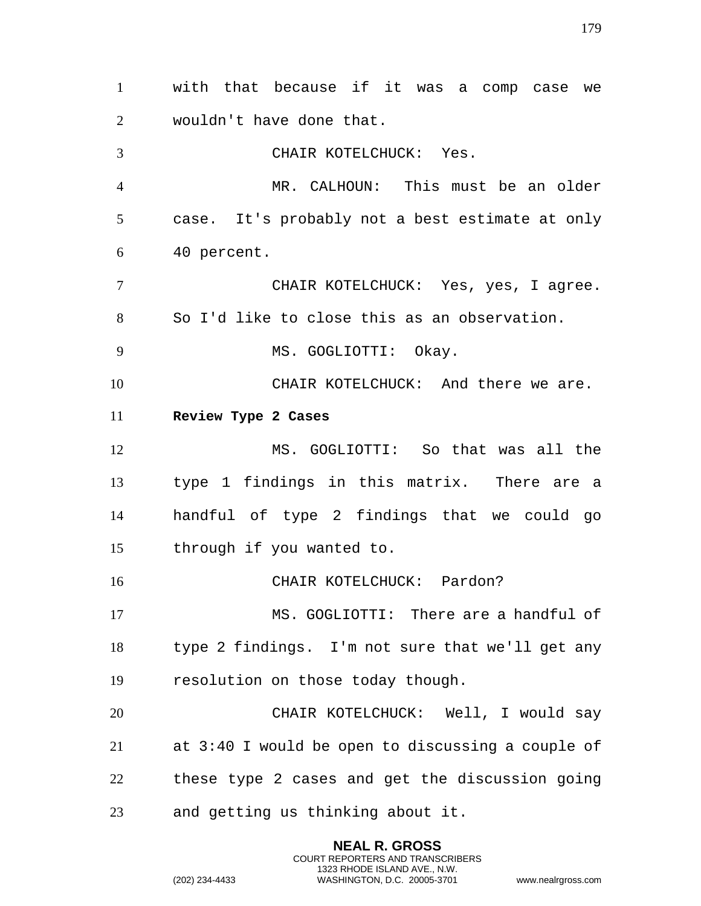with that because if it was a comp case we wouldn't have done that. CHAIR KOTELCHUCK: Yes. MR. CALHOUN: This must be an older case. It's probably not a best estimate at only 40 percent. CHAIR KOTELCHUCK: Yes, yes, I agree. So I'd like to close this as an observation. 9 MS. GOGLIOTTI: Okay. CHAIR KOTELCHUCK: And there we are. **Review Type 2 Cases** MS. GOGLIOTTI: So that was all the type 1 findings in this matrix. There are a handful of type 2 findings that we could go through if you wanted to. CHAIR KOTELCHUCK: Pardon? MS. GOGLIOTTI: There are a handful of type 2 findings. I'm not sure that we'll get any resolution on those today though. CHAIR KOTELCHUCK: Well, I would say at 3:40 I would be open to discussing a couple of these type 2 cases and get the discussion going and getting us thinking about it.

> **NEAL R. GROSS** COURT REPORTERS AND TRANSCRIBERS 1323 RHODE ISLAND AVE., N.W.

(202) 234-4433 WASHINGTON, D.C. 20005-3701 www.nealrgross.com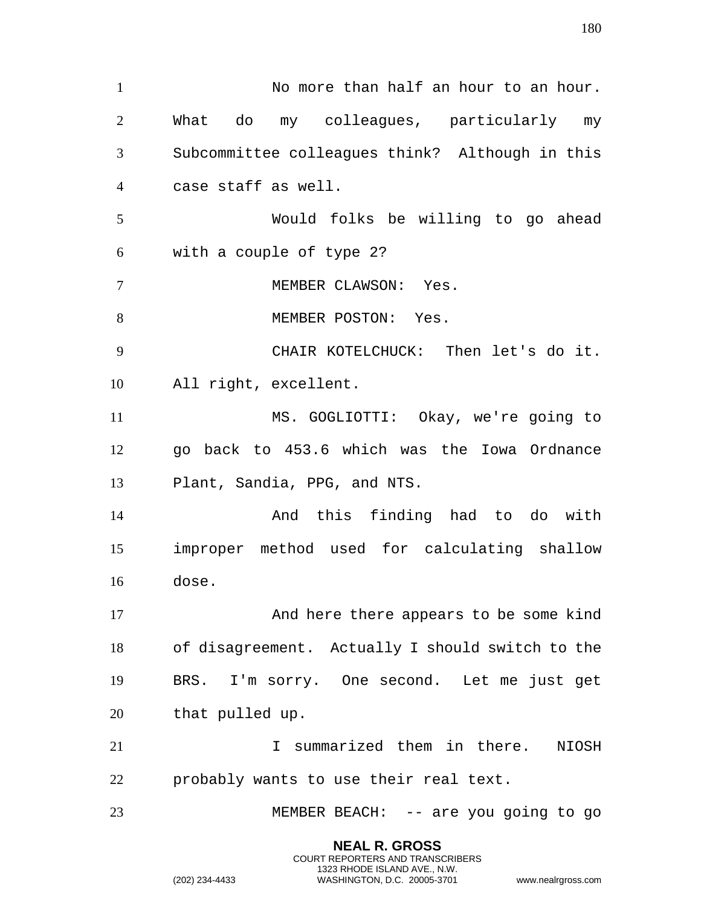No more than half an hour to an hour. What do my colleagues, particularly my Subcommittee colleagues think? Although in this case staff as well. Would folks be willing to go ahead with a couple of type 2? MEMBER CLAWSON: Yes. 8 MEMBER POSTON: Yes. CHAIR KOTELCHUCK: Then let's do it. All right, excellent. MS. GOGLIOTTI: Okay, we're going to go back to 453.6 which was the Iowa Ordnance Plant, Sandia, PPG, and NTS. And this finding had to do with improper method used for calculating shallow dose. And here there appears to be some kind of disagreement. Actually I should switch to the BRS. I'm sorry. One second. Let me just get that pulled up. I summarized them in there. NIOSH probably wants to use their real text. MEMBER BEACH: -- are you going to go

> **NEAL R. GROSS** COURT REPORTERS AND TRANSCRIBERS 1323 RHODE ISLAND AVE., N.W.

(202) 234-4433 WASHINGTON, D.C. 20005-3701 www.nealrgross.com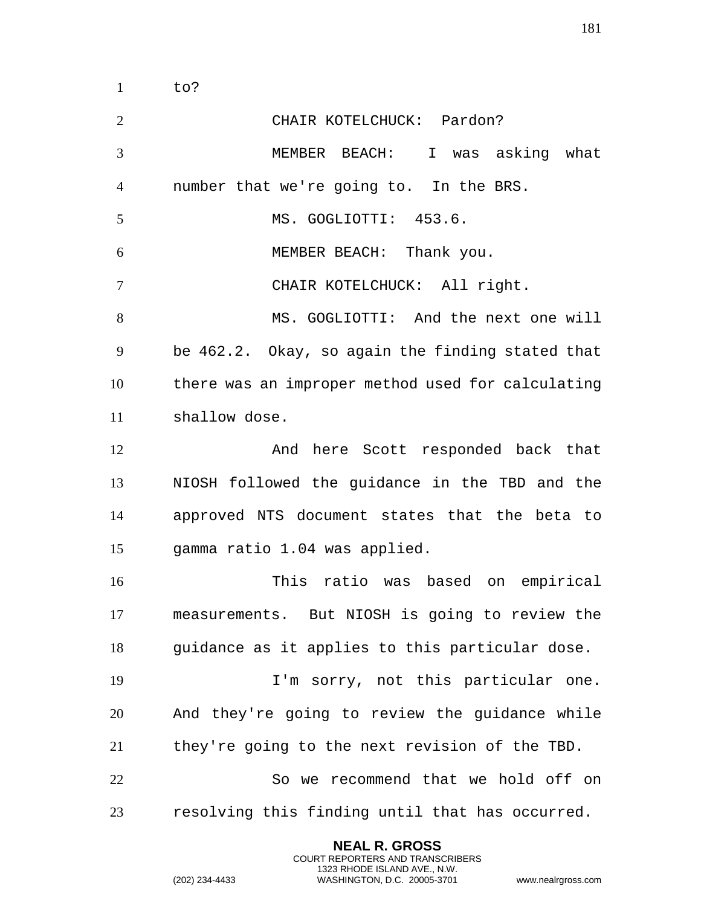CHAIR KOTELCHUCK: Pardon? MEMBER BEACH: I was asking what number that we're going to. In the BRS. 5 MS. GOGLIOTTI: 453.6. MEMBER BEACH: Thank you. CHAIR KOTELCHUCK: All right. MS. GOGLIOTTI: And the next one will be 462.2. Okay, so again the finding stated that there was an improper method used for calculating shallow dose. 12 And here Scott responded back that NIOSH followed the guidance in the TBD and the approved NTS document states that the beta to gamma ratio 1.04 was applied. This ratio was based on empirical measurements. But NIOSH is going to review the 18 guidance as it applies to this particular dose. I'm sorry, not this particular one. And they're going to review the guidance while they're going to the next revision of the TBD. So we recommend that we hold off on resolving this finding until that has occurred.

> **NEAL R. GROSS** COURT REPORTERS AND TRANSCRIBERS 1323 RHODE ISLAND AVE., N.W.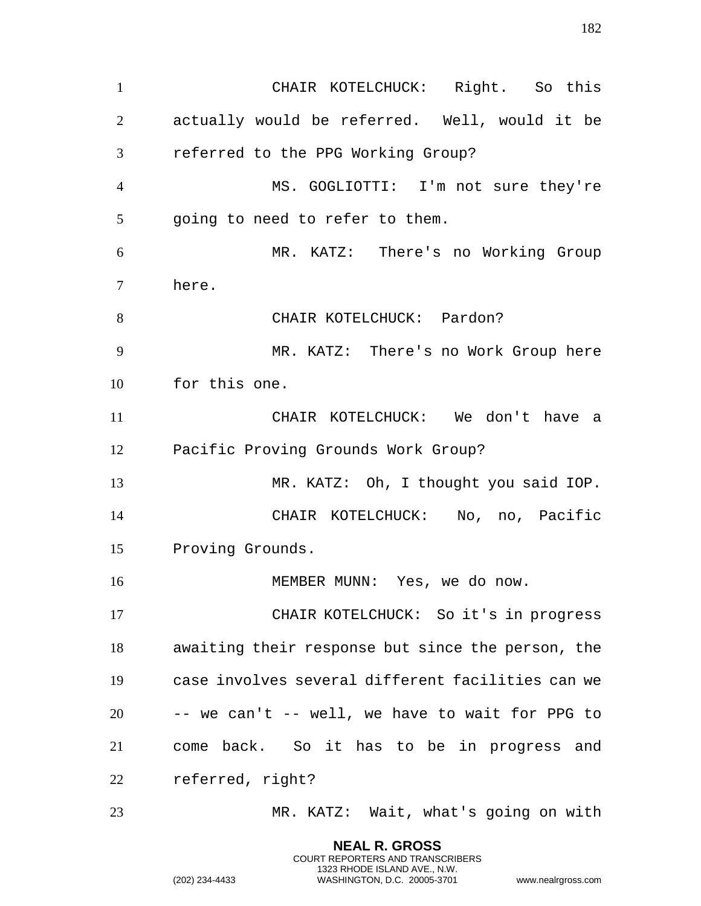CHAIR KOTELCHUCK: Right. So this actually would be referred. Well, would it be referred to the PPG Working Group? MS. GOGLIOTTI: I'm not sure they're going to need to refer to them. MR. KATZ: There's no Working Group here. 8 CHAIR KOTELCHUCK: Pardon? MR. KATZ: There's no Work Group here for this one. CHAIR KOTELCHUCK: We don't have a Pacific Proving Grounds Work Group? MR. KATZ: Oh, I thought you said IOP. CHAIR KOTELCHUCK: No, no, Pacific Proving Grounds. 16 MEMBER MUNN: Yes, we do now. CHAIR KOTELCHUCK: So it's in progress awaiting their response but since the person, the case involves several different facilities can we -- we can't -- well, we have to wait for PPG to come back. So it has to be in progress and referred, right? MR. KATZ: Wait, what's going on with

> **NEAL R. GROSS** COURT REPORTERS AND TRANSCRIBERS 1323 RHODE ISLAND AVE., N.W.

(202) 234-4433 WASHINGTON, D.C. 20005-3701 www.nealrgross.com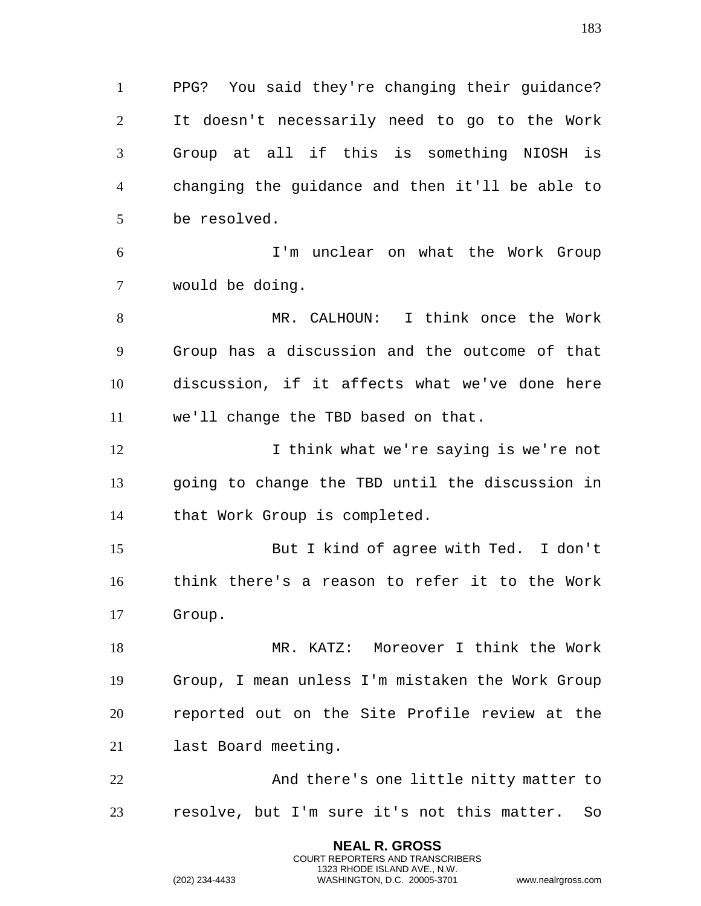PPG? You said they're changing their guidance? It doesn't necessarily need to go to the Work Group at all if this is something NIOSH is changing the guidance and then it'll be able to be resolved.

 I'm unclear on what the Work Group would be doing.

 MR. CALHOUN: I think once the Work Group has a discussion and the outcome of that discussion, if it affects what we've done here we'll change the TBD based on that.

12 12 I think what we're saying is we're not going to change the TBD until the discussion in that Work Group is completed.

 But I kind of agree with Ted. I don't think there's a reason to refer it to the Work Group.

 MR. KATZ: Moreover I think the Work Group, I mean unless I'm mistaken the Work Group reported out on the Site Profile review at the last Board meeting.

 And there's one little nitty matter to resolve, but I'm sure it's not this matter. So

> **NEAL R. GROSS** COURT REPORTERS AND TRANSCRIBERS 1323 RHODE ISLAND AVE., N.W.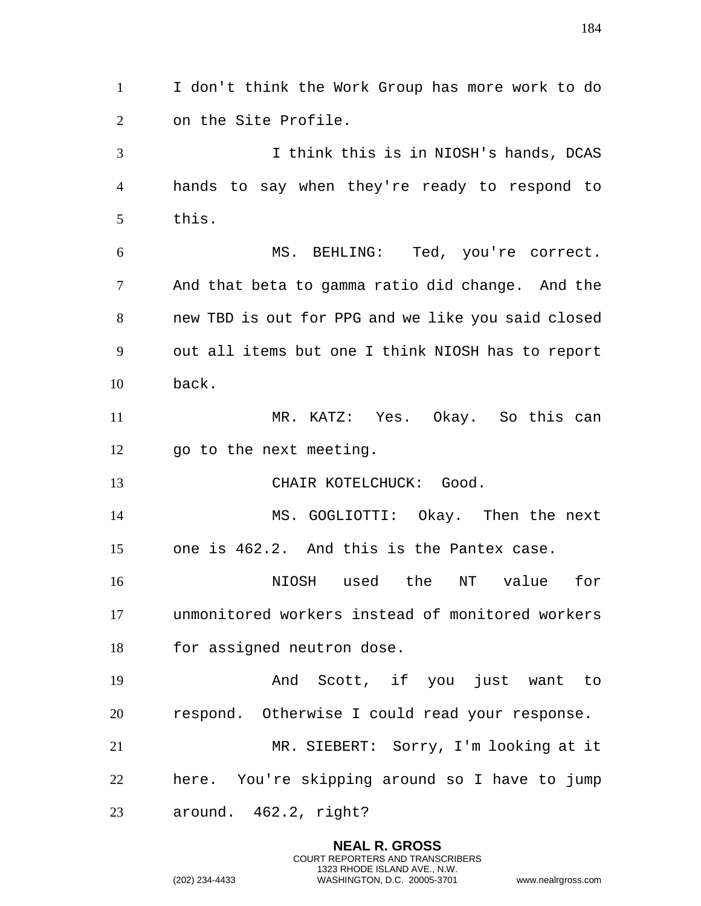I don't think the Work Group has more work to do on the Site Profile. I think this is in NIOSH's hands, DCAS hands to say when they're ready to respond to this. MS. BEHLING: Ted, you're correct. And that beta to gamma ratio did change. And the new TBD is out for PPG and we like you said closed out all items but one I think NIOSH has to report back. MR. KATZ: Yes. Okay. So this can go to the next meeting. 13 CHAIR KOTELCHUCK: Good. MS. GOGLIOTTI: Okay. Then the next one is 462.2. And this is the Pantex case. NIOSH used the NT value for unmonitored workers instead of monitored workers for assigned neutron dose. And Scott, if you just want to respond. Otherwise I could read your response. MR. SIEBERT: Sorry, I'm looking at it here. You're skipping around so I have to jump around. 462.2, right?

> **NEAL R. GROSS** COURT REPORTERS AND TRANSCRIBERS 1323 RHODE ISLAND AVE., N.W.

(202) 234-4433 WASHINGTON, D.C. 20005-3701 www.nealrgross.com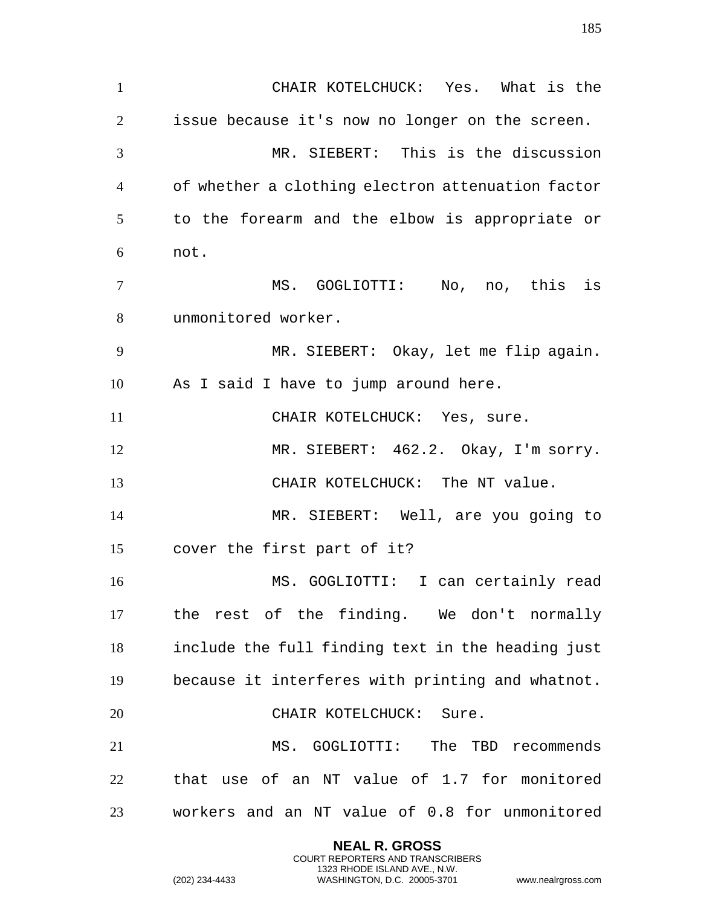CHAIR KOTELCHUCK: Yes. What is the issue because it's now no longer on the screen. MR. SIEBERT: This is the discussion of whether a clothing electron attenuation factor to the forearm and the elbow is appropriate or not. MS. GOGLIOTTI: No, no, this is unmonitored worker. MR. SIEBERT: Okay, let me flip again. As I said I have to jump around here. 11 CHAIR KOTELCHUCK: Yes, sure. MR. SIEBERT: 462.2. Okay, I'm sorry. CHAIR KOTELCHUCK: The NT value. MR. SIEBERT: Well, are you going to cover the first part of it? MS. GOGLIOTTI: I can certainly read the rest of the finding. We don't normally include the full finding text in the heading just because it interferes with printing and whatnot. CHAIR KOTELCHUCK: Sure. MS. GOGLIOTTI: The TBD recommends that use of an NT value of 1.7 for monitored workers and an NT value of 0.8 for unmonitored

> **NEAL R. GROSS** COURT REPORTERS AND TRANSCRIBERS 1323 RHODE ISLAND AVE., N.W.

(202) 234-4433 WASHINGTON, D.C. 20005-3701 www.nealrgross.com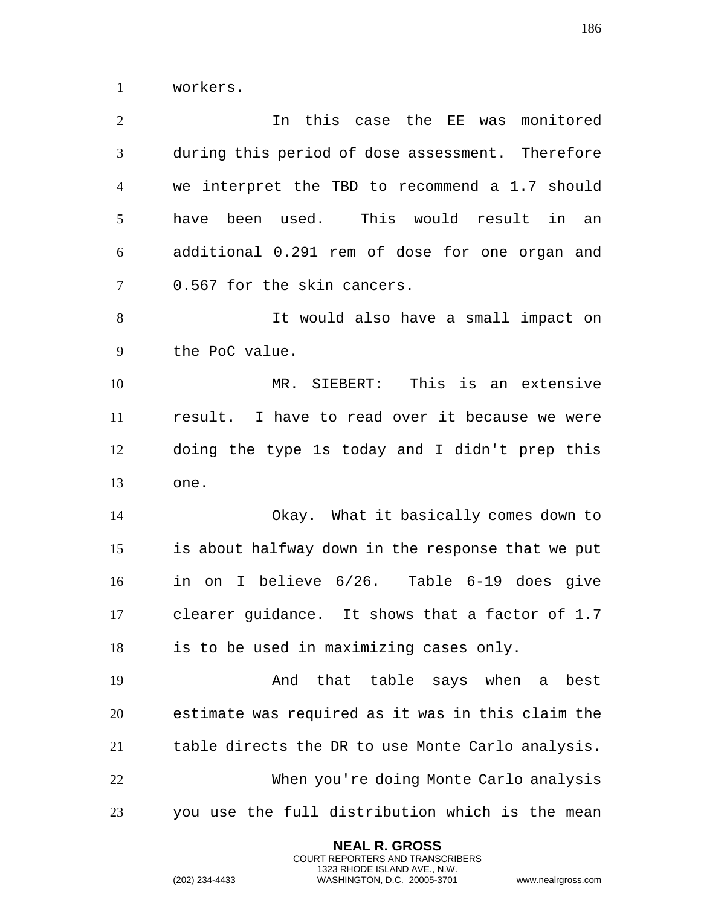workers.

| $\overline{2}$ | In this case the EE was monitored                   |
|----------------|-----------------------------------------------------|
| 3              | during this period of dose assessment. Therefore    |
| $\overline{4}$ | we interpret the TBD to recommend a 1.7 should      |
| 5              | used. This would result<br>have<br>been<br>in<br>an |
| 6              | additional 0.291 rem of dose for one organ and      |
| $\overline{7}$ | 0.567 for the skin cancers.                         |
| 8              | It would also have a small impact on                |
| 9              | the PoC value.                                      |
| 10             | MR. SIEBERT: This is an extensive                   |
| 11             | result. I have to read over it because we were      |
| 12             | doing the type 1s today and I didn't prep this      |
| 13             | one.                                                |
| 14             | Okay. What it basically comes down to               |
| 15             | is about halfway down in the response that we put   |
| 16             | in on I believe 6/26. Table 6-19 does give          |
| 17             | clearer guidance. It shows that a factor of 1.7     |
| 18             | is to be used in maximizing cases only.             |
| 19             | that table says when a<br>And<br>best               |
| 20             | estimate was required as it was in this claim the   |
| 21             | table directs the DR to use Monte Carlo analysis.   |
| 22             | When you're doing Monte Carlo analysis              |
| 23             | you use the full distribution which is the mean     |

**NEAL R. GROSS** COURT REPORTERS AND TRANSCRIBERS 1323 RHODE ISLAND AVE., N.W.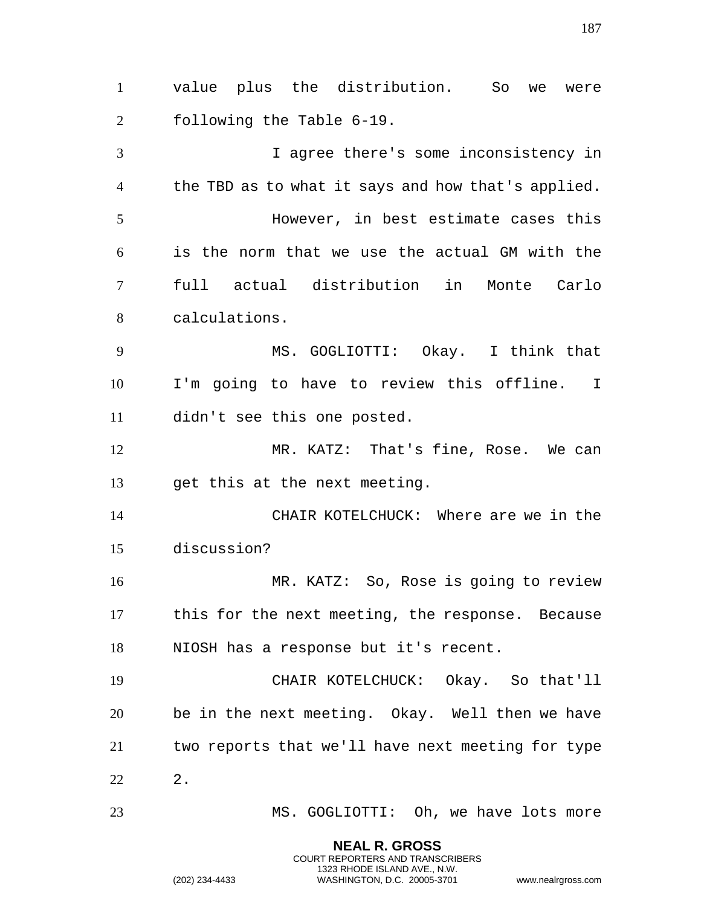value plus the distribution. So we were following the Table 6-19. I agree there's some inconsistency in the TBD as to what it says and how that's applied. However, in best estimate cases this is the norm that we use the actual GM with the full actual distribution in Monte Carlo calculations. MS. GOGLIOTTI: Okay. I think that I'm going to have to review this offline. I didn't see this one posted. MR. KATZ: That's fine, Rose. We can get this at the next meeting. CHAIR KOTELCHUCK: Where are we in the discussion? MR. KATZ: So, Rose is going to review this for the next meeting, the response. Because NIOSH has a response but it's recent. CHAIR KOTELCHUCK: Okay. So that'll be in the next meeting. Okay. Well then we have two reports that we'll have next meeting for type 2. MS. GOGLIOTTI: Oh, we have lots more

> **NEAL R. GROSS** COURT REPORTERS AND TRANSCRIBERS 1323 RHODE ISLAND AVE., N.W.

(202) 234-4433 WASHINGTON, D.C. 20005-3701 www.nealrgross.com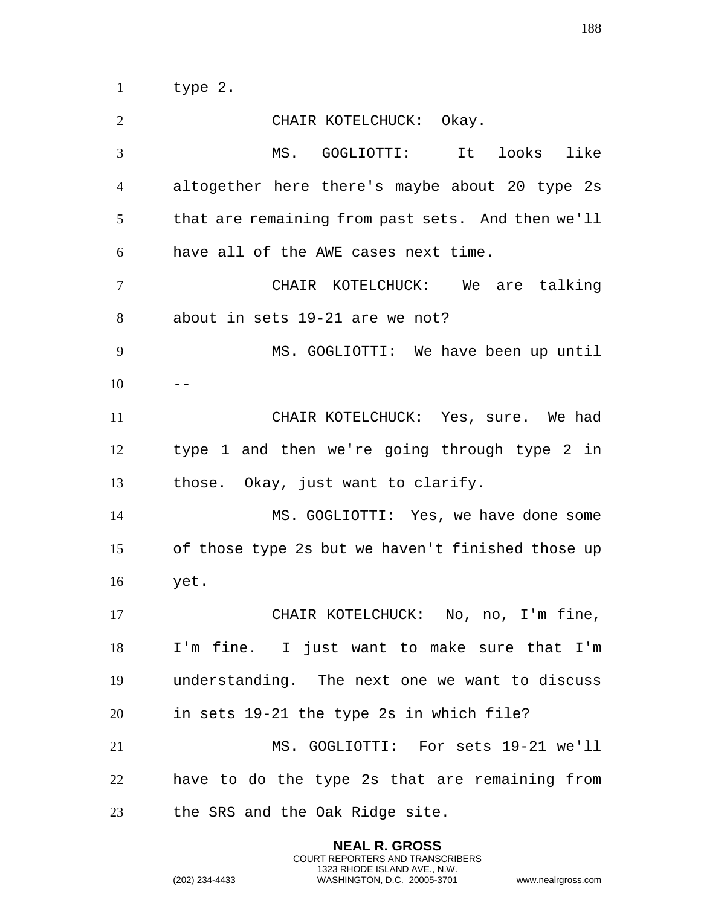type 2.

 CHAIR KOTELCHUCK: Okay. MS. GOGLIOTTI: It looks like altogether here there's maybe about 20 type 2s that are remaining from past sets. And then we'll have all of the AWE cases next time. CHAIR KOTELCHUCK: We are talking about in sets 19-21 are we not? MS. GOGLIOTTI: We have been up until CHAIR KOTELCHUCK: Yes, sure. We had type 1 and then we're going through type 2 in those. Okay, just want to clarify. MS. GOGLIOTTI: Yes, we have done some of those type 2s but we haven't finished those up yet. CHAIR KOTELCHUCK: No, no, I'm fine, I'm fine. I just want to make sure that I'm understanding. The next one we want to discuss in sets 19-21 the type 2s in which file? MS. GOGLIOTTI: For sets 19-21 we'll have to do the type 2s that are remaining from the SRS and the Oak Ridge site.

> **NEAL R. GROSS** COURT REPORTERS AND TRANSCRIBERS 1323 RHODE ISLAND AVE., N.W.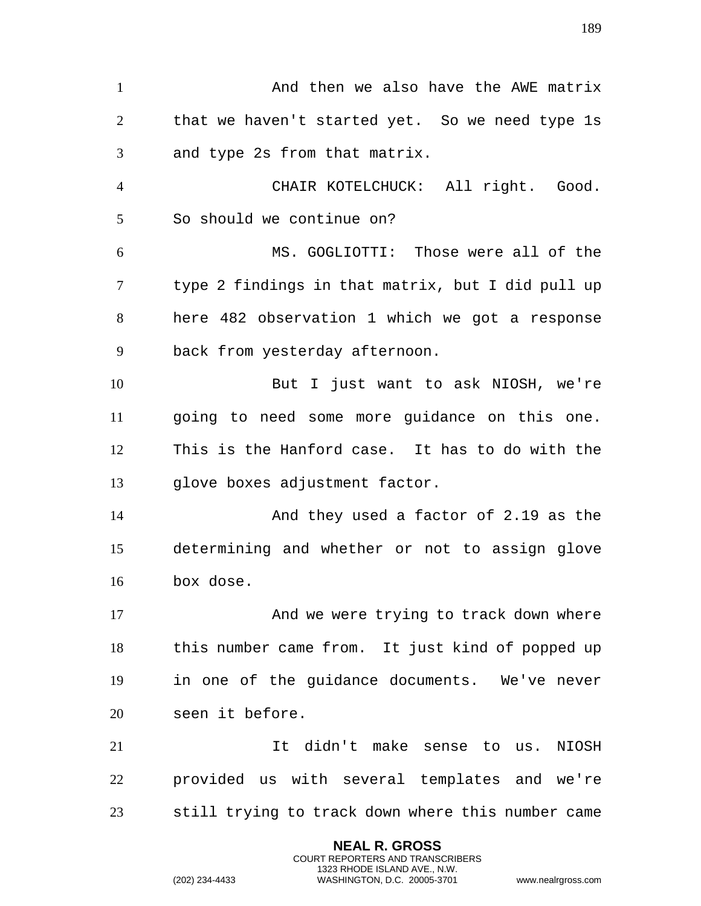1 And then we also have the AWE matrix that we haven't started yet. So we need type 1s and type 2s from that matrix. CHAIR KOTELCHUCK: All right. Good. So should we continue on? MS. GOGLIOTTI: Those were all of the type 2 findings in that matrix, but I did pull up here 482 observation 1 which we got a response back from yesterday afternoon. But I just want to ask NIOSH, we're going to need some more guidance on this one. This is the Hanford case. It has to do with the glove boxes adjustment factor. And they used a factor of 2.19 as the determining and whether or not to assign glove box dose. 17 And we were trying to track down where this number came from. It just kind of popped up in one of the guidance documents. We've never seen it before. It didn't make sense to us. NIOSH provided us with several templates and we're still trying to track down where this number came

> **NEAL R. GROSS** COURT REPORTERS AND TRANSCRIBERS 1323 RHODE ISLAND AVE., N.W.

(202) 234-4433 WASHINGTON, D.C. 20005-3701 www.nealrgross.com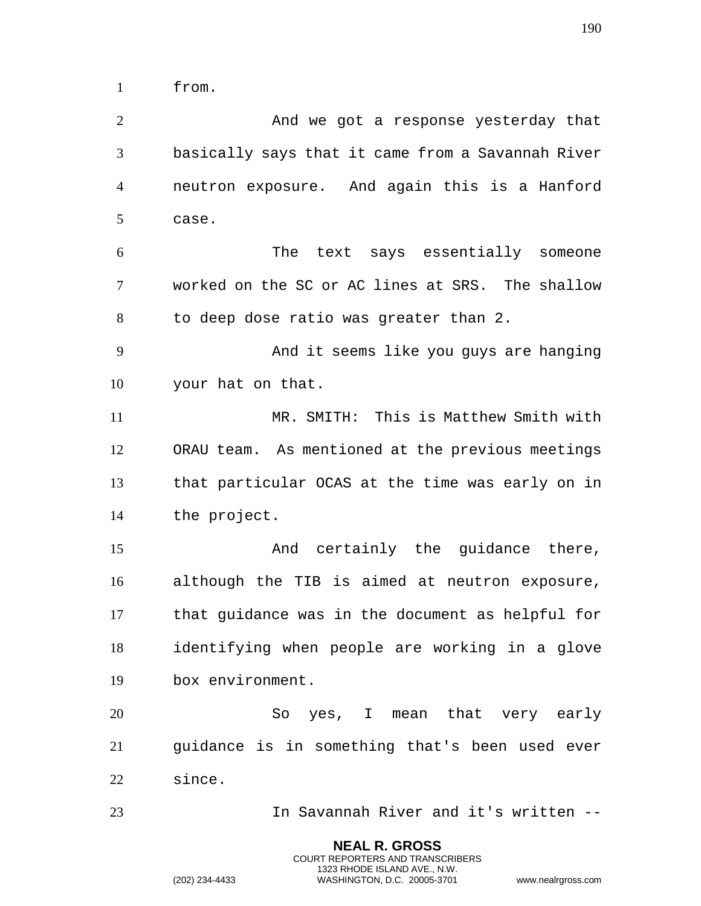from.

 And we got a response yesterday that basically says that it came from a Savannah River neutron exposure. And again this is a Hanford case. The text says essentially someone worked on the SC or AC lines at SRS. The shallow to deep dose ratio was greater than 2. And it seems like you guys are hanging your hat on that. MR. SMITH: This is Matthew Smith with ORAU team. As mentioned at the previous meetings that particular OCAS at the time was early on in the project. 15 And certainly the guidance there, although the TIB is aimed at neutron exposure, that guidance was in the document as helpful for identifying when people are working in a glove box environment. So yes, I mean that very early guidance is in something that's been used ever since. In Savannah River and it's written --

> **NEAL R. GROSS** COURT REPORTERS AND TRANSCRIBERS 1323 RHODE ISLAND AVE., N.W.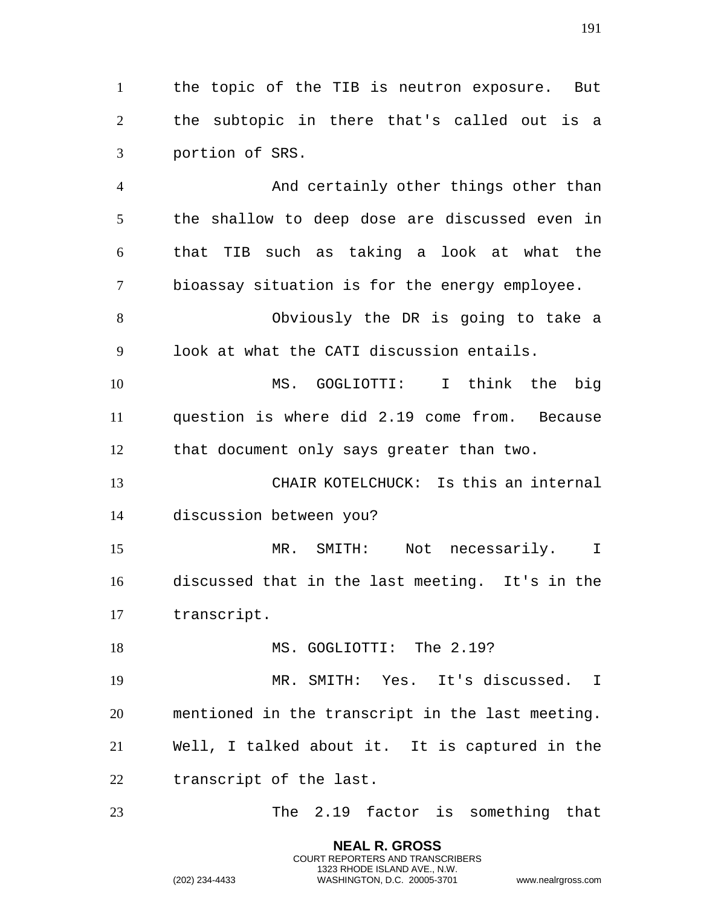the topic of the TIB is neutron exposure. But the subtopic in there that's called out is a portion of SRS.

 And certainly other things other than the shallow to deep dose are discussed even in that TIB such as taking a look at what the bioassay situation is for the energy employee.

 Obviously the DR is going to take a look at what the CATI discussion entails.

 MS. GOGLIOTTI: I think the big question is where did 2.19 come from. Because that document only says greater than two.

 CHAIR KOTELCHUCK: Is this an internal discussion between you?

 MR. SMITH: Not necessarily. I discussed that in the last meeting. It's in the transcript.

18 MS. GOGLIOTTI: The 2.19?

 MR. SMITH: Yes. It's discussed. I mentioned in the transcript in the last meeting. Well, I talked about it. It is captured in the transcript of the last.

The 2.19 factor is something that

**NEAL R. GROSS** COURT REPORTERS AND TRANSCRIBERS 1323 RHODE ISLAND AVE., N.W.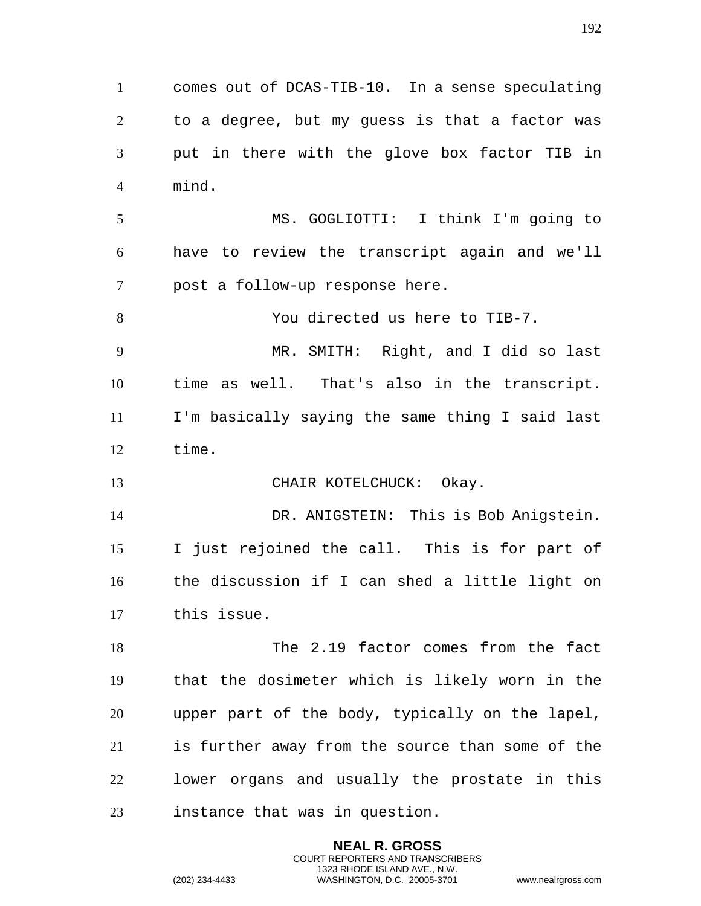to a degree, but my guess is that a factor was put in there with the glove box factor TIB in mind. MS. GOGLIOTTI: I think I'm going to have to review the transcript again and we'll post a follow-up response here. You directed us here to TIB-7. MR. SMITH: Right, and I did so last time as well. That's also in the transcript. I'm basically saying the same thing I said last time. 13 CHAIR KOTELCHUCK: Okay. DR. ANIGSTEIN: This is Bob Anigstein. I just rejoined the call. This is for part of the discussion if I can shed a little light on this issue. 18 The 2.19 factor comes from the fact that the dosimeter which is likely worn in the upper part of the body, typically on the lapel, is further away from the source than some of the

comes out of DCAS-TIB-10. In a sense speculating

 lower organs and usually the prostate in this instance that was in question.

> **NEAL R. GROSS** COURT REPORTERS AND TRANSCRIBERS 1323 RHODE ISLAND AVE., N.W.

(202) 234-4433 WASHINGTON, D.C. 20005-3701 www.nealrgross.com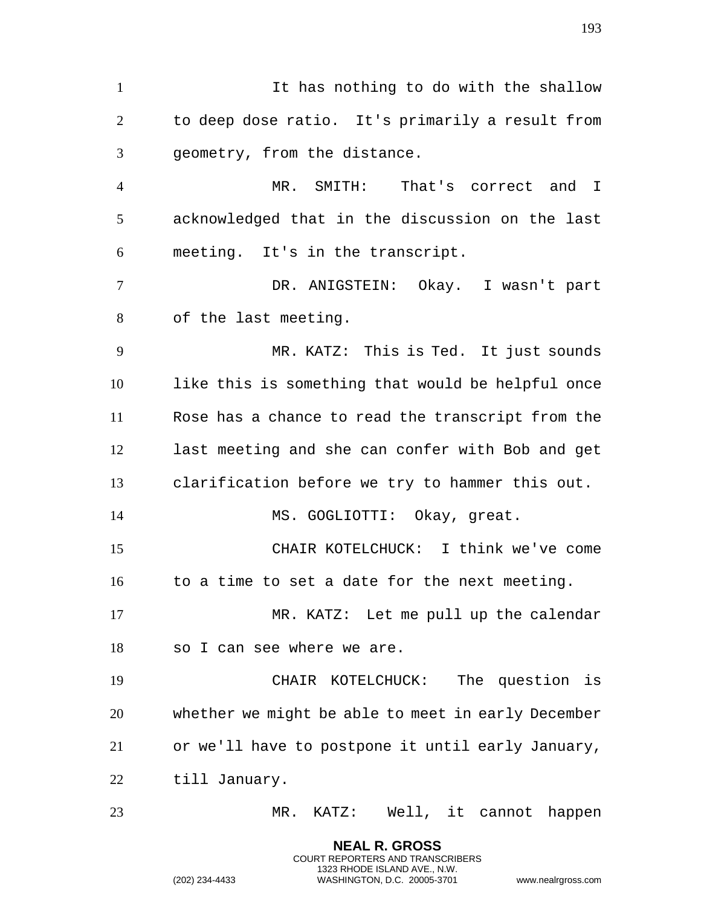It has nothing to do with the shallow to deep dose ratio. It's primarily a result from geometry, from the distance. MR. SMITH: That's correct and I acknowledged that in the discussion on the last meeting. It's in the transcript. DR. ANIGSTEIN: Okay. I wasn't part of the last meeting. MR. KATZ: This is Ted. It just sounds like this is something that would be helpful once Rose has a chance to read the transcript from the last meeting and she can confer with Bob and get clarification before we try to hammer this out. 14 MS. GOGLIOTTI: Okay, great. CHAIR KOTELCHUCK: I think we've come to a time to set a date for the next meeting. MR. KATZ: Let me pull up the calendar so I can see where we are. CHAIR KOTELCHUCK: The question is whether we might be able to meet in early December or we'll have to postpone it until early January, till January. MR. KATZ: Well, it cannot happen

> **NEAL R. GROSS** COURT REPORTERS AND TRANSCRIBERS 1323 RHODE ISLAND AVE., N.W.

(202) 234-4433 WASHINGTON, D.C. 20005-3701 www.nealrgross.com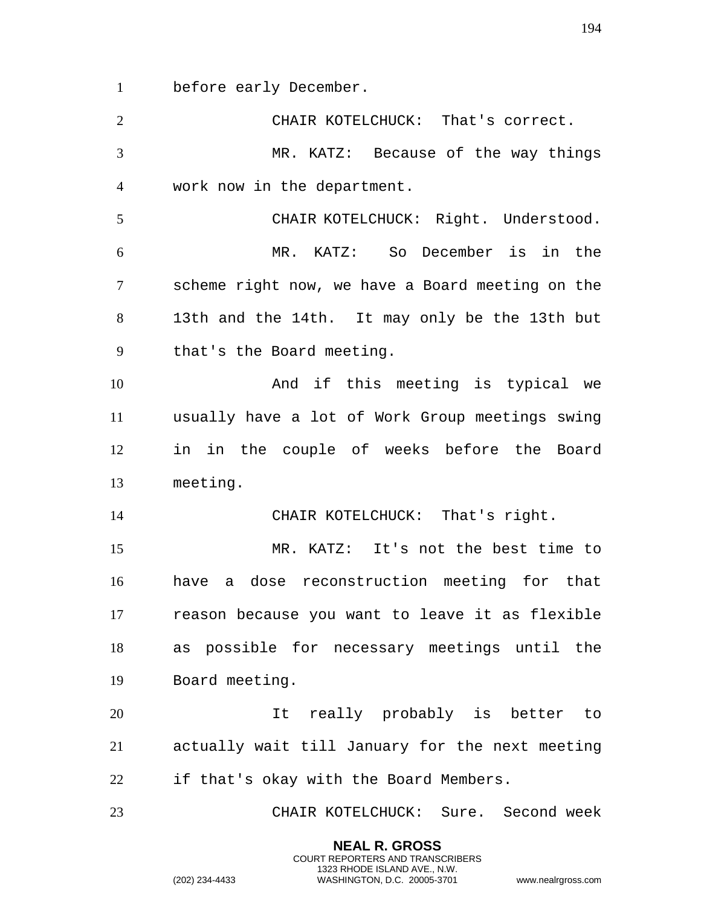before early December.

| $\overline{2}$ | CHAIR KOTELCHUCK: That's correct.                |
|----------------|--------------------------------------------------|
| $\overline{3}$ | MR. KATZ: Because of the way things              |
| $\overline{4}$ | work now in the department.                      |
| 5              | CHAIR KOTELCHUCK: Right. Understood.             |
| 6              | MR. KATZ: So December is in the                  |
| $\tau$         | scheme right now, we have a Board meeting on the |
| 8              | 13th and the 14th. It may only be the 13th but   |
| 9              | that's the Board meeting.                        |
| 10             | And if this meeting is typical we                |
| 11             | usually have a lot of Work Group meetings swing  |
| 12             | in in the couple of weeks before the Board       |
| 13             | meeting.                                         |
| 14             | CHAIR KOTELCHUCK: That's right.                  |
| 15             | MR. KATZ: It's not the best time to              |
| 16             | have a dose reconstruction meeting for that      |
| 17             | reason because you want to leave it as flexible  |
| 18             | as possible for necessary meetings until the     |
| 19             | Board meeting.                                   |
| 20             | It really probably is better to                  |
| 21             | actually wait till January for the next meeting  |
| 22             |                                                  |
|                | if that's okay with the Board Members.           |

**NEAL R. GROSS** COURT REPORTERS AND TRANSCRIBERS 1323 RHODE ISLAND AVE., N.W.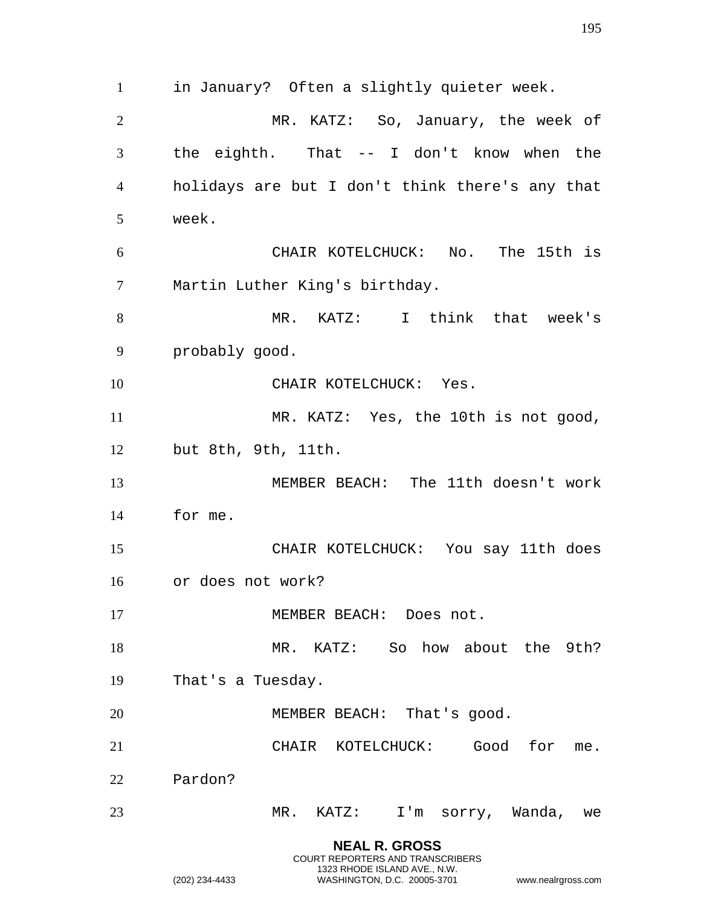**NEAL R. GROSS** in January? Often a slightly quieter week. MR. KATZ: So, January, the week of the eighth. That -- I don't know when the holidays are but I don't think there's any that week. CHAIR KOTELCHUCK: No. The 15th is Martin Luther King's birthday. MR. KATZ: I think that week's probably good. 10 CHAIR KOTELCHUCK: Yes. 11 MR. KATZ: Yes, the 10th is not good, but 8th, 9th, 11th. MEMBER BEACH: The 11th doesn't work for me. CHAIR KOTELCHUCK: You say 11th does or does not work? 17 MEMBER BEACH: Does not. 18 MR. KATZ: So how about the 9th? That's a Tuesday. 20 MEMBER BEACH: That's good. CHAIR KOTELCHUCK: Good for me. Pardon? MR. KATZ: I'm sorry, Wanda, we

COURT REPORTERS AND TRANSCRIBERS 1323 RHODE ISLAND AVE., N.W.

(202) 234-4433 WASHINGTON, D.C. 20005-3701 www.nealrgross.com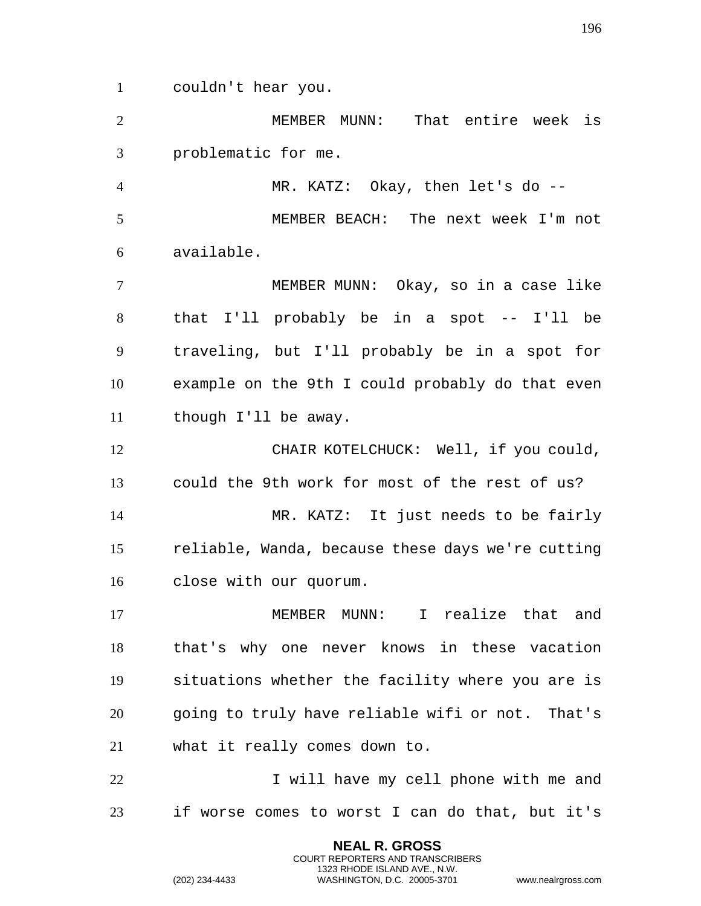couldn't hear you.

 MEMBER MUNN: That entire week is problematic for me.

 MR. KATZ: Okay, then let's do -- MEMBER BEACH: The next week I'm not available.

 MEMBER MUNN: Okay, so in a case like that I'll probably be in a spot -- I'll be traveling, but I'll probably be in a spot for example on the 9th I could probably do that even though I'll be away.

 CHAIR KOTELCHUCK: Well, if you could, could the 9th work for most of the rest of us?

 MR. KATZ: It just needs to be fairly reliable, Wanda, because these days we're cutting close with our quorum.

 MEMBER MUNN: I realize that and that's why one never knows in these vacation situations whether the facility where you are is going to truly have reliable wifi or not. That's what it really comes down to.

22 I will have my cell phone with me and if worse comes to worst I can do that, but it's

> **NEAL R. GROSS** COURT REPORTERS AND TRANSCRIBERS 1323 RHODE ISLAND AVE., N.W.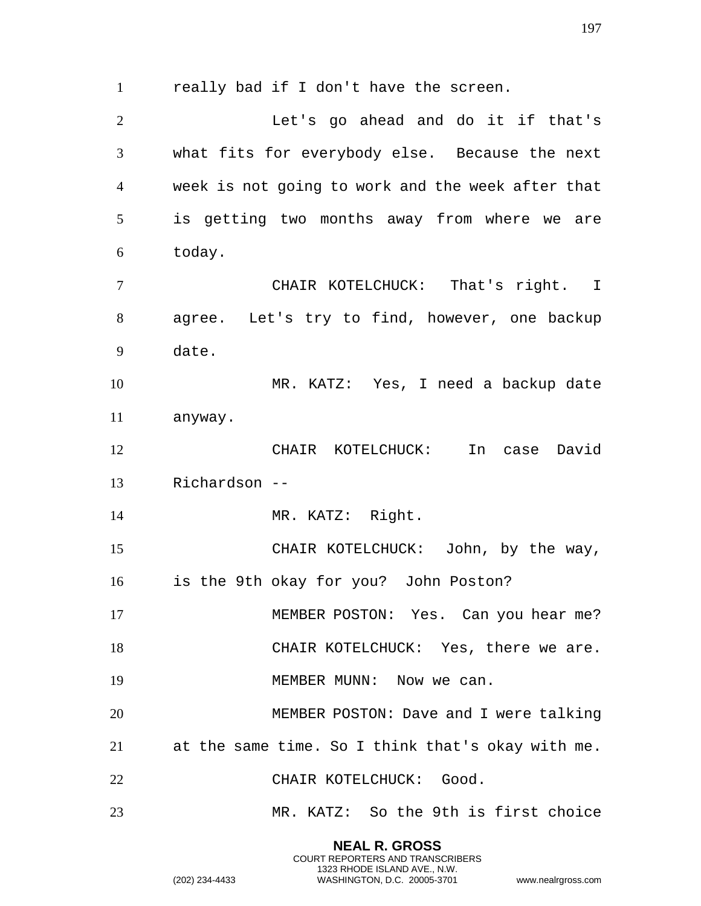really bad if I don't have the screen. Let's go ahead and do it if that's what fits for everybody else. Because the next week is not going to work and the week after that is getting two months away from where we are today. CHAIR KOTELCHUCK: That's right. I agree. Let's try to find, however, one backup date. MR. KATZ: Yes, I need a backup date anyway. CHAIR KOTELCHUCK: In case David Richardson -- 14 MR. KATZ: Right. CHAIR KOTELCHUCK: John, by the way, is the 9th okay for you? John Poston? 17 MEMBER POSTON: Yes. Can you hear me? 18 CHAIR KOTELCHUCK: Yes, there we are. 19 MEMBER MUNN: Now we can. MEMBER POSTON: Dave and I were talking at the same time. So I think that's okay with me. CHAIR KOTELCHUCK: Good. MR. KATZ: So the 9th is first choice

> **NEAL R. GROSS** COURT REPORTERS AND TRANSCRIBERS 1323 RHODE ISLAND AVE., N.W.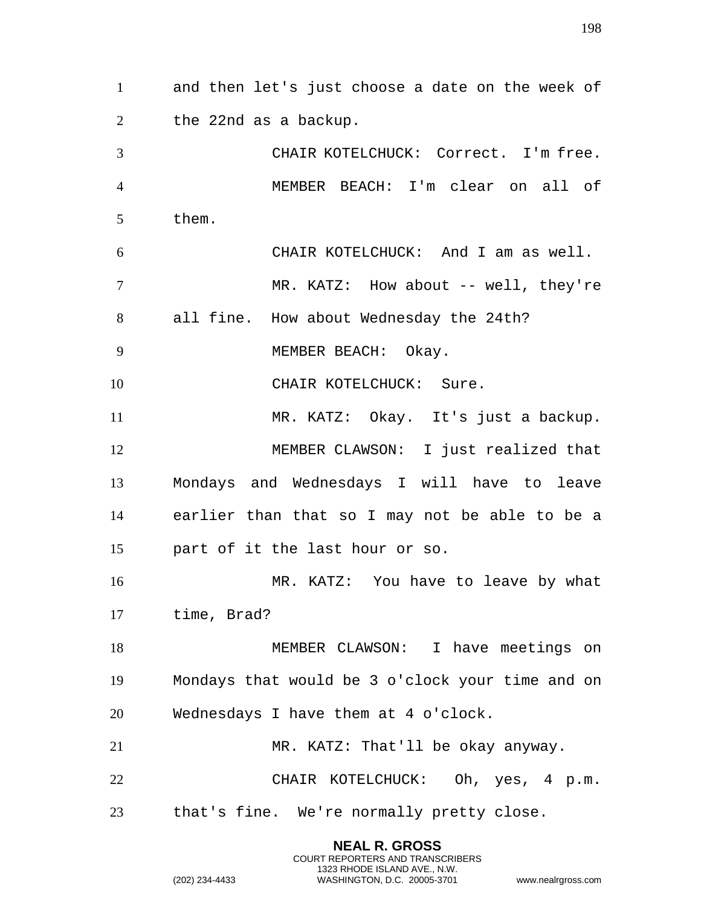and then let's just choose a date on the week of the 22nd as a backup. CHAIR KOTELCHUCK: Correct. I'm free. MEMBER BEACH: I'm clear on all of them. CHAIR KOTELCHUCK: And I am as well. 7 MR. KATZ: How about -- well, they're all fine. How about Wednesday the 24th? 9 MEMBER BEACH: Okay. 10 CHAIR KOTELCHUCK: Sure. MR. KATZ: Okay. It's just a backup. MEMBER CLAWSON: I just realized that Mondays and Wednesdays I will have to leave earlier than that so I may not be able to be a part of it the last hour or so. MR. KATZ: You have to leave by what time, Brad? MEMBER CLAWSON: I have meetings on Mondays that would be 3 o'clock your time and on Wednesdays I have them at 4 o'clock. MR. KATZ: That'll be okay anyway. CHAIR KOTELCHUCK: Oh, yes, 4 p.m. that's fine. We're normally pretty close.

> **NEAL R. GROSS** COURT REPORTERS AND TRANSCRIBERS 1323 RHODE ISLAND AVE., N.W.

(202) 234-4433 WASHINGTON, D.C. 20005-3701 www.nealrgross.com